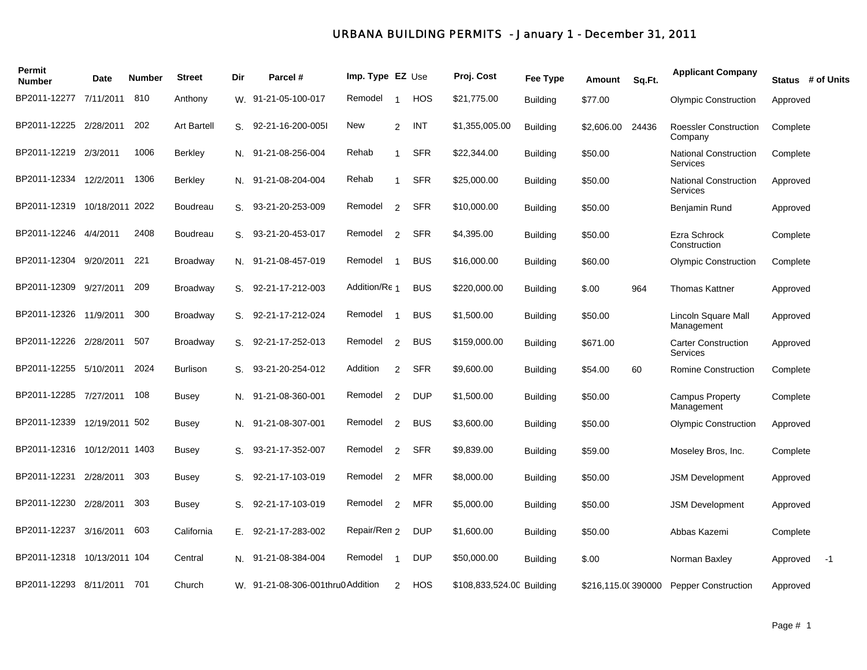## *URBANA BUILDING PERMITS - January 1 - December 31, 2011*

| Permit<br><b>Number</b>      | Date           | <b>Number</b> | <b>Street</b>      | Dir | Parcel #                          | Imp. Type EZ Use |                         |            | Proj. Cost                | Fee Type        | Amount             | Sq.Ft. | <b>Applicant Company</b>                        | Status # of Units |      |
|------------------------------|----------------|---------------|--------------------|-----|-----------------------------------|------------------|-------------------------|------------|---------------------------|-----------------|--------------------|--------|-------------------------------------------------|-------------------|------|
| BP2011-12277                 | 7/11/2011      | 810           | Anthony            |     | W. 91-21-05-100-017               | Remodel          | $\overline{1}$          | HOS        | \$21,775.00               | <b>Building</b> | \$77.00            |        | <b>Olympic Construction</b>                     | Approved          |      |
| BP2011-12225                 | 2/28/2011      | 202           | <b>Art Bartell</b> |     | S. 92-21-16-200-005I              | New              | 2                       | INT        | \$1,355,005.00            | <b>Building</b> | \$2,606.00         | 24436  | <b>Roessler Construction</b><br>Company         | Complete          |      |
| BP2011-12219                 | 2/3/2011       | 1006          | <b>Berkley</b>     |     | N. 91-21-08-256-004               | Rehab            | $\mathbf{1}$            | <b>SFR</b> | \$22,344.00               | <b>Building</b> | \$50.00            |        | <b>National Construction</b><br><b>Services</b> | Complete          |      |
| BP2011-12334                 | 12/2/2011      | 1306          | <b>Berkley</b>     |     | N. 91-21-08-204-004               | Rehab            | $\overline{1}$          | <b>SFR</b> | \$25,000.00               | <b>Building</b> | \$50.00            |        | <b>National Construction</b><br><b>Services</b> | Approved          |      |
| BP2011-12319 10/18/2011      |                | 2022          | Boudreau           | S.  | 93-21-20-253-009                  | Remodel          | 2                       | <b>SFR</b> | \$10,000.00               | <b>Building</b> | \$50.00            |        | Benjamin Rund                                   | Approved          |      |
| BP2011-12246                 | 4/4/2011       | 2408          | Boudreau           | S.  | 93-21-20-453-017                  | Remodel          | 2                       | <b>SFR</b> | \$4,395.00                | <b>Building</b> | \$50.00            |        | Ezra Schrock<br>Construction                    | Complete          |      |
| BP2011-12304 9/20/2011       |                | 221           | Broadway           |     | N. 91-21-08-457-019               | Remodel          | $\overline{\mathbf{1}}$ | <b>BUS</b> | \$16,000.00               | <b>Building</b> | \$60.00            |        | <b>Olympic Construction</b>                     | Complete          |      |
| BP2011-12309                 | 9/27/2011      | 209           | Broadway           |     | S. 92-21-17-212-003               | Addition/Re 1    |                         | <b>BUS</b> | \$220,000.00              | <b>Building</b> | \$.00              | 964    | <b>Thomas Kattner</b>                           | Approved          |      |
| BP2011-12326 11/9/2011       |                | 300           | Broadway           |     | S. 92-21-17-212-024               | Remodel          | $\overline{1}$          | <b>BUS</b> | \$1,500.00                | <b>Building</b> | \$50.00            |        | Lincoln Square Mall<br>Management               | Approved          |      |
| BP2011-12226                 | 2/28/2011      | 507           | Broadway           |     | S. 92-21-17-252-013               | Remodel          | 2                       | <b>BUS</b> | \$159,000.00              | <b>Building</b> | \$671.00           |        | <b>Carter Construction</b><br><b>Services</b>   | Approved          |      |
| BP2011-12255                 | 5/10/2011      | 2024          | <b>Burlison</b>    |     | S. 93-21-20-254-012               | Addition         | 2                       | <b>SFR</b> | \$9,600.00                | <b>Building</b> | \$54.00            | 60     | Romine Construction                             | Complete          |      |
| BP2011-12285                 | 7/27/2011      | 108           | <b>Busey</b>       |     | N. 91-21-08-360-001               | Remodel          | 2                       | <b>DUP</b> | \$1,500.00                | <b>Building</b> | \$50.00            |        | Campus Property<br>Management                   | Complete          |      |
| BP2011-12339                 | 12/19/2011 502 |               | <b>Busey</b>       | N.  | 91-21-08-307-001                  | Remodel          | 2                       | <b>BUS</b> | \$3,600.00                | <b>Building</b> | \$50.00            |        | <b>Olympic Construction</b>                     | Approved          |      |
| BP2011-12316 10/12/2011 1403 |                |               | Busey              | S.  | 93-21-17-352-007                  | Remodel          | 2                       | <b>SFR</b> | \$9,839.00                | <b>Building</b> | \$59.00            |        | Moseley Bros, Inc.                              | Complete          |      |
| BP2011-12231                 | 2/28/2011      | 303           | <b>Busey</b>       | S.  | 92-21-17-103-019                  | Remodel          | 2                       | MFR        | \$8,000.00                | Building        | \$50.00            |        | <b>JSM Development</b>                          | Approved          |      |
| BP2011-12230                 | 2/28/2011      | 303           | Busey              | S.  | 92-21-17-103-019                  | Remodel          | 2                       | <b>MFR</b> | \$5,000.00                | <b>Building</b> | \$50.00            |        | <b>JSM Development</b>                          | Approved          |      |
| BP2011-12237                 | 3/16/2011      | 603           | California         |     | E. 92-21-17-283-002               | Repair/Ren 2     |                         | <b>DUP</b> | \$1,600.00                | <b>Building</b> | \$50.00            |        | Abbas Kazemi                                    | Complete          |      |
| BP2011-12318                 | 10/13/2011 104 |               | Central            | N.  | 91-21-08-384-004                  | Remodel          | $\overline{\mathbf{1}}$ | <b>DUP</b> | \$50,000.00               | <b>Building</b> | \$.00              |        | Norman Baxley                                   | Approved          | $-1$ |
| BP2011-12293 8/11/2011       |                | 701           | Church             |     | W. 91-21-08-306-001thru0 Addition |                  | 2                       | HOS        | \$108,833,524.00 Building |                 | \$216,115.00390000 |        | <b>Pepper Construction</b>                      | Approved          |      |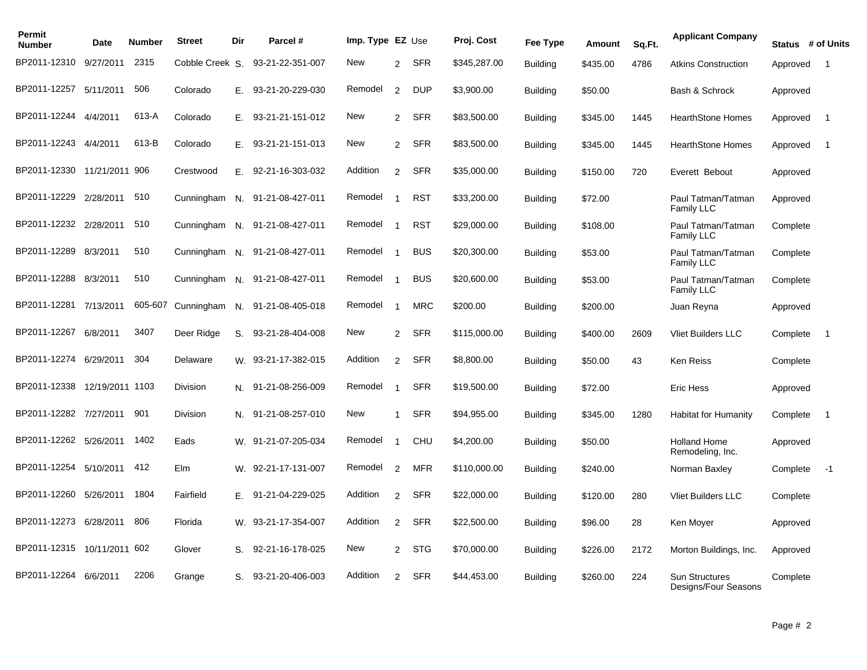| Permit<br><b>Number</b>     | Date            | Number  | <b>Street</b>   | Dir | Parcel #              | Imp. Type $EZ$ Use |                |            | Proj. Cost   | Fee Type        | Amount   | Sq.Ft. | <b>Applicant Company</b>                | Status # of Units |                          |
|-----------------------------|-----------------|---------|-----------------|-----|-----------------------|--------------------|----------------|------------|--------------|-----------------|----------|--------|-----------------------------------------|-------------------|--------------------------|
| BP2011-12310                | 9/27/2011       | 2315    | Cobble Creek S. |     | 93-21-22-351-007      | New                | 2              | SFR        | \$345,287.00 | <b>Building</b> | \$435.00 | 4786   | <b>Atkins Construction</b>              | Approved          | $\overline{1}$           |
| BP2011-12257 5/11/2011      |                 | 506     | Colorado        |     | E. 93-21-20-229-030   | Remodel            | $\mathcal{P}$  | <b>DUP</b> | \$3,900.00   | <b>Building</b> | \$50.00  |        | Bash & Schrock                          | Approved          |                          |
| BP2011-12244 4/4/2011       |                 | 613-A   | Colorado        | Е.  | 93-21-21-151-012      | New                | 2              | <b>SFR</b> | \$83,500.00  | <b>Building</b> | \$345.00 | 1445   | <b>HearthStone Homes</b>                | Approved          | $\overline{1}$           |
| BP2011-12243 4/4/2011       |                 | 613-B   | Colorado        |     | $E.$ 93-21-21-151-013 | New                | $\overline{2}$ | SFR        | \$83,500.00  | <b>Building</b> | \$345.00 | 1445   | <b>HearthStone Homes</b>                | Approved          | $\overline{1}$           |
| BP2011-12330 11/21/2011 906 |                 |         | Crestwood       | Е.  | 92-21-16-303-032      | Addition           | $\overline{2}$ | SFR        | \$35,000.00  | <b>Building</b> | \$150.00 | 720    | Everett Bebout                          | Approved          |                          |
| BP2011-12229                | 2/28/2011       | 510     | Cunningham      | N.  | 91-21-08-427-011      | Remodel            |                | <b>RST</b> | \$33,200.00  | <b>Building</b> | \$72.00  |        | Paul Tatman/Tatman<br>Family LLC        | Approved          |                          |
| BP2011-12232 2/28/2011      |                 | 510     | Cunningham      | N.  | 91-21-08-427-011      | Remodel            |                | <b>RST</b> | \$29,000.00  | <b>Building</b> | \$108.00 |        | Paul Tatman/Tatman<br><b>Family LLC</b> | Complete          |                          |
| BP2011-12289                | 8/3/2011        | 510     | Cunningham      |     | N. 91-21-08-427-011   | Remodel            | -1             | <b>BUS</b> | \$20,300.00  | <b>Building</b> | \$53.00  |        | Paul Tatman/Tatman<br>Family LLC        | Complete          |                          |
| BP2011-12288 8/3/2011       |                 | 510     | Cunningham      |     | N. 91-21-08-427-011   | Remodel            |                | <b>BUS</b> | \$20,600.00  | <b>Building</b> | \$53.00  |        | Paul Tatman/Tatman<br><b>Family LLC</b> | Complete          |                          |
| BP2011-12281 7/13/2011      |                 | 605-607 | Cunningham      |     | N. 91-21-08-405-018   | Remodel            | -1             | <b>MRC</b> | \$200.00     | <b>Building</b> | \$200.00 |        | Juan Reyna                              | Approved          |                          |
| BP2011-12267                | 6/8/2011        | 3407    | Deer Ridge      | S.  | 93-21-28-404-008      | New                | $\overline{2}$ | <b>SFR</b> | \$115,000.00 | <b>Building</b> | \$400.00 | 2609   | <b>Vliet Builders LLC</b>               | Complete          | $\overline{\phantom{0}}$ |
| BP2011-12274                | 6/29/2011       | 304     | Delaware        |     | W. 93-21-17-382-015   | Addition           | $\mathcal{P}$  | <b>SFR</b> | \$8,800.00   | <b>Building</b> | \$50.00  | 43     | Ken Reiss                               | Complete          |                          |
| BP2011-12338                | 12/19/2011 1103 |         | Division        | N.  | 91-21-08-256-009      | Remodel            |                | <b>SFR</b> | \$19,500.00  | <b>Building</b> | \$72.00  |        | Eric Hess                               | Approved          |                          |
| BP2011-12282 7/27/2011 901  |                 |         | Division        |     | N. 91-21-08-257-010   | New                | $\overline{1}$ | <b>SFR</b> | \$94,955.00  | <b>Building</b> | \$345.00 | 1280   | <b>Habitat for Humanity</b>             | Complete          | $\overline{1}$           |
| BP2011-12262 5/26/2011      |                 | 1402    | Eads            |     | W. 91-21-07-205-034   | Remodel            | -1             | <b>CHU</b> | \$4,200.00   | <b>Building</b> | \$50.00  |        | <b>Holland Home</b><br>Remodeling, Inc. | Approved          |                          |
| BP2011-12254 5/10/2011      |                 | 412     | Elm             |     | W. 92-21-17-131-007   | Remodel            | 2              | MFR        | \$110,000.00 | <b>Building</b> | \$240.00 |        | Norman Baxley                           | Complete          | $-1$                     |
| BP2011-12260                | 5/26/2011       | 1804    | Fairfield       | Ε.  | 91-21-04-229-025      | Addition           | $\mathcal{P}$  | <b>SFR</b> | \$22,000.00  | <b>Building</b> | \$120.00 | 280    | <b>Vliet Builders LLC</b>               | Complete          |                          |
| BP2011-12273                | 6/28/2011       | 806     | Florida         | W.  | 93-21-17-354-007      | Addition           | $\overline{2}$ | <b>SFR</b> | \$22,500.00  | <b>Building</b> | \$96.00  | 28     | Ken Moyer                               | Approved          |                          |
| BP2011-12315 10/11/2011 602 |                 |         | Glover          |     | S. 92-21-16-178-025   | New                | $\mathcal{P}$  | STG        | \$70,000.00  | <b>Building</b> | \$226.00 | 2172   | Morton Buildings, Inc.                  | Approved          |                          |
| BP2011-12264 6/6/2011       |                 | 2206    | Grange          | S.  | 93-21-20-406-003      | Addition           | $\overline{2}$ | <b>SFR</b> | \$44,453.00  | <b>Building</b> | \$260.00 | 224    | Sun Structures<br>Designs/Four Seasons  | Complete          |                          |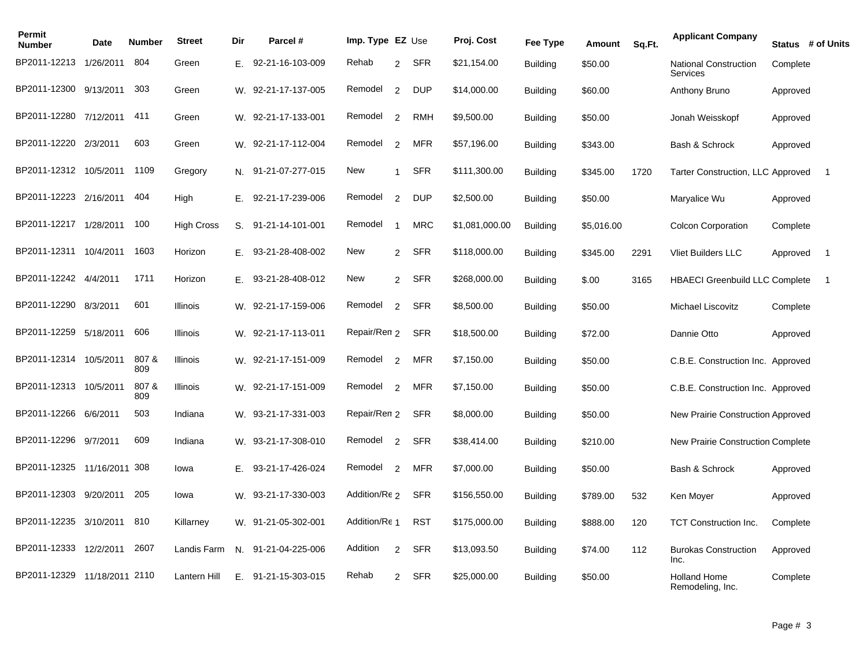| Permit<br><b>Number</b>      | Date      | Number       | <b>Street</b>     | Dir | Parcel #              | Imp. Type $EZ$ Use |                |            | Proj. Cost     | Fee Type        | Amount     | Sq.Ft. | <b>Applicant Company</b>                 |          | Status # of Units |
|------------------------------|-----------|--------------|-------------------|-----|-----------------------|--------------------|----------------|------------|----------------|-----------------|------------|--------|------------------------------------------|----------|-------------------|
| BP2011-12213                 | 1/26/2011 | 804          | Green             | Ε.  | 92-21-16-103-009      | Rehab              | 2              | SFR        | \$21,154.00    | <b>Building</b> | \$50.00    |        | <b>National Construction</b><br>Services | Complete |                   |
| BP2011-12300                 | 9/13/2011 | 303          | Green             |     | W. 92-21-17-137-005   | Remodel            | 2              | DUP        | \$14,000.00    | <b>Building</b> | \$60.00    |        | Anthony Bruno                            | Approved |                   |
| BP2011-12280 7/12/2011 411   |           |              | Green             |     | W. 92-21-17-133-001   | Remodel            | $\overline{2}$ | RMH        | \$9,500.00     | Building        | \$50.00    |        | Jonah Weisskopf                          | Approved |                   |
| BP2011-12220 2/3/2011        |           | 603          | Green             |     | W. 92-21-17-112-004   | Remodel            | 2              | MFR        | \$57,196.00    | <b>Building</b> | \$343.00   |        | Bash & Schrock                           | Approved |                   |
| BP2011-12312 10/5/2011 1109  |           |              | Gregory           |     | N. 91-21-07-277-015   | New                | $\mathbf{1}$   | SFR        | \$111,300.00   | <b>Building</b> | \$345.00   | 1720   | Tarter Construction, LLC Approved        |          | $\overline{1}$    |
| BP2011-12223 2/16/2011       |           | 404          | High              | Е.  | 92-21-17-239-006      | Remodel            | $\overline{2}$ | <b>DUP</b> | \$2,500.00     | <b>Building</b> | \$50.00    |        | Maryalice Wu                             | Approved |                   |
| BP2011-12217 1/28/2011       |           | 100          | <b>High Cross</b> | S.  | 91-21-14-101-001      | Remodel            | $\overline{1}$ | <b>MRC</b> | \$1,081,000.00 | <b>Building</b> | \$5,016.00 |        | <b>Colcon Corporation</b>                | Complete |                   |
| BP2011-12311 10/4/2011       |           | 1603         | Horizon           | Е.  | 93-21-28-408-002      | New                | 2              | SFR        | \$118,000.00   | <b>Building</b> | \$345.00   | 2291   | <b>Vliet Builders LLC</b>                | Approved | $\overline{1}$    |
| BP2011-12242 4/4/2011        |           | 1711         | Horizon           |     | E. 93-21-28-408-012   | New                |                | 2 SFR      | \$268,000.00   | <b>Building</b> | \$.00      | 3165   | <b>HBAECI Greenbuild LLC Complete</b>    |          | - 1               |
| BP2011-12290                 | 8/3/2011  | 601          | Illinois          | W.  | 92-21-17-159-006      | Remodel            | $\overline{2}$ | <b>SFR</b> | \$8,500.00     | <b>Building</b> | \$50.00    |        | Michael Liscovitz                        | Complete |                   |
| BP2011-12259 5/18/2011       |           | 606          | Illinois          |     | W. 92-21-17-113-011   | Repair/Ren 2       |                | <b>SFR</b> | \$18,500.00    | <b>Building</b> | \$72.00    |        | Dannie Otto                              | Approved |                   |
| BP2011-12314 10/5/2011       |           | 807 &<br>809 | Illinois          |     | W. 92-21-17-151-009   | Remodel            | 2              | MFR        | \$7,150.00     | <b>Building</b> | \$50.00    |        | C.B.E. Construction Inc. Approved        |          |                   |
| BP2011-12313 10/5/2011       |           | 807 &<br>809 | Illinois          |     | W. 92-21-17-151-009   | Remodel            | 2              | <b>MFR</b> | \$7,150.00     | <b>Building</b> | \$50.00    |        | C.B.E. Construction Inc. Approved        |          |                   |
| BP2011-12266 6/6/2011        |           | 503          | Indiana           |     | W. 93-21-17-331-003   | Repair/Ren 2       |                | <b>SFR</b> | \$8,000.00     | <b>Building</b> | \$50.00    |        | New Prairie Construction Approved        |          |                   |
| BP2011-12296                 | 9/7/2011  | 609          | Indiana           |     | W. 93-21-17-308-010   | Remodel            | 2              | <b>SFR</b> | \$38,414.00    | <b>Building</b> | \$210.00   |        | New Prairie Construction Complete        |          |                   |
| BP2011-12325 11/16/2011 308  |           |              | Iowa              |     | E. 93-21-17-426-024   | Remodel            | $\overline{2}$ | MFR        | \$7,000.00     | Building        | \$50.00    |        | Bash & Schrock                           | Approved |                   |
| BP2011-12303                 | 9/20/2011 | 205          | Iowa              | W.  | 93-21-17-330-003      | Addition/Re 2      |                | SFR        | \$156,550.00   | <b>Building</b> | \$789.00   | 532    | Ken Mover                                | Approved |                   |
| BP2011-12235 3/10/2011 810   |           |              | Killarney         |     | W. 91-21-05-302-001   | Addition/Re 1      |                | <b>RST</b> | \$175,000.00   | <b>Building</b> | \$888.00   | 120    | <b>TCT Construction Inc.</b>             | Complete |                   |
| BP2011-12333 12/2/2011       |           | 2607         | Landis Farm       |     | N. 91-21-04-225-006   | Addition           | 2              | SFR        | \$13,093.50    | <b>Building</b> | \$74.00    | 112    | <b>Burokas Construction</b><br>Inc.      | Approved |                   |
| BP2011-12329 11/18/2011 2110 |           |              | Lantern Hill      |     | $E.$ 91-21-15-303-015 | Rehab              | $\overline{2}$ | SFR        | \$25,000.00    | <b>Building</b> | \$50.00    |        | <b>Holland Home</b><br>Remodeling, Inc.  | Complete |                   |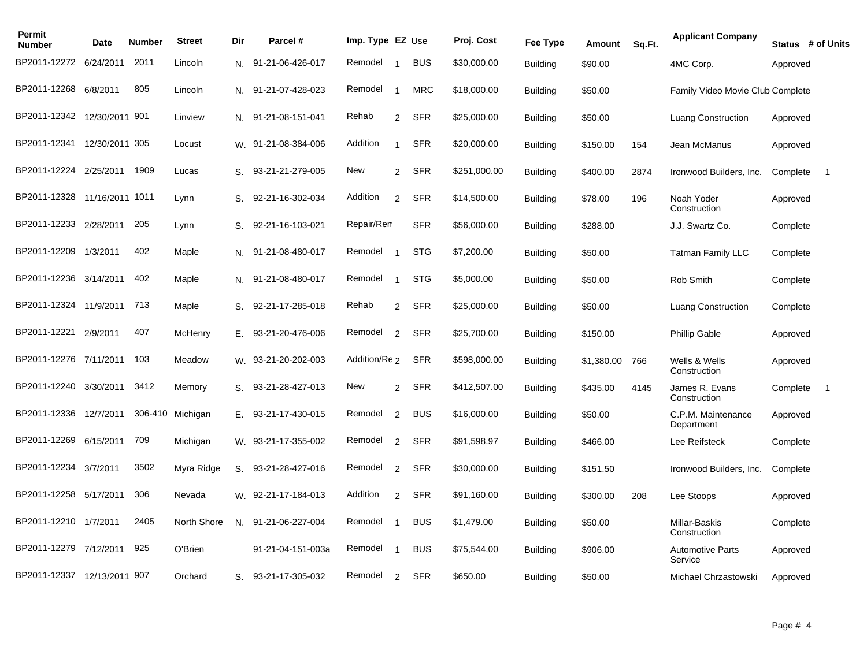| Permit<br><b>Number</b>      | <b>Date</b>    | <b>Number</b> | <b>Street</b>    | Dir | Parcel #            | Imp. Type EZ Use |                |            | Proj. Cost   | Fee Type        | Amount     | Sq.Ft. | <b>Applicant Company</b>           |          | Status # of Units |
|------------------------------|----------------|---------------|------------------|-----|---------------------|------------------|----------------|------------|--------------|-----------------|------------|--------|------------------------------------|----------|-------------------|
| BP2011-12272                 | 6/24/2011      | 2011          | Lincoln          | N.  | 91-21-06-426-017    | Remodel          | -1             | <b>BUS</b> | \$30,000.00  | <b>Building</b> | \$90.00    |        | 4MC Corp.                          | Approved |                   |
| BP2011-12268                 | 6/8/2011       | 805           | Lincoln          |     | N. 91-21-07-428-023 | Remodel          | -1             | <b>MRC</b> | \$18,000.00  | <b>Building</b> | \$50.00    |        | Family Video Movie Club Complete   |          |                   |
| BP2011-12342 12/30/2011 901  |                |               | Linview          |     | N. 91-21-08-151-041 | Rehab            | $\overline{2}$ | <b>SFR</b> | \$25,000.00  | <b>Building</b> | \$50.00    |        | <b>Luang Construction</b>          | Approved |                   |
| BP2011-12341                 | 12/30/2011 305 |               | Locust           |     | W. 91-21-08-384-006 | Addition         | $\overline{1}$ | <b>SFR</b> | \$20,000.00  | <b>Building</b> | \$150.00   | 154    | Jean McManus                       | Approved |                   |
| BP2011-12224 2/25/2011 1909  |                |               | Lucas            | S.  | 93-21-21-279-005    | New              | $\mathbf{2}$   | SFR        | \$251,000.00 | <b>Building</b> | \$400.00   | 2874   | Ironwood Builders, Inc.            | Complete | $\overline{1}$    |
| BP2011-12328 11/16/2011 1011 |                |               | Lynn             | S.  | 92-21-16-302-034    | Addition         | 2              | SFR        | \$14,500.00  | <b>Building</b> | \$78.00    | 196    | Noah Yoder<br>Construction         | Approved |                   |
| BP2011-12233 2/28/2011       |                | 205           | Lynn             | S.  | 92-21-16-103-021    | Repair/Rem       |                | <b>SFR</b> | \$56,000.00  | <b>Building</b> | \$288.00   |        | J.J. Swartz Co.                    | Complete |                   |
| BP2011-12209                 | 1/3/2011       | 402           | Maple            | N.  | 91-21-08-480-017    | Remodel          | -1             | <b>STG</b> | \$7,200.00   | <b>Building</b> | \$50.00    |        | <b>Tatman Family LLC</b>           | Complete |                   |
| BP2011-12236 3/14/2011       |                | 402           | Maple            | N.  | 91-21-08-480-017    | Remodel          |                | <b>STG</b> | \$5,000.00   | <b>Building</b> | \$50.00    |        | Rob Smith                          | Complete |                   |
| BP2011-12324 11/9/2011       |                | 713           | Maple            | S.  | 92-21-17-285-018    | Rehab            |                | 2 SFR      | \$25,000.00  | <b>Building</b> | \$50.00    |        | <b>Luang Construction</b>          | Complete |                   |
| BP2011-12221                 | 2/9/2011       | 407           | McHenry          | Е.  | 93-21-20-476-006    | Remodel          | $\overline{2}$ | <b>SFR</b> | \$25,700.00  | <b>Building</b> | \$150.00   |        | <b>Phillip Gable</b>               | Approved |                   |
| BP2011-12276 7/11/2011       |                | 103           | Meadow           |     | W. 93-21-20-202-003 | Addition/Re 2    |                | <b>SFR</b> | \$598,000.00 | <b>Building</b> | \$1,380.00 | 766    | Wells & Wells<br>Construction      | Approved |                   |
| BP2011-12240                 | 3/30/2011      | 3412          | Memory           | S.  | 93-21-28-427-013    | New              | 2              | SFR        | \$412,507.00 | <b>Building</b> | \$435.00   | 4145   | James R. Evans<br>Construction     | Complete | -1                |
| BP2011-12336                 | 12/7/2011      |               | 306-410 Michigan | Е.  | 93-21-17-430-015    | Remodel          | 2              | <b>BUS</b> | \$16,000.00  | <b>Building</b> | \$50.00    |        | C.P.M. Maintenance<br>Department   | Approved |                   |
| BP2011-12269 6/15/2011       |                | 709           | Michigan         |     | W. 93-21-17-355-002 | Remodel          | $\overline{2}$ | SFR        | \$91,598.97  | <b>Building</b> | \$466.00   |        | Lee Reifsteck                      | Complete |                   |
| BP2011-12234 3/7/2011        |                | 3502          | Myra Ridge       | S.  | 93-21-28-427-016    | Remodel          | 2              | SFR        | \$30,000.00  | <b>Building</b> | \$151.50   |        | Ironwood Builders, Inc.            | Complete |                   |
| BP2011-12258                 | 5/17/2011      | 306           | Nevada           |     | W. 92-21-17-184-013 | Addition         | 2              | <b>SFR</b> | \$91,160.00  | <b>Building</b> | \$300.00   | 208    | Lee Stoops                         | Approved |                   |
| BP2011-12210 1/7/2011        |                | 2405          | North Shore      | N.  | 91-21-06-227-004    | Remodel          |                | <b>BUS</b> | \$1,479.00   | <b>Building</b> | \$50.00    |        | Millar-Baskis<br>Construction      | Complete |                   |
| BP2011-12279                 | 7/12/2011      | 925           | O'Brien          |     | 91-21-04-151-003a   | Remodel          |                | <b>BUS</b> | \$75,544.00  | <b>Building</b> | \$906.00   |        | <b>Automotive Parts</b><br>Service | Approved |                   |
| BP2011-12337 12/13/2011 907  |                |               | Orchard          |     | S. 93-21-17-305-032 | Remodel          | $\overline{2}$ | <b>SFR</b> | \$650.00     | Building        | \$50.00    |        | Michael Chrzastowski               | Approved |                   |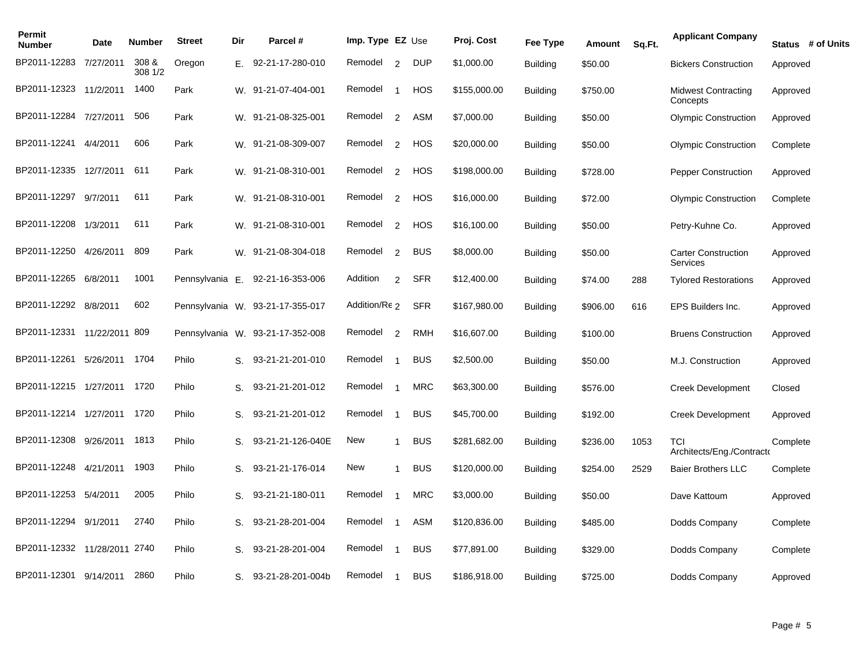| Permit<br><b>Number</b>      | Date      | <b>Number</b>    | <b>Street</b>   | Dir | Parcel #                         | Imp. Type $EZ$ Use |                         |            | Proj. Cost   | Fee Type        | Amount   | Sq.Ft. | <b>Applicant Company</b>                      | Status # of Units |
|------------------------------|-----------|------------------|-----------------|-----|----------------------------------|--------------------|-------------------------|------------|--------------|-----------------|----------|--------|-----------------------------------------------|-------------------|
| BP2011-12283                 | 7/27/2011 | 308 &<br>308 1/2 | Oregon          | Е.  | 92-21-17-280-010                 | Remodel            | 2                       | <b>DUP</b> | \$1,000.00   | <b>Building</b> | \$50.00  |        | <b>Bickers Construction</b>                   | Approved          |
| BP2011-12323 11/2/2011       |           | 1400             | Park            |     | W. 91-21-07-404-001              | Remodel            | $\overline{1}$          | HOS        | \$155,000.00 | <b>Building</b> | \$750.00 |        | <b>Midwest Contracting</b><br>Concepts        | Approved          |
| BP2011-12284 7/27/2011       |           | 506              | Park            |     | W. 91-21-08-325-001              | Remodel            | 2                       | ASM        | \$7,000.00   | <b>Building</b> | \$50.00  |        | <b>Olympic Construction</b>                   | Approved          |
| BP2011-12241                 | 4/4/2011  | 606              | Park            |     | W. 91-21-08-309-007              | Remodel            | 2                       | HOS        | \$20,000.00  | <b>Building</b> | \$50.00  |        | <b>Olympic Construction</b>                   | Complete          |
| BP2011-12335 12/7/2011       |           | 611              | Park            |     | W. 91-21-08-310-001              | Remodel            | 2                       | HOS        | \$198,000.00 | Building        | \$728.00 |        | <b>Pepper Construction</b>                    | Approved          |
| BP2011-12297                 | 9/7/2011  | 611              | Park            |     | W. 91-21-08-310-001              | Remodel            | 2                       | HOS        | \$16,000.00  | <b>Building</b> | \$72.00  |        | <b>Olympic Construction</b>                   | Complete          |
| BP2011-12208 1/3/2011        |           | 611              | Park            |     | W. 91-21-08-310-001              | Remodel            | 2                       | <b>HOS</b> | \$16,100.00  | <b>Building</b> | \$50.00  |        | Petry-Kuhne Co.                               | Approved          |
| BP2011-12250                 | 4/26/2011 | 809              | Park            |     | W. 91-21-08-304-018              | Remodel            | $\overline{2}$          | <b>BUS</b> | \$8,000.00   | <b>Building</b> | \$50.00  |        | <b>Carter Construction</b><br><b>Services</b> | Approved          |
| BP2011-12265                 | 6/8/2011  | 1001             | Pennsylvania E. |     | 92-21-16-353-006                 | Addition           | 2                       | <b>SFR</b> | \$12,400.00  | <b>Building</b> | \$74.00  | 288    | <b>Tylored Restorations</b>                   | Approved          |
| BP2011-12292 8/8/2011        |           | 602              |                 |     | Pennsylvania W. 93-21-17-355-017 | Addition/Re 2      |                         | <b>SFR</b> | \$167,980.00 | <b>Building</b> | \$906.00 | 616    | EPS Builders Inc.                             | Approved          |
| BP2011-12331 11/22/2011 809  |           |                  |                 |     | Pennsylvania W. 93-21-17-352-008 | Remodel            | 2                       | <b>RMH</b> | \$16,607.00  | <b>Building</b> | \$100.00 |        | <b>Bruens Construction</b>                    | Approved          |
| BP2011-12261                 | 5/26/2011 | 1704             | Philo           | S.  | 93-21-21-201-010                 | Remodel            |                         | <b>BUS</b> | \$2,500.00   | Building        | \$50.00  |        | M.J. Construction                             | Approved          |
| BP2011-12215                 | 1/27/2011 | 1720             | Philo           | S.  | 93-21-21-201-012                 | Remodel            |                         | <b>MRC</b> | \$63,300.00  | <b>Building</b> | \$576.00 |        | <b>Creek Development</b>                      | Closed            |
| BP2011-12214                 | 1/27/2011 | 1720             | Philo           | S.  | 93-21-21-201-012                 | Remodel            |                         | <b>BUS</b> | \$45,700.00  | <b>Building</b> | \$192.00 |        | <b>Creek Development</b>                      | Approved          |
| BP2011-12308 9/26/2011       |           | 1813             | Philo           | S.  | 93-21-21-126-040E                | New                | $\mathbf 1$             | <b>BUS</b> | \$281,682.00 | <b>Building</b> | \$236.00 | 1053   | TCI<br>Architects/Eng./Contracto              | Complete          |
| BP2011-12248                 | 4/21/2011 | 1903             | Philo           | S.  | 93-21-21-176-014                 | New                | $\mathbf{1}$            | <b>BUS</b> | \$120,000.00 | <b>Building</b> | \$254.00 | 2529   | <b>Baier Brothers LLC</b>                     | Complete          |
| BP2011-12253 5/4/2011        |           | 2005             | Philo           | S.  | 93-21-21-180-011                 | Remodel            | $\overline{\mathbf{1}}$ | <b>MRC</b> | \$3,000.00   | <b>Building</b> | \$50.00  |        | Dave Kattoum                                  | Approved          |
| BP2011-12294                 | 9/1/2011  | 2740             | Philo           | S.  | 93-21-28-201-004                 | Remodel            |                         | <b>ASM</b> | \$120,836.00 | <b>Building</b> | \$485.00 |        | Dodds Company                                 | Complete          |
| BP2011-12332 11/28/2011 2740 |           |                  | Philo           | S.  | 93-21-28-201-004                 | Remodel            |                         | <b>BUS</b> | \$77,891.00  | <b>Building</b> | \$329.00 |        | Dodds Company                                 | Complete          |
| BP2011-12301 9/14/2011       |           | 2860             | Philo           | S.  | 93-21-28-201-004b                | Remodel            | $\overline{\mathbf{1}}$ | <b>BUS</b> | \$186,918.00 | <b>Building</b> | \$725.00 |        | Dodds Company                                 | Approved          |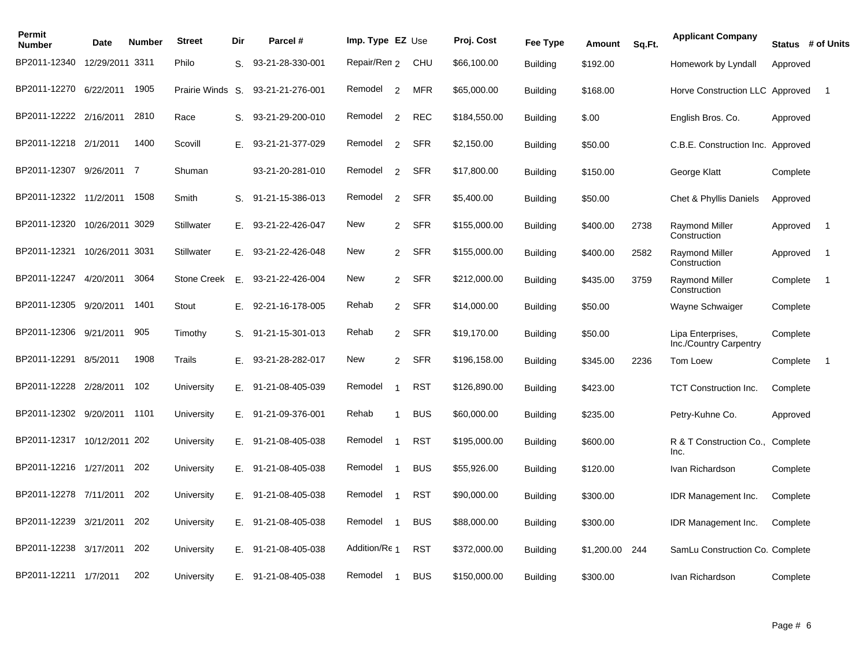| Permit<br><b>Number</b>     | <b>Date</b>     | <b>Number</b> | <b>Street</b>      | Dir | Parcel #              | Imp. Type EZ Use |                |            | Proj. Cost   | Fee Type        | Amount     | Sq.Ft. | <b>Applicant Company</b>                    | Status # of Units |                |
|-----------------------------|-----------------|---------------|--------------------|-----|-----------------------|------------------|----------------|------------|--------------|-----------------|------------|--------|---------------------------------------------|-------------------|----------------|
| BP2011-12340                | 12/29/2011 3311 |               | Philo              | S.  | 93-21-28-330-001      | Repair/Ren 2     |                | CHU        | \$66,100.00  | <b>Building</b> | \$192.00   |        | Homework by Lyndall                         | Approved          |                |
| BP2011-12270                | 6/22/2011       | 1905          | Prairie Winds S.   |     | 93-21-21-276-001      | Remodel          | 2              | <b>MFR</b> | \$65,000.00  | <b>Building</b> | \$168.00   |        | Horve Construction LLC Approved             |                   | $\overline{1}$ |
| BP2011-12222 2/16/2011      |                 | 2810          | Race               | S.  | 93-21-29-200-010      | Remodel          | $\overline{2}$ | REC        | \$184,550.00 | <b>Building</b> | \$.00      |        | English Bros. Co.                           | Approved          |                |
| BP2011-12218 2/1/2011       |                 | 1400          | Scovill            | Е.  | 93-21-21-377-029      | Remodel          | $\overline{2}$ | <b>SFR</b> | \$2,150.00   | <b>Building</b> | \$50.00    |        | C.B.E. Construction Inc. Approved           |                   |                |
| BP2011-12307 9/26/2011 7    |                 |               | Shuman             |     | 93-21-20-281-010      | Remodel          | $\overline{2}$ | SFR        | \$17,800.00  | <b>Building</b> | \$150.00   |        | George Klatt                                | Complete          |                |
| BP2011-12322 11/2/2011      |                 | 1508          | Smith              | S.  | 91-21-15-386-013      | Remodel          | 2              | <b>SFR</b> | \$5,400.00   | <b>Building</b> | \$50.00    |        | Chet & Phyllis Daniels                      | Approved          |                |
| BP2011-12320                | 10/26/2011 3029 |               | Stillwater         | Е.  | 93-21-22-426-047      | New              | $\overline{2}$ | SFR        | \$155,000.00 | <b>Building</b> | \$400.00   | 2738   | Raymond Miller<br>Construction              | Approved          | $\overline{1}$ |
| BP2011-12321                | 10/26/2011 3031 |               | Stillwater         | Е.  | 93-21-22-426-048      | New              | $\overline{2}$ | <b>SFR</b> | \$155,000.00 | <b>Building</b> | \$400.00   | 2582   | <b>Raymond Miller</b><br>Construction       | Approved          | $\overline{1}$ |
| BP2011-12247                | 4/20/2011       | 3064          | <b>Stone Creek</b> | Ε.  | 93-21-22-426-004      | New              | 2              | SFR        | \$212,000.00 | <b>Building</b> | \$435.00   | 3759   | <b>Raymond Miller</b><br>Construction       | Complete          | $\overline{1}$ |
| BP2011-12305 9/20/2011      |                 | 1401          | Stout              | Е.  | 92-21-16-178-005      | Rehab            |                | 2 SFR      | \$14,000.00  | <b>Building</b> | \$50.00    |        | Wayne Schwaiger                             | Complete          |                |
| BP2011-12306 9/21/2011      |                 | 905           | Timothy            | S.  | 91-21-15-301-013      | Rehab            | $\overline{2}$ | SFR        | \$19,170.00  | <b>Building</b> | \$50.00    |        | Lipa Enterprises,<br>Inc./Country Carpentry | Complete          |                |
| BP2011-12291                | 8/5/2011        | 1908          | Trails             | Е.  | 93-21-28-282-017      | New              | $\overline{2}$ | <b>SFR</b> | \$196,158.00 | <b>Building</b> | \$345.00   | 2236   | Tom Loew                                    | Complete          | $\overline{1}$ |
| BP2011-12228                | 2/28/2011       | 102           | University         | Е.  | 91-21-08-405-039      | Remodel          |                | <b>RST</b> | \$126,890.00 | <b>Building</b> | \$423.00   |        | <b>TCT Construction Inc.</b>                | Complete          |                |
| BP2011-12302 9/20/2011      |                 | 1101          | University         | Е.  | 91-21-09-376-001      | Rehab            |                | <b>BUS</b> | \$60,000.00  | <b>Building</b> | \$235.00   |        | Petry-Kuhne Co.                             | Approved          |                |
| BP2011-12317 10/12/2011 202 |                 |               | University         |     | $E.$ 91-21-08-405-038 | Remodel          |                | <b>RST</b> | \$195,000.00 | <b>Building</b> | \$600.00   |        | R & T Construction Co., Complete<br>Inc.    |                   |                |
| BP2011-12216 1/27/2011      |                 | 202           | University         |     | E. 91-21-08-405-038   | Remodel          | -1             | <b>BUS</b> | \$55,926.00  | <b>Building</b> | \$120.00   |        | Ivan Richardson                             | Complete          |                |
| BP2011-12278 7/11/2011      |                 | 202           | University         | Е.  | 91-21-08-405-038      | Remodel          |                | <b>RST</b> | \$90,000.00  | <b>Building</b> | \$300.00   |        | <b>IDR Management Inc.</b>                  | Complete          |                |
| BP2011-12239                | 3/21/2011       | 202           | University         |     | E. 91-21-08-405-038   | Remodel          |                | <b>BUS</b> | \$88,000.00  | <b>Building</b> | \$300.00   |        | <b>IDR Management Inc.</b>                  | Complete          |                |
| BP2011-12238                | 3/17/2011       | 202           | University         | Е.  | 91-21-08-405-038      | Addition/Re 1    |                | <b>RST</b> | \$372,000.00 | <b>Building</b> | \$1,200.00 | 244    | SamLu Construction Co. Complete             |                   |                |
| BP2011-12211 1/7/2011       |                 | 202           | University         |     | E. 91-21-08-405-038   | Remodel          |                | <b>BUS</b> | \$150,000.00 | <b>Building</b> | \$300.00   |        | Ivan Richardson                             | Complete          |                |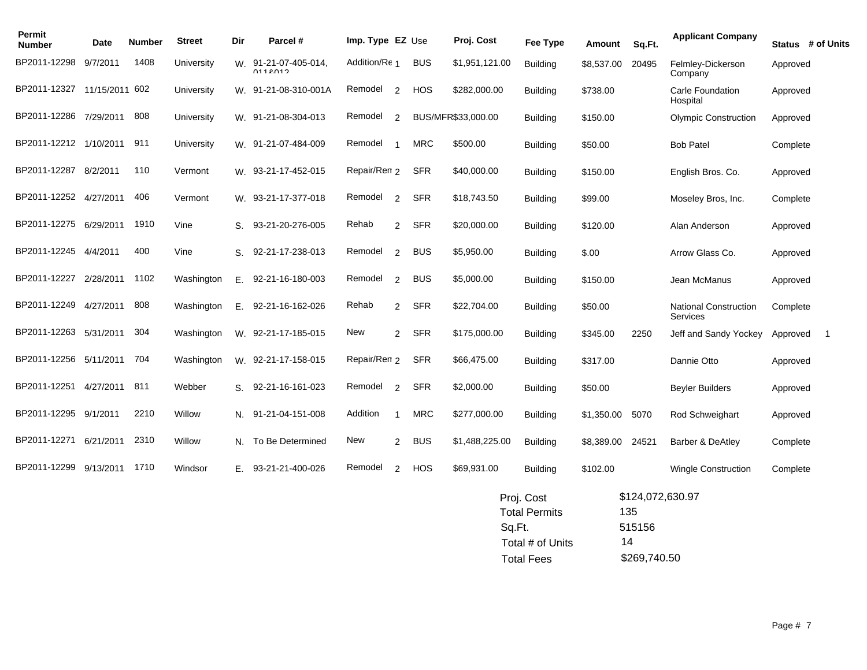| Permit<br><b>Number</b>     | Date      | <b>Number</b> | <b>Street</b> | Dir | Parcel #                            | Imp. Type EZ Use |                |            | Proj. Cost         | Fee Type        | Amount     | Sq.Ft. | <b>Applicant Company</b>                 |          | Status # of Units |
|-----------------------------|-----------|---------------|---------------|-----|-------------------------------------|------------------|----------------|------------|--------------------|-----------------|------------|--------|------------------------------------------|----------|-------------------|
| BP2011-12298                | 9/7/2011  | 1408          | University    | W.  | 91-21-07-405-014.<br><b>0112012</b> | Addition/Re 1    |                | <b>BUS</b> | \$1,951,121.00     | <b>Building</b> | \$8,537.00 | 20495  | Felmley-Dickerson<br>Company             | Approved |                   |
| BP2011-12327 11/15/2011 602 |           |               | University    | W.  | 91-21-08-310-001A                   | Remodel          | 2              | <b>HOS</b> | \$282,000.00       | <b>Building</b> | \$738.00   |        | Carle Foundation<br>Hospital             | Approved |                   |
| BP2011-12286                | 7/29/2011 | 808           | University    | W.  | 91-21-08-304-013                    | Remodel          | 2              |            | BUS/MFR\$33,000.00 | <b>Building</b> | \$150.00   |        | <b>Olympic Construction</b>              | Approved |                   |
| BP2011-12212 1/10/2011      |           | 911           | University    |     | W. 91-21-07-484-009                 | Remodel          |                | <b>MRC</b> | \$500.00           | <b>Building</b> | \$50.00    |        | <b>Bob Patel</b>                         | Complete |                   |
| BP2011-12287                | 8/2/2011  | 110           | Vermont       | W.  | 93-21-17-452-015                    | Repair/Ren 2     |                | <b>SFR</b> | \$40,000.00        | <b>Building</b> | \$150.00   |        | English Bros. Co.                        | Approved |                   |
| BP2011-12252                | 4/27/2011 | 406           | Vermont       |     | W. 93-21-17-377-018                 | Remodel          | 2              | <b>SFR</b> | \$18,743.50        | <b>Building</b> | \$99.00    |        | Moseley Bros, Inc.                       | Complete |                   |
| BP2011-12275                | 6/29/2011 | 1910          | Vine          | S.  | 93-21-20-276-005                    | Rehab            | $\overline{2}$ | <b>SFR</b> | \$20,000.00        | <b>Building</b> | \$120.00   |        | Alan Anderson                            | Approved |                   |
| BP2011-12245                | 4/4/2011  | 400           | Vine          | S.  | 92-21-17-238-013                    | Remodel          | 2              | <b>BUS</b> | \$5,950.00         | <b>Building</b> | \$.00      |        | Arrow Glass Co.                          | Approved |                   |
| BP2011-12227 2/28/2011      |           | 1102          | Washington    | Ε.  | 92-21-16-180-003                    | Remodel          | 2              | <b>BUS</b> | \$5,000.00         | <b>Building</b> | \$150.00   |        | Jean McManus                             | Approved |                   |
| BP2011-12249                | 4/27/2011 | 808           | Washington    | Ε.  | 92-21-16-162-026                    | Rehab            | 2              | <b>SFR</b> | \$22,704.00        | <b>Building</b> | \$50.00    |        | <b>National Construction</b><br>Services | Complete |                   |
| BP2011-12263                | 5/31/2011 | 304           | Washington    | W.  | 92-21-17-185-015                    | New              | $\overline{2}$ | SFR        | \$175,000.00       | <b>Building</b> | \$345.00   | 2250   | Jeff and Sandy Yockey                    | Approved |                   |
| BP2011-12256                | 5/11/2011 | 704           | Washington    | W.  | 92-21-17-158-015                    | Repair/Ren 2     |                | <b>SFR</b> | \$66,475.00        | <b>Building</b> | \$317.00   |        | Dannie Otto                              | Approved |                   |
| BP2011-12251                | 4/27/2011 | 811           | Webber        | S.  | 92-21-16-161-023                    | Remodel          | $\overline{2}$ | <b>SFR</b> | \$2,000.00         | <b>Building</b> | \$50.00    |        | <b>Beyler Builders</b>                   | Approved |                   |
| BP2011-12295                | 9/1/2011  | 2210          | Willow        | N.  | 91-21-04-151-008                    | Addition         |                | <b>MRC</b> | \$277,000.00       | <b>Building</b> | \$1,350.00 | 5070   | Rod Schweighart                          | Approved |                   |
| BP2011-12271                | 6/21/2011 | 2310          | Willow        | N.  | To Be Determined                    | New              | $\overline{2}$ | <b>BUS</b> | \$1,488,225.00     | <b>Building</b> | \$8,389.00 | 24521  | Barber & DeAtley                         | Complete |                   |
| BP2011-12299                | 9/13/2011 | 1710          | Windsor       | Е.  | 93-21-21-400-026                    | Remodel          | 2              | <b>HOS</b> | \$69,931.00        | <b>Building</b> | \$102.00   |        | <b>Wingle Construction</b>               | Complete |                   |

| Proj. Cost           | \$124,072,630.97 |
|----------------------|------------------|
| <b>Total Permits</b> | 135              |
| Sq.Ft.               | 515156           |
| Total # of Units     | 14               |
| <b>Total Fees</b>    | \$269,740.50     |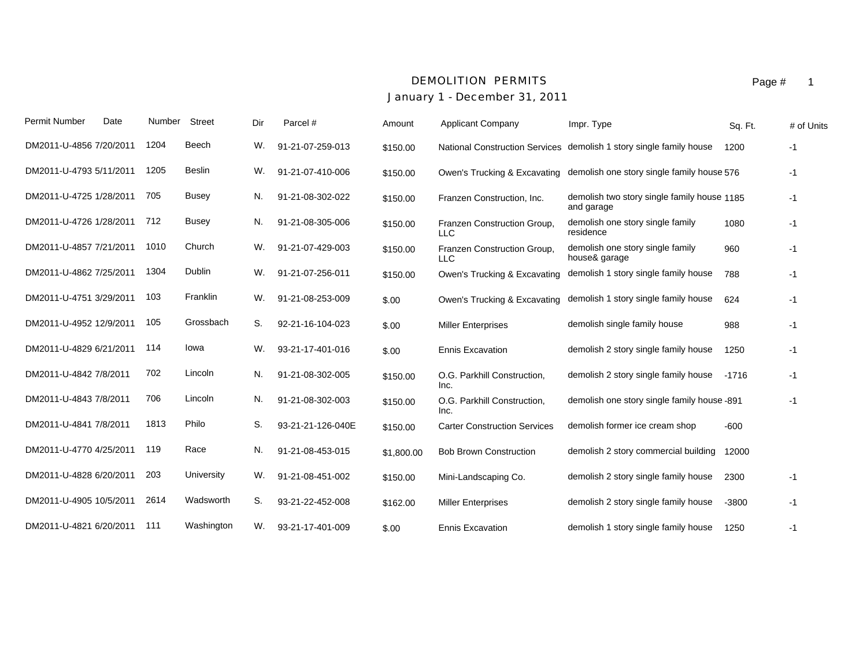### *DEMOLITION PERMITS*

# *January 1 - December 31, 2011*

| Permit Number           | Date | Number | Street        | Dir | Parcel #          | Amount     | <b>Applicant Company</b>                  | Impr. Type                                                | Sq. Ft. | # of Units |
|-------------------------|------|--------|---------------|-----|-------------------|------------|-------------------------------------------|-----------------------------------------------------------|---------|------------|
| DM2011-U-4856 7/20/2011 |      | 1204   | Beech         | W.  | 91-21-07-259-013  | \$150.00   | <b>National Construction Services</b>     | demolish 1 story single family house                      | 1200    | -1         |
| DM2011-U-4793 5/11/2011 |      | 1205   | <b>Beslin</b> | W.  | 91-21-07-410-006  | \$150.00   | Owen's Trucking & Excavating              | demolish one story single family house 576                |         | $-1$       |
| DM2011-U-4725 1/28/2011 |      | 705    | <b>Busey</b>  | N.  | 91-21-08-302-022  | \$150.00   | Franzen Construction, Inc.                | demolish two story single family house 1185<br>and garage |         | $-1$       |
| DM2011-U-4726 1/28/2011 |      | 712    | <b>Busey</b>  | N.  | 91-21-08-305-006  | \$150.00   | Franzen Construction Group,<br><b>LLC</b> | demolish one story single family<br>residence             | 1080    | $-1$       |
| DM2011-U-4857 7/21/2011 |      | 1010   | Church        | W.  | 91-21-07-429-003  | \$150.00   | Franzen Construction Group,<br><b>LLC</b> | demolish one story single family<br>house& garage         | 960     | $-1$       |
| DM2011-U-4862 7/25/2011 |      | 1304   | Dublin        | W.  | 91-21-07-256-011  | \$150.00   | Owen's Trucking & Excavating              | demolish 1 story single family house                      | 788     | $-1$       |
| DM2011-U-4751 3/29/2011 |      | 103    | Franklin      | W.  | 91-21-08-253-009  | \$.00      | Owen's Trucking & Excavating              | demolish 1 story single family house                      | 624     | $-1$       |
| DM2011-U-4952 12/9/2011 |      | 105    | Grossbach     | S.  | 92-21-16-104-023  | \$.00      | <b>Miller Enterprises</b>                 | demolish single family house                              | 988     | -1         |
| DM2011-U-4829 6/21/2011 |      | 114    | lowa          | W.  | 93-21-17-401-016  | \$.00      | <b>Ennis Excavation</b>                   | demolish 2 story single family house                      | 1250    | $-1$       |
| DM2011-U-4842 7/8/2011  |      | 702    | Lincoln       | N.  | 91-21-08-302-005  | \$150.00   | O.G. Parkhill Construction,<br>Inc.       | demolish 2 story single family house                      | $-1716$ | $-1$       |
| DM2011-U-4843 7/8/2011  |      | 706    | Lincoln       | N.  | 91-21-08-302-003  | \$150.00   | O.G. Parkhill Construction,<br>Inc.       | demolish one story single family house -891               |         | $-1$       |
| DM2011-U-4841 7/8/2011  |      | 1813   | Philo         | S.  | 93-21-21-126-040E | \$150.00   | <b>Carter Construction Services</b>       | demolish former ice cream shop                            | $-600$  |            |
| DM2011-U-4770 4/25/2011 |      | 119    | Race          | N.  | 91-21-08-453-015  | \$1,800.00 | <b>Bob Brown Construction</b>             | demolish 2 story commercial building                      | 12000   |            |
| DM2011-U-4828 6/20/2011 |      | 203    | University    | W.  | 91-21-08-451-002  | \$150.00   | Mini-Landscaping Co.                      | demolish 2 story single family house                      | 2300    | $-1$       |
| DM2011-U-4905 10/5/2011 |      | 2614   | Wadsworth     | S.  | 93-21-22-452-008  | \$162.00   | <b>Miller Enterprises</b>                 | demolish 2 story single family house                      | $-3800$ | $-1$       |
| DM2011-U-4821 6/20/2011 |      | 111    | Washington    | W.  | 93-21-17-401-009  | \$.00      | <b>Ennis Excavation</b>                   | demolish 1 story single family house                      | 1250    | $-1$       |

Page # 1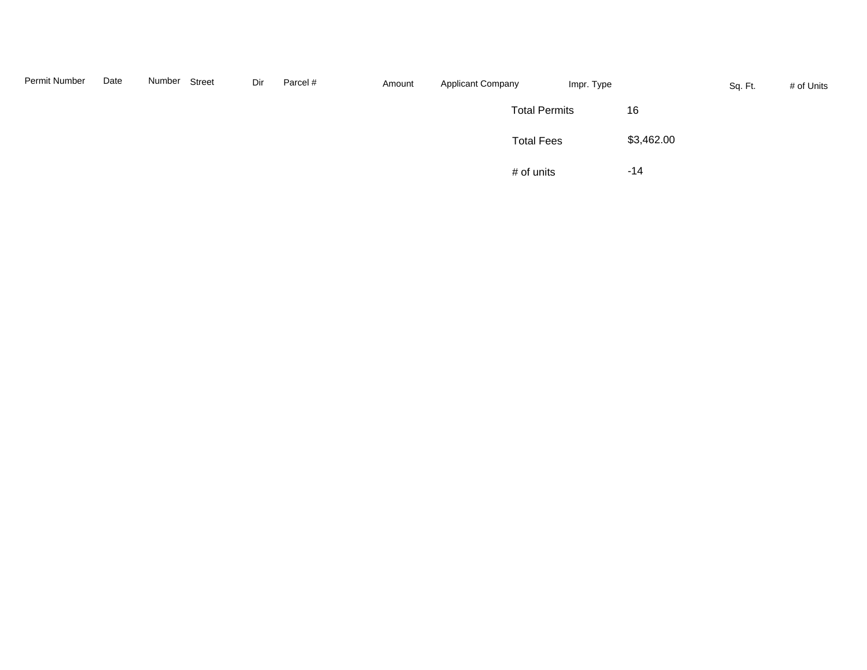| Permit Number | Date | Number | Street | Dir | Parcel # | Amount | <b>Applicant Company</b> | Impr. Type |            | Sq. Ft. | # of Units |
|---------------|------|--------|--------|-----|----------|--------|--------------------------|------------|------------|---------|------------|
|               |      |        |        |     |          |        | <b>Total Permits</b>     |            | 16         |         |            |
|               |      |        |        |     |          |        | <b>Total Fees</b>        |            | \$3,462.00 |         |            |
|               |      |        |        |     |          |        | # of units               |            | $-14$      |         |            |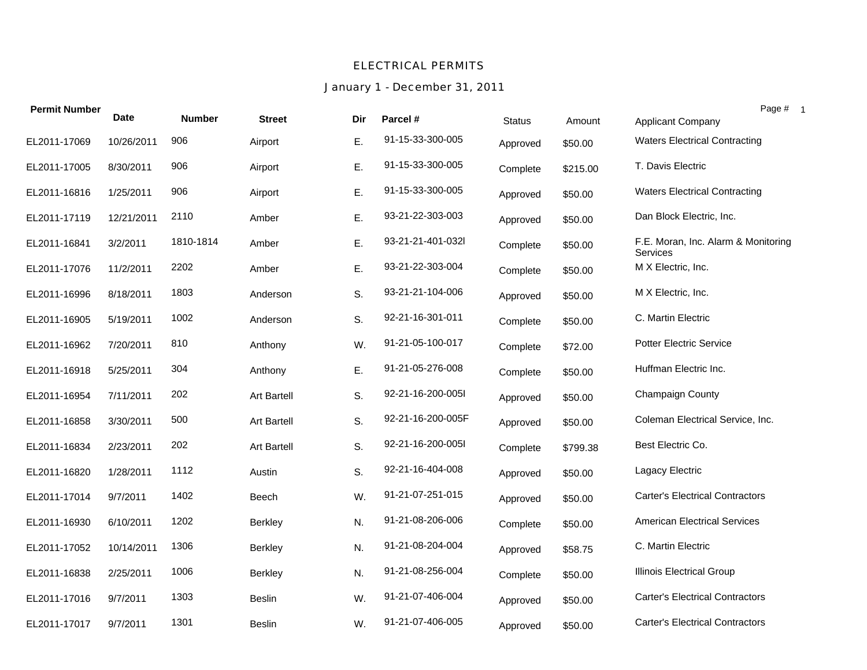#### *ELECTRICAL PERMITS*

## *January 1 - December 31, 2011*

| <b>Permit Number</b> |             |               |                    |     |                   |               |          | Page # 1                                        |
|----------------------|-------------|---------------|--------------------|-----|-------------------|---------------|----------|-------------------------------------------------|
|                      | <b>Date</b> | <b>Number</b> | <b>Street</b>      | Dir | Parcel #          | <b>Status</b> | Amount   | Applicant Company                               |
| EL2011-17069         | 10/26/2011  | 906           | Airport            | Ε.  | 91-15-33-300-005  | Approved      | \$50.00  | <b>Waters Electrical Contracting</b>            |
| EL2011-17005         | 8/30/2011   | 906           | Airport            | E.  | 91-15-33-300-005  | Complete      | \$215.00 | T. Davis Electric                               |
| EL2011-16816         | 1/25/2011   | 906           | Airport            | Ε.  | 91-15-33-300-005  | Approved      | \$50.00  | <b>Waters Electrical Contracting</b>            |
| EL2011-17119         | 12/21/2011  | 2110          | Amber              | E.  | 93-21-22-303-003  | Approved      | \$50.00  | Dan Block Electric, Inc.                        |
| EL2011-16841         | 3/2/2011    | 1810-1814     | Amber              | E.  | 93-21-21-401-032l | Complete      | \$50.00  | F.E. Moran, Inc. Alarm & Monitoring<br>Services |
| EL2011-17076         | 11/2/2011   | 2202          | Amber              | Ε.  | 93-21-22-303-004  | Complete      | \$50.00  | M X Electric, Inc.                              |
| EL2011-16996         | 8/18/2011   | 1803          | Anderson           | S.  | 93-21-21-104-006  | Approved      | \$50.00  | M X Electric, Inc.                              |
| EL2011-16905         | 5/19/2011   | 1002          | Anderson           | S.  | 92-21-16-301-011  | Complete      | \$50.00  | C. Martin Electric                              |
| EL2011-16962         | 7/20/2011   | 810           | Anthony            | W.  | 91-21-05-100-017  | Complete      | \$72.00  | <b>Potter Electric Service</b>                  |
| EL2011-16918         | 5/25/2011   | 304           | Anthony            | Ε.  | 91-21-05-276-008  | Complete      | \$50.00  | Huffman Electric Inc.                           |
| EL2011-16954         | 7/11/2011   | 202           | <b>Art Bartell</b> | S.  | 92-21-16-200-005l | Approved      | \$50.00  | Champaign County                                |
| EL2011-16858         | 3/30/2011   | 500           | <b>Art Bartell</b> | S.  | 92-21-16-200-005F | Approved      | \$50.00  | Coleman Electrical Service, Inc.                |
| EL2011-16834         | 2/23/2011   | 202           | <b>Art Bartell</b> | S.  | 92-21-16-200-005l | Complete      | \$799.38 | Best Electric Co.                               |
| EL2011-16820         | 1/28/2011   | 1112          | Austin             | S.  | 92-21-16-404-008  | Approved      | \$50.00  | Lagacy Electric                                 |
| EL2011-17014         | 9/7/2011    | 1402          | Beech              | W.  | 91-21-07-251-015  | Approved      | \$50.00  | <b>Carter's Electrical Contractors</b>          |
| EL2011-16930         | 6/10/2011   | 1202          | <b>Berkley</b>     | N.  | 91-21-08-206-006  | Complete      | \$50.00  | <b>American Electrical Services</b>             |
| EL2011-17052         | 10/14/2011  | 1306          | <b>Berkley</b>     | N.  | 91-21-08-204-004  | Approved      | \$58.75  | C. Martin Electric                              |
| EL2011-16838         | 2/25/2011   | 1006          | <b>Berkley</b>     | N.  | 91-21-08-256-004  | Complete      | \$50.00  | <b>Illinois Electrical Group</b>                |
| EL2011-17016         | 9/7/2011    | 1303          | <b>Beslin</b>      | W.  | 91-21-07-406-004  | Approved      | \$50.00  | <b>Carter's Electrical Contractors</b>          |
| EL2011-17017         | 9/7/2011    | 1301          | <b>Beslin</b>      | W.  | 91-21-07-406-005  | Approved      | \$50.00  | <b>Carter's Electrical Contractors</b>          |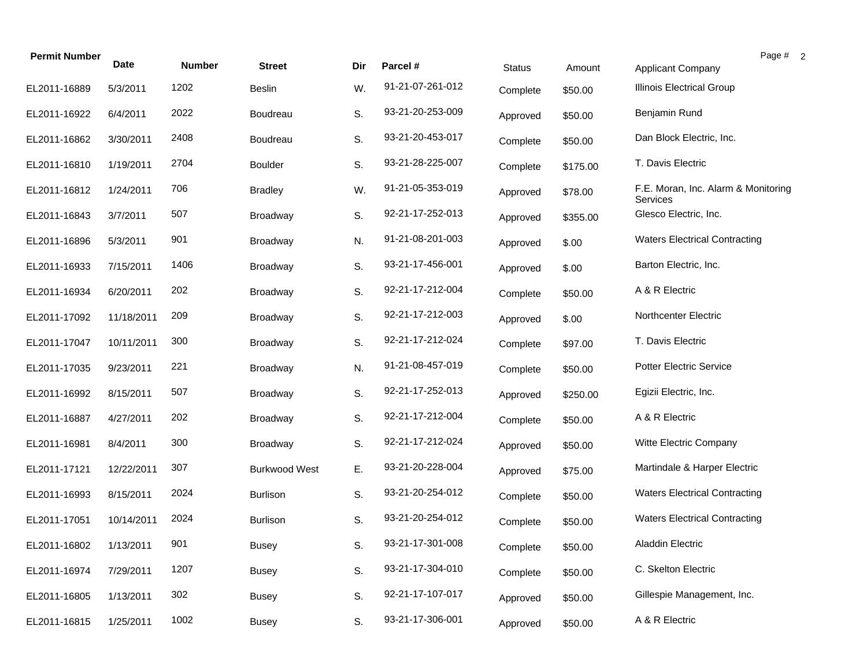| <b>Permit Number</b> | <b>Date</b> | <b>Number</b> | <b>Street</b>        | Dir | Parcel #         | <b>Status</b> | Amount   | Page # 2<br>Applicant Company                   |
|----------------------|-------------|---------------|----------------------|-----|------------------|---------------|----------|-------------------------------------------------|
| EL2011-16889         | 5/3/2011    | 1202          | <b>Beslin</b>        | W.  | 91-21-07-261-012 | Complete      | \$50.00  | Illinois Electrical Group                       |
| EL2011-16922         | 6/4/2011    | 2022          | Boudreau             | S.  | 93-21-20-253-009 | Approved      | \$50.00  | Benjamin Rund                                   |
| EL2011-16862         | 3/30/2011   | 2408          | Boudreau             | S.  | 93-21-20-453-017 | Complete      | \$50.00  | Dan Block Electric, Inc.                        |
| EL2011-16810         | 1/19/2011   | 2704          | <b>Boulder</b>       | S.  | 93-21-28-225-007 | Complete      | \$175.00 | T. Davis Electric                               |
| EL2011-16812         | 1/24/2011   | 706           | <b>Bradley</b>       | W.  | 91-21-05-353-019 | Approved      | \$78.00  | F.E. Moran, Inc. Alarm & Monitoring<br>Services |
| EL2011-16843         | 3/7/2011    | 507           | <b>Broadway</b>      | S.  | 92-21-17-252-013 | Approved      | \$355.00 | Glesco Electric, Inc.                           |
| EL2011-16896         | 5/3/2011    | 901           | <b>Broadway</b>      | N.  | 91-21-08-201-003 | Approved      | \$.00    | <b>Waters Electrical Contracting</b>            |
| EL2011-16933         | 7/15/2011   | 1406          | <b>Broadway</b>      | S.  | 93-21-17-456-001 | Approved      | \$.00    | Barton Electric, Inc.                           |
| EL2011-16934         | 6/20/2011   | 202           | <b>Broadway</b>      | S.  | 92-21-17-212-004 | Complete      | \$50.00  | A & R Electric                                  |
| EL2011-17092         | 11/18/2011  | 209           | <b>Broadway</b>      | S.  | 92-21-17-212-003 | Approved      | \$.00    | Northcenter Electric                            |
| EL2011-17047         | 10/11/2011  | 300           | <b>Broadway</b>      | S.  | 92-21-17-212-024 | Complete      | \$97.00  | T. Davis Electric                               |
| EL2011-17035         | 9/23/2011   | 221           | <b>Broadway</b>      | N.  | 91-21-08-457-019 | Complete      | \$50.00  | <b>Potter Electric Service</b>                  |
| EL2011-16992         | 8/15/2011   | 507           | <b>Broadway</b>      | S.  | 92-21-17-252-013 | Approved      | \$250.00 | Egizii Electric, Inc.                           |
| EL2011-16887         | 4/27/2011   | 202           | <b>Broadway</b>      | S.  | 92-21-17-212-004 | Complete      | \$50.00  | A & R Electric                                  |
| EL2011-16981         | 8/4/2011    | 300           | <b>Broadway</b>      | S.  | 92-21-17-212-024 | Approved      | \$50.00  | Witte Electric Company                          |
| EL2011-17121         | 12/22/2011  | 307           | <b>Burkwood West</b> | Ε.  | 93-21-20-228-004 | Approved      | \$75.00  | Martindale & Harper Electric                    |
| EL2011-16993         | 8/15/2011   | 2024          | <b>Burlison</b>      | S.  | 93-21-20-254-012 | Complete      | \$50.00  | <b>Waters Electrical Contracting</b>            |
| EL2011-17051         | 10/14/2011  | 2024          | <b>Burlison</b>      | S.  | 93-21-20-254-012 | Complete      | \$50.00  | <b>Waters Electrical Contracting</b>            |
| EL2011-16802         | 1/13/2011   | 901           | <b>Busey</b>         | S.  | 93-21-17-301-008 | Complete      | \$50.00  | <b>Aladdin Electric</b>                         |
| EL2011-16974         | 7/29/2011   | 1207          | <b>Busey</b>         | S.  | 93-21-17-304-010 | Complete      | \$50.00  | C. Skelton Electric                             |
| EL2011-16805         | 1/13/2011   | 302           | <b>Busey</b>         | S.  | 92-21-17-107-017 | Approved      | \$50.00  | Gillespie Management, Inc.                      |
| EL2011-16815         | 1/25/2011   | 1002          | Busey                | S.  | 93-21-17-306-001 | Approved      | \$50.00  | A & R Electric                                  |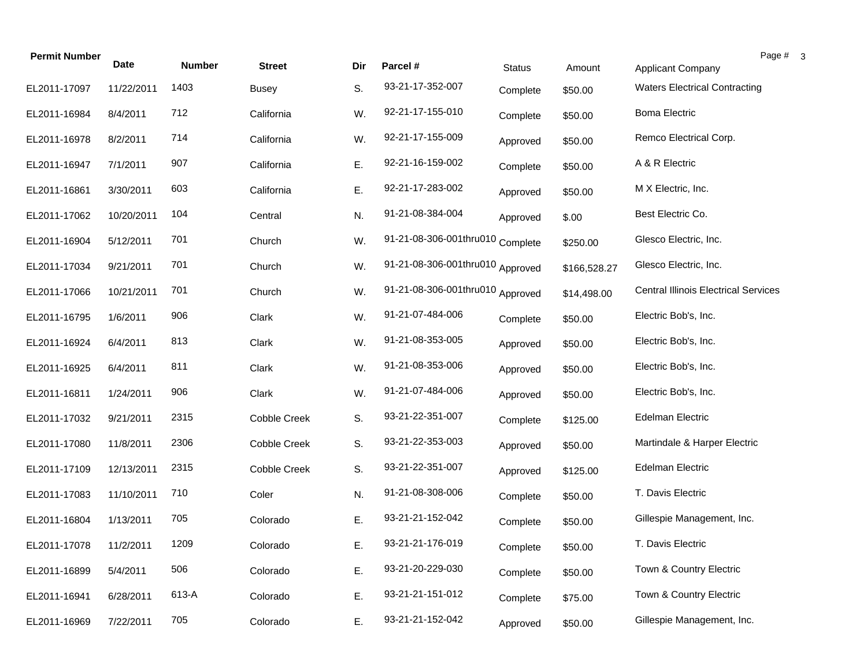| <b>Permit Number</b> | <b>Date</b> | <b>Number</b> | <b>Street</b>       | Dir | Parcel #                         | <b>Status</b> | Amount       | Page #<br><b>Applicant Company</b>          |
|----------------------|-------------|---------------|---------------------|-----|----------------------------------|---------------|--------------|---------------------------------------------|
| EL2011-17097         | 11/22/2011  | 1403          | <b>Busey</b>        | S.  | 93-21-17-352-007                 | Complete      | \$50.00      | <b>Waters Electrical Contracting</b>        |
| EL2011-16984         | 8/4/2011    | 712           | California          | W.  | 92-21-17-155-010                 | Complete      | \$50.00      | <b>Boma Electric</b>                        |
| EL2011-16978         | 8/2/2011    | 714           | California          | W.  | 92-21-17-155-009                 | Approved      | \$50.00      | Remco Electrical Corp.                      |
| EL2011-16947         | 7/1/2011    | 907           | California          | E.  | 92-21-16-159-002                 | Complete      | \$50.00      | A & R Electric                              |
| EL2011-16861         | 3/30/2011   | 603           | California          | Ε.  | 92-21-17-283-002                 | Approved      | \$50.00      | M X Electric, Inc.                          |
| EL2011-17062         | 10/20/2011  | 104           | Central             | N.  | 91-21-08-384-004                 | Approved      | \$.00        | Best Electric Co.                           |
| EL2011-16904         | 5/12/2011   | 701           | Church              | W.  | 91-21-08-306-001thru010 Complete |               | \$250.00     | Glesco Electric, Inc.                       |
| EL2011-17034         | 9/21/2011   | 701           | Church              | W.  | 91-21-08-306-001thru010 Approved |               | \$166,528.27 | Glesco Electric, Inc.                       |
| EL2011-17066         | 10/21/2011  | 701           | Church              | W.  | 91-21-08-306-001thru010 Approved |               | \$14,498.00  | <b>Central Illinois Electrical Services</b> |
| EL2011-16795         | 1/6/2011    | 906           | Clark               | W.  | 91-21-07-484-006                 | Complete      | \$50.00      | Electric Bob's, Inc.                        |
| EL2011-16924         | 6/4/2011    | 813           | Clark               | W.  | 91-21-08-353-005                 | Approved      | \$50.00      | Electric Bob's, Inc.                        |
| EL2011-16925         | 6/4/2011    | 811           | Clark               | W.  | 91-21-08-353-006                 | Approved      | \$50.00      | Electric Bob's, Inc.                        |
| EL2011-16811         | 1/24/2011   | 906           | Clark               | W.  | 91-21-07-484-006                 | Approved      | \$50.00      | Electric Bob's, Inc.                        |
| EL2011-17032         | 9/21/2011   | 2315          | Cobble Creek        | S.  | 93-21-22-351-007                 | Complete      | \$125.00     | <b>Edelman Electric</b>                     |
| EL2011-17080         | 11/8/2011   | 2306          | Cobble Creek        | S.  | 93-21-22-353-003                 | Approved      | \$50.00      | Martindale & Harper Electric                |
| EL2011-17109         | 12/13/2011  | 2315          | <b>Cobble Creek</b> | S.  | 93-21-22-351-007                 | Approved      | \$125.00     | <b>Edelman Electric</b>                     |
| EL2011-17083         | 11/10/2011  | 710           | Coler               | N.  | 91-21-08-308-006                 | Complete      | \$50.00      | T. Davis Electric                           |
| EL2011-16804         | 1/13/2011   | 705           | Colorado            | Ε.  | 93-21-21-152-042                 | Complete      | \$50.00      | Gillespie Management, Inc.                  |
| EL2011-17078         | 11/2/2011   | 1209          | Colorado            | Ε.  | 93-21-21-176-019                 | Complete      | \$50.00      | T. Davis Electric                           |
| EL2011-16899         | 5/4/2011    | 506           | Colorado            | Ε.  | 93-21-20-229-030                 | Complete      | \$50.00      | Town & Country Electric                     |
| EL2011-16941         | 6/28/2011   | 613-A         | Colorado            | Ε.  | 93-21-21-151-012                 | Complete      | \$75.00      | Town & Country Electric                     |
| EL2011-16969         | 7/22/2011   | 705           | Colorado            | Ε.  | 93-21-21-152-042                 | Approved      | \$50.00      | Gillespie Management, Inc.                  |

 $3$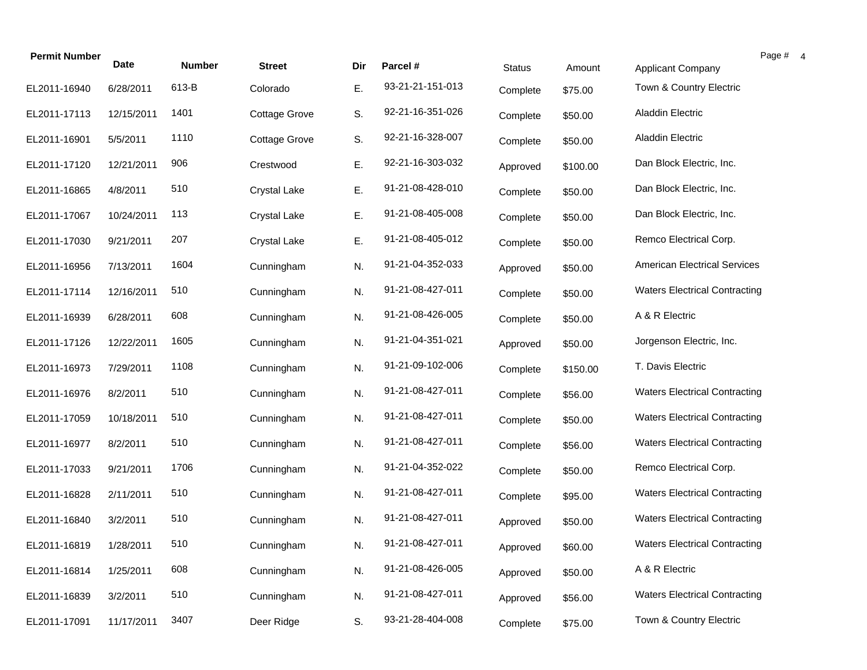| <b>Permit Number</b> | <b>Date</b> | <b>Number</b> | <b>Street</b>        | Dir | Parcel #         |               |          |                                      | Page # 4 |  |
|----------------------|-------------|---------------|----------------------|-----|------------------|---------------|----------|--------------------------------------|----------|--|
|                      |             |               |                      |     |                  | <b>Status</b> | Amount   | Applicant Company                    |          |  |
| EL2011-16940         | 6/28/2011   | 613-B         | Colorado             | Ε.  | 93-21-21-151-013 | Complete      | \$75.00  | Town & Country Electric              |          |  |
| EL2011-17113         | 12/15/2011  | 1401          | <b>Cottage Grove</b> | S.  | 92-21-16-351-026 | Complete      | \$50.00  | <b>Aladdin Electric</b>              |          |  |
| EL2011-16901         | 5/5/2011    | 1110          | <b>Cottage Grove</b> | S.  | 92-21-16-328-007 | Complete      | \$50.00  | Aladdin Electric                     |          |  |
| EL2011-17120         | 12/21/2011  | 906           | Crestwood            | Ε.  | 92-21-16-303-032 | Approved      | \$100.00 | Dan Block Electric, Inc.             |          |  |
| EL2011-16865         | 4/8/2011    | 510           | <b>Crystal Lake</b>  | Ε.  | 91-21-08-428-010 | Complete      | \$50.00  | Dan Block Electric, Inc.             |          |  |
| EL2011-17067         | 10/24/2011  | 113           | <b>Crystal Lake</b>  | Ε.  | 91-21-08-405-008 | Complete      | \$50.00  | Dan Block Electric, Inc.             |          |  |
| EL2011-17030         | 9/21/2011   | 207           | <b>Crystal Lake</b>  | Ε.  | 91-21-08-405-012 | Complete      | \$50.00  | Remco Electrical Corp.               |          |  |
| EL2011-16956         | 7/13/2011   | 1604          | Cunningham           | N.  | 91-21-04-352-033 | Approved      | \$50.00  | <b>American Electrical Services</b>  |          |  |
| EL2011-17114         | 12/16/2011  | 510           | Cunningham           | N.  | 91-21-08-427-011 | Complete      | \$50.00  | <b>Waters Electrical Contracting</b> |          |  |
| EL2011-16939         | 6/28/2011   | 608           | Cunningham           | N.  | 91-21-08-426-005 | Complete      | \$50.00  | A & R Electric                       |          |  |
| EL2011-17126         | 12/22/2011  | 1605          | Cunningham           | N.  | 91-21-04-351-021 | Approved      | \$50.00  | Jorgenson Electric, Inc.             |          |  |
| EL2011-16973         | 7/29/2011   | 1108          | Cunningham           | N.  | 91-21-09-102-006 | Complete      | \$150.00 | T. Davis Electric                    |          |  |
| EL2011-16976         | 8/2/2011    | 510           | Cunningham           | N.  | 91-21-08-427-011 | Complete      | \$56.00  | <b>Waters Electrical Contracting</b> |          |  |
| EL2011-17059         | 10/18/2011  | 510           | Cunningham           | N.  | 91-21-08-427-011 | Complete      | \$50.00  | <b>Waters Electrical Contracting</b> |          |  |
| EL2011-16977         | 8/2/2011    | 510           | Cunningham           | N.  | 91-21-08-427-011 | Complete      | \$56.00  | <b>Waters Electrical Contracting</b> |          |  |
| EL2011-17033         | 9/21/2011   | 1706          | Cunningham           | N.  | 91-21-04-352-022 | Complete      | \$50.00  | Remco Electrical Corp.               |          |  |
| EL2011-16828         | 2/11/2011   | 510           | Cunningham           | N.  | 91-21-08-427-011 | Complete      | \$95.00  | <b>Waters Electrical Contracting</b> |          |  |
| EL2011-16840         | 3/2/2011    | 510           | Cunningham           | N.  | 91-21-08-427-011 | Approved      | \$50.00  | <b>Waters Electrical Contracting</b> |          |  |
| EL2011-16819         | 1/28/2011   | 510           | Cunningham           | N.  | 91-21-08-427-011 | Approved      | \$60.00  | <b>Waters Electrical Contracting</b> |          |  |
| EL2011-16814         | 1/25/2011   | 608           | Cunningham           | N.  | 91-21-08-426-005 | Approved      | \$50.00  | A & R Electric                       |          |  |
| EL2011-16839         | 3/2/2011    | 510           | Cunningham           | N.  | 91-21-08-427-011 | Approved      | \$56.00  | <b>Waters Electrical Contracting</b> |          |  |
| EL2011-17091         | 11/17/2011  | 3407          | Deer Ridge           | S.  | 93-21-28-404-008 | Complete      | \$75.00  | Town & Country Electric              |          |  |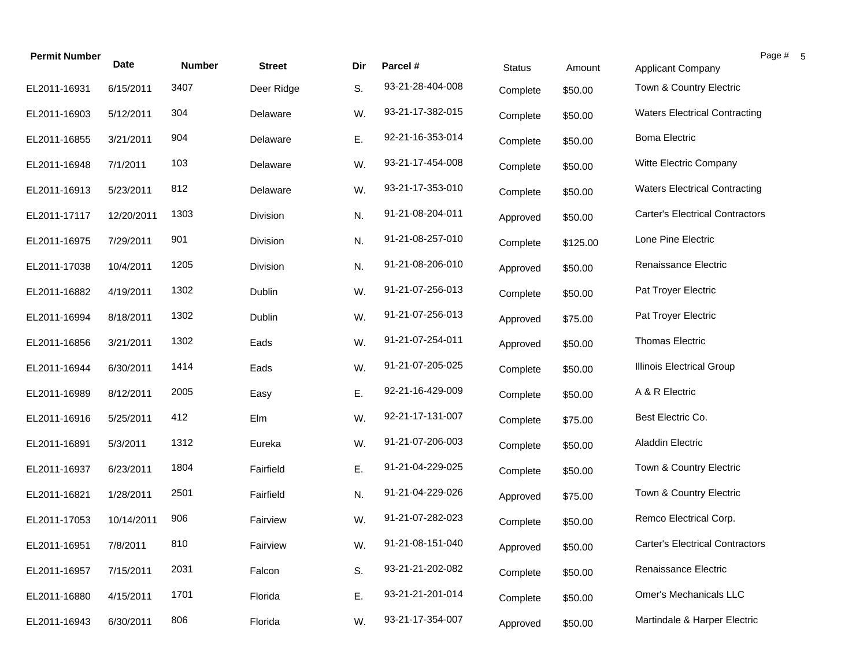| <b>Permit Number</b> |             |               |               |     |                  |               |          | Page #                                 |
|----------------------|-------------|---------------|---------------|-----|------------------|---------------|----------|----------------------------------------|
|                      | <b>Date</b> | <b>Number</b> | <b>Street</b> | Dir | Parcel #         | <b>Status</b> | Amount   | Applicant Company                      |
| EL2011-16931         | 6/15/2011   | 3407          | Deer Ridge    | S.  | 93-21-28-404-008 | Complete      | \$50.00  | Town & Country Electric                |
| EL2011-16903         | 5/12/2011   | 304           | Delaware      | W.  | 93-21-17-382-015 | Complete      | \$50.00  | <b>Waters Electrical Contracting</b>   |
| EL2011-16855         | 3/21/2011   | 904           | Delaware      | Ε.  | 92-21-16-353-014 | Complete      | \$50.00  | <b>Boma Electric</b>                   |
| EL2011-16948         | 7/1/2011    | 103           | Delaware      | W.  | 93-21-17-454-008 | Complete      | \$50.00  | Witte Electric Company                 |
| EL2011-16913         | 5/23/2011   | 812           | Delaware      | W.  | 93-21-17-353-010 | Complete      | \$50.00  | <b>Waters Electrical Contracting</b>   |
| EL2011-17117         | 12/20/2011  | 1303          | Division      | N.  | 91-21-08-204-011 | Approved      | \$50.00  | <b>Carter's Electrical Contractors</b> |
| EL2011-16975         | 7/29/2011   | 901           | Division      | N.  | 91-21-08-257-010 | Complete      | \$125.00 | Lone Pine Electric                     |
| EL2011-17038         | 10/4/2011   | 1205          | Division      | N.  | 91-21-08-206-010 | Approved      | \$50.00  | Renaissance Electric                   |
| EL2011-16882         | 4/19/2011   | 1302          | Dublin        | W.  | 91-21-07-256-013 | Complete      | \$50.00  | Pat Troyer Electric                    |
| EL2011-16994         | 8/18/2011   | 1302          | Dublin        | W.  | 91-21-07-256-013 | Approved      | \$75.00  | Pat Troyer Electric                    |
| EL2011-16856         | 3/21/2011   | 1302          | Eads          | W.  | 91-21-07-254-011 | Approved      | \$50.00  | <b>Thomas Electric</b>                 |
| EL2011-16944         | 6/30/2011   | 1414          | Eads          | W.  | 91-21-07-205-025 | Complete      | \$50.00  | <b>Illinois Electrical Group</b>       |
| EL2011-16989         | 8/12/2011   | 2005          | Easy          | Ε.  | 92-21-16-429-009 | Complete      | \$50.00  | A & R Electric                         |
| EL2011-16916         | 5/25/2011   | 412           | Elm           | W.  | 92-21-17-131-007 | Complete      | \$75.00  | Best Electric Co.                      |
| EL2011-16891         | 5/3/2011    | 1312          | Eureka        | W.  | 91-21-07-206-003 | Complete      | \$50.00  | <b>Aladdin Electric</b>                |
| EL2011-16937         | 6/23/2011   | 1804          | Fairfield     | Ε.  | 91-21-04-229-025 | Complete      | \$50.00  | Town & Country Electric                |
| EL2011-16821         | 1/28/2011   | 2501          | Fairfield     | N.  | 91-21-04-229-026 | Approved      | \$75.00  | Town & Country Electric                |
| EL2011-17053         | 10/14/2011  | 906           | Fairview      | W.  | 91-21-07-282-023 | Complete      | \$50.00  | Remco Electrical Corp.                 |
| EL2011-16951         | 7/8/2011    | 810           | Fairview      | W.  | 91-21-08-151-040 | Approved      | \$50.00  | <b>Carter's Electrical Contractors</b> |
| EL2011-16957         | 7/15/2011   | 2031          | Falcon        | S.  | 93-21-21-202-082 | Complete      | \$50.00  | Renaissance Electric                   |
| EL2011-16880         | 4/15/2011   | 1701          | Florida       | Ε.  | 93-21-21-201-014 | Complete      | \$50.00  | Omer's Mechanicals LLC                 |
| EL2011-16943         | 6/30/2011   | 806           | Florida       | W.  | 93-21-17-354-007 | Approved      | \$50.00  | Martindale & Harper Electric           |

 $\sqrt{5}$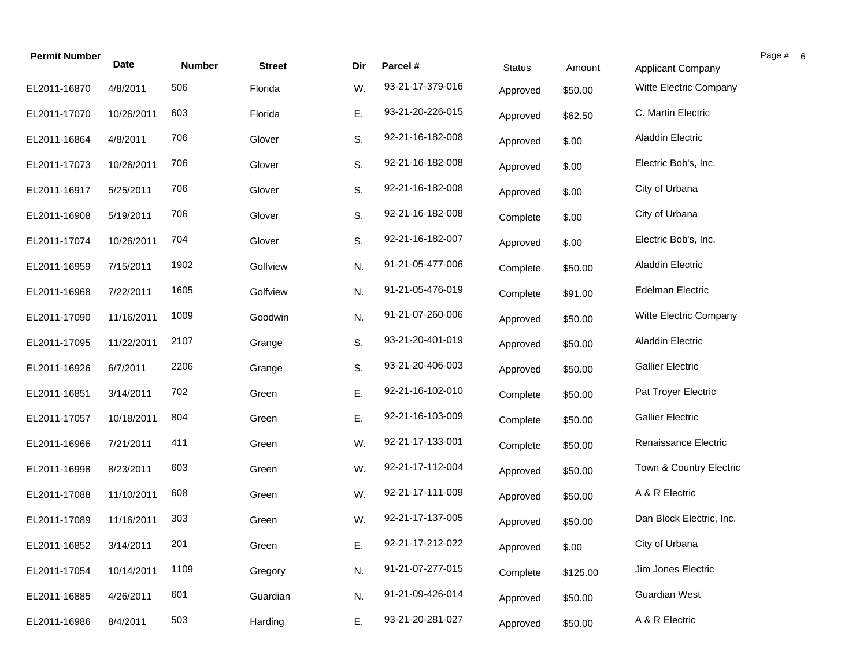| <b>Permit Number</b> | <b>Date</b> | <b>Number</b> | <b>Street</b> | Dir | Parcel #         | <b>Status</b> | Amount   | Applicant Company        | Page # 6 |  |
|----------------------|-------------|---------------|---------------|-----|------------------|---------------|----------|--------------------------|----------|--|
| EL2011-16870         | 4/8/2011    | 506           | Florida       | W.  | 93-21-17-379-016 | Approved      | \$50.00  | Witte Electric Company   |          |  |
| EL2011-17070         | 10/26/2011  | 603           | Florida       | Ε.  | 93-21-20-226-015 | Approved      | \$62.50  | C. Martin Electric       |          |  |
| EL2011-16864         | 4/8/2011    | 706           | Glover        | S.  | 92-21-16-182-008 | Approved      | \$.00    | <b>Aladdin Electric</b>  |          |  |
| EL2011-17073         | 10/26/2011  | 706           | Glover        | S.  | 92-21-16-182-008 | Approved      | \$.00    | Electric Bob's, Inc.     |          |  |
| EL2011-16917         | 5/25/2011   | 706           | Glover        | S.  | 92-21-16-182-008 | Approved      | \$.00    | City of Urbana           |          |  |
| EL2011-16908         | 5/19/2011   | 706           | Glover        | S.  | 92-21-16-182-008 | Complete      | \$.00    | City of Urbana           |          |  |
| EL2011-17074         | 10/26/2011  | 704           | Glover        | S.  | 92-21-16-182-007 | Approved      | \$.00    | Electric Bob's, Inc.     |          |  |
| EL2011-16959         | 7/15/2011   | 1902          | Golfview      | N.  | 91-21-05-477-006 | Complete      | \$50.00  | <b>Aladdin Electric</b>  |          |  |
| EL2011-16968         | 7/22/2011   | 1605          | Golfview      | N.  | 91-21-05-476-019 | Complete      | \$91.00  | <b>Edelman Electric</b>  |          |  |
| EL2011-17090         | 11/16/2011  | 1009          | Goodwin       | N.  | 91-21-07-260-006 | Approved      | \$50.00  | Witte Electric Company   |          |  |
| EL2011-17095         | 11/22/2011  | 2107          | Grange        | S.  | 93-21-20-401-019 | Approved      | \$50.00  | <b>Aladdin Electric</b>  |          |  |
| EL2011-16926         | 6/7/2011    | 2206          | Grange        | S.  | 93-21-20-406-003 | Approved      | \$50.00  | <b>Gallier Electric</b>  |          |  |
| EL2011-16851         | 3/14/2011   | 702           | Green         | Ε.  | 92-21-16-102-010 | Complete      | \$50.00  | Pat Troyer Electric      |          |  |
| EL2011-17057         | 10/18/2011  | 804           | Green         | Ε.  | 92-21-16-103-009 | Complete      | \$50.00  | <b>Gallier Electric</b>  |          |  |
| EL2011-16966         | 7/21/2011   | 411           | Green         | W.  | 92-21-17-133-001 | Complete      | \$50.00  | Renaissance Electric     |          |  |
| EL2011-16998         | 8/23/2011   | 603           | Green         | W.  | 92-21-17-112-004 | Approved      | \$50.00  | Town & Country Electric  |          |  |
| EL2011-17088         | 11/10/2011  | 608           | Green         | W.  | 92-21-17-111-009 | Approved      | \$50.00  | A & R Electric           |          |  |
| EL2011-17089         | 11/16/2011  | 303           | Green         | W.  | 92-21-17-137-005 | Approved      | \$50.00  | Dan Block Electric, Inc. |          |  |
| EL2011-16852         | 3/14/2011   | 201           | Green         | Ε.  | 92-21-17-212-022 | Approved      | \$.00    | City of Urbana           |          |  |
| EL2011-17054         | 10/14/2011  | 1109          | Gregory       | N.  | 91-21-07-277-015 | Complete      | \$125.00 | Jim Jones Electric       |          |  |
| EL2011-16885         | 4/26/2011   | 601           | Guardian      | N.  | 91-21-09-426-014 | Approved      | \$50.00  | <b>Guardian West</b>     |          |  |
| EL2011-16986         | 8/4/2011    | 503           | Harding       | Ε.  | 93-21-20-281-027 | Approved      | \$50.00  | A & R Electric           |          |  |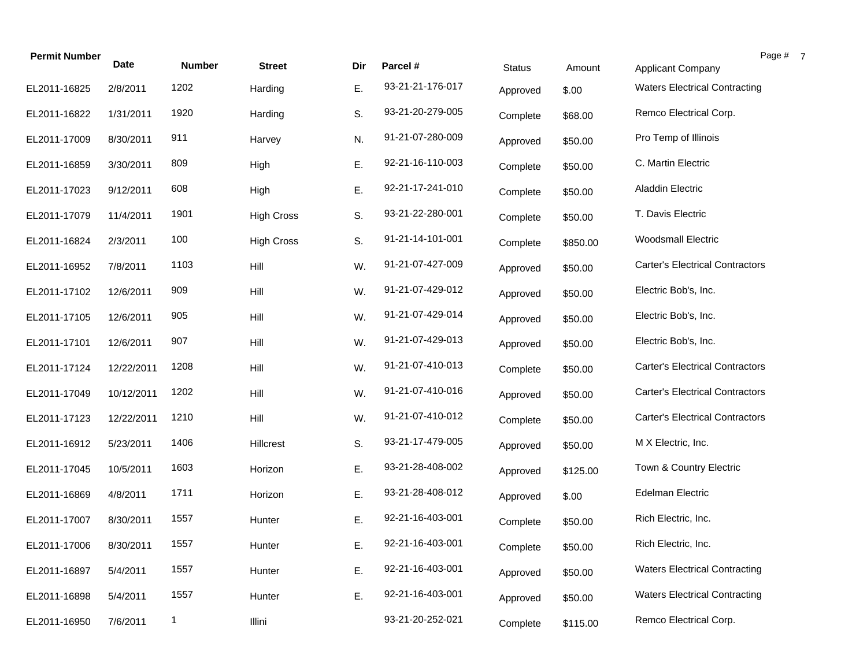|            |                         |                       |                          |                  |                              |               |                                        | Page #                                                           |
|------------|-------------------------|-----------------------|--------------------------|------------------|------------------------------|---------------|----------------------------------------|------------------------------------------------------------------|
|            |                         |                       |                          |                  |                              |               |                                        |                                                                  |
|            |                         |                       |                          |                  | Approved                     |               |                                        |                                                                  |
| 1/31/2011  | 1920                    | Harding               | S.                       | 93-21-20-279-005 | Complete                     | \$68.00       | Remco Electrical Corp.                 |                                                                  |
| 8/30/2011  | 911                     | Harvey                | N.                       | 91-21-07-280-009 | Approved                     | \$50.00       | Pro Temp of Illinois                   |                                                                  |
| 3/30/2011  | 809                     | High                  | Ε.                       | 92-21-16-110-003 | Complete                     | \$50.00       | C. Martin Electric                     |                                                                  |
| 9/12/2011  | 608                     | High                  | Ε.                       | 92-21-17-241-010 | Complete                     | \$50.00       | Aladdin Electric                       |                                                                  |
| 11/4/2011  | 1901                    | <b>High Cross</b>     | S.                       | 93-21-22-280-001 | Complete                     | \$50.00       | T. Davis Electric                      |                                                                  |
| 2/3/2011   | 100                     | <b>High Cross</b>     | S.                       | 91-21-14-101-001 | Complete                     | \$850.00      | <b>Woodsmall Electric</b>              |                                                                  |
| 7/8/2011   | 1103                    | Hill                  | W.                       | 91-21-07-427-009 | Approved                     | \$50.00       | <b>Carter's Electrical Contractors</b> |                                                                  |
| 12/6/2011  | 909                     | Hill                  | W.                       | 91-21-07-429-012 | Approved                     | \$50.00       | Electric Bob's, Inc.                   |                                                                  |
| 12/6/2011  | 905                     | Hill                  | W.                       | 91-21-07-429-014 | Approved                     | \$50.00       | Electric Bob's, Inc.                   |                                                                  |
| 12/6/2011  | 907                     | Hill                  | W.                       | 91-21-07-429-013 | Approved                     | \$50.00       | Electric Bob's, Inc.                   |                                                                  |
| 12/22/2011 | 1208                    | Hill                  | W.                       | 91-21-07-410-013 | Complete                     | \$50.00       | <b>Carter's Electrical Contractors</b> |                                                                  |
| 10/12/2011 | 1202                    | Hill                  | W.                       | 91-21-07-410-016 | Approved                     | \$50.00       | <b>Carter's Electrical Contractors</b> |                                                                  |
| 12/22/2011 | 1210                    | Hill                  | W.                       | 91-21-07-410-012 | Complete                     | \$50.00       | <b>Carter's Electrical Contractors</b> |                                                                  |
| 5/23/2011  | 1406                    | Hillcrest             | S.                       | 93-21-17-479-005 | Approved                     | \$50.00       | M X Electric, Inc.                     |                                                                  |
| 10/5/2011  | 1603                    | Horizon               | Ε.                       | 93-21-28-408-002 | Approved                     | \$125.00      | Town & Country Electric                |                                                                  |
| 4/8/2011   | 1711                    | Horizon               | Ε.                       | 93-21-28-408-012 | Approved                     | \$.00         | <b>Edelman Electric</b>                |                                                                  |
| 8/30/2011  | 1557                    | Hunter                | Ε.                       | 92-21-16-403-001 | Complete                     | \$50.00       | Rich Electric, Inc.                    |                                                                  |
| 8/30/2011  | 1557                    | Hunter                | Е.                       | 92-21-16-403-001 | Complete                     | \$50.00       | Rich Electric, Inc.                    |                                                                  |
| 5/4/2011   | 1557                    | Hunter                | Ε.                       | 92-21-16-403-001 | Approved                     | \$50.00       | <b>Waters Electrical Contracting</b>   |                                                                  |
| 5/4/2011   | 1557                    | Hunter                | Ε.                       | 92-21-16-403-001 | Approved                     | \$50.00       | <b>Waters Electrical Contracting</b>   |                                                                  |
| 7/6/2011   | $\mathbf{1}$            | Illini                |                          | 93-21-20-252-021 | Complete                     | \$115.00      | Remco Electrical Corp.                 |                                                                  |
|            | <b>Date</b><br>2/8/2011 | <b>Number</b><br>1202 | <b>Street</b><br>Harding | Dir<br>Ε.        | Parcel #<br>93-21-21-176-017 | <b>Status</b> | Amount<br>\$.00                        | <b>Applicant Company</b><br><b>Waters Electrical Contracting</b> |

 $\overline{7}$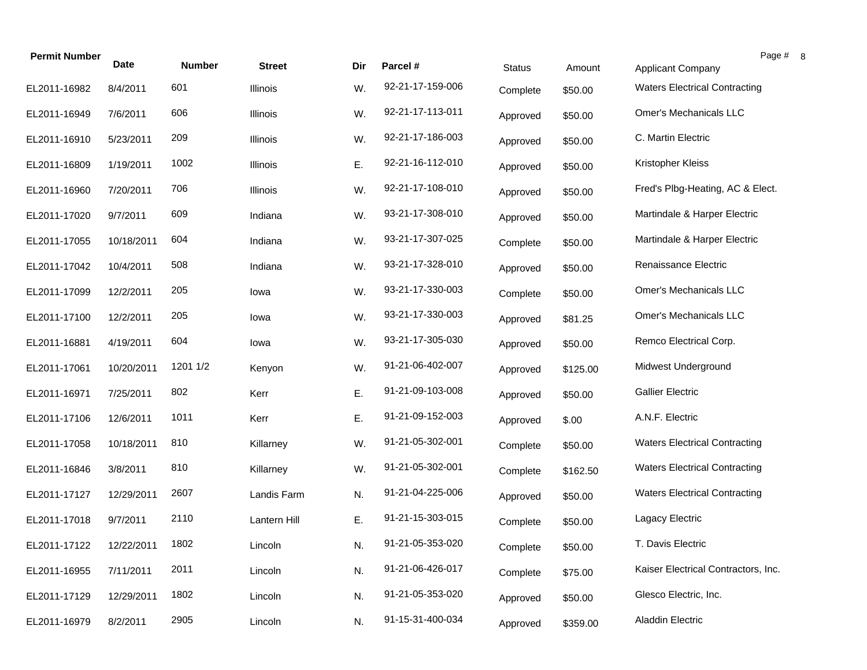| <b>Permit Number</b> | <b>Date</b> |               |               |     |                  |               |          |                                      | Page # |
|----------------------|-------------|---------------|---------------|-----|------------------|---------------|----------|--------------------------------------|--------|
|                      |             | <b>Number</b> | <b>Street</b> | Dir | Parcel #         | <b>Status</b> | Amount   | <b>Applicant Company</b>             |        |
| EL2011-16982         | 8/4/2011    | 601           | Illinois      | W.  | 92-21-17-159-006 | Complete      | \$50.00  | <b>Waters Electrical Contracting</b> |        |
| EL2011-16949         | 7/6/2011    | 606           | Illinois      | W.  | 92-21-17-113-011 | Approved      | \$50.00  | Omer's Mechanicals LLC               |        |
| EL2011-16910         | 5/23/2011   | 209           | Illinois      | W.  | 92-21-17-186-003 | Approved      | \$50.00  | C. Martin Electric                   |        |
| EL2011-16809         | 1/19/2011   | 1002          | Illinois      | Ε.  | 92-21-16-112-010 | Approved      | \$50.00  | Kristopher Kleiss                    |        |
| EL2011-16960         | 7/20/2011   | 706           | Illinois      | W.  | 92-21-17-108-010 | Approved      | \$50.00  | Fred's Plbg-Heating, AC & Elect.     |        |
| EL2011-17020         | 9/7/2011    | 609           | Indiana       | W.  | 93-21-17-308-010 | Approved      | \$50.00  | Martindale & Harper Electric         |        |
| EL2011-17055         | 10/18/2011  | 604           | Indiana       | W.  | 93-21-17-307-025 | Complete      | \$50.00  | Martindale & Harper Electric         |        |
| EL2011-17042         | 10/4/2011   | 508           | Indiana       | W.  | 93-21-17-328-010 | Approved      | \$50.00  | Renaissance Electric                 |        |
| EL2011-17099         | 12/2/2011   | 205           | lowa          | W.  | 93-21-17-330-003 | Complete      | \$50.00  | <b>Omer's Mechanicals LLC</b>        |        |
| EL2011-17100         | 12/2/2011   | 205           | lowa          | W.  | 93-21-17-330-003 | Approved      | \$81.25  | Omer's Mechanicals LLC               |        |
| EL2011-16881         | 4/19/2011   | 604           | lowa          | W.  | 93-21-17-305-030 | Approved      | \$50.00  | Remco Electrical Corp.               |        |
| EL2011-17061         | 10/20/2011  | 1201 1/2      | Kenyon        | W.  | 91-21-06-402-007 | Approved      | \$125.00 | Midwest Underground                  |        |
| EL2011-16971         | 7/25/2011   | 802           | Kerr          | Ε.  | 91-21-09-103-008 | Approved      | \$50.00  | <b>Gallier Electric</b>              |        |
| EL2011-17106         | 12/6/2011   | 1011          | Kerr          | Ε.  | 91-21-09-152-003 | Approved      | \$.00    | A.N.F. Electric                      |        |
| EL2011-17058         | 10/18/2011  | 810           | Killarney     | W.  | 91-21-05-302-001 | Complete      | \$50.00  | <b>Waters Electrical Contracting</b> |        |
| EL2011-16846         | 3/8/2011    | 810           | Killarney     | W.  | 91-21-05-302-001 | Complete      | \$162.50 | <b>Waters Electrical Contracting</b> |        |
| EL2011-17127         | 12/29/2011  | 2607          | Landis Farm   | N.  | 91-21-04-225-006 | Approved      | \$50.00  | <b>Waters Electrical Contracting</b> |        |
| EL2011-17018         | 9/7/2011    | 2110          | Lantern Hill  | Ε.  | 91-21-15-303-015 | Complete      | \$50.00  | Lagacy Electric                      |        |
| EL2011-17122         | 12/22/2011  | 1802          | Lincoln       | N.  | 91-21-05-353-020 | Complete      | \$50.00  | T. Davis Electric                    |        |
| EL2011-16955         | 7/11/2011   | 2011          | Lincoln       | N.  | 91-21-06-426-017 | Complete      | \$75.00  | Kaiser Electrical Contractors, Inc.  |        |
| EL2011-17129         | 12/29/2011  | 1802          | Lincoln       | N.  | 91-21-05-353-020 | Approved      | \$50.00  | Glesco Electric, Inc.                |        |
| EL2011-16979         | 8/2/2011    | 2905          | Lincoln       | N.  | 91-15-31-400-034 | Approved      | \$359.00 | <b>Aladdin Electric</b>              |        |

 $\boldsymbol{8}$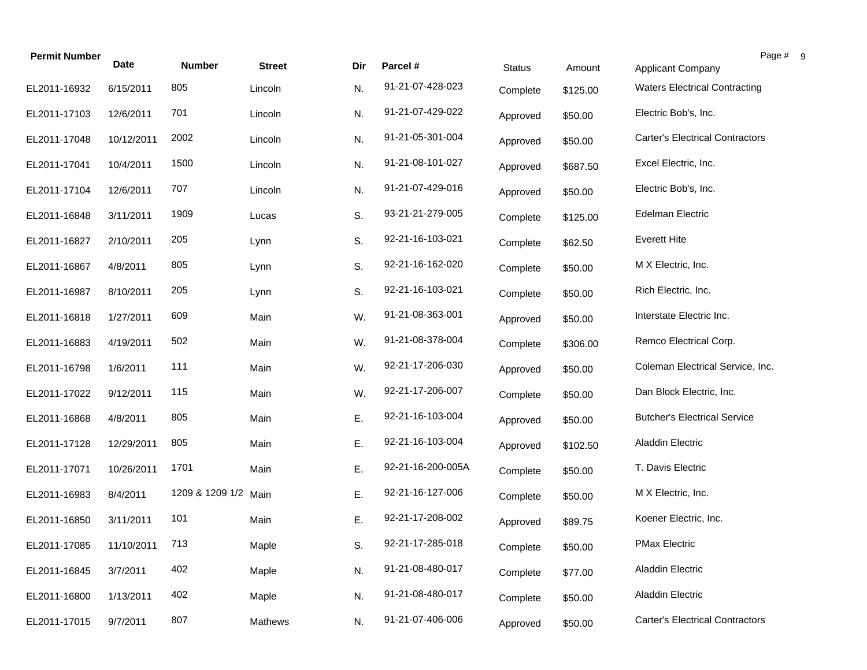| <b>Permit Number</b> | <b>Date</b> | <b>Number</b>        | <b>Street</b> | Dir | Parcel #          |               | Amount   | Page #                                 |
|----------------------|-------------|----------------------|---------------|-----|-------------------|---------------|----------|----------------------------------------|
|                      |             |                      |               |     |                   | <b>Status</b> |          | <b>Applicant Company</b>               |
| EL2011-16932         | 6/15/2011   | 805                  | Lincoln       | N.  | 91-21-07-428-023  | Complete      | \$125.00 | <b>Waters Electrical Contracting</b>   |
| EL2011-17103         | 12/6/2011   | 701                  | Lincoln       | N.  | 91-21-07-429-022  | Approved      | \$50.00  | Electric Bob's, Inc.                   |
| EL2011-17048         | 10/12/2011  | 2002                 | Lincoln       | N.  | 91-21-05-301-004  | Approved      | \$50.00  | <b>Carter's Electrical Contractors</b> |
| EL2011-17041         | 10/4/2011   | 1500                 | Lincoln       | N.  | 91-21-08-101-027  | Approved      | \$687.50 | Excel Electric, Inc.                   |
| EL2011-17104         | 12/6/2011   | 707                  | Lincoln       | N.  | 91-21-07-429-016  | Approved      | \$50.00  | Electric Bob's, Inc.                   |
| EL2011-16848         | 3/11/2011   | 1909                 | Lucas         | S.  | 93-21-21-279-005  | Complete      | \$125.00 | <b>Edelman Electric</b>                |
| EL2011-16827         | 2/10/2011   | 205                  | Lynn          | S.  | 92-21-16-103-021  | Complete      | \$62.50  | <b>Everett Hite</b>                    |
| EL2011-16867         | 4/8/2011    | 805                  | Lynn          | S.  | 92-21-16-162-020  | Complete      | \$50.00  | M X Electric, Inc.                     |
| EL2011-16987         | 8/10/2011   | 205                  | Lynn          | S.  | 92-21-16-103-021  | Complete      | \$50.00  | Rich Electric, Inc.                    |
| EL2011-16818         | 1/27/2011   | 609                  | Main          | W.  | 91-21-08-363-001  | Approved      | \$50.00  | Interstate Electric Inc.               |
| EL2011-16883         | 4/19/2011   | 502                  | Main          | W.  | 91-21-08-378-004  | Complete      | \$306.00 | Remco Electrical Corp.                 |
| EL2011-16798         | 1/6/2011    | 111                  | Main          | W.  | 92-21-17-206-030  | Approved      | \$50.00  | Coleman Electrical Service, Inc.       |
| EL2011-17022         | 9/12/2011   | 115                  | Main          | W.  | 92-21-17-206-007  | Complete      | \$50.00  | Dan Block Electric, Inc.               |
| EL2011-16868         | 4/8/2011    | 805                  | Main          | Ε.  | 92-21-16-103-004  | Approved      | \$50.00  | <b>Butcher's Electrical Service</b>    |
| EL2011-17128         | 12/29/2011  | 805                  | Main          | E.  | 92-21-16-103-004  | Approved      | \$102.50 | <b>Aladdin Electric</b>                |
| EL2011-17071         | 10/26/2011  | 1701                 | Main          | Ε.  | 92-21-16-200-005A | Complete      | \$50.00  | T. Davis Electric                      |
| EL2011-16983         | 8/4/2011    | 1209 & 1209 1/2 Main |               | Ε.  | 92-21-16-127-006  | Complete      | \$50.00  | M X Electric, Inc.                     |
| EL2011-16850         | 3/11/2011   | 101                  | Main          | Е.  | 92-21-17-208-002  | Approved      | \$89.75  | Koener Electric, Inc.                  |
| EL2011-17085         | 11/10/2011  | 713                  | Maple         | S.  | 92-21-17-285-018  | Complete      | \$50.00  | <b>PMax Electric</b>                   |
| EL2011-16845         | 3/7/2011    | 402                  | Maple         | N.  | 91-21-08-480-017  | Complete      | \$77.00  | <b>Aladdin Electric</b>                |
| EL2011-16800         | 1/13/2011   | 402                  | Maple         | N.  | 91-21-08-480-017  | Complete      | \$50.00  | <b>Aladdin Electric</b>                |
| EL2011-17015         | 9/7/2011    | 807                  | Mathews       | N.  | 91-21-07-406-006  | Approved      | \$50.00  | <b>Carter's Electrical Contractors</b> |

 $9 \,$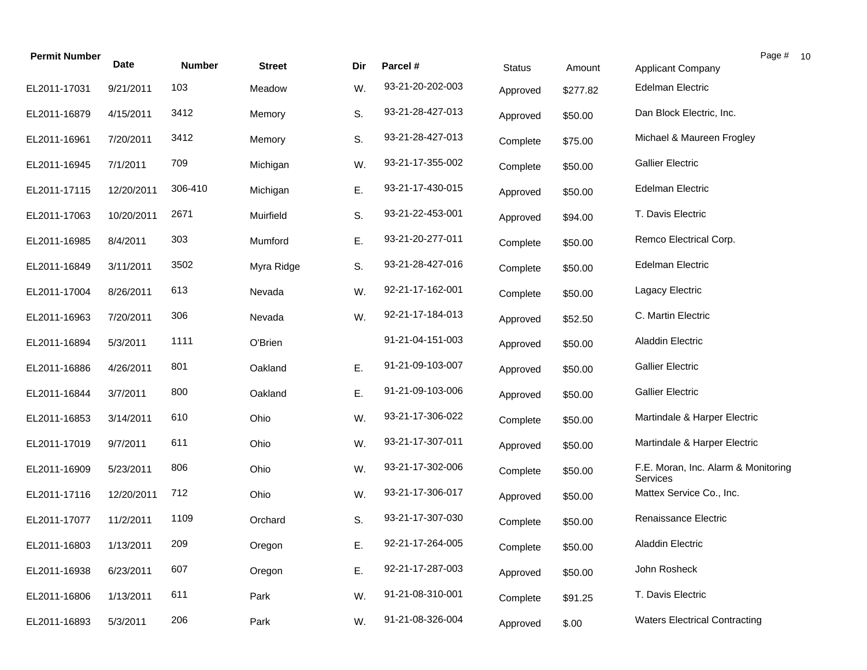| <b>Permit Number</b> | Date       | <b>Number</b> | <b>Street</b> | Dir | Parcel #         | <b>Status</b> | Amount   | <b>Applicant Company</b>                        | Page # |
|----------------------|------------|---------------|---------------|-----|------------------|---------------|----------|-------------------------------------------------|--------|
| EL2011-17031         | 9/21/2011  | 103           | Meadow        | W.  | 93-21-20-202-003 | Approved      | \$277.82 | <b>Edelman Electric</b>                         |        |
| EL2011-16879         | 4/15/2011  | 3412          | Memory        | S.  | 93-21-28-427-013 | Approved      | \$50.00  | Dan Block Electric, Inc.                        |        |
| EL2011-16961         | 7/20/2011  | 3412          | Memory        | S.  | 93-21-28-427-013 | Complete      | \$75.00  | Michael & Maureen Frogley                       |        |
| EL2011-16945         | 7/1/2011   | 709           | Michigan      | W.  | 93-21-17-355-002 | Complete      | \$50.00  | <b>Gallier Electric</b>                         |        |
| EL2011-17115         | 12/20/2011 | 306-410       | Michigan      | Ε.  | 93-21-17-430-015 | Approved      | \$50.00  | <b>Edelman Electric</b>                         |        |
| EL2011-17063         | 10/20/2011 | 2671          | Muirfield     | S.  | 93-21-22-453-001 | Approved      | \$94.00  | T. Davis Electric                               |        |
| EL2011-16985         | 8/4/2011   | 303           | Mumford       | Ε.  | 93-21-20-277-011 | Complete      | \$50.00  | Remco Electrical Corp.                          |        |
| EL2011-16849         | 3/11/2011  | 3502          | Myra Ridge    | S.  | 93-21-28-427-016 | Complete      | \$50.00  | <b>Edelman Electric</b>                         |        |
| EL2011-17004         | 8/26/2011  | 613           | Nevada        | W.  | 92-21-17-162-001 | Complete      | \$50.00  | Lagacy Electric                                 |        |
| EL2011-16963         | 7/20/2011  | 306           | Nevada        | W.  | 92-21-17-184-013 | Approved      | \$52.50  | C. Martin Electric                              |        |
| EL2011-16894         | 5/3/2011   | 1111          | O'Brien       |     | 91-21-04-151-003 | Approved      | \$50.00  | <b>Aladdin Electric</b>                         |        |
| EL2011-16886         | 4/26/2011  | 801           | Oakland       | Ε.  | 91-21-09-103-007 | Approved      | \$50.00  | <b>Gallier Electric</b>                         |        |
| EL2011-16844         | 3/7/2011   | 800           | Oakland       | Ε.  | 91-21-09-103-006 | Approved      | \$50.00  | <b>Gallier Electric</b>                         |        |
| EL2011-16853         | 3/14/2011  | 610           | Ohio          | W.  | 93-21-17-306-022 | Complete      | \$50.00  | Martindale & Harper Electric                    |        |
| EL2011-17019         | 9/7/2011   | 611           | Ohio          | W.  | 93-21-17-307-011 | Approved      | \$50.00  | Martindale & Harper Electric                    |        |
| EL2011-16909         | 5/23/2011  | 806           | Ohio          | W.  | 93-21-17-302-006 | Complete      | \$50.00  | F.E. Moran, Inc. Alarm & Monitoring<br>Services |        |
| EL2011-17116         | 12/20/2011 | 712           | Ohio          | W.  | 93-21-17-306-017 | Approved      | \$50.00  | Mattex Service Co., Inc.                        |        |
| EL2011-17077         | 11/2/2011  | 1109          | Orchard       | S.  | 93-21-17-307-030 | Complete      | \$50.00  | Renaissance Electric                            |        |
| EL2011-16803         | 1/13/2011  | 209           | Oregon        | Ε.  | 92-21-17-264-005 | Complete      | \$50.00  | Aladdin Electric                                |        |
| EL2011-16938         | 6/23/2011  | 607           | Oregon        | Ε.  | 92-21-17-287-003 | Approved      | \$50.00  | John Rosheck                                    |        |
| EL2011-16806         | 1/13/2011  | 611           | Park          | W.  | 91-21-08-310-001 | Complete      | \$91.25  | T. Davis Electric                               |        |
| EL2011-16893         | 5/3/2011   | 206           | Park          | W.  | 91-21-08-326-004 | Approved      | \$.00    | <b>Waters Electrical Contracting</b>            |        |

 $10\,$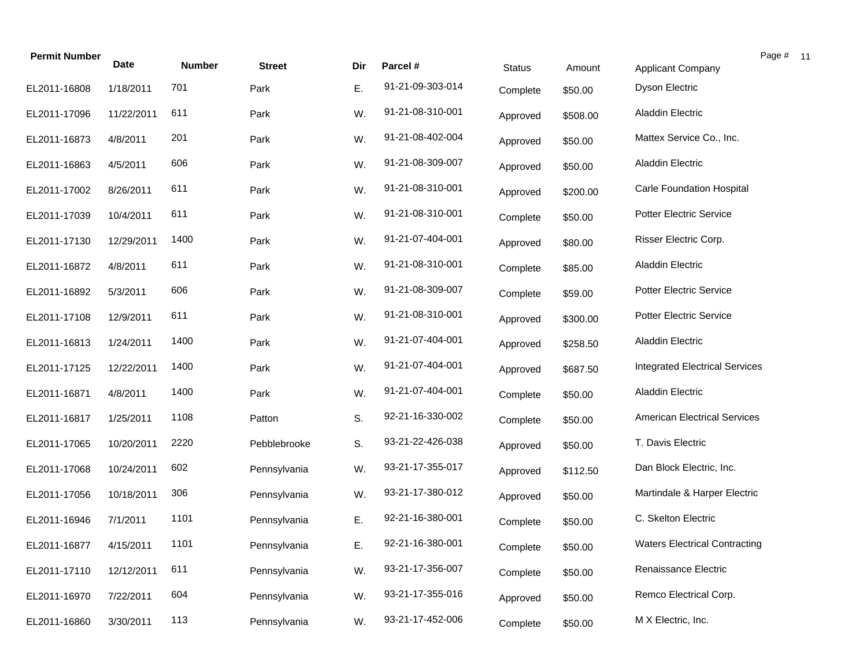| <b>Permit Number</b> | <b>Date</b> | <b>Number</b> |               |     |                  |               |          |                                       | Page # 11 |  |
|----------------------|-------------|---------------|---------------|-----|------------------|---------------|----------|---------------------------------------|-----------|--|
|                      |             |               | <b>Street</b> | Dir | Parcel #         | <b>Status</b> | Amount   | Applicant Company                     |           |  |
| EL2011-16808         | 1/18/2011   | 701           | Park          | Ε.  | 91-21-09-303-014 | Complete      | \$50.00  | <b>Dyson Electric</b>                 |           |  |
| EL2011-17096         | 11/22/2011  | 611           | Park          | W.  | 91-21-08-310-001 | Approved      | \$508.00 | <b>Aladdin Electric</b>               |           |  |
| EL2011-16873         | 4/8/2011    | 201           | Park          | W.  | 91-21-08-402-004 | Approved      | \$50.00  | Mattex Service Co., Inc.              |           |  |
| EL2011-16863         | 4/5/2011    | 606           | Park          | W.  | 91-21-08-309-007 | Approved      | \$50.00  | <b>Aladdin Electric</b>               |           |  |
| EL2011-17002         | 8/26/2011   | 611           | Park          | W.  | 91-21-08-310-001 | Approved      | \$200.00 | Carle Foundation Hospital             |           |  |
| EL2011-17039         | 10/4/2011   | 611           | Park          | W.  | 91-21-08-310-001 | Complete      | \$50.00  | <b>Potter Electric Service</b>        |           |  |
| EL2011-17130         | 12/29/2011  | 1400          | Park          | W.  | 91-21-07-404-001 | Approved      | \$80.00  | Risser Electric Corp.                 |           |  |
| EL2011-16872         | 4/8/2011    | 611           | Park          | W.  | 91-21-08-310-001 | Complete      | \$85.00  | <b>Aladdin Electric</b>               |           |  |
| EL2011-16892         | 5/3/2011    | 606           | Park          | W.  | 91-21-08-309-007 | Complete      | \$59.00  | <b>Potter Electric Service</b>        |           |  |
| EL2011-17108         | 12/9/2011   | 611           | Park          | W.  | 91-21-08-310-001 | Approved      | \$300.00 | <b>Potter Electric Service</b>        |           |  |
| EL2011-16813         | 1/24/2011   | 1400          | Park          | W.  | 91-21-07-404-001 | Approved      | \$258.50 | <b>Aladdin Electric</b>               |           |  |
| EL2011-17125         | 12/22/2011  | 1400          | Park          | W.  | 91-21-07-404-001 | Approved      | \$687.50 | <b>Integrated Electrical Services</b> |           |  |
| EL2011-16871         | 4/8/2011    | 1400          | Park          | W.  | 91-21-07-404-001 | Complete      | \$50.00  | <b>Aladdin Electric</b>               |           |  |
| EL2011-16817         | 1/25/2011   | 1108          | Patton        | S.  | 92-21-16-330-002 | Complete      | \$50.00  | <b>American Electrical Services</b>   |           |  |
| EL2011-17065         | 10/20/2011  | 2220          | Pebblebrooke  | S.  | 93-21-22-426-038 | Approved      | \$50.00  | T. Davis Electric                     |           |  |
| EL2011-17068         | 10/24/2011  | 602           | Pennsylvania  | W.  | 93-21-17-355-017 | Approved      | \$112.50 | Dan Block Electric, Inc.              |           |  |
| EL2011-17056         | 10/18/2011  | 306           | Pennsylvania  | W.  | 93-21-17-380-012 | Approved      | \$50.00  | Martindale & Harper Electric          |           |  |
| EL2011-16946         | 7/1/2011    | 1101          | Pennsylvania  | Ε.  | 92-21-16-380-001 | Complete      | \$50.00  | C. Skelton Electric                   |           |  |
| EL2011-16877         | 4/15/2011   | 1101          | Pennsylvania  | E.  | 92-21-16-380-001 | Complete      | \$50.00  | <b>Waters Electrical Contracting</b>  |           |  |
| EL2011-17110         | 12/12/2011  | 611           | Pennsylvania  | W.  | 93-21-17-356-007 | Complete      | \$50.00  | Renaissance Electric                  |           |  |
| EL2011-16970         | 7/22/2011   | 604           | Pennsylvania  | W.  | 93-21-17-355-016 | Approved      | \$50.00  | Remco Electrical Corp.                |           |  |
| EL2011-16860         | 3/30/2011   | 113           | Pennsylvania  | W.  | 93-21-17-452-006 | Complete      | \$50.00  | M X Electric, Inc.                    |           |  |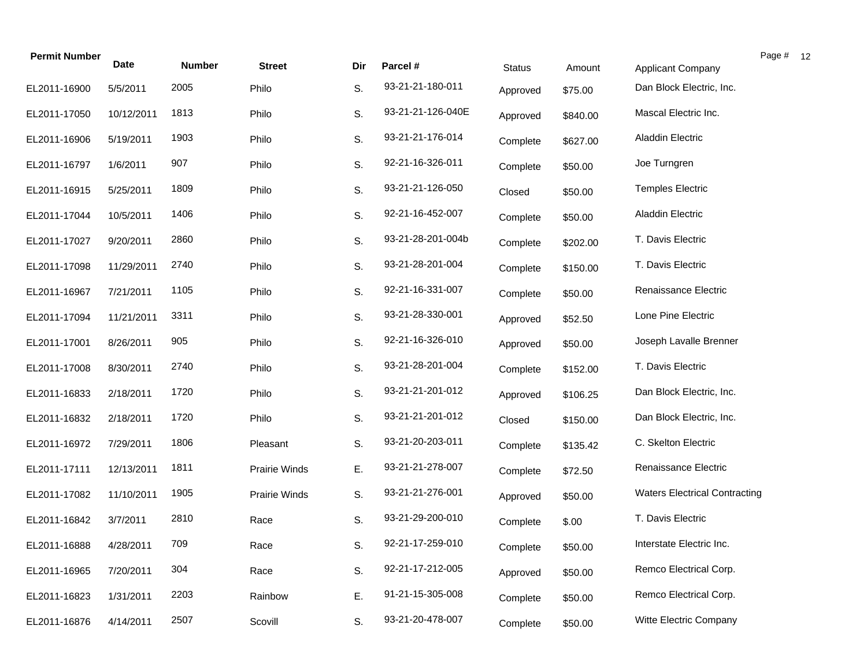| <b>Permit Number</b> | Date       | <b>Number</b> | <b>Street</b> | Dir | Parcel #          | <b>Status</b> | Amount   | Applicant Company                    | Page # 12 |  |
|----------------------|------------|---------------|---------------|-----|-------------------|---------------|----------|--------------------------------------|-----------|--|
| EL2011-16900         | 5/5/2011   | 2005          | Philo         | S.  | 93-21-21-180-011  | Approved      | \$75.00  | Dan Block Electric, Inc.             |           |  |
| EL2011-17050         | 10/12/2011 | 1813          | Philo         | S.  | 93-21-21-126-040E | Approved      | \$840.00 | Mascal Electric Inc.                 |           |  |
| EL2011-16906         | 5/19/2011  | 1903          | Philo         | S.  | 93-21-21-176-014  | Complete      | \$627.00 | <b>Aladdin Electric</b>              |           |  |
| EL2011-16797         | 1/6/2011   | 907           | Philo         | S.  | 92-21-16-326-011  | Complete      | \$50.00  | Joe Turngren                         |           |  |
| EL2011-16915         | 5/25/2011  | 1809          | Philo         | S.  | 93-21-21-126-050  | Closed        | \$50.00  | <b>Temples Electric</b>              |           |  |
| EL2011-17044         | 10/5/2011  | 1406          | Philo         | S.  | 92-21-16-452-007  | Complete      | \$50.00  | <b>Aladdin Electric</b>              |           |  |
| EL2011-17027         | 9/20/2011  | 2860          | Philo         | S.  | 93-21-28-201-004b | Complete      | \$202.00 | T. Davis Electric                    |           |  |
| EL2011-17098         | 11/29/2011 | 2740          | Philo         | S.  | 93-21-28-201-004  | Complete      | \$150.00 | T. Davis Electric                    |           |  |
| EL2011-16967         | 7/21/2011  | 1105          | Philo         | S.  | 92-21-16-331-007  | Complete      | \$50.00  | Renaissance Electric                 |           |  |
| EL2011-17094         | 11/21/2011 | 3311          | Philo         | S.  | 93-21-28-330-001  | Approved      | \$52.50  | Lone Pine Electric                   |           |  |
| EL2011-17001         | 8/26/2011  | 905           | Philo         | S.  | 92-21-16-326-010  | Approved      | \$50.00  | Joseph Lavalle Brenner               |           |  |
| EL2011-17008         | 8/30/2011  | 2740          | Philo         | S.  | 93-21-28-201-004  | Complete      | \$152.00 | T. Davis Electric                    |           |  |
| EL2011-16833         | 2/18/2011  | 1720          | Philo         | S.  | 93-21-21-201-012  | Approved      | \$106.25 | Dan Block Electric, Inc.             |           |  |
| EL2011-16832         | 2/18/2011  | 1720          | Philo         | S.  | 93-21-21-201-012  | Closed        | \$150.00 | Dan Block Electric, Inc.             |           |  |
| EL2011-16972         | 7/29/2011  | 1806          | Pleasant      | S.  | 93-21-20-203-011  | Complete      | \$135.42 | C. Skelton Electric                  |           |  |
| EL2011-17111         | 12/13/2011 | 1811          | Prairie Winds | Ε.  | 93-21-21-278-007  | Complete      | \$72.50  | Renaissance Electric                 |           |  |
| EL2011-17082         | 11/10/2011 | 1905          | Prairie Winds | S.  | 93-21-21-276-001  | Approved      | \$50.00  | <b>Waters Electrical Contracting</b> |           |  |
| EL2011-16842         | 3/7/2011   | 2810          | Race          | S.  | 93-21-29-200-010  | Complete      | \$.00    | T. Davis Electric                    |           |  |
| EL2011-16888         | 4/28/2011  | 709           | Race          | S.  | 92-21-17-259-010  | Complete      | \$50.00  | Interstate Electric Inc.             |           |  |
| EL2011-16965         | 7/20/2011  | 304           | Race          | S.  | 92-21-17-212-005  | Approved      | \$50.00  | Remco Electrical Corp.               |           |  |
| EL2011-16823         | 1/31/2011  | 2203          | Rainbow       | Ε.  | 91-21-15-305-008  | Complete      | \$50.00  | Remco Electrical Corp.               |           |  |
| EL2011-16876         | 4/14/2011  | 2507          | Scovill       | S.  | 93-21-20-478-007  | Complete      | \$50.00  | Witte Electric Company               |           |  |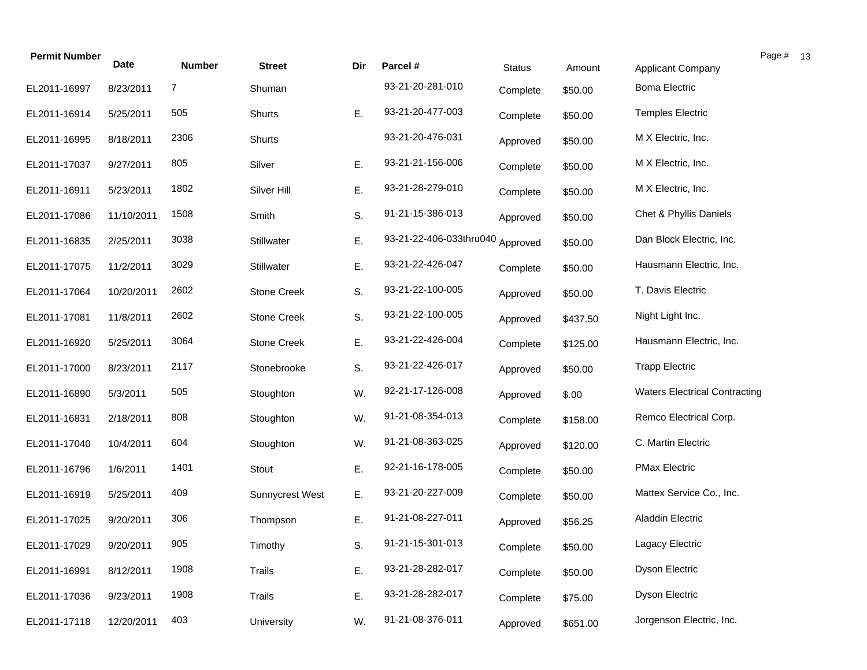| <b>Permit Number</b> | Date       | <b>Number</b> | <b>Street</b>      | Dir | Parcel #                         | <b>Status</b> | Amount   | <b>Applicant Company</b>             | Page # |
|----------------------|------------|---------------|--------------------|-----|----------------------------------|---------------|----------|--------------------------------------|--------|
| EL2011-16997         | 8/23/2011  | 7             | Shuman             |     | 93-21-20-281-010                 | Complete      | \$50.00  | <b>Boma Electric</b>                 |        |
| EL2011-16914         | 5/25/2011  | 505           | Shurts             | Ε.  | 93-21-20-477-003                 | Complete      | \$50.00  | <b>Temples Electric</b>              |        |
| EL2011-16995         | 8/18/2011  | 2306          | Shurts             |     | 93-21-20-476-031                 | Approved      | \$50.00  | M X Electric, Inc.                   |        |
| EL2011-17037         | 9/27/2011  | 805           | Silver             | Ε.  | 93-21-21-156-006                 | Complete      | \$50.00  | M X Electric, Inc.                   |        |
| EL2011-16911         | 5/23/2011  | 1802          | Silver Hill        | Ε.  | 93-21-28-279-010                 | Complete      | \$50.00  | M X Electric, Inc.                   |        |
| EL2011-17086         | 11/10/2011 | 1508          | Smith              | S.  | 91-21-15-386-013                 | Approved      | \$50.00  | Chet & Phyllis Daniels               |        |
| EL2011-16835         | 2/25/2011  | 3038          | Stillwater         | Ε.  | 93-21-22-406-033thru040 Approved |               | \$50.00  | Dan Block Electric, Inc.             |        |
| EL2011-17075         | 11/2/2011  | 3029          | Stillwater         | E.  | 93-21-22-426-047                 | Complete      | \$50.00  | Hausmann Electric, Inc.              |        |
| EL2011-17064         | 10/20/2011 | 2602          | <b>Stone Creek</b> | S.  | 93-21-22-100-005                 | Approved      | \$50.00  | T. Davis Electric                    |        |
| EL2011-17081         | 11/8/2011  | 2602          | <b>Stone Creek</b> | S.  | 93-21-22-100-005                 | Approved      | \$437.50 | Night Light Inc.                     |        |
| EL2011-16920         | 5/25/2011  | 3064          | <b>Stone Creek</b> | Ε.  | 93-21-22-426-004                 | Complete      | \$125.00 | Hausmann Electric, Inc.              |        |
| EL2011-17000         | 8/23/2011  | 2117          | Stonebrooke        | S.  | 93-21-22-426-017                 | Approved      | \$50.00  | <b>Trapp Electric</b>                |        |
| EL2011-16890         | 5/3/2011   | 505           | Stoughton          | W.  | 92-21-17-126-008                 | Approved      | \$.00    | <b>Waters Electrical Contracting</b> |        |
| EL2011-16831         | 2/18/2011  | 808           | Stoughton          | W.  | 91-21-08-354-013                 | Complete      | \$158.00 | Remco Electrical Corp.               |        |
| EL2011-17040         | 10/4/2011  | 604           | Stoughton          | W.  | 91-21-08-363-025                 | Approved      | \$120.00 | C. Martin Electric                   |        |
| EL2011-16796         | 1/6/2011   | 1401          | Stout              | Ε.  | 92-21-16-178-005                 | Complete      | \$50.00  | <b>PMax Electric</b>                 |        |
| EL2011-16919         | 5/25/2011  | 409           | Sunnycrest West    | Ε.  | 93-21-20-227-009                 | Complete      | \$50.00  | Mattex Service Co., Inc.             |        |
| EL2011-17025         | 9/20/2011  | 306           | Thompson           | Ε.  | 91-21-08-227-011                 | Approved      | \$56.25  | Aladdin Electric                     |        |
| EL2011-17029         | 9/20/2011  | 905           | Timothy            | S.  | 91-21-15-301-013                 | Complete      | \$50.00  | Lagacy Electric                      |        |
| EL2011-16991         | 8/12/2011  | 1908          | <b>Trails</b>      | Ε.  | 93-21-28-282-017                 | Complete      | \$50.00  | Dyson Electric                       |        |
| EL2011-17036         | 9/23/2011  | 1908          | Trails             | Ε.  | 93-21-28-282-017                 | Complete      | \$75.00  | Dyson Electric                       |        |
| EL2011-17118         | 12/20/2011 | 403           | University         | W.  | 91-21-08-376-011                 | Approved      | \$651.00 | Jorgenson Electric, Inc.             |        |

 $13$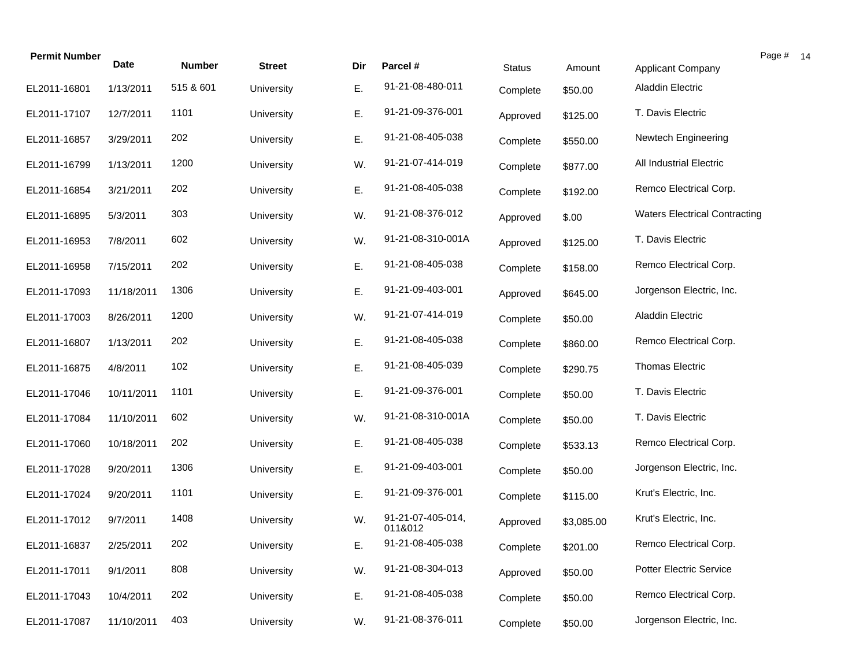| <b>Permit Number</b> | <b>Date</b> | <b>Number</b> | <b>Street</b> | Dir | Parcel #                     | <b>Status</b> | Amount     | Page #<br><b>Applicant Company</b>   |  |
|----------------------|-------------|---------------|---------------|-----|------------------------------|---------------|------------|--------------------------------------|--|
| EL2011-16801         | 1/13/2011   | 515 & 601     | University    | Ε.  | 91-21-08-480-011             | Complete      | \$50.00    | <b>Aladdin Electric</b>              |  |
| EL2011-17107         | 12/7/2011   | 1101          | University    | Ε.  | 91-21-09-376-001             | Approved      | \$125.00   | T. Davis Electric                    |  |
| EL2011-16857         | 3/29/2011   | 202           | University    | Ε.  | 91-21-08-405-038             | Complete      | \$550.00   | Newtech Engineering                  |  |
| EL2011-16799         | 1/13/2011   | 1200          | University    | W.  | 91-21-07-414-019             | Complete      | \$877.00   | <b>All Industrial Electric</b>       |  |
| EL2011-16854         | 3/21/2011   | 202           | University    | Ε.  | 91-21-08-405-038             | Complete      | \$192.00   | Remco Electrical Corp.               |  |
| EL2011-16895         | 5/3/2011    | 303           | University    | W.  | 91-21-08-376-012             | Approved      | \$.00      | <b>Waters Electrical Contracting</b> |  |
| EL2011-16953         | 7/8/2011    | 602           | University    | W.  | 91-21-08-310-001A            | Approved      | \$125.00   | T. Davis Electric                    |  |
| EL2011-16958         | 7/15/2011   | 202           | University    | Ε.  | 91-21-08-405-038             | Complete      | \$158.00   | Remco Electrical Corp.               |  |
| EL2011-17093         | 11/18/2011  | 1306          | University    | Ε.  | 91-21-09-403-001             | Approved      | \$645.00   | Jorgenson Electric, Inc.             |  |
| EL2011-17003         | 8/26/2011   | 1200          | University    | W.  | 91-21-07-414-019             | Complete      | \$50.00    | <b>Aladdin Electric</b>              |  |
| EL2011-16807         | 1/13/2011   | 202           | University    | Ε.  | 91-21-08-405-038             | Complete      | \$860.00   | Remco Electrical Corp.               |  |
| EL2011-16875         | 4/8/2011    | 102           | University    | Ε.  | 91-21-08-405-039             | Complete      | \$290.75   | Thomas Electric                      |  |
| EL2011-17046         | 10/11/2011  | 1101          | University    | Ε.  | 91-21-09-376-001             | Complete      | \$50.00    | T. Davis Electric                    |  |
| EL2011-17084         | 11/10/2011  | 602           | University    | W.  | 91-21-08-310-001A            | Complete      | \$50.00    | T. Davis Electric                    |  |
| EL2011-17060         | 10/18/2011  | 202           | University    | Ε.  | 91-21-08-405-038             | Complete      | \$533.13   | Remco Electrical Corp.               |  |
| EL2011-17028         | 9/20/2011   | 1306          | University    | Ε.  | 91-21-09-403-001             | Complete      | \$50.00    | Jorgenson Electric, Inc.             |  |
| EL2011-17024         | 9/20/2011   | 1101          | University    | Ε.  | 91-21-09-376-001             | Complete      | \$115.00   | Krut's Electric, Inc.                |  |
| EL2011-17012         | 9/7/2011    | 1408          | University    | W.  | 91-21-07-405-014,<br>011&012 | Approved      | \$3,085.00 | Krut's Electric, Inc.                |  |
| EL2011-16837         | 2/25/2011   | 202           | University    | Е.  | 91-21-08-405-038             | Complete      | \$201.00   | Remco Electrical Corp.               |  |
| EL2011-17011         | 9/1/2011    | 808           | University    | W.  | 91-21-08-304-013             | Approved      | \$50.00    | <b>Potter Electric Service</b>       |  |
| EL2011-17043         | 10/4/2011   | 202           | University    | Ε.  | 91-21-08-405-038             | Complete      | \$50.00    | Remco Electrical Corp.               |  |
| EL2011-17087         | 11/10/2011  | 403           | University    | W.  | 91-21-08-376-011             | Complete      | \$50.00    | Jorgenson Electric, Inc.             |  |

 $14$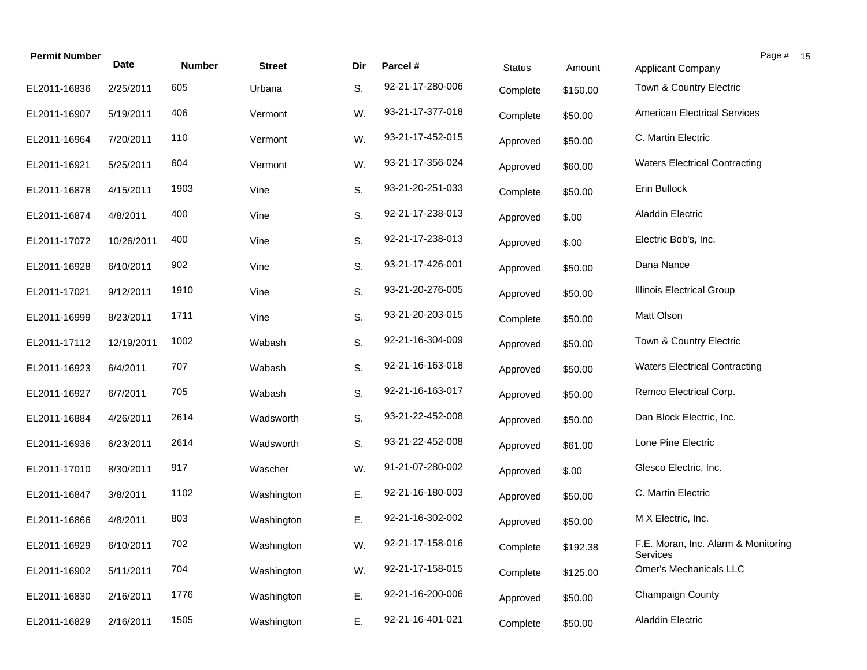| <b>Permit Number</b> | <b>Date</b> | <b>Number</b> | <b>Street</b> | Dir | Parcel #         | <b>Status</b> | Amount   | Applicant Company                               | Page # 15 |  |
|----------------------|-------------|---------------|---------------|-----|------------------|---------------|----------|-------------------------------------------------|-----------|--|
| EL2011-16836         | 2/25/2011   | 605           | Urbana        | S.  | 92-21-17-280-006 | Complete      | \$150.00 | Town & Country Electric                         |           |  |
| EL2011-16907         | 5/19/2011   | 406           | Vermont       | W.  | 93-21-17-377-018 | Complete      | \$50.00  | <b>American Electrical Services</b>             |           |  |
| EL2011-16964         | 7/20/2011   | 110           | Vermont       | W.  | 93-21-17-452-015 | Approved      | \$50.00  | C. Martin Electric                              |           |  |
| EL2011-16921         | 5/25/2011   | 604           | Vermont       | W.  | 93-21-17-356-024 | Approved      | \$60.00  | <b>Waters Electrical Contracting</b>            |           |  |
| EL2011-16878         | 4/15/2011   | 1903          | Vine          | S.  | 93-21-20-251-033 | Complete      | \$50.00  | Erin Bullock                                    |           |  |
| EL2011-16874         | 4/8/2011    | 400           | Vine          | S.  | 92-21-17-238-013 | Approved      | \$.00    | Aladdin Electric                                |           |  |
| EL2011-17072         | 10/26/2011  | 400           | Vine          | S.  | 92-21-17-238-013 | Approved      | \$.00    | Electric Bob's, Inc.                            |           |  |
| EL2011-16928         | 6/10/2011   | 902           | Vine          | S.  | 93-21-17-426-001 | Approved      | \$50.00  | Dana Nance                                      |           |  |
| EL2011-17021         | 9/12/2011   | 1910          | Vine          | S.  | 93-21-20-276-005 | Approved      | \$50.00  | Illinois Electrical Group                       |           |  |
| EL2011-16999         | 8/23/2011   | 1711          | Vine          | S.  | 93-21-20-203-015 | Complete      | \$50.00  | Matt Olson                                      |           |  |
| EL2011-17112         | 12/19/2011  | 1002          | Wabash        | S.  | 92-21-16-304-009 | Approved      | \$50.00  | Town & Country Electric                         |           |  |
| EL2011-16923         | 6/4/2011    | 707           | Wabash        | S.  | 92-21-16-163-018 | Approved      | \$50.00  | <b>Waters Electrical Contracting</b>            |           |  |
| EL2011-16927         | 6/7/2011    | 705           | Wabash        | S.  | 92-21-16-163-017 | Approved      | \$50.00  | Remco Electrical Corp.                          |           |  |
| EL2011-16884         | 4/26/2011   | 2614          | Wadsworth     | S.  | 93-21-22-452-008 | Approved      | \$50.00  | Dan Block Electric, Inc.                        |           |  |
| EL2011-16936         | 6/23/2011   | 2614          | Wadsworth     | S.  | 93-21-22-452-008 | Approved      | \$61.00  | Lone Pine Electric                              |           |  |
| EL2011-17010         | 8/30/2011   | 917           | Wascher       | W.  | 91-21-07-280-002 | Approved      | \$.00    | Glesco Electric, Inc.                           |           |  |
| EL2011-16847         | 3/8/2011    | 1102          | Washington    | E.  | 92-21-16-180-003 | Approved      | \$50.00  | C. Martin Electric                              |           |  |
| EL2011-16866         | 4/8/2011    | 803           | Washington    | Ε.  | 92-21-16-302-002 | Approved      | \$50.00  | M X Electric, Inc.                              |           |  |
| EL2011-16929         | 6/10/2011   | 702           | Washington    | W.  | 92-21-17-158-016 | Complete      | \$192.38 | F.E. Moran, Inc. Alarm & Monitoring<br>Services |           |  |
| EL2011-16902         | 5/11/2011   | 704           | Washington    | W.  | 92-21-17-158-015 | Complete      | \$125.00 | Omer's Mechanicals LLC                          |           |  |
| EL2011-16830         | 2/16/2011   | 1776          | Washington    | Ε.  | 92-21-16-200-006 | Approved      | \$50.00  | Champaign County                                |           |  |
| EL2011-16829         | 2/16/2011   | 1505          | Washington    | Ε.  | 92-21-16-401-021 | Complete      | \$50.00  | <b>Aladdin Electric</b>                         |           |  |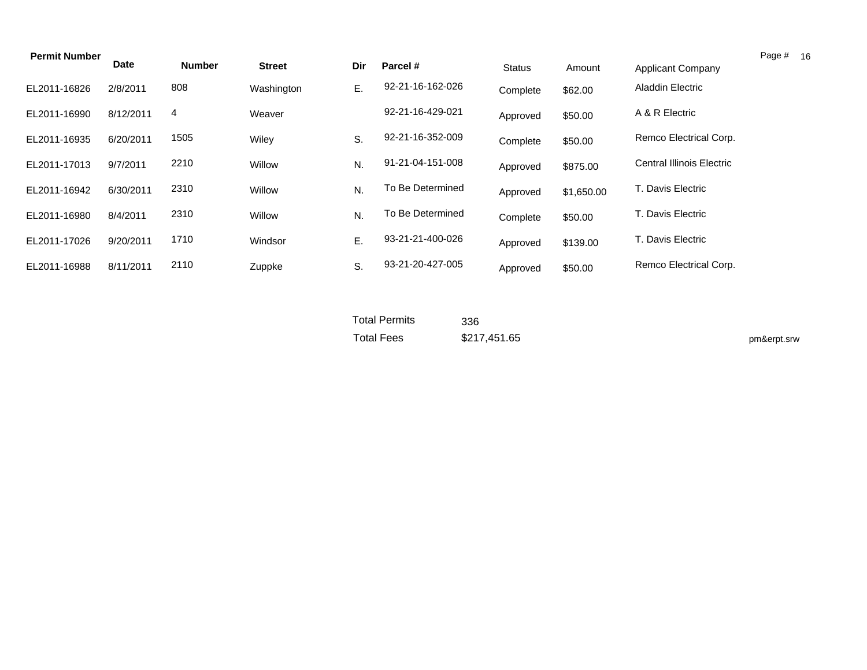| <b>Permit Number</b> |             |               |               |     |                  |               |            |                                  | Page # 16 |  |
|----------------------|-------------|---------------|---------------|-----|------------------|---------------|------------|----------------------------------|-----------|--|
|                      | <b>Date</b> | <b>Number</b> | <b>Street</b> | Dir | Parcel #         | <b>Status</b> | Amount     | Applicant Company                |           |  |
| EL2011-16826         | 2/8/2011    | 808           | Washington    | Е.  | 92-21-16-162-026 | Complete      | \$62.00    | <b>Aladdin Electric</b>          |           |  |
| EL2011-16990         | 8/12/2011   | 4             | Weaver        |     | 92-21-16-429-021 | Approved      | \$50.00    | A & R Electric                   |           |  |
| EL2011-16935         | 6/20/2011   | 1505          | Wiley         | S.  | 92-21-16-352-009 | Complete      | \$50.00    | Remco Electrical Corp.           |           |  |
| EL2011-17013         | 9/7/2011    | 2210          | Willow        | N.  | 91-21-04-151-008 | Approved      | \$875.00   | <b>Central Illinois Electric</b> |           |  |
| EL2011-16942         | 6/30/2011   | 2310          | Willow        | N.  | To Be Determined | Approved      | \$1,650.00 | T. Davis Electric                |           |  |
| EL2011-16980         | 8/4/2011    | 2310          | Willow        | N.  | To Be Determined | Complete      | \$50.00    | T. Davis Electric                |           |  |
| EL2011-17026         | 9/20/2011   | 1710          | Windsor       | Ε.  | 93-21-21-400-026 | Approved      | \$139.00   | T. Davis Electric                |           |  |
| EL2011-16988         | 8/11/2011   | 2110          | Zuppke        | S.  | 93-21-20-427-005 | Approved      | \$50.00    | Remco Electrical Corp.           |           |  |

Total Permits Total Fees \$217,451.65 336

pm&erpt.srw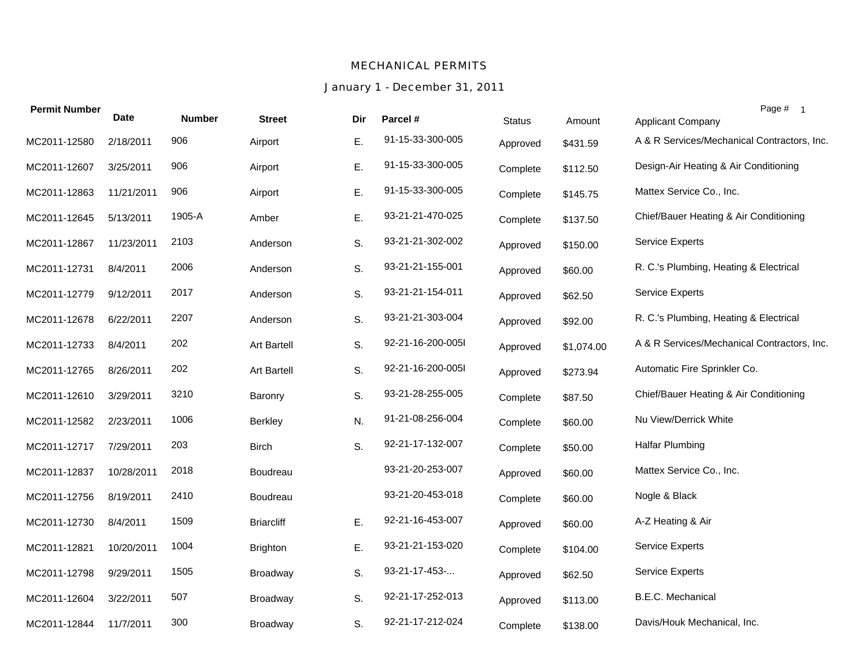#### *MECHANICAL PERMITS*

## *January 1 - December 31, 2011*

| <b>Permit Number</b> | <b>Date</b> | <b>Number</b> | <b>Street</b>     | Dir | Parcel #          | <b>Status</b> | Amount     | Page # 1<br><b>Applicant Company</b>        |
|----------------------|-------------|---------------|-------------------|-----|-------------------|---------------|------------|---------------------------------------------|
| MC2011-12580         | 2/18/2011   | 906           | Airport           | Ε.  | 91-15-33-300-005  | Approved      | \$431.59   | A & R Services/Mechanical Contractors, Inc. |
| MC2011-12607         | 3/25/2011   | 906           | Airport           | E.  | 91-15-33-300-005  | Complete      | \$112.50   | Design-Air Heating & Air Conditioning       |
| MC2011-12863         | 11/21/2011  | 906           | Airport           | Ε.  | 91-15-33-300-005  | Complete      | \$145.75   | Mattex Service Co., Inc.                    |
| MC2011-12645         | 5/13/2011   | 1905-A        | Amber             | Ε.  | 93-21-21-470-025  | Complete      | \$137.50   | Chief/Bauer Heating & Air Conditioning      |
| MC2011-12867         | 11/23/2011  | 2103          | Anderson          | S.  | 93-21-21-302-002  | Approved      | \$150.00   | <b>Service Experts</b>                      |
| MC2011-12731         | 8/4/2011    | 2006          | Anderson          | S.  | 93-21-21-155-001  | Approved      | \$60.00    | R. C.'s Plumbing, Heating & Electrical      |
| MC2011-12779         | 9/12/2011   | 2017          | Anderson          | S.  | 93-21-21-154-011  | Approved      | \$62.50    | <b>Service Experts</b>                      |
| MC2011-12678         | 6/22/2011   | 2207          | Anderson          | S.  | 93-21-21-303-004  | Approved      | \$92.00    | R. C.'s Plumbing, Heating & Electrical      |
| MC2011-12733         | 8/4/2011    | 202           | Art Bartell       | S.  | 92-21-16-200-005l | Approved      | \$1,074.00 | A & R Services/Mechanical Contractors, Inc. |
| MC2011-12765         | 8/26/2011   | 202           | Art Bartell       | S.  | 92-21-16-200-005l | Approved      | \$273.94   | Automatic Fire Sprinkler Co.                |
| MC2011-12610         | 3/29/2011   | 3210          | Baronry           | S.  | 93-21-28-255-005  | Complete      | \$87.50    | Chief/Bauer Heating & Air Conditioning      |
| MC2011-12582         | 2/23/2011   | 1006          | Berkley           | N.  | 91-21-08-256-004  | Complete      | \$60.00    | Nu View/Derrick White                       |
| MC2011-12717         | 7/29/2011   | 203           | <b>Birch</b>      | S.  | 92-21-17-132-007  | Complete      | \$50.00    | <b>Halfar Plumbing</b>                      |
| MC2011-12837         | 10/28/2011  | 2018          | Boudreau          |     | 93-21-20-253-007  | Approved      | \$60.00    | Mattex Service Co., Inc.                    |
| MC2011-12756         | 8/19/2011   | 2410          | Boudreau          |     | 93-21-20-453-018  | Complete      | \$60.00    | Nogle & Black                               |
| MC2011-12730         | 8/4/2011    | 1509          | <b>Briarcliff</b> | Ε.  | 92-21-16-453-007  | Approved      | \$60.00    | A-Z Heating & Air                           |
| MC2011-12821         | 10/20/2011  | 1004          | <b>Brighton</b>   | Ε.  | 93-21-21-153-020  | Complete      | \$104.00   | <b>Service Experts</b>                      |
| MC2011-12798         | 9/29/2011   | 1505          | Broadway          | S.  | 93-21-17-453-     | Approved      | \$62.50    | <b>Service Experts</b>                      |
| MC2011-12604         | 3/22/2011   | 507           | <b>Broadway</b>   | S.  | 92-21-17-252-013  | Approved      | \$113.00   | <b>B.E.C. Mechanical</b>                    |
| MC2011-12844         | 11/7/2011   | 300           | Broadway          | S.  | 92-21-17-212-024  | Complete      | \$138.00   | Davis/Houk Mechanical, Inc.                 |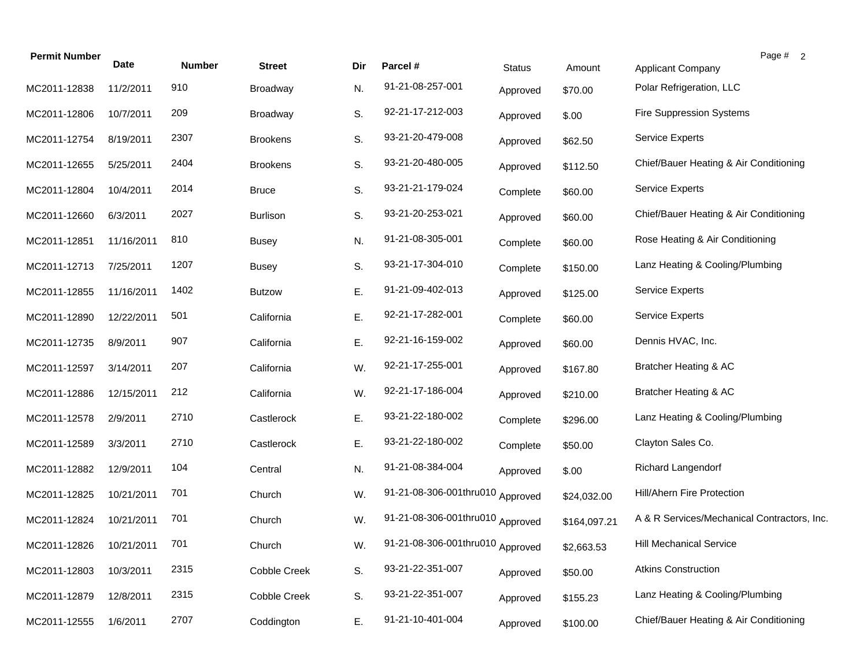| <b>Permit Number</b> | Date       | <b>Number</b> | <b>Street</b>       | Dir | Parcel #                         | <b>Status</b> | Amount       | Page # 2<br><b>Applicant Company</b>        |
|----------------------|------------|---------------|---------------------|-----|----------------------------------|---------------|--------------|---------------------------------------------|
| MC2011-12838         | 11/2/2011  | 910           | Broadway            | N.  | 91-21-08-257-001                 | Approved      | \$70.00      | Polar Refrigeration, LLC                    |
| MC2011-12806         | 10/7/2011  | 209           | Broadway            | S.  | 92-21-17-212-003                 | Approved      | \$.00        | <b>Fire Suppression Systems</b>             |
| MC2011-12754         | 8/19/2011  | 2307          | <b>Brookens</b>     | S.  | 93-21-20-479-008                 | Approved      | \$62.50      | <b>Service Experts</b>                      |
| MC2011-12655         | 5/25/2011  | 2404          | <b>Brookens</b>     | S.  | 93-21-20-480-005                 | Approved      | \$112.50     | Chief/Bauer Heating & Air Conditioning      |
| MC2011-12804         | 10/4/2011  | 2014          | <b>Bruce</b>        | S.  | 93-21-21-179-024                 | Complete      | \$60.00      | <b>Service Experts</b>                      |
| MC2011-12660         | 6/3/2011   | 2027          | <b>Burlison</b>     | S.  | 93-21-20-253-021                 | Approved      | \$60.00      | Chief/Bauer Heating & Air Conditioning      |
| MC2011-12851         | 11/16/2011 | 810           | <b>Busey</b>        | N.  | 91-21-08-305-001                 | Complete      | \$60.00      | Rose Heating & Air Conditioning             |
| MC2011-12713         | 7/25/2011  | 1207          | <b>Busey</b>        | S.  | 93-21-17-304-010                 | Complete      | \$150.00     | Lanz Heating & Cooling/Plumbing             |
| MC2011-12855         | 11/16/2011 | 1402          | <b>Butzow</b>       | Ε.  | 91-21-09-402-013                 | Approved      | \$125.00     | <b>Service Experts</b>                      |
| MC2011-12890         | 12/22/2011 | 501           | California          | Ε.  | 92-21-17-282-001                 | Complete      | \$60.00      | <b>Service Experts</b>                      |
| MC2011-12735         | 8/9/2011   | 907           | California          | Ε.  | 92-21-16-159-002                 | Approved      | \$60.00      | Dennis HVAC, Inc.                           |
| MC2011-12597         | 3/14/2011  | 207           | California          | W.  | 92-21-17-255-001                 | Approved      | \$167.80     | Bratcher Heating & AC                       |
| MC2011-12886         | 12/15/2011 | 212           | California          | W.  | 92-21-17-186-004                 | Approved      | \$210.00     | Bratcher Heating & AC                       |
| MC2011-12578         | 2/9/2011   | 2710          | Castlerock          | Ε.  | 93-21-22-180-002                 | Complete      | \$296.00     | Lanz Heating & Cooling/Plumbing             |
| MC2011-12589         | 3/3/2011   | 2710          | Castlerock          | Ε.  | 93-21-22-180-002                 | Complete      | \$50.00      | Clayton Sales Co.                           |
| MC2011-12882         | 12/9/2011  | 104           | Central             | N.  | 91-21-08-384-004                 | Approved      | \$.00        | Richard Langendorf                          |
| MC2011-12825         | 10/21/2011 | 701           | Church              | W.  | 91-21-08-306-001thru010 Approved |               | \$24,032.00  | Hill/Ahern Fire Protection                  |
| MC2011-12824         | 10/21/2011 | 701           | Church              | W.  | 91-21-08-306-001thru010 Approved |               | \$164,097.21 | A & R Services/Mechanical Contractors, Inc. |
| MC2011-12826         | 10/21/2011 | 701           | Church              | W.  | 91-21-08-306-001thru010 Approved |               | \$2,663.53   | <b>Hill Mechanical Service</b>              |
| MC2011-12803         | 10/3/2011  | 2315          | Cobble Creek        | S.  | 93-21-22-351-007                 | Approved      | \$50.00      | <b>Atkins Construction</b>                  |
| MC2011-12879         | 12/8/2011  | 2315          | <b>Cobble Creek</b> | S.  | 93-21-22-351-007                 | Approved      | \$155.23     | Lanz Heating & Cooling/Plumbing             |
| MC2011-12555         | 1/6/2011   | 2707          | Coddington          | Ε.  | 91-21-10-401-004                 | Approved      | \$100.00     | Chief/Bauer Heating & Air Conditioning      |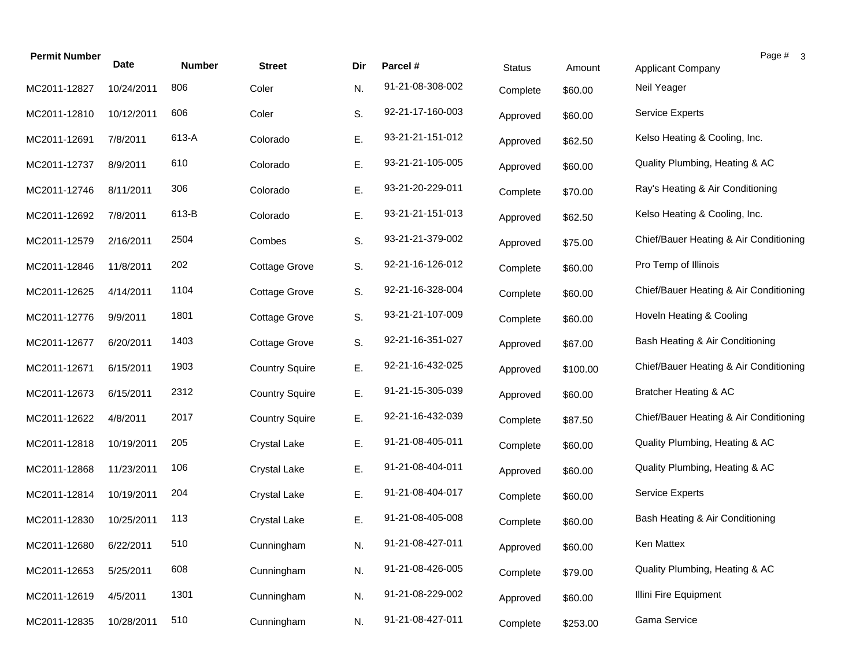| <b>Permit Number</b> | Date       |               |                       |     |                  |               |          | Page # 3                               |
|----------------------|------------|---------------|-----------------------|-----|------------------|---------------|----------|----------------------------------------|
|                      |            | <b>Number</b> | <b>Street</b>         | Dir | Parcel #         | <b>Status</b> | Amount   | <b>Applicant Company</b>               |
| MC2011-12827         | 10/24/2011 | 806           | Coler                 | N.  | 91-21-08-308-002 | Complete      | \$60.00  | Neil Yeager                            |
| MC2011-12810         | 10/12/2011 | 606           | Coler                 | S.  | 92-21-17-160-003 | Approved      | \$60.00  | Service Experts                        |
| MC2011-12691         | 7/8/2011   | 613-A         | Colorado              | E.  | 93-21-21-151-012 | Approved      | \$62.50  | Kelso Heating & Cooling, Inc.          |
| MC2011-12737         | 8/9/2011   | 610           | Colorado              | Е.  | 93-21-21-105-005 | Approved      | \$60.00  | Quality Plumbing, Heating & AC         |
| MC2011-12746         | 8/11/2011  | 306           | Colorado              | Ε.  | 93-21-20-229-011 | Complete      | \$70.00  | Ray's Heating & Air Conditioning       |
| MC2011-12692         | 7/8/2011   | 613-B         | Colorado              | Ε.  | 93-21-21-151-013 | Approved      | \$62.50  | Kelso Heating & Cooling, Inc.          |
| MC2011-12579         | 2/16/2011  | 2504          | Combes                | S.  | 93-21-21-379-002 | Approved      | \$75.00  | Chief/Bauer Heating & Air Conditioning |
| MC2011-12846         | 11/8/2011  | 202           | <b>Cottage Grove</b>  | S.  | 92-21-16-126-012 | Complete      | \$60.00  | Pro Temp of Illinois                   |
| MC2011-12625         | 4/14/2011  | 1104          | <b>Cottage Grove</b>  | S.  | 92-21-16-328-004 | Complete      | \$60.00  | Chief/Bauer Heating & Air Conditioning |
| MC2011-12776         | 9/9/2011   | 1801          | <b>Cottage Grove</b>  | S.  | 93-21-21-107-009 | Complete      | \$60.00  | Hoveln Heating & Cooling               |
| MC2011-12677         | 6/20/2011  | 1403          | Cottage Grove         | S.  | 92-21-16-351-027 | Approved      | \$67.00  | Bash Heating & Air Conditioning        |
| MC2011-12671         | 6/15/2011  | 1903          | <b>Country Squire</b> | E.  | 92-21-16-432-025 | Approved      | \$100.00 | Chief/Bauer Heating & Air Conditioning |
| MC2011-12673         | 6/15/2011  | 2312          | <b>Country Squire</b> | E.  | 91-21-15-305-039 | Approved      | \$60.00  | Bratcher Heating & AC                  |
| MC2011-12622         | 4/8/2011   | 2017          | <b>Country Squire</b> | E.  | 92-21-16-432-039 | Complete      | \$87.50  | Chief/Bauer Heating & Air Conditioning |
| MC2011-12818         | 10/19/2011 | 205           | <b>Crystal Lake</b>   | E.  | 91-21-08-405-011 | Complete      | \$60.00  | Quality Plumbing, Heating & AC         |
| MC2011-12868         | 11/23/2011 | 106           | <b>Crystal Lake</b>   | E.  | 91-21-08-404-011 | Approved      | \$60.00  | Quality Plumbing, Heating & AC         |
| MC2011-12814         | 10/19/2011 | 204           | <b>Crystal Lake</b>   | E.  | 91-21-08-404-017 | Complete      | \$60.00  | <b>Service Experts</b>                 |
| MC2011-12830         | 10/25/2011 | 113           | <b>Crystal Lake</b>   | E.  | 91-21-08-405-008 | Complete      | \$60.00  | Bash Heating & Air Conditioning        |
| MC2011-12680         | 6/22/2011  | 510           | Cunningham            | N.  | 91-21-08-427-011 | Approved      | \$60.00  | Ken Mattex                             |
| MC2011-12653         | 5/25/2011  | 608           | Cunningham            | N.  | 91-21-08-426-005 | Complete      | \$79.00  | Quality Plumbing, Heating & AC         |
| MC2011-12619         | 4/5/2011   | 1301          | Cunningham            | N.  | 91-21-08-229-002 | Approved      | \$60.00  | Illini Fire Equipment                  |
| MC2011-12835         | 10/28/2011 | 510           | Cunningham            | N.  | 91-21-08-427-011 | Complete      | \$253.00 | Gama Service                           |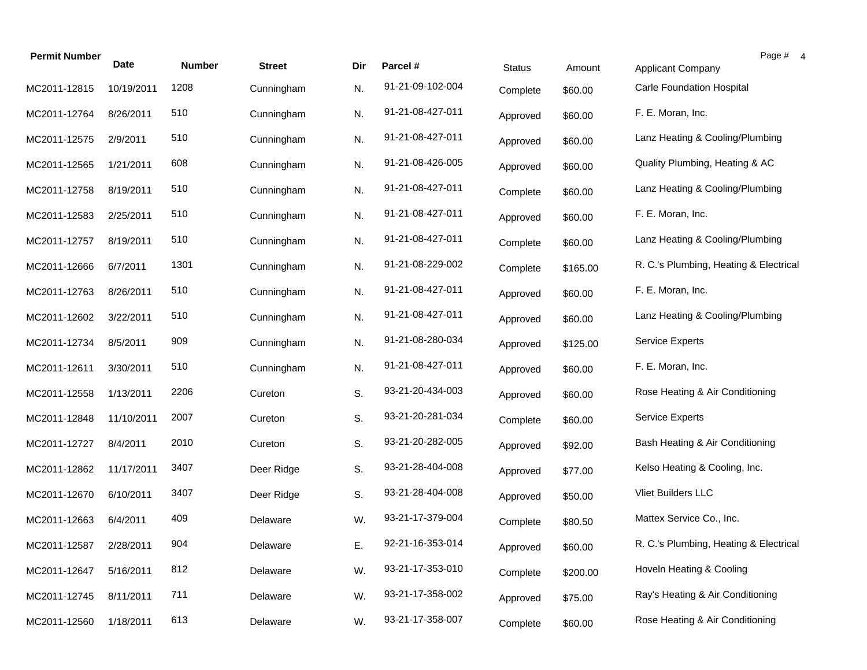| <b>Permit Number</b> | <b>Date</b> | <b>Number</b> | <b>Street</b> | Dir | Parcel #         | <b>Status</b> | Amount   | Page # 4<br><b>Applicant Company</b>   |
|----------------------|-------------|---------------|---------------|-----|------------------|---------------|----------|----------------------------------------|
| MC2011-12815         | 10/19/2011  | 1208          | Cunningham    | N.  | 91-21-09-102-004 | Complete      | \$60.00  | <b>Carle Foundation Hospital</b>       |
| MC2011-12764         | 8/26/2011   | 510           | Cunningham    | N.  | 91-21-08-427-011 | Approved      | \$60.00  | F. E. Moran, Inc.                      |
| MC2011-12575         | 2/9/2011    | 510           | Cunningham    | N.  | 91-21-08-427-011 | Approved      | \$60.00  | Lanz Heating & Cooling/Plumbing        |
| MC2011-12565         | 1/21/2011   | 608           | Cunningham    | N.  | 91-21-08-426-005 | Approved      | \$60.00  | Quality Plumbing, Heating & AC         |
| MC2011-12758         | 8/19/2011   | 510           | Cunningham    | N.  | 91-21-08-427-011 | Complete      | \$60.00  | Lanz Heating & Cooling/Plumbing        |
| MC2011-12583         | 2/25/2011   | 510           | Cunningham    | N.  | 91-21-08-427-011 | Approved      | \$60.00  | F. E. Moran, Inc.                      |
| MC2011-12757         | 8/19/2011   | 510           | Cunningham    | N.  | 91-21-08-427-011 | Complete      | \$60.00  | Lanz Heating & Cooling/Plumbing        |
| MC2011-12666         | 6/7/2011    | 1301          | Cunningham    | N.  | 91-21-08-229-002 | Complete      | \$165.00 | R. C.'s Plumbing, Heating & Electrical |
| MC2011-12763         | 8/26/2011   | 510           | Cunningham    | N.  | 91-21-08-427-011 | Approved      | \$60.00  | F. E. Moran, Inc.                      |
| MC2011-12602         | 3/22/2011   | 510           | Cunningham    | N.  | 91-21-08-427-011 | Approved      | \$60.00  | Lanz Heating & Cooling/Plumbing        |
| MC2011-12734         | 8/5/2011    | 909           | Cunningham    | N.  | 91-21-08-280-034 | Approved      | \$125.00 | <b>Service Experts</b>                 |
| MC2011-12611         | 3/30/2011   | 510           | Cunningham    | N.  | 91-21-08-427-011 | Approved      | \$60.00  | F. E. Moran, Inc.                      |
| MC2011-12558         | 1/13/2011   | 2206          | Cureton       | S.  | 93-21-20-434-003 | Approved      | \$60.00  | Rose Heating & Air Conditioning        |
| MC2011-12848         | 11/10/2011  | 2007          | Cureton       | S.  | 93-21-20-281-034 | Complete      | \$60.00  | <b>Service Experts</b>                 |
| MC2011-12727         | 8/4/2011    | 2010          | Cureton       | S.  | 93-21-20-282-005 | Approved      | \$92.00  | Bash Heating & Air Conditioning        |
| MC2011-12862         | 11/17/2011  | 3407          | Deer Ridge    | S.  | 93-21-28-404-008 | Approved      | \$77.00  | Kelso Heating & Cooling, Inc.          |
| MC2011-12670         | 6/10/2011   | 3407          | Deer Ridge    | S.  | 93-21-28-404-008 | Approved      | \$50.00  | Vliet Builders LLC                     |
| MC2011-12663         | 6/4/2011    | 409           | Delaware      | W.  | 93-21-17-379-004 | Complete      | \$80.50  | Mattex Service Co., Inc.               |
| MC2011-12587         | 2/28/2011   | 904           | Delaware      | Е.  | 92-21-16-353-014 | Approved      | \$60.00  | R. C.'s Plumbing, Heating & Electrical |
| MC2011-12647         | 5/16/2011   | 812           | Delaware      | W.  | 93-21-17-353-010 | Complete      | \$200.00 | Hoveln Heating & Cooling               |
| MC2011-12745         | 8/11/2011   | 711           | Delaware      | W.  | 93-21-17-358-002 | Approved      | \$75.00  | Ray's Heating & Air Conditioning       |
| MC2011-12560         | 1/18/2011   | 613           | Delaware      | W.  | 93-21-17-358-007 | Complete      | \$60.00  | Rose Heating & Air Conditioning        |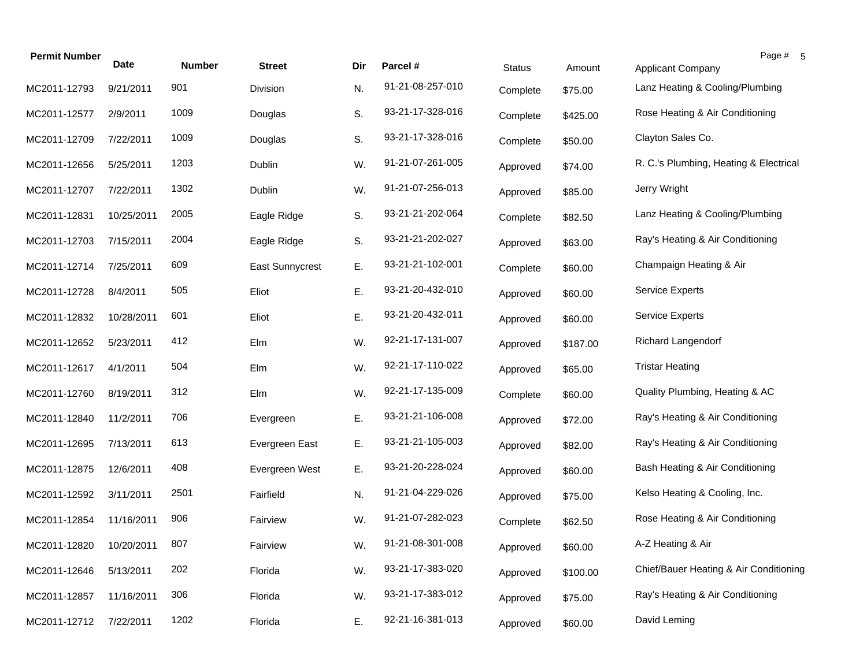| <b>Permit Number</b> | <b>Date</b> | <b>Number</b> | <b>Street</b>          | Dir | Parcel #         | <b>Status</b> | Amount   | Page # 5<br>Applicant Company          |
|----------------------|-------------|---------------|------------------------|-----|------------------|---------------|----------|----------------------------------------|
| MC2011-12793         | 9/21/2011   | 901           | Division               | N.  | 91-21-08-257-010 | Complete      | \$75.00  | Lanz Heating & Cooling/Plumbing        |
| MC2011-12577         | 2/9/2011    | 1009          | Douglas                | S.  | 93-21-17-328-016 | Complete      | \$425.00 | Rose Heating & Air Conditioning        |
| MC2011-12709         | 7/22/2011   | 1009          | Douglas                | S.  | 93-21-17-328-016 | Complete      | \$50.00  | Clayton Sales Co.                      |
| MC2011-12656         | 5/25/2011   | 1203          | Dublin                 | W.  | 91-21-07-261-005 | Approved      | \$74.00  | R. C.'s Plumbing, Heating & Electrical |
| MC2011-12707         | 7/22/2011   | 1302          | Dublin                 | W.  | 91-21-07-256-013 | Approved      | \$85.00  | Jerry Wright                           |
| MC2011-12831         | 10/25/2011  | 2005          | Eagle Ridge            | S.  | 93-21-21-202-064 | Complete      | \$82.50  | Lanz Heating & Cooling/Plumbing        |
| MC2011-12703         | 7/15/2011   | 2004          | Eagle Ridge            | S.  | 93-21-21-202-027 | Approved      | \$63.00  | Ray's Heating & Air Conditioning       |
| MC2011-12714         | 7/25/2011   | 609           | <b>East Sunnycrest</b> | Ε.  | 93-21-21-102-001 | Complete      | \$60.00  | Champaign Heating & Air                |
| MC2011-12728         | 8/4/2011    | 505           | Eliot                  | Ε.  | 93-21-20-432-010 | Approved      | \$60.00  | <b>Service Experts</b>                 |
| MC2011-12832         | 10/28/2011  | 601           | Eliot                  | Ε.  | 93-21-20-432-011 | Approved      | \$60.00  | <b>Service Experts</b>                 |
| MC2011-12652         | 5/23/2011   | 412           | Elm                    | W.  | 92-21-17-131-007 | Approved      | \$187.00 | Richard Langendorf                     |
| MC2011-12617         | 4/1/2011    | 504           | Elm                    | W.  | 92-21-17-110-022 | Approved      | \$65.00  | <b>Tristar Heating</b>                 |
| MC2011-12760         | 8/19/2011   | 312           | Elm                    | W.  | 92-21-17-135-009 | Complete      | \$60.00  | Quality Plumbing, Heating & AC         |
| MC2011-12840         | 11/2/2011   | 706           | Evergreen              | Ε.  | 93-21-21-106-008 | Approved      | \$72.00  | Ray's Heating & Air Conditioning       |
| MC2011-12695         | 7/13/2011   | 613           | Evergreen East         | Ε.  | 93-21-21-105-003 | Approved      | \$82.00  | Ray's Heating & Air Conditioning       |
| MC2011-12875         | 12/6/2011   | 408           | Evergreen West         | Ε.  | 93-21-20-228-024 | Approved      | \$60.00  | Bash Heating & Air Conditioning        |
| MC2011-12592         | 3/11/2011   | 2501          | Fairfield              | N.  | 91-21-04-229-026 | Approved      | \$75.00  | Kelso Heating & Cooling, Inc.          |
| MC2011-12854         | 11/16/2011  | 906           | Fairview               | W.  | 91-21-07-282-023 | Complete      | \$62.50  | Rose Heating & Air Conditioning        |
| MC2011-12820         | 10/20/2011  | 807           | Fairview               | W.  | 91-21-08-301-008 | Approved      | \$60.00  | A-Z Heating & Air                      |
| MC2011-12646         | 5/13/2011   | 202           | Florida                | W.  | 93-21-17-383-020 | Approved      | \$100.00 | Chief/Bauer Heating & Air Conditioning |
| MC2011-12857         | 11/16/2011  | 306           | Florida                | W.  | 93-21-17-383-012 | Approved      | \$75.00  | Ray's Heating & Air Conditioning       |
| MC2011-12712         | 7/22/2011   | 1202          | Florida                | Ε.  | 92-21-16-381-013 | Approved      | \$60.00  | David Leming                           |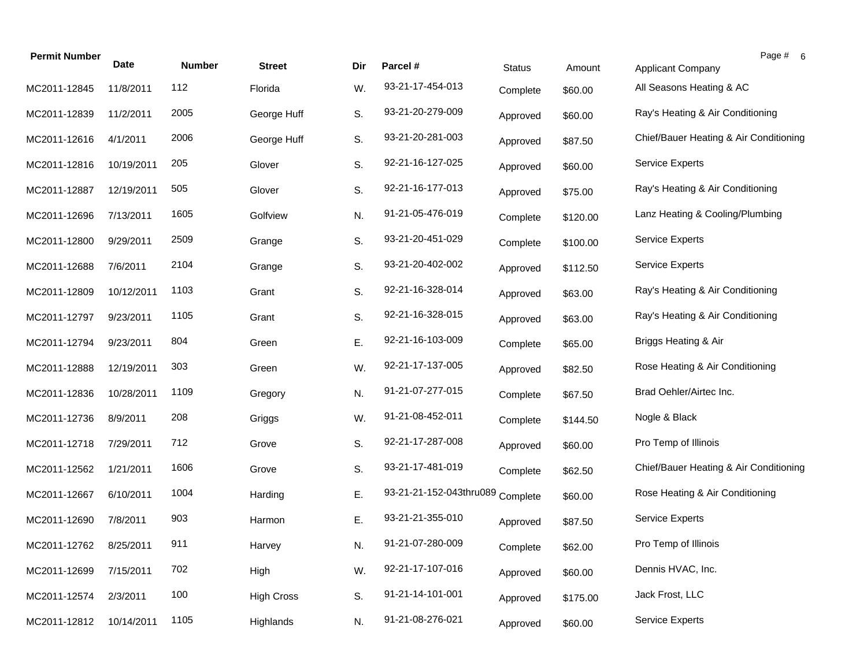| <b>Permit Number</b> | Date       | <b>Number</b> | <b>Street</b>     | Dir | Parcel #                         | <b>Status</b> | Amount   | Page # 6<br>Applicant Company          |
|----------------------|------------|---------------|-------------------|-----|----------------------------------|---------------|----------|----------------------------------------|
| MC2011-12845         | 11/8/2011  | 112           | Florida           | W.  | 93-21-17-454-013                 | Complete      | \$60.00  | All Seasons Heating & AC               |
| MC2011-12839         | 11/2/2011  | 2005          | George Huff       | S.  | 93-21-20-279-009                 | Approved      | \$60.00  | Ray's Heating & Air Conditioning       |
| MC2011-12616         | 4/1/2011   | 2006          | George Huff       | S.  | 93-21-20-281-003                 | Approved      | \$87.50  | Chief/Bauer Heating & Air Conditioning |
| MC2011-12816         | 10/19/2011 | 205           | Glover            | S.  | 92-21-16-127-025                 | Approved      | \$60.00  | Service Experts                        |
| MC2011-12887         | 12/19/2011 | 505           | Glover            | S.  | 92-21-16-177-013                 | Approved      | \$75.00  | Ray's Heating & Air Conditioning       |
| MC2011-12696         | 7/13/2011  | 1605          | Golfview          | N.  | 91-21-05-476-019                 | Complete      | \$120.00 | Lanz Heating & Cooling/Plumbing        |
| MC2011-12800         | 9/29/2011  | 2509          | Grange            | S.  | 93-21-20-451-029                 | Complete      | \$100.00 | <b>Service Experts</b>                 |
| MC2011-12688         | 7/6/2011   | 2104          | Grange            | S.  | 93-21-20-402-002                 | Approved      | \$112.50 | <b>Service Experts</b>                 |
| MC2011-12809         | 10/12/2011 | 1103          | Grant             | S.  | 92-21-16-328-014                 | Approved      | \$63.00  | Ray's Heating & Air Conditioning       |
| MC2011-12797         | 9/23/2011  | 1105          | Grant             | S.  | 92-21-16-328-015                 | Approved      | \$63.00  | Ray's Heating & Air Conditioning       |
| MC2011-12794         | 9/23/2011  | 804           | Green             | Ε.  | 92-21-16-103-009                 | Complete      | \$65.00  | Briggs Heating & Air                   |
| MC2011-12888         | 12/19/2011 | 303           | Green             | W.  | 92-21-17-137-005                 | Approved      | \$82.50  | Rose Heating & Air Conditioning        |
| MC2011-12836         | 10/28/2011 | 1109          | Gregory           | N.  | 91-21-07-277-015                 | Complete      | \$67.50  | Brad Oehler/Airtec Inc.                |
| MC2011-12736         | 8/9/2011   | 208           | Griggs            | W.  | 91-21-08-452-011                 | Complete      | \$144.50 | Nogle & Black                          |
| MC2011-12718         | 7/29/2011  | 712           | Grove             | S.  | 92-21-17-287-008                 | Approved      | \$60.00  | Pro Temp of Illinois                   |
| MC2011-12562         | 1/21/2011  | 1606          | Grove             | S.  | 93-21-17-481-019                 | Complete      | \$62.50  | Chief/Bauer Heating & Air Conditioning |
| MC2011-12667         | 6/10/2011  | 1004          | Harding           | Ε.  | 93-21-21-152-043thru089 Complete |               | \$60.00  | Rose Heating & Air Conditioning        |
| MC2011-12690         | 7/8/2011   | 903           | Harmon            | Ε.  | 93-21-21-355-010                 | Approved      | \$87.50  | <b>Service Experts</b>                 |
| MC2011-12762         | 8/25/2011  | 911           | Harvey            | N.  | 91-21-07-280-009                 | Complete      | \$62.00  | Pro Temp of Illinois                   |
| MC2011-12699         | 7/15/2011  | 702           | High              | W.  | 92-21-17-107-016                 | Approved      | \$60.00  | Dennis HVAC, Inc.                      |
| MC2011-12574         | 2/3/2011   | 100           | <b>High Cross</b> | S.  | 91-21-14-101-001                 | Approved      | \$175.00 | Jack Frost, LLC                        |
| MC2011-12812         | 10/14/2011 | 1105          | Highlands         | N.  | 91-21-08-276-021                 | Approved      | \$60.00  | Service Experts                        |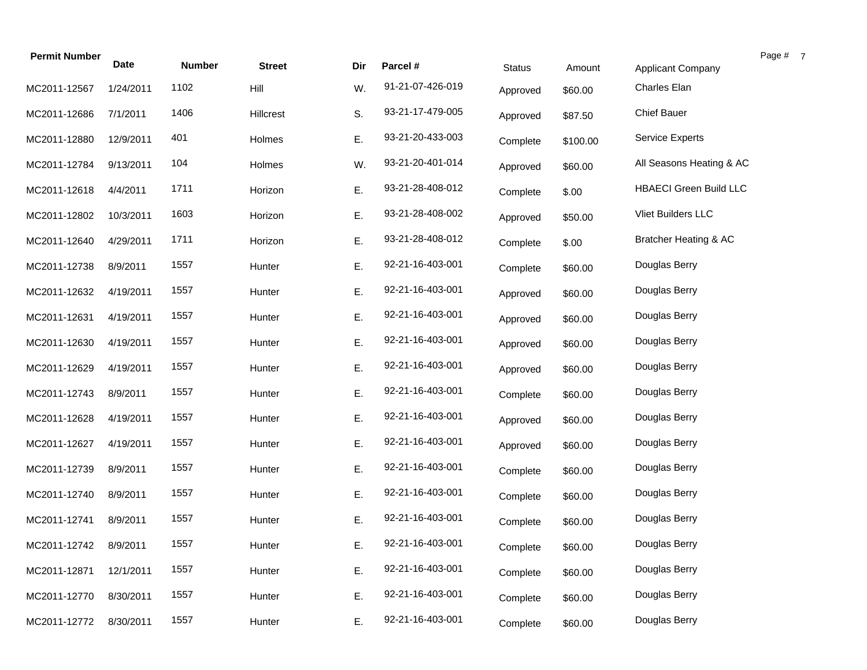| <b>Permit Number</b> |             |               |               |     |                  |               |          |                               | Page # 7 |
|----------------------|-------------|---------------|---------------|-----|------------------|---------------|----------|-------------------------------|----------|
|                      | <b>Date</b> | <b>Number</b> | <b>Street</b> | Dir | Parcel #         | <b>Status</b> | Amount   | <b>Applicant Company</b>      |          |
| MC2011-12567         | 1/24/2011   | 1102          | Hill          | W.  | 91-21-07-426-019 | Approved      | \$60.00  | Charles Elan                  |          |
| MC2011-12686         | 7/1/2011    | 1406          | Hillcrest     | S.  | 93-21-17-479-005 | Approved      | \$87.50  | <b>Chief Bauer</b>            |          |
| MC2011-12880         | 12/9/2011   | 401           | Holmes        | Ε.  | 93-21-20-433-003 | Complete      | \$100.00 | <b>Service Experts</b>        |          |
| MC2011-12784         | 9/13/2011   | 104           | Holmes        | W.  | 93-21-20-401-014 | Approved      | \$60.00  | All Seasons Heating & AC      |          |
| MC2011-12618         | 4/4/2011    | 1711          | Horizon       | Ε.  | 93-21-28-408-012 | Complete      | \$.00    | <b>HBAECI Green Build LLC</b> |          |
| MC2011-12802         | 10/3/2011   | 1603          | Horizon       | Ε.  | 93-21-28-408-002 | Approved      | \$50.00  | Vliet Builders LLC            |          |
| MC2011-12640         | 4/29/2011   | 1711          | Horizon       | Ε.  | 93-21-28-408-012 | Complete      | \$.00    | Bratcher Heating & AC         |          |
| MC2011-12738         | 8/9/2011    | 1557          | Hunter        | Ε.  | 92-21-16-403-001 | Complete      | \$60.00  | Douglas Berry                 |          |
| MC2011-12632         | 4/19/2011   | 1557          | Hunter        | Ε.  | 92-21-16-403-001 | Approved      | \$60.00  | Douglas Berry                 |          |
| MC2011-12631         | 4/19/2011   | 1557          | Hunter        | Ε.  | 92-21-16-403-001 | Approved      | \$60.00  | Douglas Berry                 |          |
| MC2011-12630         | 4/19/2011   | 1557          | Hunter        | Ε.  | 92-21-16-403-001 | Approved      | \$60.00  | Douglas Berry                 |          |
| MC2011-12629         | 4/19/2011   | 1557          | Hunter        | Ε.  | 92-21-16-403-001 | Approved      | \$60.00  | Douglas Berry                 |          |
| MC2011-12743         | 8/9/2011    | 1557          | Hunter        | Ε.  | 92-21-16-403-001 | Complete      | \$60.00  | Douglas Berry                 |          |
| MC2011-12628         | 4/19/2011   | 1557          | Hunter        | Ε.  | 92-21-16-403-001 | Approved      | \$60.00  | Douglas Berry                 |          |
| MC2011-12627         | 4/19/2011   | 1557          | Hunter        | Ε.  | 92-21-16-403-001 | Approved      | \$60.00  | Douglas Berry                 |          |
| MC2011-12739         | 8/9/2011    | 1557          | Hunter        | Ε.  | 92-21-16-403-001 | Complete      | \$60.00  | Douglas Berry                 |          |
| MC2011-12740         | 8/9/2011    | 1557          | Hunter        | Ε.  | 92-21-16-403-001 | Complete      | \$60.00  | Douglas Berry                 |          |
| MC2011-12741         | 8/9/2011    | 1557          | Hunter        | Ε.  | 92-21-16-403-001 | Complete      | \$60.00  | Douglas Berry                 |          |
| MC2011-12742         | 8/9/2011    | 1557          | Hunter        | Ε.  | 92-21-16-403-001 | Complete      | \$60.00  | Douglas Berry                 |          |
| MC2011-12871         | 12/1/2011   | 1557          | Hunter        | Ε.  | 92-21-16-403-001 | Complete      | \$60.00  | Douglas Berry                 |          |
| MC2011-12770         | 8/30/2011   | 1557          | Hunter        | Ε.  | 92-21-16-403-001 | Complete      | \$60.00  | Douglas Berry                 |          |
| MC2011-12772         | 8/30/2011   | 1557          | Hunter        | Ε.  | 92-21-16-403-001 | Complete      | \$60.00  | Douglas Berry                 |          |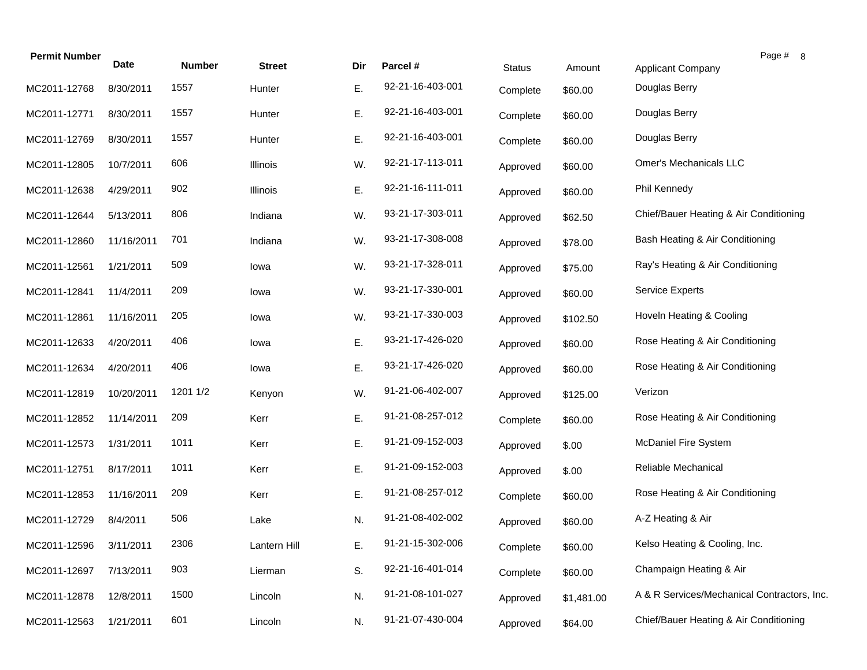| <b>Permit Number</b> | <b>Date</b> | <b>Number</b> | <b>Street</b> | Dir | Parcel #         | <b>Status</b> | Amount     | Page # 8<br>Applicant Company               |
|----------------------|-------------|---------------|---------------|-----|------------------|---------------|------------|---------------------------------------------|
| MC2011-12768         | 8/30/2011   | 1557          | Hunter        | Ε.  | 92-21-16-403-001 | Complete      | \$60.00    | Douglas Berry                               |
| MC2011-12771         | 8/30/2011   | 1557          | Hunter        | Ε.  | 92-21-16-403-001 | Complete      | \$60.00    | Douglas Berry                               |
| MC2011-12769         | 8/30/2011   | 1557          | Hunter        | Ε.  | 92-21-16-403-001 | Complete      | \$60.00    | Douglas Berry                               |
| MC2011-12805         | 10/7/2011   | 606           | Illinois      | W.  | 92-21-17-113-011 | Approved      | \$60.00    | Omer's Mechanicals LLC                      |
| MC2011-12638         | 4/29/2011   | 902           | Illinois      | Ε.  | 92-21-16-111-011 | Approved      | \$60.00    | Phil Kennedy                                |
| MC2011-12644         | 5/13/2011   | 806           | Indiana       | W.  | 93-21-17-303-011 | Approved      | \$62.50    | Chief/Bauer Heating & Air Conditioning      |
| MC2011-12860         | 11/16/2011  | 701           | Indiana       | W.  | 93-21-17-308-008 | Approved      | \$78.00    | Bash Heating & Air Conditioning             |
| MC2011-12561         | 1/21/2011   | 509           | lowa          | W.  | 93-21-17-328-011 | Approved      | \$75.00    | Ray's Heating & Air Conditioning            |
| MC2011-12841         | 11/4/2011   | 209           | lowa          | W.  | 93-21-17-330-001 | Approved      | \$60.00    | <b>Service Experts</b>                      |
| MC2011-12861         | 11/16/2011  | 205           | lowa          | W.  | 93-21-17-330-003 | Approved      | \$102.50   | Hoveln Heating & Cooling                    |
| MC2011-12633         | 4/20/2011   | 406           | lowa          | Ε.  | 93-21-17-426-020 | Approved      | \$60.00    | Rose Heating & Air Conditioning             |
| MC2011-12634         | 4/20/2011   | 406           | lowa          | Ε.  | 93-21-17-426-020 | Approved      | \$60.00    | Rose Heating & Air Conditioning             |
| MC2011-12819         | 10/20/2011  | 1201 1/2      | Kenyon        | W.  | 91-21-06-402-007 | Approved      | \$125.00   | Verizon                                     |
| MC2011-12852         | 11/14/2011  | 209           | Kerr          | Ε.  | 91-21-08-257-012 | Complete      | \$60.00    | Rose Heating & Air Conditioning             |
| MC2011-12573         | 1/31/2011   | 1011          | Kerr          | Ε.  | 91-21-09-152-003 | Approved      | \$.00      | <b>McDaniel Fire System</b>                 |
| MC2011-12751         | 8/17/2011   | 1011          | Kerr          | Ε.  | 91-21-09-152-003 | Approved      | \$.00      | Reliable Mechanical                         |
| MC2011-12853         | 11/16/2011  | 209           | Kerr          | Ε.  | 91-21-08-257-012 | Complete      | \$60.00    | Rose Heating & Air Conditioning             |
| MC2011-12729         | 8/4/2011    | 506           | Lake          | N.  | 91-21-08-402-002 | Approved      | \$60.00    | A-Z Heating & Air                           |
| MC2011-12596         | 3/11/2011   | 2306          | Lantern Hill  | Ε.  | 91-21-15-302-006 | Complete      | \$60.00    | Kelso Heating & Cooling, Inc.               |
| MC2011-12697         | 7/13/2011   | 903           | Lierman       | S.  | 92-21-16-401-014 | Complete      | \$60.00    | Champaign Heating & Air                     |
| MC2011-12878         | 12/8/2011   | 1500          | Lincoln       | N.  | 91-21-08-101-027 | Approved      | \$1,481.00 | A & R Services/Mechanical Contractors, Inc. |
| MC2011-12563         | 1/21/2011   | 601           | Lincoln       | N.  | 91-21-07-430-004 | Approved      | \$64.00    | Chief/Bauer Heating & Air Conditioning      |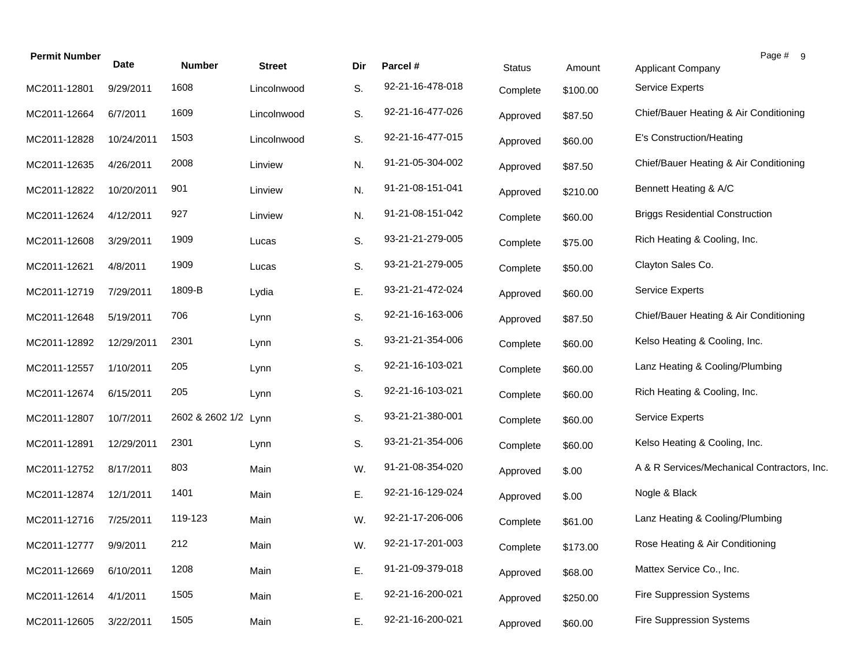| <b>Permit Number</b> | <b>Date</b> | <b>Number</b>        | <b>Street</b> | Dir | Parcel #         | <b>Status</b> | Amount   | Page # 9<br><b>Applicant Company</b>        |
|----------------------|-------------|----------------------|---------------|-----|------------------|---------------|----------|---------------------------------------------|
| MC2011-12801         | 9/29/2011   | 1608                 | Lincolnwood   | S.  | 92-21-16-478-018 | Complete      | \$100.00 | <b>Service Experts</b>                      |
| MC2011-12664         | 6/7/2011    | 1609                 | Lincolnwood   | S.  | 92-21-16-477-026 | Approved      | \$87.50  | Chief/Bauer Heating & Air Conditioning      |
| MC2011-12828         | 10/24/2011  | 1503                 | Lincolnwood   | S.  | 92-21-16-477-015 | Approved      | \$60.00  | E's Construction/Heating                    |
| MC2011-12635         | 4/26/2011   | 2008                 | Linview       | N.  | 91-21-05-304-002 | Approved      | \$87.50  | Chief/Bauer Heating & Air Conditioning      |
| MC2011-12822         | 10/20/2011  | 901                  | Linview       | N.  | 91-21-08-151-041 | Approved      | \$210.00 | Bennett Heating & A/C                       |
| MC2011-12624         | 4/12/2011   | 927                  | Linview       | N.  | 91-21-08-151-042 | Complete      | \$60.00  | <b>Briggs Residential Construction</b>      |
| MC2011-12608         | 3/29/2011   | 1909                 | Lucas         | S.  | 93-21-21-279-005 | Complete      | \$75.00  | Rich Heating & Cooling, Inc.                |
| MC2011-12621         | 4/8/2011    | 1909                 | Lucas         | S.  | 93-21-21-279-005 | Complete      | \$50.00  | Clayton Sales Co.                           |
| MC2011-12719         | 7/29/2011   | 1809-B               | Lydia         | Ε.  | 93-21-21-472-024 | Approved      | \$60.00  | <b>Service Experts</b>                      |
| MC2011-12648         | 5/19/2011   | 706                  | Lynn          | S.  | 92-21-16-163-006 | Approved      | \$87.50  | Chief/Bauer Heating & Air Conditioning      |
| MC2011-12892         | 12/29/2011  | 2301                 | Lynn          | S.  | 93-21-21-354-006 | Complete      | \$60.00  | Kelso Heating & Cooling, Inc.               |
| MC2011-12557         | 1/10/2011   | 205                  | Lynn          | S.  | 92-21-16-103-021 | Complete      | \$60.00  | Lanz Heating & Cooling/Plumbing             |
| MC2011-12674         | 6/15/2011   | 205                  | Lynn          | S.  | 92-21-16-103-021 | Complete      | \$60.00  | Rich Heating & Cooling, Inc.                |
| MC2011-12807         | 10/7/2011   | 2602 & 2602 1/2 Lynn |               | S.  | 93-21-21-380-001 | Complete      | \$60.00  | <b>Service Experts</b>                      |
| MC2011-12891         | 12/29/2011  | 2301                 | Lynn          | S.  | 93-21-21-354-006 | Complete      | \$60.00  | Kelso Heating & Cooling, Inc.               |
| MC2011-12752         | 8/17/2011   | 803                  | Main          | W.  | 91-21-08-354-020 | Approved      | \$.00    | A & R Services/Mechanical Contractors, Inc. |
| MC2011-12874         | 12/1/2011   | 1401                 | Main          | Ε.  | 92-21-16-129-024 | Approved      | \$.00    | Nogle & Black                               |
| MC2011-12716         | 7/25/2011   | 119-123              | Main          | W.  | 92-21-17-206-006 | Complete      | \$61.00  | Lanz Heating & Cooling/Plumbing             |
| MC2011-12777         | 9/9/2011    | 212                  | Main          | W.  | 92-21-17-201-003 | Complete      | \$173.00 | Rose Heating & Air Conditioning             |
| MC2011-12669         | 6/10/2011   | 1208                 | Main          | Ε.  | 91-21-09-379-018 | Approved      | \$68.00  | Mattex Service Co., Inc.                    |
| MC2011-12614         | 4/1/2011    | 1505                 | Main          | Ε.  | 92-21-16-200-021 | Approved      | \$250.00 | Fire Suppression Systems                    |
| MC2011-12605         | 3/22/2011   | 1505                 | Main          | Ε.  | 92-21-16-200-021 | Approved      | \$60.00  | Fire Suppression Systems                    |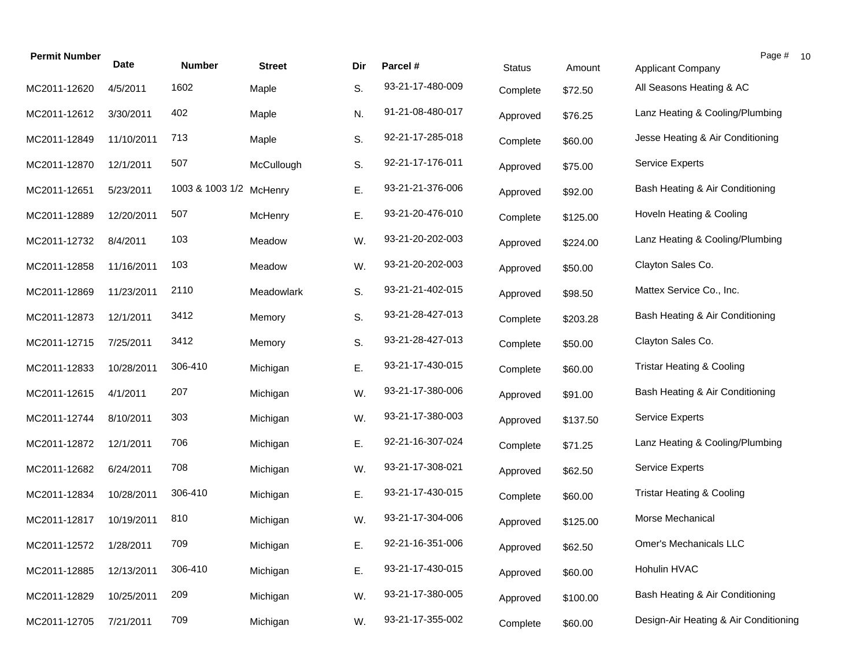| <b>Permit Number</b> | <b>Date</b> | <b>Number</b>           | <b>Street</b> | Dir | Parcel #         | <b>Status</b> | Amount   | Page # 10<br>Applicant Company        |  |
|----------------------|-------------|-------------------------|---------------|-----|------------------|---------------|----------|---------------------------------------|--|
| MC2011-12620         | 4/5/2011    | 1602                    | Maple         | S.  | 93-21-17-480-009 | Complete      | \$72.50  | All Seasons Heating & AC              |  |
| MC2011-12612         | 3/30/2011   | 402                     | Maple         | N.  | 91-21-08-480-017 | Approved      | \$76.25  | Lanz Heating & Cooling/Plumbing       |  |
| MC2011-12849         | 11/10/2011  | 713                     | Maple         | S.  | 92-21-17-285-018 | Complete      | \$60.00  | Jesse Heating & Air Conditioning      |  |
| MC2011-12870         | 12/1/2011   | 507                     | McCullough    | S.  | 92-21-17-176-011 | Approved      | \$75.00  | <b>Service Experts</b>                |  |
| MC2011-12651         | 5/23/2011   | 1003 & 1003 1/2 McHenry |               | Ε.  | 93-21-21-376-006 | Approved      | \$92.00  | Bash Heating & Air Conditioning       |  |
| MC2011-12889         | 12/20/2011  | 507                     | McHenry       | Ε.  | 93-21-20-476-010 | Complete      | \$125.00 | Hoveln Heating & Cooling              |  |
| MC2011-12732         | 8/4/2011    | 103                     | Meadow        | W.  | 93-21-20-202-003 | Approved      | \$224.00 | Lanz Heating & Cooling/Plumbing       |  |
| MC2011-12858         | 11/16/2011  | 103                     | Meadow        | W.  | 93-21-20-202-003 | Approved      | \$50.00  | Clayton Sales Co.                     |  |
| MC2011-12869         | 11/23/2011  | 2110                    | Meadowlark    | S.  | 93-21-21-402-015 | Approved      | \$98.50  | Mattex Service Co., Inc.              |  |
| MC2011-12873         | 12/1/2011   | 3412                    | Memory        | S.  | 93-21-28-427-013 | Complete      | \$203.28 | Bash Heating & Air Conditioning       |  |
| MC2011-12715         | 7/25/2011   | 3412                    | Memory        | S.  | 93-21-28-427-013 | Complete      | \$50.00  | Clayton Sales Co.                     |  |
| MC2011-12833         | 10/28/2011  | 306-410                 | Michigan      | Ε.  | 93-21-17-430-015 | Complete      | \$60.00  | <b>Tristar Heating &amp; Cooling</b>  |  |
| MC2011-12615         | 4/1/2011    | 207                     | Michigan      | W.  | 93-21-17-380-006 | Approved      | \$91.00  | Bash Heating & Air Conditioning       |  |
| MC2011-12744         | 8/10/2011   | 303                     | Michigan      | W.  | 93-21-17-380-003 | Approved      | \$137.50 | <b>Service Experts</b>                |  |
| MC2011-12872         | 12/1/2011   | 706                     | Michigan      | Ε.  | 92-21-16-307-024 | Complete      | \$71.25  | Lanz Heating & Cooling/Plumbing       |  |
| MC2011-12682         | 6/24/2011   | 708                     | Michigan      | W.  | 93-21-17-308-021 | Approved      | \$62.50  | <b>Service Experts</b>                |  |
| MC2011-12834         | 10/28/2011  | 306-410                 | Michigan      | Ε.  | 93-21-17-430-015 | Complete      | \$60.00  | <b>Tristar Heating &amp; Cooling</b>  |  |
| MC2011-12817         | 10/19/2011  | 810                     | Michigan      | W.  | 93-21-17-304-006 | Approved      | \$125.00 | Morse Mechanical                      |  |
| MC2011-12572         | 1/28/2011   | 709                     | Michigan      | Ε.  | 92-21-16-351-006 | Approved      | \$62.50  | Omer's Mechanicals LLC                |  |
| MC2011-12885         | 12/13/2011  | 306-410                 | Michigan      | Ε.  | 93-21-17-430-015 | Approved      | \$60.00  | Hohulin HVAC                          |  |
| MC2011-12829         | 10/25/2011  | 209                     | Michigan      | W.  | 93-21-17-380-005 | Approved      | \$100.00 | Bash Heating & Air Conditioning       |  |
| MC2011-12705         | 7/21/2011   | 709                     | Michigan      | W.  | 93-21-17-355-002 | Complete      | \$60.00  | Design-Air Heating & Air Conditioning |  |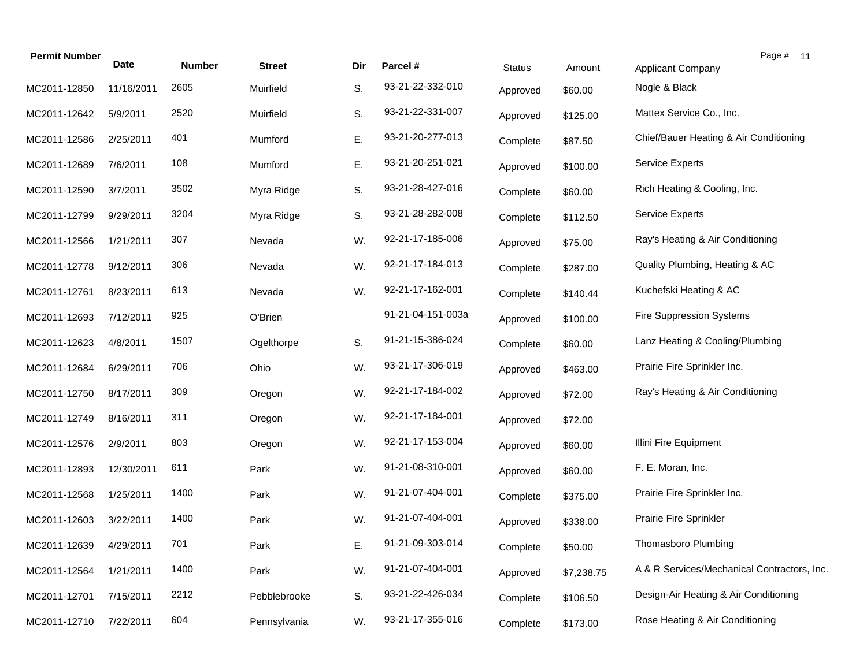| <b>Permit Number</b> | Date       | <b>Number</b> | <b>Street</b> | Dir | Parcel #          | <b>Status</b> | Amount     | Page # 11<br><b>Applicant Company</b>       |
|----------------------|------------|---------------|---------------|-----|-------------------|---------------|------------|---------------------------------------------|
| MC2011-12850         | 11/16/2011 | 2605          | Muirfield     | S.  | 93-21-22-332-010  | Approved      | \$60.00    | Nogle & Black                               |
| MC2011-12642         | 5/9/2011   | 2520          | Muirfield     | S.  | 93-21-22-331-007  | Approved      | \$125.00   | Mattex Service Co., Inc.                    |
| MC2011-12586         | 2/25/2011  | 401           | Mumford       | Ε.  | 93-21-20-277-013  | Complete      | \$87.50    | Chief/Bauer Heating & Air Conditioning      |
| MC2011-12689         | 7/6/2011   | 108           | Mumford       | Ε.  | 93-21-20-251-021  | Approved      | \$100.00   | Service Experts                             |
| MC2011-12590         | 3/7/2011   | 3502          | Myra Ridge    | S.  | 93-21-28-427-016  | Complete      | \$60.00    | Rich Heating & Cooling, Inc.                |
| MC2011-12799         | 9/29/2011  | 3204          | Myra Ridge    | S.  | 93-21-28-282-008  | Complete      | \$112.50   | <b>Service Experts</b>                      |
| MC2011-12566         | 1/21/2011  | 307           | Nevada        | W.  | 92-21-17-185-006  | Approved      | \$75.00    | Ray's Heating & Air Conditioning            |
| MC2011-12778         | 9/12/2011  | 306           | Nevada        | W.  | 92-21-17-184-013  | Complete      | \$287.00   | Quality Plumbing, Heating & AC              |
| MC2011-12761         | 8/23/2011  | 613           | Nevada        | W.  | 92-21-17-162-001  | Complete      | \$140.44   | Kuchefski Heating & AC                      |
| MC2011-12693         | 7/12/2011  | 925           | O'Brien       |     | 91-21-04-151-003a | Approved      | \$100.00   | <b>Fire Suppression Systems</b>             |
| MC2011-12623         | 4/8/2011   | 1507          | Ogelthorpe    | S.  | 91-21-15-386-024  | Complete      | \$60.00    | Lanz Heating & Cooling/Plumbing             |
| MC2011-12684         | 6/29/2011  | 706           | Ohio          | W.  | 93-21-17-306-019  | Approved      | \$463.00   | Prairie Fire Sprinkler Inc.                 |
| MC2011-12750         | 8/17/2011  | 309           | Oregon        | W.  | 92-21-17-184-002  | Approved      | \$72.00    | Ray's Heating & Air Conditioning            |
| MC2011-12749         | 8/16/2011  | 311           | Oregon        | W.  | 92-21-17-184-001  | Approved      | \$72.00    |                                             |
| MC2011-12576         | 2/9/2011   | 803           | Oregon        | W.  | 92-21-17-153-004  | Approved      | \$60.00    | Illini Fire Equipment                       |
| MC2011-12893         | 12/30/2011 | 611           | Park          | W.  | 91-21-08-310-001  | Approved      | \$60.00    | F. E. Moran, Inc.                           |
| MC2011-12568         | 1/25/2011  | 1400          | Park          | W.  | 91-21-07-404-001  | Complete      | \$375.00   | Prairie Fire Sprinkler Inc.                 |
| MC2011-12603         | 3/22/2011  | 1400          | Park          | W.  | 91-21-07-404-001  | Approved      | \$338.00   | Prairie Fire Sprinkler                      |
| MC2011-12639         | 4/29/2011  | 701           | Park          | Ε.  | 91-21-09-303-014  | Complete      | \$50.00    | Thomasboro Plumbing                         |
| MC2011-12564         | 1/21/2011  | 1400          | Park          | W.  | 91-21-07-404-001  | Approved      | \$7,238.75 | A & R Services/Mechanical Contractors, Inc. |
| MC2011-12701         | 7/15/2011  | 2212          | Pebblebrooke  | S.  | 93-21-22-426-034  | Complete      | \$106.50   | Design-Air Heating & Air Conditioning       |
| MC2011-12710         | 7/22/2011  | 604           | Pennsylvania  | W.  | 93-21-17-355-016  | Complete      | \$173.00   | Rose Heating & Air Conditioning             |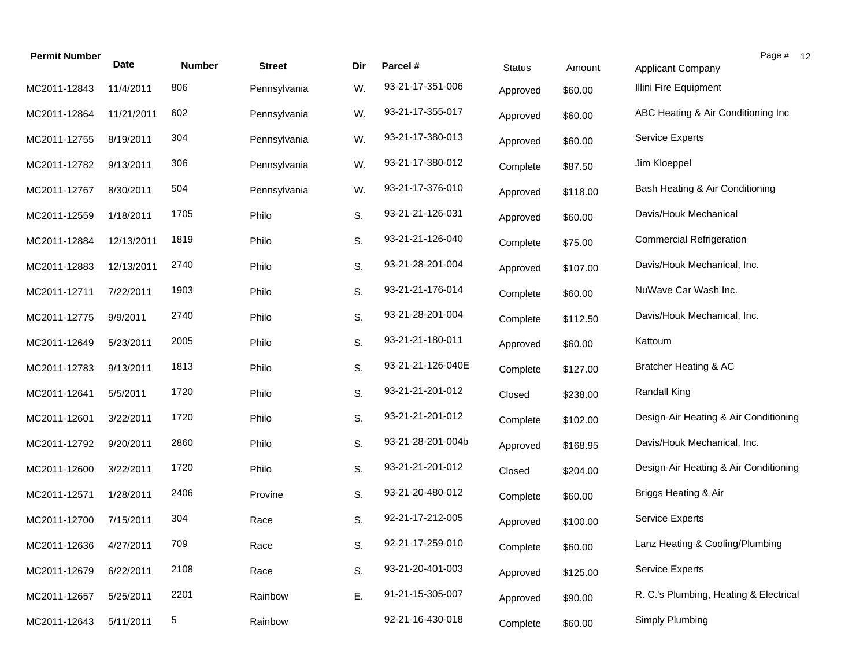| <b>Permit Number</b> | <b>Date</b> | <b>Number</b> | <b>Street</b> | Dir | Parcel #          | <b>Status</b> | Amount   | Page # 12<br>Applicant Company         |
|----------------------|-------------|---------------|---------------|-----|-------------------|---------------|----------|----------------------------------------|
| MC2011-12843         | 11/4/2011   | 806           | Pennsylvania  | W.  | 93-21-17-351-006  | Approved      | \$60.00  | Illini Fire Equipment                  |
| MC2011-12864         | 11/21/2011  | 602           | Pennsylvania  | W.  | 93-21-17-355-017  | Approved      | \$60.00  | ABC Heating & Air Conditioning Inc     |
| MC2011-12755         | 8/19/2011   | 304           | Pennsylvania  | W.  | 93-21-17-380-013  | Approved      | \$60.00  | <b>Service Experts</b>                 |
| MC2011-12782         | 9/13/2011   | 306           | Pennsylvania  | W.  | 93-21-17-380-012  | Complete      | \$87.50  | Jim Kloeppel                           |
| MC2011-12767         | 8/30/2011   | 504           | Pennsylvania  | W.  | 93-21-17-376-010  | Approved      | \$118.00 | Bash Heating & Air Conditioning        |
| MC2011-12559         | 1/18/2011   | 1705          | Philo         | S.  | 93-21-21-126-031  | Approved      | \$60.00  | Davis/Houk Mechanical                  |
| MC2011-12884         | 12/13/2011  | 1819          | Philo         | S.  | 93-21-21-126-040  | Complete      | \$75.00  | <b>Commercial Refrigeration</b>        |
| MC2011-12883         | 12/13/2011  | 2740          | Philo         | S.  | 93-21-28-201-004  | Approved      | \$107.00 | Davis/Houk Mechanical, Inc.            |
| MC2011-12711         | 7/22/2011   | 1903          | Philo         | S.  | 93-21-21-176-014  | Complete      | \$60.00  | NuWave Car Wash Inc.                   |
| MC2011-12775         | 9/9/2011    | 2740          | Philo         | S.  | 93-21-28-201-004  | Complete      | \$112.50 | Davis/Houk Mechanical, Inc.            |
| MC2011-12649         | 5/23/2011   | 2005          | Philo         | S.  | 93-21-21-180-011  | Approved      | \$60.00  | Kattoum                                |
| MC2011-12783         | 9/13/2011   | 1813          | Philo         | S.  | 93-21-21-126-040E | Complete      | \$127.00 | Bratcher Heating & AC                  |
| MC2011-12641         | 5/5/2011    | 1720          | Philo         | S.  | 93-21-21-201-012  | Closed        | \$238.00 | Randall King                           |
| MC2011-12601         | 3/22/2011   | 1720          | Philo         | S.  | 93-21-21-201-012  | Complete      | \$102.00 | Design-Air Heating & Air Conditioning  |
| MC2011-12792         | 9/20/2011   | 2860          | Philo         | S.  | 93-21-28-201-004b | Approved      | \$168.95 | Davis/Houk Mechanical, Inc.            |
| MC2011-12600         | 3/22/2011   | 1720          | Philo         | S.  | 93-21-21-201-012  | Closed        | \$204.00 | Design-Air Heating & Air Conditioning  |
| MC2011-12571         | 1/28/2011   | 2406          | Provine       | S.  | 93-21-20-480-012  | Complete      | \$60.00  | Briggs Heating & Air                   |
| MC2011-12700         | 7/15/2011   | 304           | Race          | S.  | 92-21-17-212-005  | Approved      | \$100.00 | Service Experts                        |
| MC2011-12636         | 4/27/2011   | 709           | Race          | S.  | 92-21-17-259-010  | Complete      | \$60.00  | Lanz Heating & Cooling/Plumbing        |
| MC2011-12679         | 6/22/2011   | 2108          | Race          | S.  | 93-21-20-401-003  | Approved      | \$125.00 | <b>Service Experts</b>                 |
| MC2011-12657         | 5/25/2011   | 2201          | Rainbow       | Ε.  | 91-21-15-305-007  | Approved      | \$90.00  | R. C.'s Plumbing, Heating & Electrical |
| MC2011-12643         | 5/11/2011   | 5             | Rainbow       |     | 92-21-16-430-018  | Complete      | \$60.00  | Simply Plumbing                        |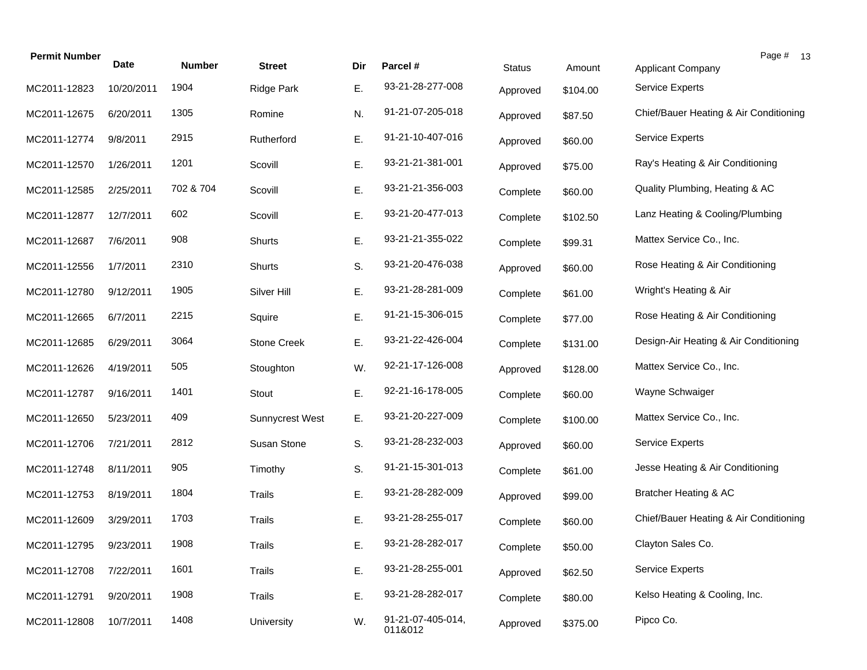| 10/20/2011 | 1904      |                        |    |                              | <b>Status</b> | Amount   | <b>Applicant Company</b>               |
|------------|-----------|------------------------|----|------------------------------|---------------|----------|----------------------------------------|
|            |           | <b>Ridge Park</b>      | Ε. | 93-21-28-277-008             | Approved      | \$104.00 | <b>Service Experts</b>                 |
| 6/20/2011  | 1305      | Romine                 | N. | 91-21-07-205-018             | Approved      | \$87.50  | Chief/Bauer Heating & Air Conditioning |
| 9/8/2011   | 2915      | Rutherford             | Ε. | 91-21-10-407-016             | Approved      | \$60.00  | Service Experts                        |
| 1/26/2011  | 1201      | Scovill                | Ε. | 93-21-21-381-001             | Approved      | \$75.00  | Ray's Heating & Air Conditioning       |
| 2/25/2011  | 702 & 704 | Scovill                | Ε. | 93-21-21-356-003             | Complete      | \$60.00  | Quality Plumbing, Heating & AC         |
| 12/7/2011  | 602       | Scovill                | Ε. | 93-21-20-477-013             | Complete      | \$102.50 | Lanz Heating & Cooling/Plumbing        |
| 7/6/2011   | 908       | <b>Shurts</b>          | Ε. | 93-21-21-355-022             | Complete      | \$99.31  | Mattex Service Co., Inc.               |
| 1/7/2011   | 2310      | Shurts                 | S. | 93-21-20-476-038             | Approved      | \$60.00  | Rose Heating & Air Conditioning        |
| 9/12/2011  | 1905      | Silver Hill            | Ε. | 93-21-28-281-009             | Complete      | \$61.00  | Wright's Heating & Air                 |
| 6/7/2011   | 2215      | Squire                 | Ε. | 91-21-15-306-015             | Complete      | \$77.00  | Rose Heating & Air Conditioning        |
| 6/29/2011  | 3064      | <b>Stone Creek</b>     | Ε. | 93-21-22-426-004             | Complete      | \$131.00 | Design-Air Heating & Air Conditioning  |
| 4/19/2011  | 505       | Stoughton              | W. | 92-21-17-126-008             | Approved      | \$128.00 | Mattex Service Co., Inc.               |
| 9/16/2011  | 1401      | Stout                  | E. | 92-21-16-178-005             | Complete      | \$60.00  | Wayne Schwaiger                        |
| 5/23/2011  | 409       | <b>Sunnycrest West</b> | Ε. | 93-21-20-227-009             | Complete      | \$100.00 | Mattex Service Co., Inc.               |
| 7/21/2011  | 2812      | Susan Stone            | S. | 93-21-28-232-003             | Approved      | \$60.00  | <b>Service Experts</b>                 |
| 8/11/2011  | 905       | Timothy                | S. | 91-21-15-301-013             | Complete      | \$61.00  | Jesse Heating & Air Conditioning       |
| 8/19/2011  | 1804      | Trails                 | Ε. | 93-21-28-282-009             | Approved      | \$99.00  | Bratcher Heating & AC                  |
| 3/29/2011  | 1703      | Trails                 | Е. | 93-21-28-255-017             | Complete      | \$60.00  | Chief/Bauer Heating & Air Conditioning |
| 9/23/2011  | 1908      | Trails                 | Е. | 93-21-28-282-017             | Complete      | \$50.00  | Clayton Sales Co.                      |
| 7/22/2011  | 1601      | Trails                 | Ε. | 93-21-28-255-001             | Approved      | \$62.50  | <b>Service Experts</b>                 |
| 9/20/2011  | 1908      | <b>Trails</b>          | Ε. | 93-21-28-282-017             | Complete      | \$80.00  | Kelso Heating & Cooling, Inc.          |
| 10/7/2011  | 1408      | University             | W. | 91-21-07-405-014,<br>011&012 | Approved      | \$375.00 | Pipco Co.                              |
|            |           |                        |    |                              |               |          |                                        |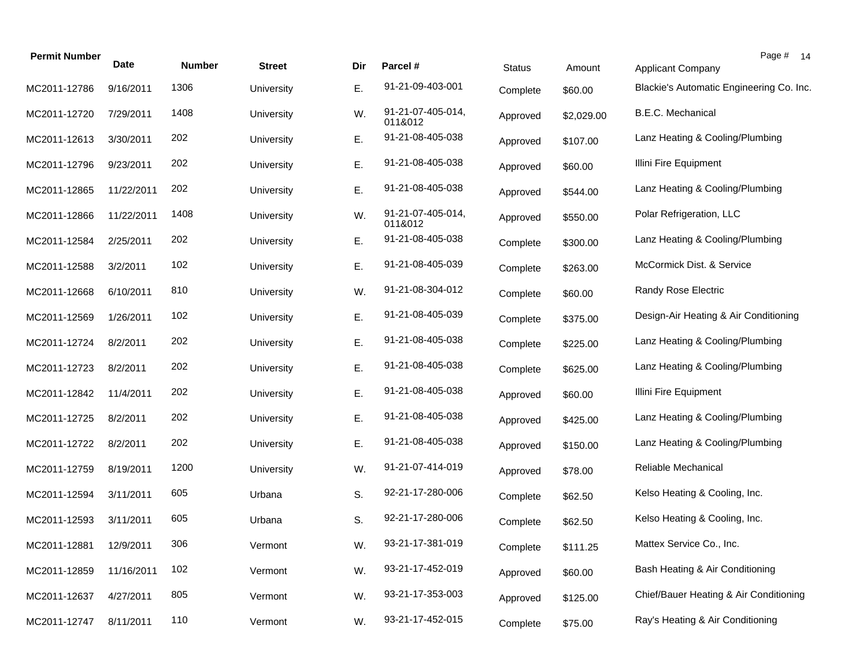| <b>Permit Number</b> | <b>Date</b> | <b>Number</b> | Street     | Dir | Parcel #                     | <b>Status</b> | Amount     | Page # 14<br><b>Applicant Company</b>    |
|----------------------|-------------|---------------|------------|-----|------------------------------|---------------|------------|------------------------------------------|
| MC2011-12786         | 9/16/2011   | 1306          | University | Ε.  | 91-21-09-403-001             | Complete      | \$60.00    | Blackie's Automatic Engineering Co. Inc. |
| MC2011-12720         | 7/29/2011   | 1408          | University | W.  | 91-21-07-405-014,<br>011&012 | Approved      | \$2,029.00 | B.E.C. Mechanical                        |
| MC2011-12613         | 3/30/2011   | 202           | University | Е.  | 91-21-08-405-038             | Approved      | \$107.00   | Lanz Heating & Cooling/Plumbing          |
| MC2011-12796         | 9/23/2011   | 202           | University | Е.  | 91-21-08-405-038             | Approved      | \$60.00    | Illini Fire Equipment                    |
| MC2011-12865         | 11/22/2011  | 202           | University | Е.  | 91-21-08-405-038             | Approved      | \$544.00   | Lanz Heating & Cooling/Plumbing          |
| MC2011-12866         | 11/22/2011  | 1408          | University | W.  | 91-21-07-405-014,<br>011&012 | Approved      | \$550.00   | Polar Refrigeration, LLC                 |
| MC2011-12584         | 2/25/2011   | 202           | University | Е.  | 91-21-08-405-038             | Complete      | \$300.00   | Lanz Heating & Cooling/Plumbing          |
| MC2011-12588         | 3/2/2011    | 102           | University | Ε.  | 91-21-08-405-039             | Complete      | \$263.00   | McCormick Dist. & Service                |
| MC2011-12668         | 6/10/2011   | 810           | University | W.  | 91-21-08-304-012             | Complete      | \$60.00    | Randy Rose Electric                      |
| MC2011-12569         | 1/26/2011   | 102           | University | Е.  | 91-21-08-405-039             | Complete      | \$375.00   | Design-Air Heating & Air Conditioning    |
| MC2011-12724         | 8/2/2011    | 202           | University | Ε.  | 91-21-08-405-038             | Complete      | \$225.00   | Lanz Heating & Cooling/Plumbing          |
| MC2011-12723         | 8/2/2011    | 202           | University | E.  | 91-21-08-405-038             | Complete      | \$625.00   | Lanz Heating & Cooling/Plumbing          |
| MC2011-12842         | 11/4/2011   | 202           | University | E.  | 91-21-08-405-038             | Approved      | \$60.00    | Illini Fire Equipment                    |
| MC2011-12725         | 8/2/2011    | 202           | University | E.  | 91-21-08-405-038             | Approved      | \$425.00   | Lanz Heating & Cooling/Plumbing          |
| MC2011-12722         | 8/2/2011    | 202           | University | E.  | 91-21-08-405-038             | Approved      | \$150.00   | Lanz Heating & Cooling/Plumbing          |
| MC2011-12759         | 8/19/2011   | 1200          | University | W.  | 91-21-07-414-019             | Approved      | \$78.00    | Reliable Mechanical                      |
| MC2011-12594         | 3/11/2011   | 605           | Urbana     | S.  | 92-21-17-280-006             | Complete      | \$62.50    | Kelso Heating & Cooling, Inc.            |
| MC2011-12593         | 3/11/2011   | 605           | Urbana     | S.  | 92-21-17-280-006             | Complete      | \$62.50    | Kelso Heating & Cooling, Inc.            |
| MC2011-12881         | 12/9/2011   | 306           | Vermont    | W.  | 93-21-17-381-019             | Complete      | \$111.25   | Mattex Service Co., Inc.                 |
| MC2011-12859         | 11/16/2011  | 102           | Vermont    | W.  | 93-21-17-452-019             | Approved      | \$60.00    | Bash Heating & Air Conditioning          |
| MC2011-12637         | 4/27/2011   | 805           | Vermont    | W.  | 93-21-17-353-003             | Approved      | \$125.00   | Chief/Bauer Heating & Air Conditioning   |
| MC2011-12747         | 8/11/2011   | 110           | Vermont    | W.  | 93-21-17-452-015             | Complete      | \$75.00    | Ray's Heating & Air Conditioning         |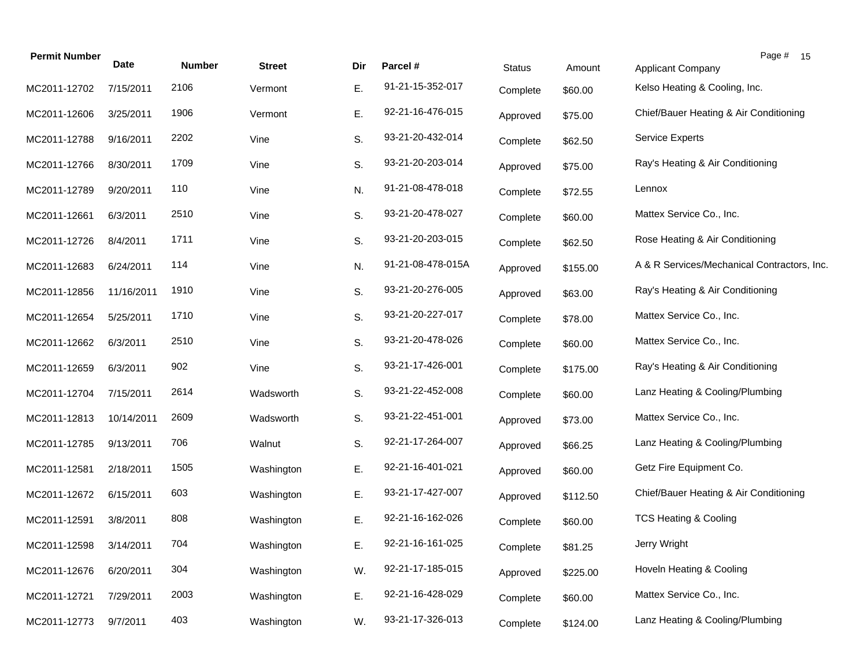| <b>Permit Number</b> | <b>Date</b> | <b>Number</b> | <b>Street</b> | Dir | Parcel #          | <b>Status</b> | Amount   | Page # 15<br><b>Applicant Company</b>       |
|----------------------|-------------|---------------|---------------|-----|-------------------|---------------|----------|---------------------------------------------|
| MC2011-12702         | 7/15/2011   | 2106          | Vermont       | Ε.  | 91-21-15-352-017  | Complete      | \$60.00  | Kelso Heating & Cooling, Inc.               |
| MC2011-12606         | 3/25/2011   | 1906          | Vermont       | Ε.  | 92-21-16-476-015  | Approved      | \$75.00  | Chief/Bauer Heating & Air Conditioning      |
| MC2011-12788         | 9/16/2011   | 2202          | Vine          | S.  | 93-21-20-432-014  | Complete      | \$62.50  | <b>Service Experts</b>                      |
| MC2011-12766         | 8/30/2011   | 1709          | Vine          | S.  | 93-21-20-203-014  | Approved      | \$75.00  | Ray's Heating & Air Conditioning            |
| MC2011-12789         | 9/20/2011   | 110           | Vine          | N.  | 91-21-08-478-018  | Complete      | \$72.55  | Lennox                                      |
| MC2011-12661         | 6/3/2011    | 2510          | Vine          | S.  | 93-21-20-478-027  | Complete      | \$60.00  | Mattex Service Co., Inc.                    |
| MC2011-12726         | 8/4/2011    | 1711          | Vine          | S.  | 93-21-20-203-015  | Complete      | \$62.50  | Rose Heating & Air Conditioning             |
| MC2011-12683         | 6/24/2011   | 114           | Vine          | N.  | 91-21-08-478-015A | Approved      | \$155.00 | A & R Services/Mechanical Contractors, Inc. |
| MC2011-12856         | 11/16/2011  | 1910          | Vine          | S.  | 93-21-20-276-005  | Approved      | \$63.00  | Ray's Heating & Air Conditioning            |
| MC2011-12654         | 5/25/2011   | 1710          | Vine          | S.  | 93-21-20-227-017  | Complete      | \$78.00  | Mattex Service Co., Inc.                    |
| MC2011-12662         | 6/3/2011    | 2510          | Vine          | S.  | 93-21-20-478-026  | Complete      | \$60.00  | Mattex Service Co., Inc.                    |
| MC2011-12659         | 6/3/2011    | 902           | Vine          | S.  | 93-21-17-426-001  | Complete      | \$175.00 | Ray's Heating & Air Conditioning            |
| MC2011-12704         | 7/15/2011   | 2614          | Wadsworth     | S.  | 93-21-22-452-008  | Complete      | \$60.00  | Lanz Heating & Cooling/Plumbing             |
| MC2011-12813         | 10/14/2011  | 2609          | Wadsworth     | S.  | 93-21-22-451-001  | Approved      | \$73.00  | Mattex Service Co., Inc.                    |
| MC2011-12785         | 9/13/2011   | 706           | Walnut        | S.  | 92-21-17-264-007  | Approved      | \$66.25  | Lanz Heating & Cooling/Plumbing             |
| MC2011-12581         | 2/18/2011   | 1505          | Washington    | Ε.  | 92-21-16-401-021  | Approved      | \$60.00  | Getz Fire Equipment Co.                     |
| MC2011-12672         | 6/15/2011   | 603           | Washington    | Ε.  | 93-21-17-427-007  | Approved      | \$112.50 | Chief/Bauer Heating & Air Conditioning      |
| MC2011-12591         | 3/8/2011    | 808           | Washington    | Е.  | 92-21-16-162-026  | Complete      | \$60.00  | <b>TCS Heating &amp; Cooling</b>            |
| MC2011-12598         | 3/14/2011   | 704           | Washington    | Е.  | 92-21-16-161-025  | Complete      | \$81.25  | Jerry Wright                                |
| MC2011-12676         | 6/20/2011   | 304           | Washington    | W.  | 92-21-17-185-015  | Approved      | \$225.00 | Hoveln Heating & Cooling                    |
| MC2011-12721         | 7/29/2011   | 2003          | Washington    | Ε.  | 92-21-16-428-029  | Complete      | \$60.00  | Mattex Service Co., Inc.                    |
| MC2011-12773         | 9/7/2011    | 403           | Washington    | W.  | 93-21-17-326-013  | Complete      | \$124.00 | Lanz Heating & Cooling/Plumbing             |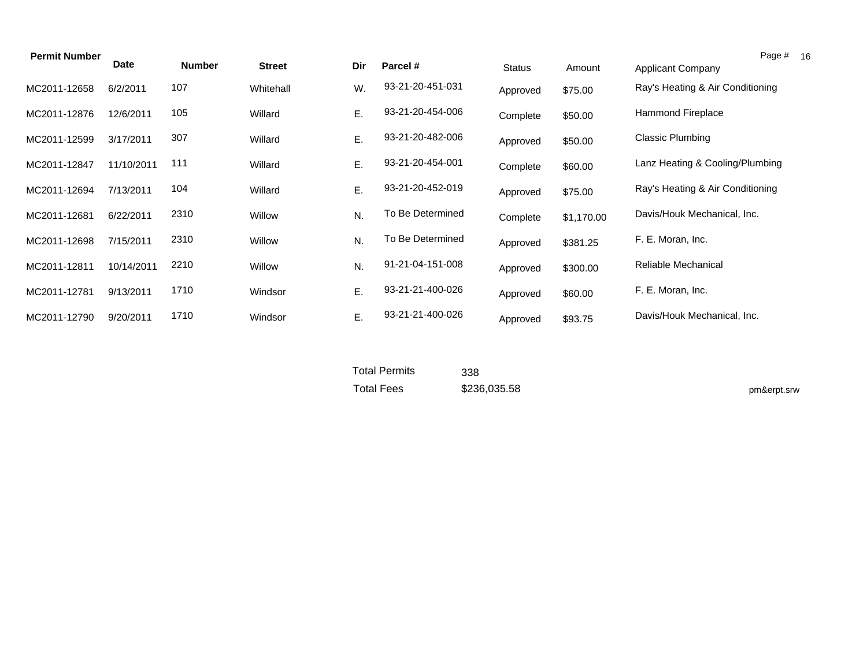| <b>Permit Number</b> |            |               |               |     |                  |               |            |                                  | Page # 16 |
|----------------------|------------|---------------|---------------|-----|------------------|---------------|------------|----------------------------------|-----------|
|                      | Date       | <b>Number</b> | <b>Street</b> | Dir | Parcel #         | <b>Status</b> | Amount     | <b>Applicant Company</b>         |           |
| MC2011-12658         | 6/2/2011   | 107           | Whitehall     | W.  | 93-21-20-451-031 | Approved      | \$75.00    | Ray's Heating & Air Conditioning |           |
| MC2011-12876         | 12/6/2011  | 105           | Willard       | Ε.  | 93-21-20-454-006 | Complete      | \$50.00    | <b>Hammond Fireplace</b>         |           |
| MC2011-12599         | 3/17/2011  | 307           | Willard       | Ε.  | 93-21-20-482-006 | Approved      | \$50.00    | Classic Plumbing                 |           |
| MC2011-12847         | 11/10/2011 | 111           | Willard       | Ε.  | 93-21-20-454-001 | Complete      | \$60.00    | Lanz Heating & Cooling/Plumbing  |           |
| MC2011-12694         | 7/13/2011  | 104           | Willard       | Ε.  | 93-21-20-452-019 | Approved      | \$75.00    | Ray's Heating & Air Conditioning |           |
| MC2011-12681         | 6/22/2011  | 2310          | Willow        | N.  | To Be Determined | Complete      | \$1,170.00 | Davis/Houk Mechanical, Inc.      |           |
| MC2011-12698         | 7/15/2011  | 2310          | Willow        | N.  | To Be Determined | Approved      | \$381.25   | F. E. Moran, Inc.                |           |
| MC2011-12811         | 10/14/2011 | 2210          | Willow        | N.  | 91-21-04-151-008 | Approved      | \$300.00   | Reliable Mechanical              |           |
| MC2011-12781         | 9/13/2011  | 1710          | Windsor       | Ε.  | 93-21-21-400-026 | Approved      | \$60.00    | F. E. Moran, Inc.                |           |
| MC2011-12790         | 9/20/2011  | 1710          | Windsor       | Ε.  | 93-21-21-400-026 | Approved      | \$93.75    | Davis/Houk Mechanical, Inc.      |           |

Total Permits Total Fees

 \$236,035.58 338

pm&erpt.srw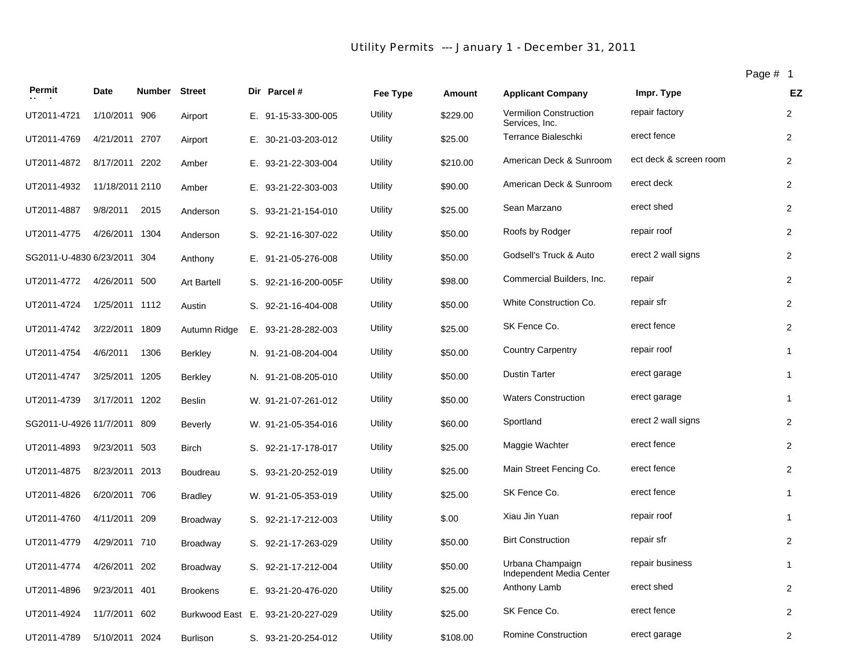# *Utility Permits --- January 1 - December 31, 2011*

Page # 1

| Permit                      | Date            | <b>Number Street</b> |                    | Dir Parcel #         | Fee Type | Amount   | <b>Applicant Company</b>                        | Impr. Type             | EZ               |
|-----------------------------|-----------------|----------------------|--------------------|----------------------|----------|----------|-------------------------------------------------|------------------------|------------------|
| UT2011-4721                 | 1/10/2011       | 906                  | Airport            | E. 91-15-33-300-005  | Utility  | \$229.00 | <b>Vermilion Construction</b><br>Services, Inc. | repair factory         | $\overline{2}$   |
| UT2011-4769                 | 4/21/2011 2707  |                      | Airport            | E. 30-21-03-203-012  | Utility  | \$25.00  | Terrance Bialeschki                             | erect fence            | 2                |
| UT2011-4872                 | 8/17/2011 2202  |                      | Amber              | E. 93-21-22-303-004  | Utility  | \$210.00 | American Deck & Sunroom                         | ect deck & screen room | $\overline{2}$   |
| UT2011-4932                 | 11/18/2011 2110 |                      | Amber              | E. 93-21-22-303-003  | Utility  | \$90.00  | American Deck & Sunroom                         | erect deck             | 2                |
| UT2011-4887                 | 9/8/2011        | 2015                 | Anderson           | S. 93-21-21-154-010  | Utility  | \$25.00  | Sean Marzano                                    | erect shed             | 2                |
| UT2011-4775                 | 4/26/2011 1304  |                      | Anderson           | S. 92-21-16-307-022  | Utility  | \$50.00  | Roofs by Rodger                                 | repair roof            | 2                |
| SG2011-U-4830 6/23/2011     |                 | 304                  | Anthony            | E. 91-21-05-276-008  | Utility  | \$50.00  | Godsell's Truck & Auto                          | erect 2 wall signs     | 2                |
| UT2011-4772                 | 4/26/2011 500   |                      | <b>Art Bartell</b> | S. 92-21-16-200-005F | Utility  | \$98.00  | Commercial Builders, Inc.                       | repair                 | $\overline{2}$   |
| UT2011-4724                 | 1/25/2011 1112  |                      | Austin             | S. 92-21-16-404-008  | Utility  | \$50.00  | White Construction Co.                          | repair sfr             | 2                |
| UT2011-4742                 | 3/22/2011 1809  |                      | Autumn Ridge       | E. 93-21-28-282-003  | Utility  | \$25.00  | SK Fence Co.                                    | erect fence            | $\overline{2}$   |
| UT2011-4754                 | 4/6/2011        | 1306                 | Berkley            | N. 91-21-08-204-004  | Utility  | \$50.00  | <b>Country Carpentry</b>                        | repair roof            | $\mathbf{1}$     |
| UT2011-4747                 | 3/25/2011 1205  |                      | Berkley            | N. 91-21-08-205-010  | Utility  | \$50.00  | <b>Dustin Tarter</b>                            | erect garage           | $\mathbf{1}$     |
| UT2011-4739                 | 3/17/2011 1202  |                      | <b>Beslin</b>      | W. 91-21-07-261-012  | Utility  | \$50.00  | <b>Waters Construction</b>                      | erect garage           | $\mathbf{1}$     |
| SG2011-U-4926 11/7/2011 809 |                 |                      | <b>Beverly</b>     | W. 91-21-05-354-016  | Utility  | \$60.00  | Sportland                                       | erect 2 wall signs     | $\overline{2}$   |
| UT2011-4893                 | 9/23/2011 503   |                      | <b>Birch</b>       | S. 92-21-17-178-017  | Utility  | \$25.00  | Maggie Wachter                                  | erect fence            | $\overline{2}$   |
| UT2011-4875                 | 8/23/2011 2013  |                      | <b>Boudreau</b>    | S. 93-21-20-252-019  | Utility  | \$25.00  | Main Street Fencing Co.                         | erect fence            | 2                |
| UT2011-4826                 | 6/20/2011 706   |                      | <b>Bradley</b>     | W. 91-21-05-353-019  | Utility  | \$25.00  | SK Fence Co.                                    | erect fence            | $\mathbf{1}$     |
| UT2011-4760                 | 4/11/2011       | 209                  | <b>Broadway</b>    | S. 92-21-17-212-003  | Utility  | \$.00    | Xiau Jin Yuan                                   | repair roof            | $\mathbf{1}$     |
| UT2011-4779                 | 4/29/2011 710   |                      | <b>Broadway</b>    | S. 92-21-17-263-029  | Utility  | \$50.00  | <b>Birt Construction</b>                        | repair sfr             | 2                |
| UT2011-4774                 | 4/26/2011 202   |                      | <b>Broadway</b>    | S. 92-21-17-212-004  | Utility  | \$50.00  | Urbana Champaign<br>Independent Media Center    | repair business        | $\mathbf{1}$     |
| UT2011-4896                 | 9/23/2011 401   |                      | <b>Brookens</b>    | E. 93-21-20-476-020  | Utility  | \$25.00  | Anthony Lamb                                    | erect shed             | 2                |
| UT2011-4924                 | 11/7/2011       | 602                  | Burkwood East      | E. 93-21-20-227-029  | Utility  | \$25.00  | SK Fence Co.                                    | erect fence            | $\overline{c}$   |
| UT2011-4789                 | 5/10/2011 2024  |                      | <b>Burlison</b>    | S. 93-21-20-254-012  | Utility  | \$108.00 | <b>Romine Construction</b>                      | erect garage           | $\boldsymbol{2}$ |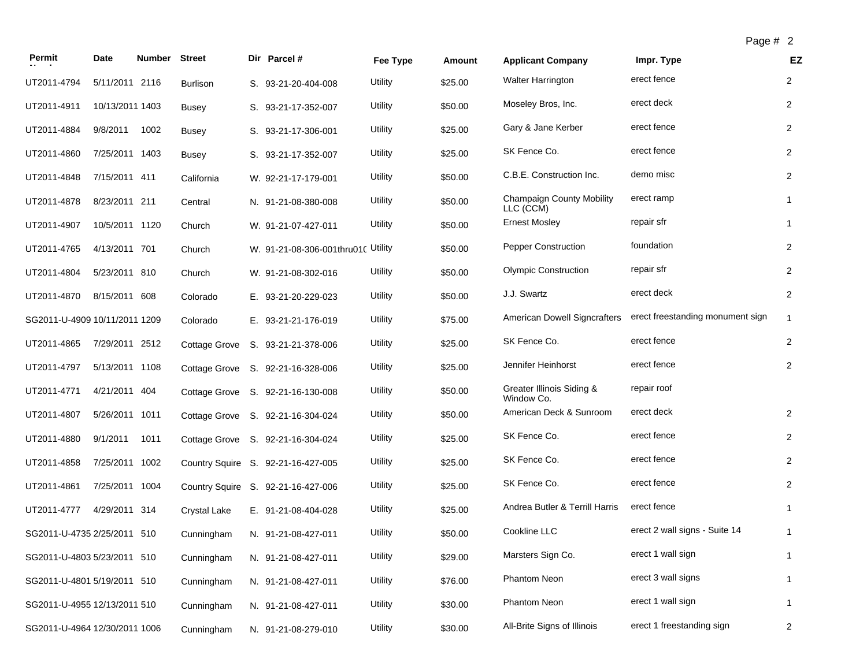| Permit                        | Date            | <b>Number</b> | <b>Street</b>        | Dir Parcel #                       | Fee Type | Amount  | <b>Applicant Company</b>                      | Impr. Type                       | EZ             |
|-------------------------------|-----------------|---------------|----------------------|------------------------------------|----------|---------|-----------------------------------------------|----------------------------------|----------------|
| UT2011-4794                   | 5/11/2011 2116  |               | <b>Burlison</b>      | S. 93-21-20-404-008                | Utility  | \$25.00 | <b>Walter Harrington</b>                      | erect fence                      | $\overline{2}$ |
| UT2011-4911                   | 10/13/2011 1403 |               | Busey                | S. 93-21-17-352-007                | Utility  | \$50.00 | Moseley Bros, Inc.                            | erect deck                       | $\overline{2}$ |
| UT2011-4884                   | 9/8/2011        | 1002          | <b>Busey</b>         | S. 93-21-17-306-001                | Utility  | \$25.00 | Gary & Jane Kerber                            | erect fence                      | $\overline{2}$ |
| UT2011-4860                   | 7/25/2011 1403  |               | <b>Busey</b>         | S. 93-21-17-352-007                | Utility  | \$25.00 | SK Fence Co.                                  | erect fence                      | $\overline{2}$ |
| UT2011-4848                   | 7/15/2011 411   |               | California           | W. 92-21-17-179-001                | Utility  | \$50.00 | C.B.E. Construction Inc.                      | demo misc                        | $\overline{2}$ |
| UT2011-4878                   | 8/23/2011 211   |               | Central              | N. 91-21-08-380-008                | Utility  | \$50.00 | <b>Champaign County Mobility</b><br>LLC (CCM) | erect ramp                       | $\mathbf{1}$   |
| UT2011-4907                   | 10/5/2011 1120  |               | Church               | W. 91-21-07-427-011                | Utility  | \$50.00 | <b>Ernest Mosley</b>                          | repair sfr                       | $\mathbf{1}$   |
| UT2011-4765                   | 4/13/2011 701   |               | Church               | W. 91-21-08-306-001thru010 Utility |          | \$50.00 | <b>Pepper Construction</b>                    | foundation                       | $\overline{2}$ |
| UT2011-4804                   | 5/23/2011 810   |               | Church               | W. 91-21-08-302-016                | Utility  | \$50.00 | <b>Olympic Construction</b>                   | repair sfr                       | $\overline{2}$ |
| UT2011-4870                   | 8/15/2011 608   |               | Colorado             | E. 93-21-20-229-023                | Utility  | \$50.00 | J.J. Swartz                                   | erect deck                       | $\overline{2}$ |
| SG2011-U-4909 10/11/2011 1209 |                 |               | Colorado             | E. 93-21-21-176-019                | Utility  | \$75.00 | American Dowell Signcrafters                  | erect freestanding monument sign | $\mathbf{1}$   |
| UT2011-4865                   | 7/29/2011 2512  |               | Cottage Grove        | S. 93-21-21-378-006                | Utility  | \$25.00 | SK Fence Co.                                  | erect fence                      | $\overline{2}$ |
| UT2011-4797                   | 5/13/2011 1108  |               | <b>Cottage Grove</b> | S. 92-21-16-328-006                | Utility  | \$25.00 | Jennifer Heinhorst                            | erect fence                      | 2              |
| UT2011-4771                   | 4/21/2011 404   |               |                      | Cottage Grove S. 92-21-16-130-008  | Utility  | \$50.00 | Greater Illinois Siding &<br>Window Co.       | repair roof                      |                |
| UT2011-4807                   | 5/26/2011 1011  |               |                      | Cottage Grove S. 92-21-16-304-024  | Utility  | \$50.00 | American Deck & Sunroom                       | erect deck                       | $\overline{2}$ |
| UT2011-4880                   | 9/1/2011        | 1011          |                      | Cottage Grove S. 92-21-16-304-024  | Utility  | \$25.00 | SK Fence Co.                                  | erect fence                      | $\overline{2}$ |
| UT2011-4858                   | 7/25/2011 1002  |               |                      | Country Squire S. 92-21-16-427-005 | Utility  | \$25.00 | SK Fence Co.                                  | erect fence                      | $\overline{2}$ |
| UT2011-4861                   | 7/25/2011 1004  |               |                      | Country Squire S. 92-21-16-427-006 | Utility  | \$25.00 | SK Fence Co.                                  | erect fence                      | $\overline{2}$ |
| UT2011-4777                   | 4/29/2011 314   |               | <b>Crystal Lake</b>  | E. 91-21-08-404-028                | Utility  | \$25.00 | Andrea Butler & Terrill Harris                | erect fence                      | $\mathbf{1}$   |
| SG2011-U-4735 2/25/2011 510   |                 |               | Cunningham           | N. 91-21-08-427-011                | Utility  | \$50.00 | Cookline LLC                                  | erect 2 wall signs - Suite 14    | $\mathbf{1}$   |
| SG2011-U-4803 5/23/2011 510   |                 |               | Cunningham           | N. 91-21-08-427-011                | Utility  | \$29.00 | Marsters Sign Co.                             | erect 1 wall sign                | $\mathbf{1}$   |
| SG2011-U-4801 5/19/2011 510   |                 |               | Cunningham           | N. 91-21-08-427-011                | Utility  | \$76.00 | Phantom Neon                                  | erect 3 wall signs               | $\mathbf{1}$   |
| SG2011-U-4955 12/13/2011 510  |                 |               | Cunningham           | N. 91-21-08-427-011                | Utility  | \$30.00 | Phantom Neon                                  | erect 1 wall sign                | 1              |
| SG2011-U-4964 12/30/2011 1006 |                 |               | Cunningham           | N. 91-21-08-279-010                | Utility  | \$30.00 | All-Brite Signs of Illinois                   | erect 1 freestanding sign        | $\overline{2}$ |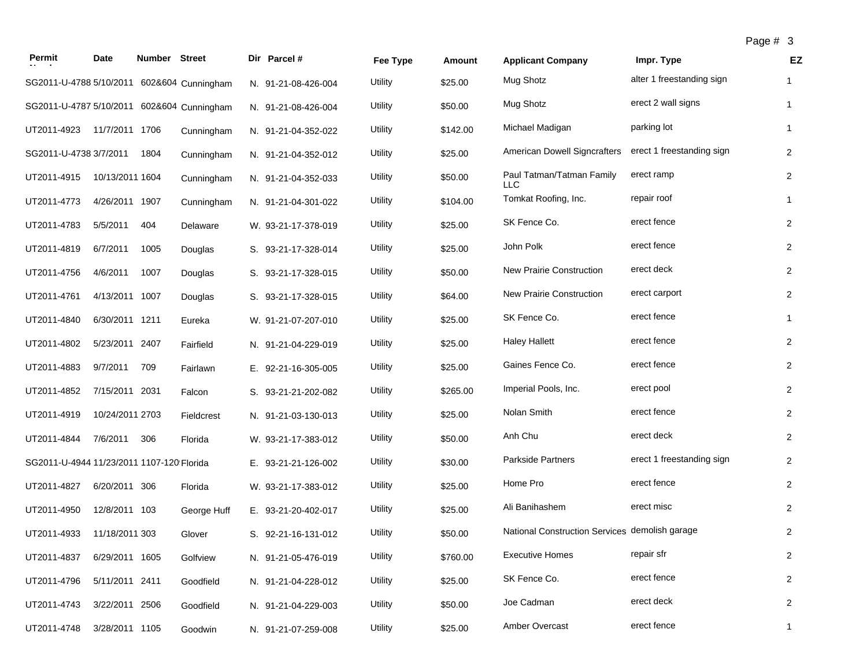| Permit                                     | Date            | Number Street |             | Dir Parcel #        | Fee Type       | <b>Amount</b> | <b>Applicant Company</b>                       | Impr. Type                | EZ             |
|--------------------------------------------|-----------------|---------------|-------------|---------------------|----------------|---------------|------------------------------------------------|---------------------------|----------------|
| SG2011-U-4788 5/10/2011 602&604 Cunningham |                 |               |             | N. 91-21-08-426-004 | <b>Utility</b> | \$25.00       | Mug Shotz                                      | alter 1 freestanding sign | $\mathbf{1}$   |
| SG2011-U-4787 5/10/2011 602&604 Cunningham |                 |               |             | N. 91-21-08-426-004 | Utility        | \$50.00       | Mug Shotz                                      | erect 2 wall signs        | $\mathbf{1}$   |
| UT2011-4923                                | 11/7/2011 1706  |               | Cunningham  | N. 91-21-04-352-022 | Utility        | \$142.00      | Michael Madigan                                | parking lot               | $\mathbf{1}$   |
| SG2011-U-4738 3/7/2011                     |                 | 1804          | Cunningham  | N. 91-21-04-352-012 | Utility        | \$25.00       | American Dowell Signcrafters                   | erect 1 freestanding sign | $\overline{2}$ |
| UT2011-4915                                | 10/13/2011 1604 |               | Cunningham  | N. 91-21-04-352-033 | Utility        | \$50.00       | Paul Tatman/Tatman Family<br>LLC               | erect ramp                | $\overline{2}$ |
| UT2011-4773                                | 4/26/2011 1907  |               | Cunningham  | N. 91-21-04-301-022 | Utility        | \$104.00      | Tomkat Roofing, Inc.                           | repair roof               | $\mathbf{1}$   |
| UT2011-4783                                | 5/5/2011        | 404           | Delaware    | W. 93-21-17-378-019 | Utility        | \$25.00       | SK Fence Co.                                   | erect fence               | $\overline{2}$ |
| UT2011-4819                                | 6/7/2011        | 1005          | Douglas     | S. 93-21-17-328-014 | Utility        | \$25.00       | John Polk                                      | erect fence               | $\overline{2}$ |
| UT2011-4756                                | 4/6/2011        | 1007          | Douglas     | S. 93-21-17-328-015 | Utility        | \$50.00       | New Prairie Construction                       | erect deck                | $\overline{2}$ |
| UT2011-4761                                | 4/13/2011 1007  |               | Douglas     | S. 93-21-17-328-015 | Utility        | \$64.00       | New Prairie Construction                       | erect carport             | $\overline{2}$ |
| UT2011-4840                                | 6/30/2011 1211  |               | Eureka      | W. 91-21-07-207-010 | Utility        | \$25.00       | SK Fence Co.                                   | erect fence               | $\mathbf{1}$   |
| UT2011-4802                                | 5/23/2011 2407  |               | Fairfield   | N. 91-21-04-229-019 | Utility        | \$25.00       | <b>Haley Hallett</b>                           | erect fence               | $\overline{2}$ |
| UT2011-4883                                | 9/7/2011        | 709           | Fairlawn    | E. 92-21-16-305-005 | Utility        | \$25.00       | Gaines Fence Co.                               | erect fence               | $\overline{2}$ |
| UT2011-4852                                | 7/15/2011 2031  |               | Falcon      | S. 93-21-21-202-082 | Utility        | \$265.00      | Imperial Pools, Inc.                           | erect pool                | $\overline{2}$ |
| UT2011-4919                                | 10/24/2011 2703 |               | Fieldcrest  | N. 91-21-03-130-013 | Utility        | \$25.00       | Nolan Smith                                    | erect fence               | $\overline{2}$ |
| UT2011-4844                                | 7/6/2011        | 306           | Florida     | W. 93-21-17-383-012 | Utility        | \$50.00       | Anh Chu                                        | erect deck                | $\overline{2}$ |
| SG2011-U-4944 11/23/2011 1107-120 Florida  |                 |               |             | E. 93-21-21-126-002 | Utility        | \$30.00       | Parkside Partners                              | erect 1 freestanding sign | $\overline{c}$ |
| UT2011-4827                                | 6/20/2011 306   |               | Florida     | W. 93-21-17-383-012 | Utility        | \$25.00       | Home Pro                                       | erect fence               | $\overline{2}$ |
| UT2011-4950                                | 12/8/2011 103   |               | George Huff | E. 93-21-20-402-017 | Utility        | \$25.00       | Ali Banihashem                                 | erect misc                | $\overline{2}$ |
| UT2011-4933                                | 11/18/2011 303  |               | Glover      | S. 92-21-16-131-012 | Utility        | \$50.00       | National Construction Services demolish garage |                           | 2              |
| UT2011-4837                                | 6/29/2011 1605  |               | Golfview    | N. 91-21-05-476-019 | Utility        | \$760.00      | <b>Executive Homes</b>                         | repair sfr                | $\overline{2}$ |
| UT2011-4796                                | 5/11/2011 2411  |               | Goodfield   | N. 91-21-04-228-012 | Utility        | \$25.00       | SK Fence Co.                                   | erect fence               | $\overline{2}$ |
| UT2011-4743                                | 3/22/2011 2506  |               | Goodfield   | N. 91-21-04-229-003 | Utility        | \$50.00       | Joe Cadman                                     | erect deck                | $\overline{2}$ |
| UT2011-4748                                | 3/28/2011 1105  |               | Goodwin     | N. 91-21-07-259-008 | Utility        | \$25.00       | Amber Overcast                                 | erect fence               | $\mathbf{1}$   |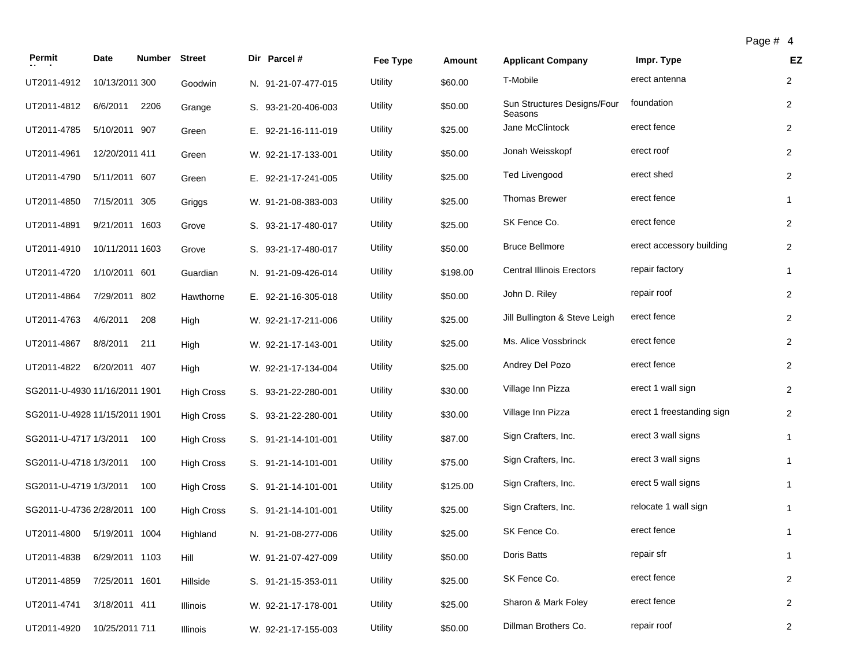| Permit                        | Date            | Number Street |                   | Dir Parcel #        | Fee Type       | <b>Amount</b> | <b>Applicant Company</b>               | Impr. Type                | EZ             |
|-------------------------------|-----------------|---------------|-------------------|---------------------|----------------|---------------|----------------------------------------|---------------------------|----------------|
| UT2011-4912                   | 10/13/2011 300  |               | Goodwin           | N. 91-21-07-477-015 | <b>Utility</b> | \$60.00       | T-Mobile                               | erect antenna             | $\overline{2}$ |
| UT2011-4812                   | 6/6/2011        | 2206          | Grange            | S. 93-21-20-406-003 | Utility        | \$50.00       | Sun Structures Designs/Four<br>Seasons | foundation                | $\overline{2}$ |
| UT2011-4785                   | 5/10/2011 907   |               | Green             | E. 92-21-16-111-019 | Utility        | \$25.00       | Jane McClintock                        | erect fence               | $\overline{2}$ |
| UT2011-4961                   | 12/20/2011 411  |               | Green             | W. 92-21-17-133-001 | Utility        | \$50.00       | Jonah Weisskopf                        | erect roof                | $\overline{2}$ |
| UT2011-4790                   | 5/11/2011 607   |               | Green             | E. 92-21-17-241-005 | Utility        | \$25.00       | <b>Ted Livengood</b>                   | erect shed                | $\overline{2}$ |
| UT2011-4850                   | 7/15/2011 305   |               | Griggs            | W. 91-21-08-383-003 | Utility        | \$25.00       | <b>Thomas Brewer</b>                   | erect fence               | $\mathbf{1}$   |
| UT2011-4891                   | 9/21/2011 1603  |               | Grove             | S. 93-21-17-480-017 | Utility        | \$25.00       | SK Fence Co.                           | erect fence               | $\overline{2}$ |
| UT2011-4910                   | 10/11/2011 1603 |               | Grove             | S. 93-21-17-480-017 | Utility        | \$50.00       | <b>Bruce Bellmore</b>                  | erect accessory building  | $\overline{c}$ |
| UT2011-4720                   | 1/10/2011 601   |               | Guardian          | N. 91-21-09-426-014 | Utility        | \$198.00      | <b>Central Illinois Erectors</b>       | repair factory            | $\mathbf{1}$   |
| UT2011-4864                   | 7/29/2011 802   |               | Hawthorne         | E. 92-21-16-305-018 | Utility        | \$50.00       | John D. Riley                          | repair roof               | $\overline{2}$ |
| UT2011-4763                   | 4/6/2011        | 208           | High              | W. 92-21-17-211-006 | Utility        | \$25.00       | Jill Bullington & Steve Leigh          | erect fence               | $\overline{2}$ |
| UT2011-4867                   | 8/8/2011        | 211           | High              | W. 92-21-17-143-001 | Utility        | \$25.00       | Ms. Alice Vossbrinck                   | erect fence               | $\overline{2}$ |
| UT2011-4822                   | 6/20/2011 407   |               | High              | W. 92-21-17-134-004 | Utility        | \$25.00       | Andrey Del Pozo                        | erect fence               | $\overline{2}$ |
| SG2011-U-4930 11/16/2011 1901 |                 |               | <b>High Cross</b> | S. 93-21-22-280-001 | Utility        | \$30.00       | Village Inn Pizza                      | erect 1 wall sign         | $\overline{2}$ |
| SG2011-U-4928 11/15/2011 1901 |                 |               | <b>High Cross</b> | S. 93-21-22-280-001 | Utility        | \$30.00       | Village Inn Pizza                      | erect 1 freestanding sign | $\overline{2}$ |
| SG2011-U-4717 1/3/2011        |                 | 100           | <b>High Cross</b> | S. 91-21-14-101-001 | Utility        | \$87.00       | Sign Crafters, Inc.                    | erect 3 wall signs        | $\mathbf{1}$   |
| SG2011-U-4718 1/3/2011        |                 | 100           | <b>High Cross</b> | S. 91-21-14-101-001 | Utility        | \$75.00       | Sign Crafters, Inc.                    | erect 3 wall signs        | $\mathbf{1}$   |
| SG2011-U-4719 1/3/2011        |                 | 100           | <b>High Cross</b> | S. 91-21-14-101-001 | Utility        | \$125.00      | Sign Crafters, Inc.                    | erect 5 wall signs        | $\mathbf{1}$   |
| SG2011-U-4736 2/28/2011 100   |                 |               | <b>High Cross</b> | S. 91-21-14-101-001 | Utility        | \$25.00       | Sign Crafters, Inc.                    | relocate 1 wall sign      | $\mathbf{1}$   |
| UT2011-4800                   | 5/19/2011 1004  |               | Highland          | N. 91-21-08-277-006 | Utility        | \$25.00       | SK Fence Co.                           | erect fence               | $\mathbf{1}$   |
| UT2011-4838                   | 6/29/2011 1103  |               | Hill              | W. 91-21-07-427-009 | Utility        | \$50.00       | Doris Batts                            | repair sfr                | $\mathbf{1}$   |
| UT2011-4859                   | 7/25/2011 1601  |               | Hillside          | S. 91-21-15-353-011 | Utility        | \$25.00       | SK Fence Co.                           | erect fence               | $\overline{2}$ |
| UT2011-4741                   | 3/18/2011 411   |               | Illinois          | W. 92-21-17-178-001 | Utility        | \$25.00       | Sharon & Mark Foley                    | erect fence               | $\overline{2}$ |
| UT2011-4920                   | 10/25/2011 711  |               | Illinois          | W. 92-21-17-155-003 | Utility        | \$50.00       | Dillman Brothers Co.                   | repair roof               | $\overline{2}$ |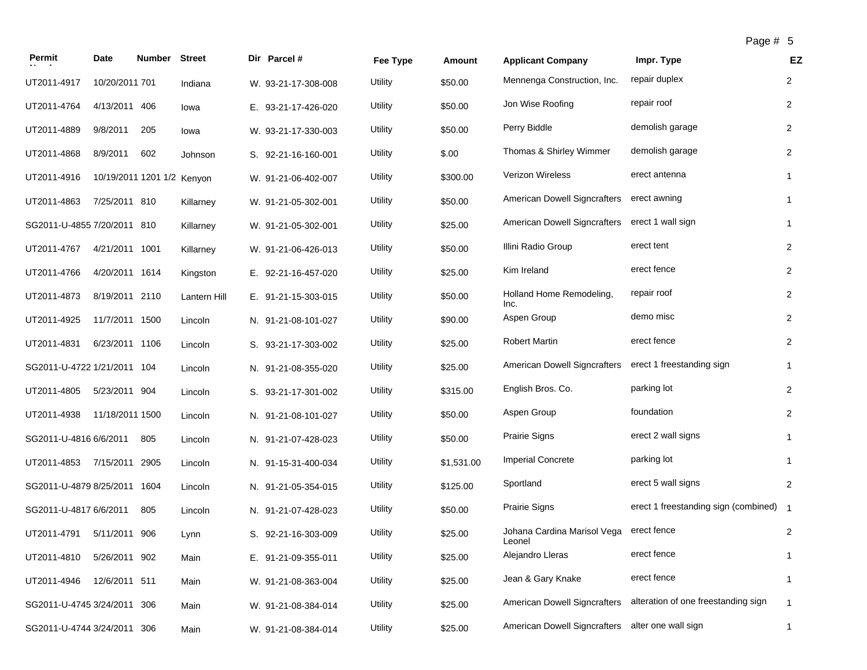| aae | # |  |
|-----|---|--|
|-----|---|--|

| Permit                      | Date                       | <b>Number Street</b> |              | Dir Parcel #        | Fee Type | Amount     | <b>Applicant Company</b>                       | Impr. Type                             | EZ             |
|-----------------------------|----------------------------|----------------------|--------------|---------------------|----------|------------|------------------------------------------------|----------------------------------------|----------------|
| UT2011-4917                 | 10/20/2011 701             |                      | Indiana      | W. 93-21-17-308-008 | Utility  | \$50.00    | Mennenga Construction, Inc.                    | repair duplex                          | $\overline{2}$ |
| UT2011-4764                 | 4/13/2011 406              |                      | lowa         | E. 93-21-17-426-020 | Utility  | \$50.00    | Jon Wise Roofing                               | repair roof                            | $\overline{2}$ |
| UT2011-4889                 | 9/8/2011                   | 205                  | lowa         | W. 93-21-17-330-003 | Utility  | \$50.00    | Perry Biddle                                   | demolish garage                        | $\overline{2}$ |
| UT2011-4868                 | 8/9/2011                   | 602                  | Johnson      | S. 92-21-16-160-001 | Utility  | \$.00      | Thomas & Shirley Wimmer                        | demolish garage                        | $\overline{2}$ |
| UT2011-4916                 | 10/19/2011 1201 1/2 Kenyon |                      |              | W. 91-21-06-402-007 | Utility  | \$300.00   | Verizon Wireless                               | erect antenna                          | $\mathbf{1}$   |
| UT2011-4863                 | 7/25/2011 810              |                      | Killarney    | W. 91-21-05-302-001 | Utility  | \$50.00    | American Dowell Signcrafters                   | erect awning                           | 1              |
| SG2011-U-4855 7/20/2011 810 |                            |                      | Killarney    | W. 91-21-05-302-001 | Utility  | \$25.00    | American Dowell Signcrafters erect 1 wall sign |                                        | $\mathbf{1}$   |
| UT2011-4767                 | 4/21/2011 1001             |                      | Killarney    | W. 91-21-06-426-013 | Utility  | \$50.00    | Illini Radio Group                             | erect tent                             | $\overline{2}$ |
| UT2011-4766                 | 4/20/2011 1614             |                      | Kingston     | E. 92-21-16-457-020 | Utility  | \$25.00    | Kim Ireland                                    | erect fence                            | $\overline{2}$ |
| UT2011-4873                 | 8/19/2011 2110             |                      | Lantern Hill | E. 91-21-15-303-015 | Utility  | \$50.00    | Holland Home Remodeling,<br>Inc.               | repair roof                            | $\overline{2}$ |
| UT2011-4925                 | 11/7/2011 1500             |                      | Lincoln      | N. 91-21-08-101-027 | Utility  | \$90.00    | Aspen Group                                    | demo misc                              | $\overline{2}$ |
| UT2011-4831                 | 6/23/2011 1106             |                      | Lincoln      | S. 93-21-17-303-002 | Utility  | \$25.00    | <b>Robert Martin</b>                           | erect fence                            | $\overline{2}$ |
| SG2011-U-4722 1/21/2011 104 |                            |                      | Lincoln      | N. 91-21-08-355-020 | Utility  | \$25.00    | American Dowell Signcrafters                   | erect 1 freestanding sign              | $\mathbf{1}$   |
| UT2011-4805                 | 5/23/2011 904              |                      | Lincoln      | S. 93-21-17-301-002 | Utility  | \$315.00   | English Bros. Co.                              | parking lot                            | $\overline{2}$ |
| UT2011-4938                 | 11/18/2011 1500            |                      | Lincoln      | N. 91-21-08-101-027 | Utility  | \$50.00    | Aspen Group                                    | foundation                             | $\overline{2}$ |
| SG2011-U-4816 6/6/2011      |                            | 805                  | Lincoln      | N. 91-21-07-428-023 | Utility  | \$50.00    | <b>Prairie Signs</b>                           | erect 2 wall signs                     | $\mathbf{1}$   |
| UT2011-4853                 | 7/15/2011 2905             |                      | Lincoln      | N. 91-15-31-400-034 | Utility  | \$1,531.00 | <b>Imperial Concrete</b>                       | parking lot                            | 1              |
| SG2011-U-4879 8/25/2011     |                            | 1604                 | Lincoln      | N. 91-21-05-354-015 | Utility  | \$125.00   | Sportland                                      | erect 5 wall signs                     | 2              |
| SG2011-U-4817 6/6/2011      |                            | 805                  | Lincoln      | N. 91-21-07-428-023 | Utility  | \$50.00    | Prairie Signs                                  | erect 1 freestanding sign (combined) 1 |                |
| UT2011-4791                 | 5/11/2011 906              |                      | Lynn         | S. 92-21-16-303-009 | Utility  | \$25.00    | Johana Cardina Marisol Vega<br>Leonel          | erect fence                            | $\overline{2}$ |
| UT2011-4810                 | 5/26/2011 902              |                      | Main         | E. 91-21-09-355-011 | Utility  | \$25.00    | Alejandro Lleras                               | erect fence                            | 1              |
| UT2011-4946                 | 12/6/2011 511              |                      | Main         | W. 91-21-08-363-004 | Utility  | \$25.00    | Jean & Gary Knake                              | erect fence                            | $\mathbf{1}$   |
| SG2011-U-4745 3/24/2011 306 |                            |                      | Main         | W. 91-21-08-384-014 | Utility  | \$25.00    | American Dowell Signcrafters                   | alteration of one freestanding sign    | $\mathbf{1}$   |
| SG2011-U-4744 3/24/2011 306 |                            |                      | Main         | W. 91-21-08-384-014 | Utility  | \$25.00    | American Dowell Signcrafters                   | alter one wall sign                    | $\mathbf{1}$   |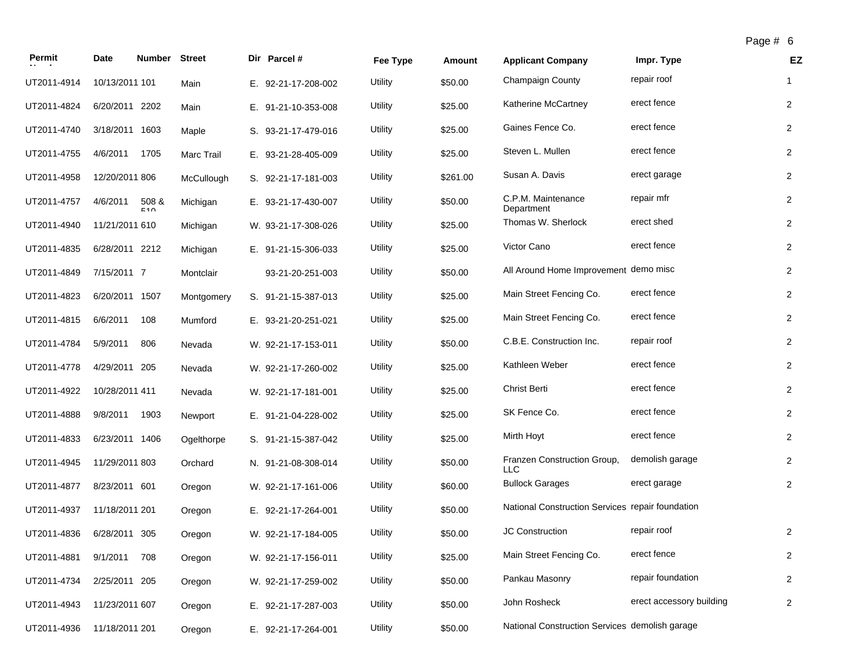| Permit      | Date           | <b>Number</b> | <b>Street</b> | Dir Parcel #        | Fee Type       | Amount   | <b>Applicant Company</b>                         | Impr. Type               | EZ             |
|-------------|----------------|---------------|---------------|---------------------|----------------|----------|--------------------------------------------------|--------------------------|----------------|
| UT2011-4914 | 10/13/2011 101 |               | Main          | E. 92-21-17-208-002 | <b>Utility</b> | \$50.00  | Champaign County                                 | repair roof              | $\mathbf{1}$   |
| UT2011-4824 | 6/20/2011 2202 |               | Main          | E. 91-21-10-353-008 | Utility        | \$25.00  | Katherine McCartney                              | erect fence              | $\overline{2}$ |
| UT2011-4740 | 3/18/2011 1603 |               | Maple         | S. 93-21-17-479-016 | Utility        | \$25.00  | Gaines Fence Co.                                 | erect fence              | $\overline{2}$ |
| UT2011-4755 | 4/6/2011       | 1705          | Marc Trail    | E. 93-21-28-405-009 | Utility        | \$25.00  | Steven L. Mullen                                 | erect fence              | $\overline{2}$ |
| UT2011-4958 | 12/20/2011 806 |               | McCullough    | S. 92-21-17-181-003 | Utility        | \$261.00 | Susan A. Davis                                   | erect garage             | $\overline{2}$ |
| UT2011-4757 | 4/6/2011       | 508 &<br>510  | Michigan      | E. 93-21-17-430-007 | Utility        | \$50.00  | C.P.M. Maintenance<br>Department                 | repair mfr               | $\overline{2}$ |
| UT2011-4940 | 11/21/2011 610 |               | Michigan      | W. 93-21-17-308-026 | Utility        | \$25.00  | Thomas W. Sherlock                               | erect shed               | $\overline{c}$ |
| UT2011-4835 | 6/28/2011 2212 |               | Michigan      | E. 91-21-15-306-033 | Utility        | \$25.00  | Victor Cano                                      | erect fence              | $\overline{2}$ |
| UT2011-4849 | 7/15/2011 7    |               | Montclair     | 93-21-20-251-003    | Utility        | \$50.00  | All Around Home Improvement demo misc            |                          | $\overline{2}$ |
| UT2011-4823 | 6/20/2011 1507 |               | Montgomery    | S. 91-21-15-387-013 | Utility        | \$25.00  | Main Street Fencing Co.                          | erect fence              | $\overline{2}$ |
| UT2011-4815 | 6/6/2011       | 108           | Mumford       | E. 93-21-20-251-021 | Utility        | \$25.00  | Main Street Fencing Co.                          | erect fence              | $\overline{2}$ |
| UT2011-4784 | 5/9/2011       | 806           | Nevada        | W. 92-21-17-153-011 | Utility        | \$50.00  | C.B.E. Construction Inc.                         | repair roof              | $\overline{2}$ |
| UT2011-4778 | 4/29/2011 205  |               | Nevada        | W. 92-21-17-260-002 | Utility        | \$25.00  | Kathleen Weber                                   | erect fence              | $\overline{2}$ |
| UT2011-4922 | 10/28/2011 411 |               | Nevada        | W. 92-21-17-181-001 | Utility        | \$25.00  | <b>Christ Berti</b>                              | erect fence              | $\overline{2}$ |
| UT2011-4888 | 9/8/2011       | 1903          | Newport       | E. 91-21-04-228-002 | Utility        | \$25.00  | SK Fence Co.                                     | erect fence              | $\overline{2}$ |
| UT2011-4833 | 6/23/2011 1406 |               | Ogelthorpe    | S. 91-21-15-387-042 | Utility        | \$25.00  | Mirth Hoyt                                       | erect fence              | $\overline{2}$ |
| UT2011-4945 | 11/29/2011 803 |               | Orchard       | N. 91-21-08-308-014 | Utility        | \$50.00  | Franzen Construction Group,<br><b>LLC</b>        | demolish garage          | $\overline{2}$ |
| UT2011-4877 | 8/23/2011 601  |               | Oregon        | W. 92-21-17-161-006 | Utility        | \$60.00  | <b>Bullock Garages</b>                           | erect garage             | $\overline{2}$ |
| UT2011-4937 | 11/18/2011 201 |               | Oregon        | E. 92-21-17-264-001 | Utility        | \$50.00  | National Construction Services repair foundation |                          |                |
| UT2011-4836 | 6/28/2011 305  |               | Oregon        | W. 92-21-17-184-005 | Utility        | \$50.00  | <b>JC Construction</b>                           | repair roof              | $\overline{2}$ |
| UT2011-4881 | 9/1/2011       | 708           | Oregon        | W. 92-21-17-156-011 | Utility        | \$25.00  | Main Street Fencing Co.                          | erect fence              | $\overline{2}$ |
| UT2011-4734 | 2/25/2011 205  |               | Oregon        | W. 92-21-17-259-002 | Utility        | \$50.00  | Pankau Masonry                                   | repair foundation        | $\overline{2}$ |
| UT2011-4943 | 11/23/2011 607 |               | Oregon        | E. 92-21-17-287-003 | Utility        | \$50.00  | John Rosheck                                     | erect accessory building | $\overline{2}$ |
| UT2011-4936 | 11/18/2011 201 |               | Oregon        | E. 92-21-17-264-001 | Utility        | \$50.00  | National Construction Services demolish garage   |                          |                |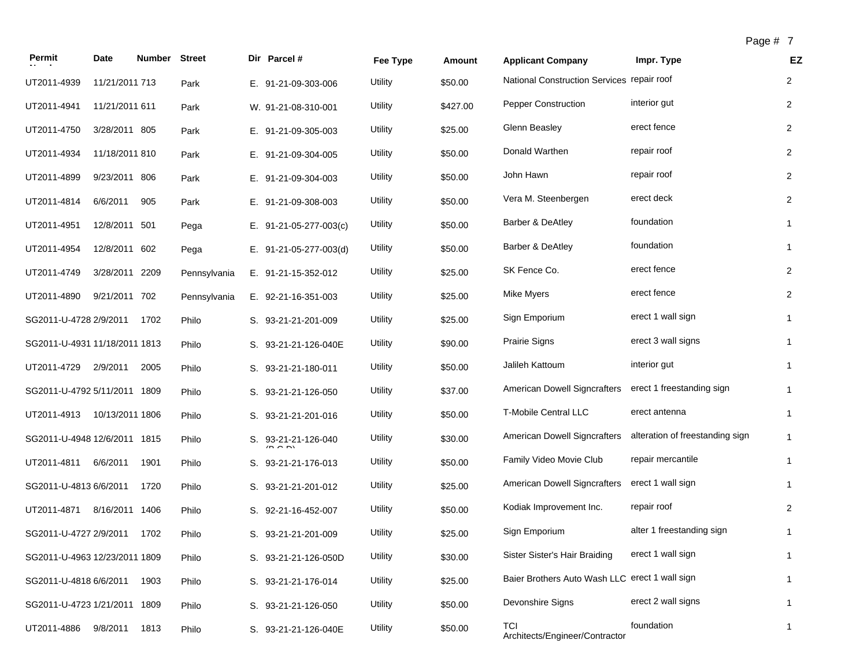| ıo<br>r |  |  |
|---------|--|--|
|---------|--|--|

| Permit                        | Date            | <b>Number</b> | <b>Street</b> | Dir Parcel #                      | Fee Type       | Amount   | <b>Applicant Company</b>                       | Impr. Type                      | EZ             |
|-------------------------------|-----------------|---------------|---------------|-----------------------------------|----------------|----------|------------------------------------------------|---------------------------------|----------------|
| UT2011-4939                   | 11/21/2011 713  |               | Park          | E. 91-21-09-303-006               | Utility        | \$50.00  | National Construction Services repair roof     |                                 | $\overline{2}$ |
| UT2011-4941                   | 11/21/2011 611  |               | Park          | W. 91-21-08-310-001               | <b>Utility</b> | \$427.00 | <b>Pepper Construction</b>                     | interior gut                    | $\overline{2}$ |
| UT2011-4750                   | 3/28/2011 805   |               | Park          | E. 91-21-09-305-003               | Utility        | \$25.00  | Glenn Beasley                                  | erect fence                     | $\overline{2}$ |
| UT2011-4934                   | 11/18/2011 810  |               | Park          | E. 91-21-09-304-005               | Utility        | \$50.00  | Donald Warthen                                 | repair roof                     | 2              |
| UT2011-4899                   | 9/23/2011 806   |               | Park          | E. 91-21-09-304-003               | Utility        | \$50.00  | John Hawn                                      | repair roof                     | $\overline{2}$ |
| UT2011-4814                   | 6/6/2011        | 905           | Park          | E. 91-21-09-308-003               | Utility        | \$50.00  | Vera M. Steenbergen                            | erect deck                      | $\overline{2}$ |
| UT2011-4951                   | 12/8/2011 501   |               | Pega          | E. $91-21-05-277-003(c)$          | Utility        | \$50.00  | Barber & DeAtley                               | foundation                      | $\mathbf{1}$   |
| UT2011-4954                   | 12/8/2011 602   |               | Pega          | E. $91-21-05-277-003(d)$          | Utility        | \$50.00  | Barber & DeAtley                               | foundation                      | $\mathbf{1}$   |
| UT2011-4749                   | 3/28/2011 2209  |               | Pennsylvania  | E. 91-21-15-352-012               | Utility        | \$25.00  | SK Fence Co.                                   | erect fence                     | $\overline{2}$ |
| UT2011-4890                   | 9/21/2011 702   |               | Pennsylvania  | E. 92-21-16-351-003               | Utility        | \$25.00  | <b>Mike Myers</b>                              | erect fence                     | 2              |
| SG2011-U-4728 2/9/2011        |                 | 1702          | Philo         | S. 93-21-21-201-009               | Utility        | \$25.00  | Sign Emporium                                  | erect 1 wall sign               | $\mathbf{1}$   |
| SG2011-U-4931 11/18/2011 1813 |                 |               | Philo         | S. 93-21-21-126-040E              | Utility        | \$90.00  | Prairie Signs                                  | erect 3 wall signs              | $\mathbf{1}$   |
| UT2011-4729                   | 2/9/2011        | 2005          | Philo         | S. 93-21-21-180-011               | Utility        | \$50.00  | Jalileh Kattoum                                | interior gut                    | $\mathbf{1}$   |
| SG2011-U-4792 5/11/2011 1809  |                 |               | Philo         | S. 93-21-21-126-050               | Utility        | \$37.00  | American Dowell Signcrafters                   | erect 1 freestanding sign       | $\mathbf{1}$   |
| UT2011-4913                   | 10/13/2011 1806 |               | Philo         | S. 93-21-21-201-016               | Utility        | \$50.00  | T-Mobile Central LLC                           | erect antenna                   | $\mathbf{1}$   |
| SG2011-U-4948 12/6/2011 1815  |                 |               | Philo         | S. 93-21-21-126-040<br>$\sqrt{2}$ | Utility        | \$30.00  | <b>American Dowell Signcrafters</b>            | alteration of freestanding sign | $\mathbf{1}$   |
| UT2011-4811                   | 6/6/2011        | 1901          | Philo         | S. 93-21-21-176-013               | Utility        | \$50.00  | Family Video Movie Club                        | repair mercantile               | $\mathbf{1}$   |
| SG2011-U-4813 6/6/2011        |                 | 1720          | Philo         | S. 93-21-21-201-012               | Utility        | \$25.00  | <b>American Dowell Signcrafters</b>            | erect 1 wall sign               | $\mathbf{1}$   |
| UT2011-4871                   | 8/16/2011 1406  |               | Philo         | S. 92-21-16-452-007               | <b>Utility</b> | \$50.00  | Kodiak Improvement Inc.                        | repair roof                     | $\overline{2}$ |
| SG2011-U-4727 2/9/2011        |                 | 1702          | Philo         | S. 93-21-21-201-009               | Utility        | \$25.00  | Sign Emporium                                  | alter 1 freestanding sign       | $\mathbf{1}$   |
| SG2011-U-4963 12/23/2011 1809 |                 |               | Philo         | S. 93-21-21-126-050D              | Utility        | \$30.00  | Sister Sister's Hair Braiding                  | erect 1 wall sign               | 1              |
| SG2011-U-4818 6/6/2011        |                 | 1903          | Philo         | S. 93-21-21-176-014               | Utility        | \$25.00  | Baier Brothers Auto Wash LLC erect 1 wall sign |                                 | $\mathbf{1}$   |
| SG2011-U-4723 1/21/2011 1809  |                 |               | Philo         | S. 93-21-21-126-050               | <b>Utility</b> | \$50.00  | Devonshire Signs                               | erect 2 wall signs              | $\mathbf{1}$   |
| UT2011-4886                   | 9/8/2011        | 1813          | Philo         | S. 93-21-21-126-040E              | Utility        | \$50.00  | TCI<br>Architects/Engineer/Contractor          | foundation                      | $\mathbf{1}$   |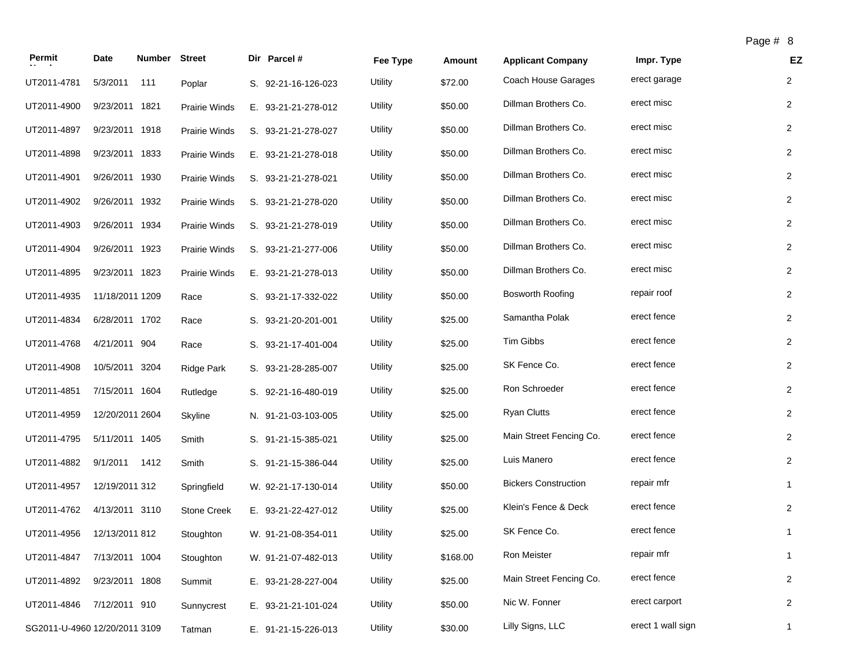|                                |                 |               |                                    |                            |          |         |                             | $\overline{\phantom{a}}$ agum |                |
|--------------------------------|-----------------|---------------|------------------------------------|----------------------------|----------|---------|-----------------------------|-------------------------------|----------------|
| Permit                         | Date            | <b>Number</b> | <b>Street</b>                      | Dir Parcel #               | Fee Type | Amount  | <b>Applicant Company</b>    | Impr. Type                    | EZ             |
| UT2011-4781                    | 5/3/2011        | 111           | Poplar                             | S. 92-21-16-126-023        | Utility  | \$72.00 | Coach House Garages         | erect garage                  | $\overline{2}$ |
| UT2011-4900                    | 9/23/2011 1821  |               | <b>Prairie Winds</b>               | E. 93-21-21-278-012        | Utility  | \$50.00 | Dillman Brothers Co.        | erect misc                    | $\overline{2}$ |
| UT2011-4897                    | 9/23/2011 1918  |               | <b>Prairie Winds</b>               | S. 93-21-21-278-027        | Utility  | \$50.00 | Dillman Brothers Co.        | erect misc                    | $\overline{2}$ |
| UT2011-4898                    | 9/23/2011 1833  |               | <b>Prairie Winds</b>               | E. 93-21-21-278-018        | Utility  | \$50.00 | Dillman Brothers Co.        | erect misc                    | $\overline{2}$ |
| UT2011-4901                    | 9/26/2011 1930  |               | <b>Prairie Winds</b>               | S. 93-21-21-278-021        | Utility  | \$50.00 | Dillman Brothers Co.        | erect misc                    | $\overline{2}$ |
| UT2011-4902                    | 9/26/2011 1932  |               | <b>Prairie Winds</b>               | S. 93-21-21-278-020        | Utility  | \$50.00 | Dillman Brothers Co.        | erect misc                    | $\overline{2}$ |
| UT2011-4903                    | 9/26/2011 1934  |               | <b>Prairie Winds</b>               | S. 93-21-21-278-019        | Utility  | \$50.00 | Dillman Brothers Co.        | erect misc                    | 2              |
| UT2011-4904                    | 9/26/2011 1923  |               | <b>Prairie Winds</b>               | S. 93-21-21-277-006        | Utility  | \$50.00 | Dillman Brothers Co.        | erect misc                    | $\overline{2}$ |
| UT2011-4895                    | 9/23/2011 1823  |               | <b>Prairie Winds</b>               | E. 93-21-21-278-013        | Utility  | \$50.00 | Dillman Brothers Co.        | erect misc                    | $\overline{2}$ |
| UT2011-4935                    | 11/18/2011 1209 |               | Race                               | S. 93-21-17-332-022        | Utility  | \$50.00 | <b>Bosworth Roofing</b>     | repair roof                   | $\overline{2}$ |
| UT2011-4834                    | 6/28/2011 1702  |               | Race                               | S. 93-21-20-201-001        | Utility  | \$25.00 | Samantha Polak              | erect fence                   | 2              |
| UT2011-4768                    | 4/21/2011 904   |               | Race                               | S. 93-21-17-401-004        | Utility  | \$25.00 | <b>Tim Gibbs</b>            | erect fence                   | $\overline{2}$ |
| UT2011-4908                    | 10/5/2011 3204  |               | <b>Ridge Park</b>                  | S. 93-21-28-285-007        | Utility  | \$25.00 | SK Fence Co.                | erect fence                   | $\overline{2}$ |
| UT2011-4851                    | 7/15/2011 1604  |               | Rutledge                           | S. 92-21-16-480-019        | Utility  | \$25.00 | Ron Schroeder               | erect fence                   | $\overline{2}$ |
| UT2011-4959                    | 12/20/2011 2604 |               | Skyline                            | N. 91-21-03-103-005        | Utility  | \$25.00 | <b>Ryan Clutts</b>          | erect fence                   | $\overline{2}$ |
| UT2011-4795                    | 5/11/2011 1405  |               | Smith                              | S. 91-21-15-385-021        | Utility  | \$25.00 | Main Street Fencing Co.     | erect fence                   | $\overline{2}$ |
| UT2011-4882                    | 9/1/2011        | 1412          | Smith                              | S. 91-21-15-386-044        | Utility  | \$25.00 | Luis Manero                 | erect fence                   | $\overline{2}$ |
| TTOOA A A OFT A OBA OOOA A OAO |                 |               | $\sim$ $\sim$ $\sim$ $\sim$ $\sim$ | $111 - 22 - 11 = 122 - 11$ | 1.14314  | 0.500   | <b>Rickers Construction</b> | renair mfr                    |                |

| UT2011-4768 | 4/21/2011 904                 | Race               | S. 93-21-17-401-004 | Utility | \$25.00  | <b>Tim Gibbs</b>            | erect rerice      |   |
|-------------|-------------------------------|--------------------|---------------------|---------|----------|-----------------------------|-------------------|---|
| UT2011-4908 | 10/5/2011 3204                | Ridge Park         | S. 93-21-28-285-007 | Utility | \$25.00  | SK Fence Co.                | erect fence       | 2 |
| UT2011-4851 | 7/15/2011 1604                | Rutledge           | S. 92-21-16-480-019 | Utility | \$25.00  | Ron Schroeder               | erect fence       | 2 |
| UT2011-4959 | 12/20/2011 2604               | Skyline            | N. 91-21-03-103-005 | Utility | \$25.00  | <b>Ryan Clutts</b>          | erect fence       | 2 |
| UT2011-4795 | 5/11/2011 1405                | Smith              | S. 91-21-15-385-021 | Utility | \$25.00  | Main Street Fencing Co.     | erect fence       | 2 |
| UT2011-4882 | 9/1/2011<br>1412              | Smith              | S. 91-21-15-386-044 | Utility | \$25.00  | Luis Manero                 | erect fence       | 2 |
| UT2011-4957 | 12/19/2011 312                | Springfield        | W. 92-21-17-130-014 | Utility | \$50.00  | <b>Bickers Construction</b> | repair mfr        |   |
| UT2011-4762 | 4/13/2011 3110                | <b>Stone Creek</b> | E. 93-21-22-427-012 | Utility | \$25.00  | Klein's Fence & Deck        | erect fence       | 2 |
| UT2011-4956 | 12/13/2011 812                | Stoughton          | W. 91-21-08-354-011 | Utility | \$25.00  | SK Fence Co.                | erect fence       |   |
| UT2011-4847 | 7/13/2011 1004                | Stoughton          | W. 91-21-07-482-013 | Utility | \$168.00 | Ron Meister                 | repair mfr        |   |
| UT2011-4892 | 9/23/2011 1808                | Summit             | E. 93-21-28-227-004 | Utility | \$25.00  | Main Street Fencing Co.     | erect fence       | 2 |
| UT2011-4846 | 7/12/2011 910                 | Sunnycrest         | E. 93-21-21-101-024 | Utility | \$50.00  | Nic W. Fonner               | erect carport     | 2 |
|             | SG2011-U-4960 12/20/2011 3109 | Tatman             | E. 91-21-15-226-013 | Utility | \$30.00  | Lilly Signs, LLC            | erect 1 wall sign |   |
|             |                               |                    |                     |         |          |                             |                   |   |

UT2011-4781

UT2011-4900

UT2011-4897

UT2011-4898

UT2011-4901

UT2011-4902

UT2011-4903

UT2011-4904

UT2011-4895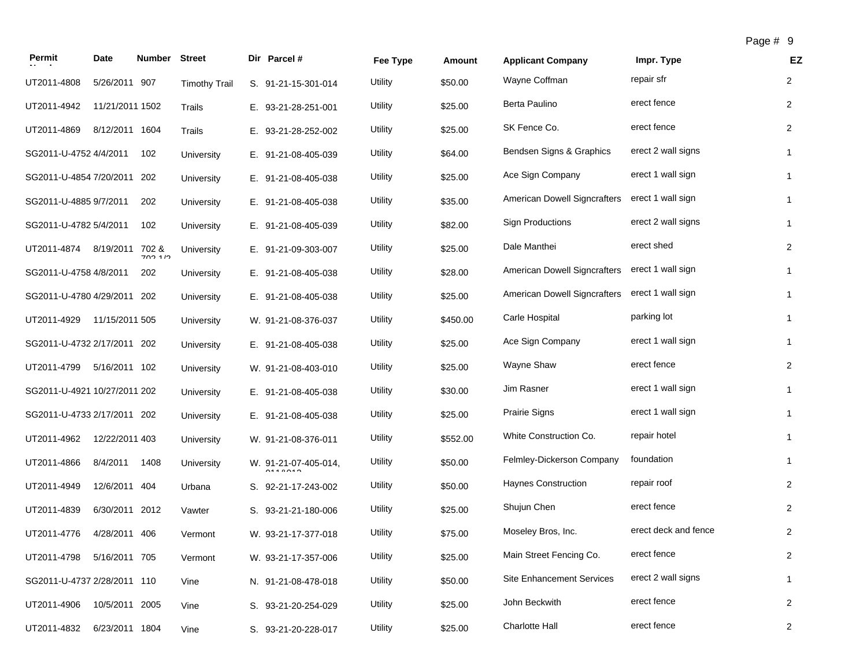| Permit                       | Date            | Number Street |                      | Dir Parcel #                           | Fee Type | Amount   | <b>Applicant Company</b>            | Impr. Type           | EZ             |
|------------------------------|-----------------|---------------|----------------------|----------------------------------------|----------|----------|-------------------------------------|----------------------|----------------|
| UT2011-4808                  | 5/26/2011 907   |               | <b>Timothy Trail</b> | S. 91-21-15-301-014                    | Utility  | \$50.00  | Wayne Coffman                       | repair sfr           | $\overline{2}$ |
| UT2011-4942                  | 11/21/2011 1502 |               | Trails               | E. 93-21-28-251-001                    | Utility  | \$25.00  | Berta Paulino                       | erect fence          | $\overline{2}$ |
| UT2011-4869                  | 8/12/2011 1604  |               | Trails               | E. 93-21-28-252-002                    | Utility  | \$25.00  | SK Fence Co.                        | erect fence          | $\overline{2}$ |
| SG2011-U-4752 4/4/2011       |                 | 102           | University           | E. 91-21-08-405-039                    | Utility  | \$64.00  | Bendsen Signs & Graphics            | erect 2 wall signs   | $\mathbf{1}$   |
| SG2011-U-4854 7/20/2011 202  |                 |               | University           | E. 91-21-08-405-038                    | Utility  | \$25.00  | Ace Sign Company                    | erect 1 wall sign    | $\mathbf{1}$   |
| SG2011-U-4885 9/7/2011       |                 | 202           | University           | E. 91-21-08-405-038                    | Utility  | \$35.00  | American Dowell Signcrafters        | erect 1 wall sign    | $\mathbf{1}$   |
| SG2011-U-4782 5/4/2011       |                 | 102           | University           | E. 91-21-08-405-039                    | Utility  | \$82.00  | <b>Sign Productions</b>             | erect 2 wall signs   | 1              |
| UT2011-4874                  | 8/19/2011 702 & | 70210         | University           | E. 91-21-09-303-007                    | Utility  | \$25.00  | Dale Manthei                        | erect shed           | $\overline{2}$ |
| SG2011-U-4758 4/8/2011       |                 | 202           | University           | E. 91-21-08-405-038                    | Utility  | \$28.00  | American Dowell Signcrafters        | erect 1 wall sign    | $\mathbf{1}$   |
| SG2011-U-4780 4/29/2011 202  |                 |               | University           | E. 91-21-08-405-038                    | Utility  | \$25.00  | <b>American Dowell Signcrafters</b> | erect 1 wall sign    | $\mathbf{1}$   |
| UT2011-4929                  | 11/15/2011 505  |               | University           | W. 91-21-08-376-037                    | Utility  | \$450.00 | Carle Hospital                      | parking lot          | 1              |
| SG2011-U-4732 2/17/2011 202  |                 |               | University           | E. 91-21-08-405-038                    | Utility  | \$25.00  | Ace Sign Company                    | erect 1 wall sign    | $\mathbf{1}$   |
| UT2011-4799                  | 5/16/2011 102   |               | University           | W. 91-21-08-403-010                    | Utility  | \$25.00  | Wayne Shaw                          | erect fence          | $\overline{2}$ |
| SG2011-U-4921 10/27/2011 202 |                 |               | University           | E. 91-21-08-405-038                    | Utility  | \$30.00  | Jim Rasner                          | erect 1 wall sign    | $\mathbf{1}$   |
| SG2011-U-4733 2/17/2011 202  |                 |               | University           | E. 91-21-08-405-038                    | Utility  | \$25.00  | Prairie Signs                       | erect 1 wall sign    | $\mathbf{1}$   |
| UT2011-4962                  | 12/22/2011 403  |               | University           | W. 91-21-08-376-011                    | Utility  | \$552.00 | White Construction Co.              | repair hotel         | $\mathbf{1}$   |
| UT2011-4866                  | 8/4/2011        | 1408          | University           | W. 91-21-07-405-014,<br><b>0110010</b> | Utility  | \$50.00  | Felmley-Dickerson Company           | foundation           | $\mathbf{1}$   |
| UT2011-4949                  | 12/6/2011 404   |               | Urbana               | S. 92-21-17-243-002                    | Utility  | \$50.00  | <b>Haynes Construction</b>          | repair roof          | $\overline{2}$ |
| UT2011-4839                  | 6/30/2011 2012  |               | Vawter               | S. 93-21-21-180-006                    | Utility  | \$25.00  | Shujun Chen                         | erect fence          | $\overline{2}$ |
| UT2011-4776                  | 4/28/2011 406   |               | Vermont              | W. 93-21-17-377-018                    | Utility  | \$75.00  | Moseley Bros, Inc.                  | erect deck and fence | $\overline{c}$ |
| UT2011-4798 5/16/2011 705    |                 |               | Vermont              | W. 93-21-17-357-006                    | Utility  | \$25.00  | Main Street Fencing Co.             | erect fence          | $\overline{2}$ |
| SG2011-U-4737 2/28/2011 110  |                 |               | Vine                 | N. 91-21-08-478-018                    | Utility  | \$50.00  | <b>Site Enhancement Services</b>    | erect 2 wall signs   | $\mathbf{1}$   |
| UT2011-4906                  | 10/5/2011 2005  |               | Vine                 | S. 93-21-20-254-029                    | Utility  | \$25.00  | John Beckwith                       | erect fence          | $\overline{2}$ |
| UT2011-4832                  | 6/23/2011 1804  |               | Vine                 | S. 93-21-20-228-017                    | Utility  | \$25.00  | Charlotte Hall                      | erect fence          | $\overline{2}$ |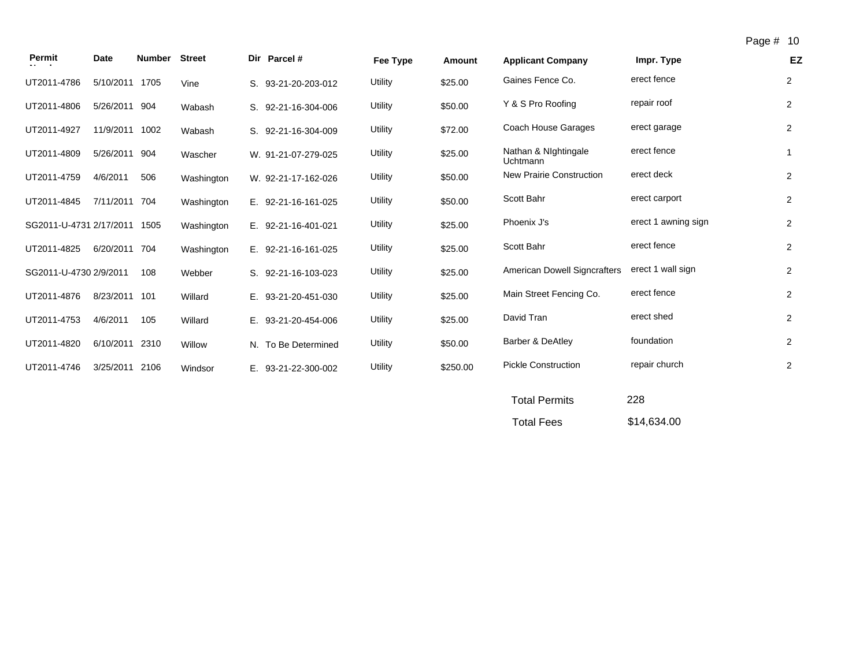| Permit                       | Date           | <b>Number Street</b> |            | Dir Parcel #        | Fee Type | Amount   | <b>Applicant Company</b>            | Impr. Type          | EZ             |
|------------------------------|----------------|----------------------|------------|---------------------|----------|----------|-------------------------------------|---------------------|----------------|
| UT2011-4786                  | 5/10/2011 1705 |                      | Vine       | S. 93-21-20-203-012 | Utility  | \$25.00  | Gaines Fence Co.                    | erect fence         | 2              |
| UT2011-4806                  | 5/26/2011 904  |                      | Wabash     | S. 92-21-16-304-006 | Utility  | \$50.00  | Y & S Pro Roofing                   | repair roof         | 2              |
| UT2011-4927                  | 11/9/2011 1002 |                      | Wabash     | S. 92-21-16-304-009 | Utility  | \$72.00  | Coach House Garages                 | erect garage        | $\overline{2}$ |
| UT2011-4809                  | 5/26/2011 904  |                      | Wascher    | W. 91-21-07-279-025 | Utility  | \$25.00  | Nathan & Nightingale<br>Uchtmann    | erect fence         | $\mathbf{1}$   |
| UT2011-4759                  | 4/6/2011       | 506                  | Washington | W. 92-21-17-162-026 | Utility  | \$50.00  | <b>New Prairie Construction</b>     | erect deck          | $\overline{2}$ |
| UT2011-4845                  | 7/11/2011 704  |                      | Washington | E. 92-21-16-161-025 | Utility  | \$50.00  | Scott Bahr                          | erect carport       | 2              |
| SG2011-U-4731 2/17/2011 1505 |                |                      | Washington | E. 92-21-16-401-021 | Utility  | \$25.00  | Phoenix J's                         | erect 1 awning sign | 2              |
| UT2011-4825                  | 6/20/2011 704  |                      | Washington | E. 92-21-16-161-025 | Utility  | \$25.00  | Scott Bahr                          | erect fence         | $\overline{2}$ |
| SG2011-U-4730 2/9/2011       |                | 108                  | Webber     | S. 92-21-16-103-023 | Utility  | \$25.00  | <b>American Dowell Signcrafters</b> | erect 1 wall sign   | 2              |
| UT2011-4876                  | 8/23/2011 101  |                      | Willard    | E. 93-21-20-451-030 | Utility  | \$25.00  | Main Street Fencing Co.             | erect fence         | $\overline{2}$ |
| UT2011-4753                  | 4/6/2011       | 105                  | Willard    | E. 93-21-20-454-006 | Utility  | \$25.00  | David Tran                          | erect shed          | $\overline{2}$ |
| UT2011-4820                  | 6/10/2011      | 2310                 | Willow     | N. To Be Determined | Utility  | \$50.00  | <b>Barber &amp; DeAtley</b>         | foundation          | 2              |
| UT2011-4746                  | 3/25/2011 2106 |                      | Windsor    | E. 93-21-22-300-002 | Utility  | \$250.00 | <b>Pickle Construction</b>          | repair church       | 2              |
|                              |                |                      |            |                     |          |          |                                     |                     |                |

| <b>Total Permits</b> | 228         |
|----------------------|-------------|
| <b>Total Fees</b>    | \$14,634.00 |

Page # 10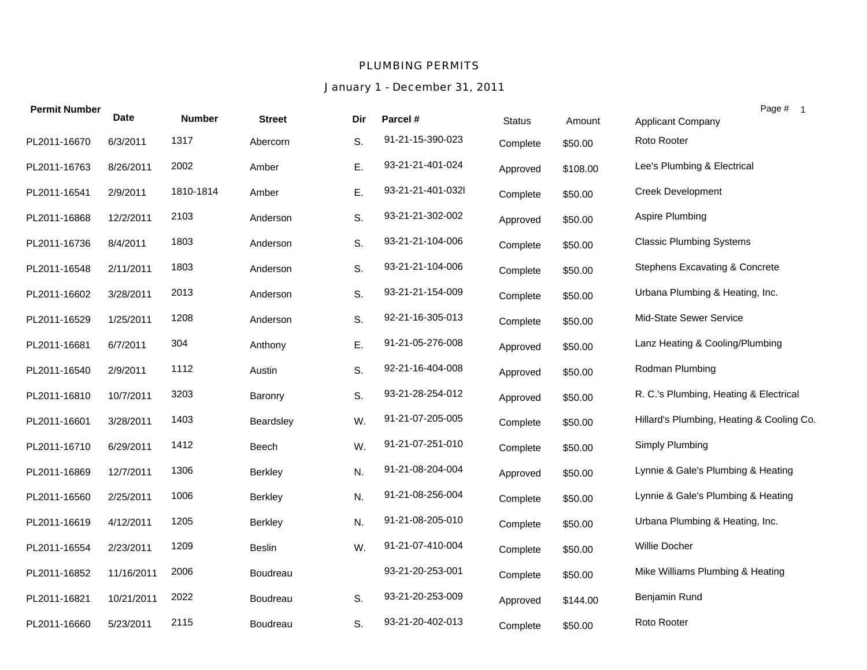#### *PLUMBING PERMITS*

## *January 1 - December 31, 2011*

| <b>Permit Number</b> | <b>Date</b> | <b>Number</b> | <b>Street</b>   | Dir | Parcel #          |          |          | Page # 1                                  |  |
|----------------------|-------------|---------------|-----------------|-----|-------------------|----------|----------|-------------------------------------------|--|
|                      |             |               |                 |     |                   | Status   | Amount   | Applicant Company                         |  |
| PL2011-16670         | 6/3/2011    | 1317          | Abercorn        | S.  | 91-21-15-390-023  | Complete | \$50.00  | Roto Rooter                               |  |
| PL2011-16763         | 8/26/2011   | 2002          | Amber           | E.  | 93-21-21-401-024  | Approved | \$108.00 | Lee's Plumbing & Electrical               |  |
| PL2011-16541         | 2/9/2011    | 1810-1814     | Amber           | Ε.  | 93-21-21-401-032l | Complete | \$50.00  | <b>Creek Development</b>                  |  |
| PL2011-16868         | 12/2/2011   | 2103          | Anderson        | S.  | 93-21-21-302-002  | Approved | \$50.00  | Aspire Plumbing                           |  |
| PL2011-16736         | 8/4/2011    | 1803          | Anderson        | S.  | 93-21-21-104-006  | Complete | \$50.00  | <b>Classic Plumbing Systems</b>           |  |
| PL2011-16548         | 2/11/2011   | 1803          | Anderson        | S.  | 93-21-21-104-006  | Complete | \$50.00  | Stephens Excavating & Concrete            |  |
| PL2011-16602         | 3/28/2011   | 2013          | Anderson        | S.  | 93-21-21-154-009  | Complete | \$50.00  | Urbana Plumbing & Heating, Inc.           |  |
| PL2011-16529         | 1/25/2011   | 1208          | Anderson        | S.  | 92-21-16-305-013  | Complete | \$50.00  | Mid-State Sewer Service                   |  |
| PL2011-16681         | 6/7/2011    | 304           | Anthony         | Ε.  | 91-21-05-276-008  | Approved | \$50.00  | Lanz Heating & Cooling/Plumbing           |  |
| PL2011-16540         | 2/9/2011    | 1112          | Austin          | S.  | 92-21-16-404-008  | Approved | \$50.00  | Rodman Plumbing                           |  |
| PL2011-16810         | 10/7/2011   | 3203          | Baronry         | S.  | 93-21-28-254-012  | Approved | \$50.00  | R. C.'s Plumbing, Heating & Electrical    |  |
| PL2011-16601         | 3/28/2011   | 1403          | Beardsley       | W.  | 91-21-07-205-005  | Complete | \$50.00  | Hillard's Plumbing, Heating & Cooling Co. |  |
| PL2011-16710         | 6/29/2011   | 1412          | Beech           | W.  | 91-21-07-251-010  | Complete | \$50.00  | Simply Plumbing                           |  |
| PL2011-16869         | 12/7/2011   | 1306          | Berkley         | N.  | 91-21-08-204-004  | Approved | \$50.00  | Lynnie & Gale's Plumbing & Heating        |  |
| PL2011-16560         | 2/25/2011   | 1006          | <b>Berkley</b>  | N.  | 91-21-08-256-004  | Complete | \$50.00  | Lynnie & Gale's Plumbing & Heating        |  |
| PL2011-16619         | 4/12/2011   | 1205          | Berkley         | N.  | 91-21-08-205-010  | Complete | \$50.00  | Urbana Plumbing & Heating, Inc.           |  |
| PL2011-16554         | 2/23/2011   | 1209          | Beslin          | W.  | 91-21-07-410-004  | Complete | \$50.00  | Willie Docher                             |  |
| PL2011-16852         | 11/16/2011  | 2006          | <b>Boudreau</b> |     | 93-21-20-253-001  | Complete | \$50.00  | Mike Williams Plumbing & Heating          |  |
| PL2011-16821         | 10/21/2011  | 2022          | Boudreau        | S.  | 93-21-20-253-009  | Approved | \$144.00 | Benjamin Rund                             |  |
| PL2011-16660         | 5/23/2011   | 2115          | Boudreau        | S.  | 93-21-20-402-013  | Complete | \$50.00  | Roto Rooter                               |  |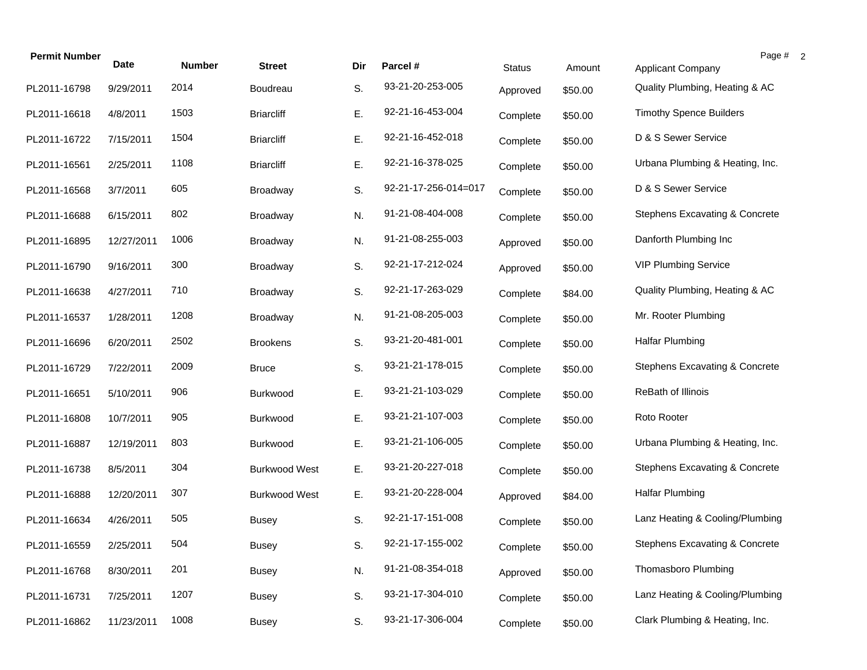| <b>Permit Number</b> | <b>Date</b> | <b>Number</b> | <b>Street</b>        | Dir | Parcel #             | <b>Status</b> | Amount  | Page # 2<br><b>Applicant Company</b> |
|----------------------|-------------|---------------|----------------------|-----|----------------------|---------------|---------|--------------------------------------|
| PL2011-16798         | 9/29/2011   | 2014          | Boudreau             | S.  | 93-21-20-253-005     | Approved      | \$50.00 | Quality Plumbing, Heating & AC       |
| PL2011-16618         | 4/8/2011    | 1503          | <b>Briarcliff</b>    | Ε.  | 92-21-16-453-004     | Complete      | \$50.00 | <b>Timothy Spence Builders</b>       |
| PL2011-16722         | 7/15/2011   | 1504          | <b>Briarcliff</b>    | Ε.  | 92-21-16-452-018     | Complete      | \$50.00 | D & S Sewer Service                  |
| PL2011-16561         | 2/25/2011   | 1108          | <b>Briarcliff</b>    | Ε.  | 92-21-16-378-025     | Complete      | \$50.00 | Urbana Plumbing & Heating, Inc.      |
| PL2011-16568         | 3/7/2011    | 605           | Broadway             | S.  | 92-21-17-256-014=017 | Complete      | \$50.00 | D & S Sewer Service                  |
| PL2011-16688         | 6/15/2011   | 802           | <b>Broadway</b>      | N.  | 91-21-08-404-008     | Complete      | \$50.00 | Stephens Excavating & Concrete       |
| PL2011-16895         | 12/27/2011  | 1006          | <b>Broadway</b>      | N.  | 91-21-08-255-003     | Approved      | \$50.00 | Danforth Plumbing Inc                |
| PL2011-16790         | 9/16/2011   | 300           | <b>Broadway</b>      | S.  | 92-21-17-212-024     | Approved      | \$50.00 | <b>VIP Plumbing Service</b>          |
| PL2011-16638         | 4/27/2011   | 710           | Broadway             | S.  | 92-21-17-263-029     | Complete      | \$84.00 | Quality Plumbing, Heating & AC       |
| PL2011-16537         | 1/28/2011   | 1208          | <b>Broadway</b>      | N.  | 91-21-08-205-003     | Complete      | \$50.00 | Mr. Rooter Plumbing                  |
| PL2011-16696         | 6/20/2011   | 2502          | <b>Brookens</b>      | S.  | 93-21-20-481-001     | Complete      | \$50.00 | <b>Halfar Plumbing</b>               |
| PL2011-16729         | 7/22/2011   | 2009          | <b>Bruce</b>         | S.  | 93-21-21-178-015     | Complete      | \$50.00 | Stephens Excavating & Concrete       |
| PL2011-16651         | 5/10/2011   | 906           | <b>Burkwood</b>      | Ε.  | 93-21-21-103-029     | Complete      | \$50.00 | ReBath of Illinois                   |
| PL2011-16808         | 10/7/2011   | 905           | Burkwood             | Ε.  | 93-21-21-107-003     | Complete      | \$50.00 | Roto Rooter                          |
| PL2011-16887         | 12/19/2011  | 803           | Burkwood             | Ε.  | 93-21-21-106-005     | Complete      | \$50.00 | Urbana Plumbing & Heating, Inc.      |
| PL2011-16738         | 8/5/2011    | 304           | <b>Burkwood West</b> | Ε.  | 93-21-20-227-018     | Complete      | \$50.00 | Stephens Excavating & Concrete       |
| PL2011-16888         | 12/20/2011  | 307           | <b>Burkwood West</b> | Ε.  | 93-21-20-228-004     | Approved      | \$84.00 | <b>Halfar Plumbing</b>               |
| PL2011-16634         | 4/26/2011   | 505           | <b>Busey</b>         | S.  | 92-21-17-151-008     | Complete      | \$50.00 | Lanz Heating & Cooling/Plumbing      |
| PL2011-16559         | 2/25/2011   | 504           | <b>Busey</b>         | S.  | 92-21-17-155-002     | Complete      | \$50.00 | Stephens Excavating & Concrete       |
| PL2011-16768         | 8/30/2011   | 201           | <b>Busey</b>         | N.  | 91-21-08-354-018     | Approved      | \$50.00 | Thomasboro Plumbing                  |
| PL2011-16731         | 7/25/2011   | 1207          | <b>Busey</b>         | S.  | 93-21-17-304-010     | Complete      | \$50.00 | Lanz Heating & Cooling/Plumbing      |
| PL2011-16862         | 11/23/2011  | 1008          | <b>Busey</b>         | S.  | 93-21-17-306-004     | Complete      | \$50.00 | Clark Plumbing & Heating, Inc.       |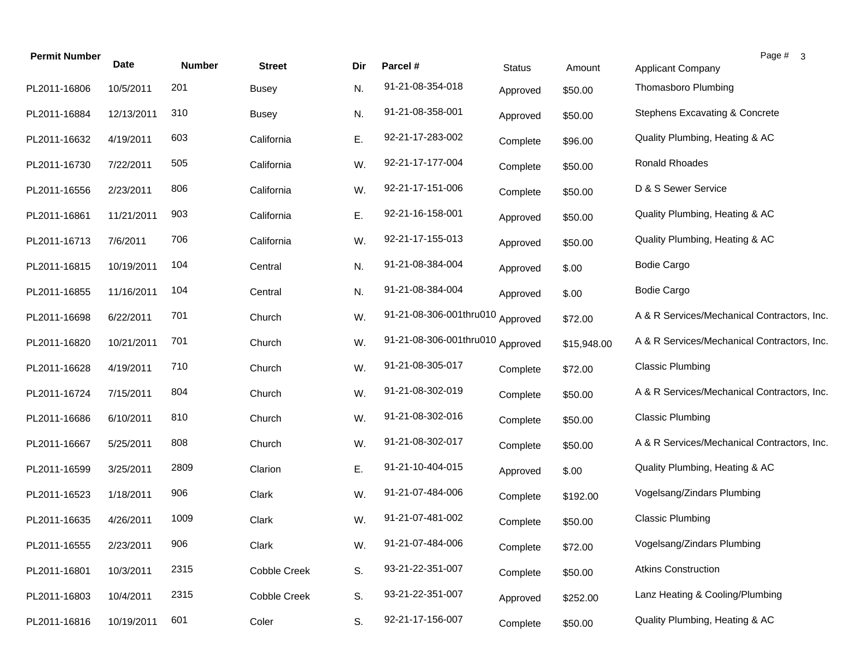| <b>Permit Number</b> | Date       | <b>Number</b> | <b>Street</b> | Dir | Parcel #                | <b>Status</b> | Amount      | Page # 3<br><b>Applicant Company</b>        |
|----------------------|------------|---------------|---------------|-----|-------------------------|---------------|-------------|---------------------------------------------|
| PL2011-16806         | 10/5/2011  | 201           | <b>Busey</b>  | N.  | 91-21-08-354-018        | Approved      | \$50.00     | Thomasboro Plumbing                         |
| PL2011-16884         | 12/13/2011 | 310           | <b>Busey</b>  | N.  | 91-21-08-358-001        | Approved      | \$50.00     | Stephens Excavating & Concrete              |
| PL2011-16632         | 4/19/2011  | 603           | California    | Ε.  | 92-21-17-283-002        | Complete      | \$96.00     | Quality Plumbing, Heating & AC              |
| PL2011-16730         | 7/22/2011  | 505           | California    | W.  | 92-21-17-177-004        | Complete      | \$50.00     | Ronald Rhoades                              |
| PL2011-16556         | 2/23/2011  | 806           | California    | W.  | 92-21-17-151-006        | Complete      | \$50.00     | D & S Sewer Service                         |
| PL2011-16861         | 11/21/2011 | 903           | California    | Ε.  | 92-21-16-158-001        | Approved      | \$50.00     | Quality Plumbing, Heating & AC              |
| PL2011-16713         | 7/6/2011   | 706           | California    | W.  | 92-21-17-155-013        | Approved      | \$50.00     | Quality Plumbing, Heating & AC              |
| PL2011-16815         | 10/19/2011 | 104           | Central       | N.  | 91-21-08-384-004        | Approved      | \$.00       | <b>Bodie Cargo</b>                          |
| PL2011-16855         | 11/16/2011 | 104           | Central       | N.  | 91-21-08-384-004        | Approved      | \$.00       | <b>Bodie Cargo</b>                          |
| PL2011-16698         | 6/22/2011  | 701           | Church        | W.  | 91-21-08-306-001thru010 | Approved      | \$72.00     | A & R Services/Mechanical Contractors, Inc. |
| PL2011-16820         | 10/21/2011 | 701           | Church        | W.  | 91-21-08-306-001thru010 | Approved      | \$15,948.00 | A & R Services/Mechanical Contractors, Inc. |
| PL2011-16628         | 4/19/2011  | 710           | Church        | W.  | 91-21-08-305-017        | Complete      | \$72.00     | <b>Classic Plumbing</b>                     |
| PL2011-16724         | 7/15/2011  | 804           | Church        | W.  | 91-21-08-302-019        | Complete      | \$50.00     | A & R Services/Mechanical Contractors, Inc. |
| PL2011-16686         | 6/10/2011  | 810           | Church        | W.  | 91-21-08-302-016        | Complete      | \$50.00     | <b>Classic Plumbing</b>                     |
| PL2011-16667         | 5/25/2011  | 808           | Church        | W.  | 91-21-08-302-017        | Complete      | \$50.00     | A & R Services/Mechanical Contractors, Inc. |
| PL2011-16599         | 3/25/2011  | 2809          | Clarion       | Ε.  | 91-21-10-404-015        | Approved      | \$.00       | Quality Plumbing, Heating & AC              |
| PL2011-16523         | 1/18/2011  | 906           | Clark         | W.  | 91-21-07-484-006        | Complete      | \$192.00    | Vogelsang/Zindars Plumbing                  |
| PL2011-16635         | 4/26/2011  | 1009          | Clark         | W.  | 91-21-07-481-002        | Complete      | \$50.00     | <b>Classic Plumbing</b>                     |
| PL2011-16555         | 2/23/2011  | 906           | Clark         | W.  | 91-21-07-484-006        | Complete      | \$72.00     | Vogelsang/Zindars Plumbing                  |
| PL2011-16801         | 10/3/2011  | 2315          | Cobble Creek  | S.  | 93-21-22-351-007        | Complete      | \$50.00     | <b>Atkins Construction</b>                  |
| PL2011-16803         | 10/4/2011  | 2315          | Cobble Creek  | S.  | 93-21-22-351-007        | Approved      | \$252.00    | Lanz Heating & Cooling/Plumbing             |
| PL2011-16816         | 10/19/2011 | 601           | Coler         | S.  | 92-21-17-156-007        | Complete      | \$50.00     | Quality Plumbing, Heating & AC              |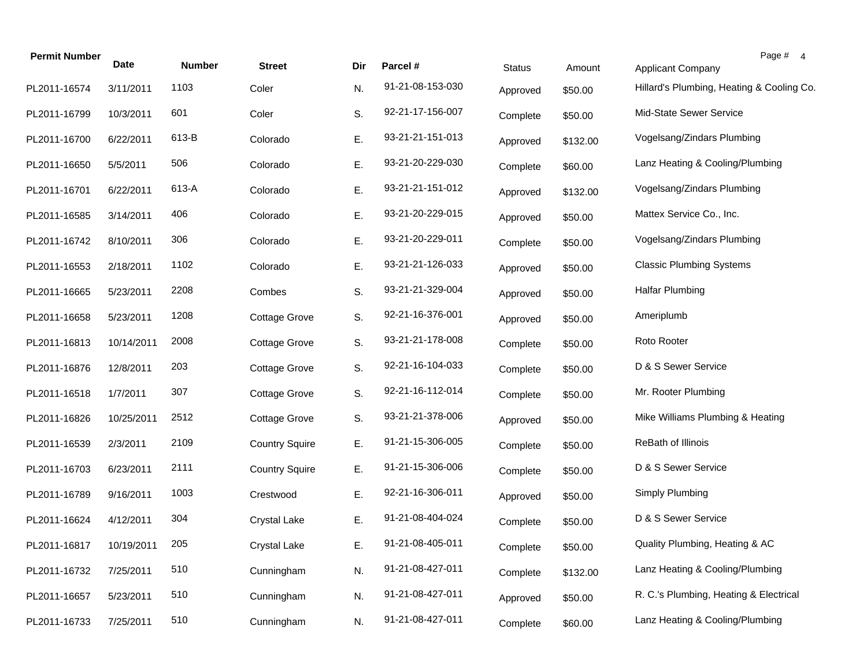| <b>Permit Number</b> | <b>Date</b> | <b>Number</b> | <b>Street</b>         | Dir | Parcel #         | <b>Status</b> | Amount   | Page # 4<br><b>Applicant Company</b>      |
|----------------------|-------------|---------------|-----------------------|-----|------------------|---------------|----------|-------------------------------------------|
| PL2011-16574         | 3/11/2011   | 1103          | Coler                 | N.  | 91-21-08-153-030 | Approved      | \$50.00  | Hillard's Plumbing, Heating & Cooling Co. |
| PL2011-16799         | 10/3/2011   | 601           | Coler                 | S.  | 92-21-17-156-007 | Complete      | \$50.00  | Mid-State Sewer Service                   |
| PL2011-16700         | 6/22/2011   | 613-B         | Colorado              | Ε.  | 93-21-21-151-013 | Approved      | \$132.00 | Vogelsang/Zindars Plumbing                |
| PL2011-16650         | 5/5/2011    | 506           | Colorado              | Ε.  | 93-21-20-229-030 | Complete      | \$60.00  | Lanz Heating & Cooling/Plumbing           |
| PL2011-16701         | 6/22/2011   | 613-A         | Colorado              | Ε.  | 93-21-21-151-012 | Approved      | \$132.00 | Vogelsang/Zindars Plumbing                |
| PL2011-16585         | 3/14/2011   | 406           | Colorado              | Ε.  | 93-21-20-229-015 | Approved      | \$50.00  | Mattex Service Co., Inc.                  |
| PL2011-16742         | 8/10/2011   | 306           | Colorado              | Ε.  | 93-21-20-229-011 | Complete      | \$50.00  | Vogelsang/Zindars Plumbing                |
| PL2011-16553         | 2/18/2011   | 1102          | Colorado              | Ε.  | 93-21-21-126-033 | Approved      | \$50.00  | <b>Classic Plumbing Systems</b>           |
| PL2011-16665         | 5/23/2011   | 2208          | Combes                | S.  | 93-21-21-329-004 | Approved      | \$50.00  | <b>Halfar Plumbing</b>                    |
| PL2011-16658         | 5/23/2011   | 1208          | <b>Cottage Grove</b>  | S.  | 92-21-16-376-001 | Approved      | \$50.00  | Ameriplumb                                |
| PL2011-16813         | 10/14/2011  | 2008          | <b>Cottage Grove</b>  | S.  | 93-21-21-178-008 | Complete      | \$50.00  | Roto Rooter                               |
| PL2011-16876         | 12/8/2011   | 203           | <b>Cottage Grove</b>  | S.  | 92-21-16-104-033 | Complete      | \$50.00  | D & S Sewer Service                       |
| PL2011-16518         | 1/7/2011    | 307           | <b>Cottage Grove</b>  | S.  | 92-21-16-112-014 | Complete      | \$50.00  | Mr. Rooter Plumbing                       |
| PL2011-16826         | 10/25/2011  | 2512          | <b>Cottage Grove</b>  | S.  | 93-21-21-378-006 | Approved      | \$50.00  | Mike Williams Plumbing & Heating          |
| PL2011-16539         | 2/3/2011    | 2109          | <b>Country Squire</b> | Ε.  | 91-21-15-306-005 | Complete      | \$50.00  | ReBath of Illinois                        |
| PL2011-16703         | 6/23/2011   | 2111          | <b>Country Squire</b> | Ε.  | 91-21-15-306-006 | Complete      | \$50.00  | D & S Sewer Service                       |
| PL2011-16789         | 9/16/2011   | 1003          | Crestwood             | Ε.  | 92-21-16-306-011 | Approved      | \$50.00  | Simply Plumbing                           |
| PL2011-16624         | 4/12/2011   | 304           | <b>Crystal Lake</b>   | Ε.  | 91-21-08-404-024 | Complete      | \$50.00  | D & S Sewer Service                       |
| PL2011-16817         | 10/19/2011  | 205           | Crystal Lake          | Е.  | 91-21-08-405-011 | Complete      | \$50.00  | Quality Plumbing, Heating & AC            |
| PL2011-16732         | 7/25/2011   | 510           | Cunningham            | N.  | 91-21-08-427-011 | Complete      | \$132.00 | Lanz Heating & Cooling/Plumbing           |
| PL2011-16657         | 5/23/2011   | 510           | Cunningham            | N.  | 91-21-08-427-011 | Approved      | \$50.00  | R. C.'s Plumbing, Heating & Electrical    |
| PL2011-16733         | 7/25/2011   | 510           | Cunningham            | N.  | 91-21-08-427-011 | Complete      | \$60.00  | Lanz Heating & Cooling/Plumbing           |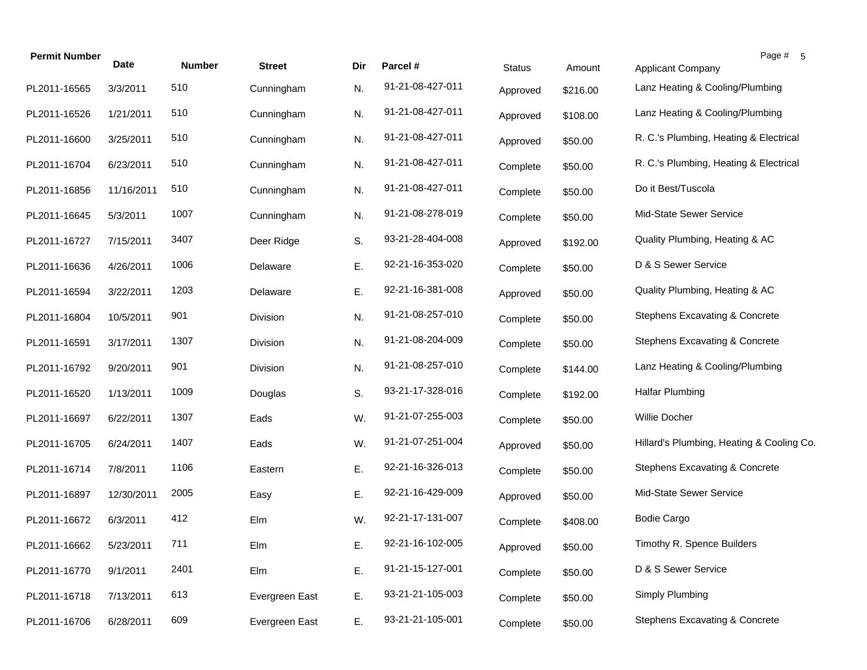| <b>Permit Number</b> | Date       | <b>Number</b> | <b>Street</b>   | Dir | Parcel #         | <b>Status</b> | Amount   | Page # 5<br>Applicant Company             |
|----------------------|------------|---------------|-----------------|-----|------------------|---------------|----------|-------------------------------------------|
| PL2011-16565         | 3/3/2011   | 510           | Cunningham      | N.  | 91-21-08-427-011 | Approved      | \$216.00 | Lanz Heating & Cooling/Plumbing           |
| PL2011-16526         | 1/21/2011  | 510           | Cunningham      | N.  | 91-21-08-427-011 | Approved      | \$108.00 | Lanz Heating & Cooling/Plumbing           |
| PL2011-16600         | 3/25/2011  | 510           | Cunningham      | N.  | 91-21-08-427-011 | Approved      | \$50.00  | R. C.'s Plumbing, Heating & Electrical    |
| PL2011-16704         | 6/23/2011  | 510           | Cunningham      | N.  | 91-21-08-427-011 | Complete      | \$50.00  | R. C.'s Plumbing, Heating & Electrical    |
| PL2011-16856         | 11/16/2011 | 510           | Cunningham      | N.  | 91-21-08-427-011 | Complete      | \$50.00  | Do it Best/Tuscola                        |
| PL2011-16645         | 5/3/2011   | 1007          | Cunningham      | N.  | 91-21-08-278-019 | Complete      | \$50.00  | Mid-State Sewer Service                   |
| PL2011-16727         | 7/15/2011  | 3407          | Deer Ridge      | S.  | 93-21-28-404-008 | Approved      | \$192.00 | Quality Plumbing, Heating & AC            |
| PL2011-16636         | 4/26/2011  | 1006          | Delaware        | Ε.  | 92-21-16-353-020 | Complete      | \$50.00  | D & S Sewer Service                       |
| PL2011-16594         | 3/22/2011  | 1203          | Delaware        | Ε.  | 92-21-16-381-008 | Approved      | \$50.00  | Quality Plumbing, Heating & AC            |
| PL2011-16804         | 10/5/2011  | 901           | <b>Division</b> | N.  | 91-21-08-257-010 | Complete      | \$50.00  | Stephens Excavating & Concrete            |
| PL2011-16591         | 3/17/2011  | 1307          | Division        | N.  | 91-21-08-204-009 | Complete      | \$50.00  | Stephens Excavating & Concrete            |
| PL2011-16792         | 9/20/2011  | 901           | Division        | N.  | 91-21-08-257-010 | Complete      | \$144.00 | Lanz Heating & Cooling/Plumbing           |
| PL2011-16520         | 1/13/2011  | 1009          | Douglas         | S.  | 93-21-17-328-016 | Complete      | \$192.00 | <b>Halfar Plumbing</b>                    |
| PL2011-16697         | 6/22/2011  | 1307          | Eads            | W.  | 91-21-07-255-003 | Complete      | \$50.00  | Willie Docher                             |
| PL2011-16705         | 6/24/2011  | 1407          | Eads            | W.  | 91-21-07-251-004 | Approved      | \$50.00  | Hillard's Plumbing, Heating & Cooling Co. |
| PL2011-16714         | 7/8/2011   | 1106          | Eastern         | Ε.  | 92-21-16-326-013 | Complete      | \$50.00  | <b>Stephens Excavating &amp; Concrete</b> |
| PL2011-16897         | 12/30/2011 | 2005          | Easy            | Ε.  | 92-21-16-429-009 | Approved      | \$50.00  | Mid-State Sewer Service                   |
| PL2011-16672         | 6/3/2011   | 412           | Elm             | W.  | 92-21-17-131-007 | Complete      | \$408.00 | <b>Bodie Cargo</b>                        |
| PL2011-16662         | 5/23/2011  | 711           | Elm             | Е.  | 92-21-16-102-005 | Approved      | \$50.00  | Timothy R. Spence Builders                |
| PL2011-16770         | 9/1/2011   | 2401          | Elm             | Ε.  | 91-21-15-127-001 | Complete      | \$50.00  | D & S Sewer Service                       |
| PL2011-16718         | 7/13/2011  | 613           | Evergreen East  | Ε.  | 93-21-21-105-003 | Complete      | \$50.00  | Simply Plumbing                           |
| PL2011-16706         | 6/28/2011  | 609           | Evergreen East  | Ε.  | 93-21-21-105-001 | Complete      | \$50.00  | <b>Stephens Excavating &amp; Concrete</b> |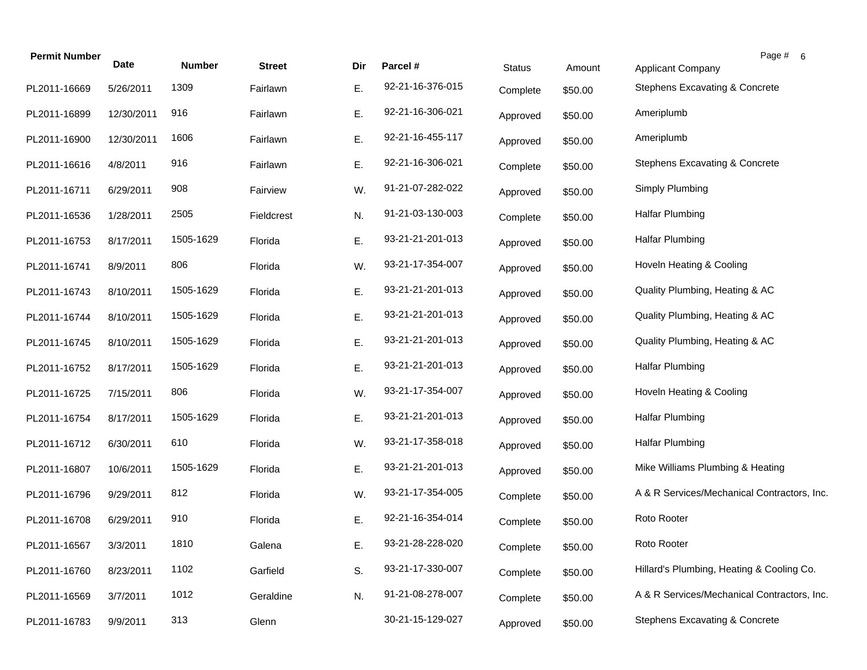| <b>Permit Number</b> | Date       | <b>Number</b> | <b>Street</b> | Dir | Parcel #         | <b>Status</b> | Amount  | Page # 6<br><b>Applicant Company</b>        |  |
|----------------------|------------|---------------|---------------|-----|------------------|---------------|---------|---------------------------------------------|--|
| PL2011-16669         | 5/26/2011  | 1309          | Fairlawn      | Ε.  | 92-21-16-376-015 | Complete      | \$50.00 | Stephens Excavating & Concrete              |  |
| PL2011-16899         | 12/30/2011 | 916           | Fairlawn      | Ε.  | 92-21-16-306-021 | Approved      | \$50.00 | Ameriplumb                                  |  |
| PL2011-16900         | 12/30/2011 | 1606          | Fairlawn      | Ε.  | 92-21-16-455-117 | Approved      | \$50.00 | Ameriplumb                                  |  |
| PL2011-16616         | 4/8/2011   | 916           | Fairlawn      | Ε.  | 92-21-16-306-021 | Complete      | \$50.00 | Stephens Excavating & Concrete              |  |
| PL2011-16711         | 6/29/2011  | 908           | Fairview      | W.  | 91-21-07-282-022 | Approved      | \$50.00 | Simply Plumbing                             |  |
| PL2011-16536         | 1/28/2011  | 2505          | Fieldcrest    | N.  | 91-21-03-130-003 | Complete      | \$50.00 | <b>Halfar Plumbing</b>                      |  |
| PL2011-16753         | 8/17/2011  | 1505-1629     | Florida       | Ε.  | 93-21-21-201-013 | Approved      | \$50.00 | <b>Halfar Plumbing</b>                      |  |
| PL2011-16741         | 8/9/2011   | 806           | Florida       | W.  | 93-21-17-354-007 | Approved      | \$50.00 | Hoveln Heating & Cooling                    |  |
| PL2011-16743         | 8/10/2011  | 1505-1629     | Florida       | Ε.  | 93-21-21-201-013 | Approved      | \$50.00 | Quality Plumbing, Heating & AC              |  |
| PL2011-16744         | 8/10/2011  | 1505-1629     | Florida       | E.  | 93-21-21-201-013 | Approved      | \$50.00 | Quality Plumbing, Heating & AC              |  |
| PL2011-16745         | 8/10/2011  | 1505-1629     | Florida       | Ε.  | 93-21-21-201-013 | Approved      | \$50.00 | Quality Plumbing, Heating & AC              |  |
| PL2011-16752         | 8/17/2011  | 1505-1629     | Florida       | Ε.  | 93-21-21-201-013 | Approved      | \$50.00 | <b>Halfar Plumbing</b>                      |  |
| PL2011-16725         | 7/15/2011  | 806           | Florida       | W.  | 93-21-17-354-007 | Approved      | \$50.00 | Hoveln Heating & Cooling                    |  |
| PL2011-16754         | 8/17/2011  | 1505-1629     | Florida       | Ε.  | 93-21-21-201-013 | Approved      | \$50.00 | <b>Halfar Plumbing</b>                      |  |
| PL2011-16712         | 6/30/2011  | 610           | Florida       | W.  | 93-21-17-358-018 | Approved      | \$50.00 | <b>Halfar Plumbing</b>                      |  |
| PL2011-16807         | 10/6/2011  | 1505-1629     | Florida       | Ε.  | 93-21-21-201-013 | Approved      | \$50.00 | Mike Williams Plumbing & Heating            |  |
| PL2011-16796         | 9/29/2011  | 812           | Florida       | W.  | 93-21-17-354-005 | Complete      | \$50.00 | A & R Services/Mechanical Contractors, Inc. |  |
| PL2011-16708         | 6/29/2011  | 910           | Florida       | Е.  | 92-21-16-354-014 | Complete      | \$50.00 | Roto Rooter                                 |  |
| PL2011-16567         | 3/3/2011   | 1810          | Galena        | Ε.  | 93-21-28-228-020 | Complete      | \$50.00 | Roto Rooter                                 |  |
| PL2011-16760         | 8/23/2011  | 1102          | Garfield      | S.  | 93-21-17-330-007 | Complete      | \$50.00 | Hillard's Plumbing, Heating & Cooling Co.   |  |
| PL2011-16569         | 3/7/2011   | 1012          | Geraldine     | N.  | 91-21-08-278-007 | Complete      | \$50.00 | A & R Services/Mechanical Contractors, Inc. |  |
| PL2011-16783         | 9/9/2011   | 313           | Glenn         |     | 30-21-15-129-027 | Approved      | \$50.00 | Stephens Excavating & Concrete              |  |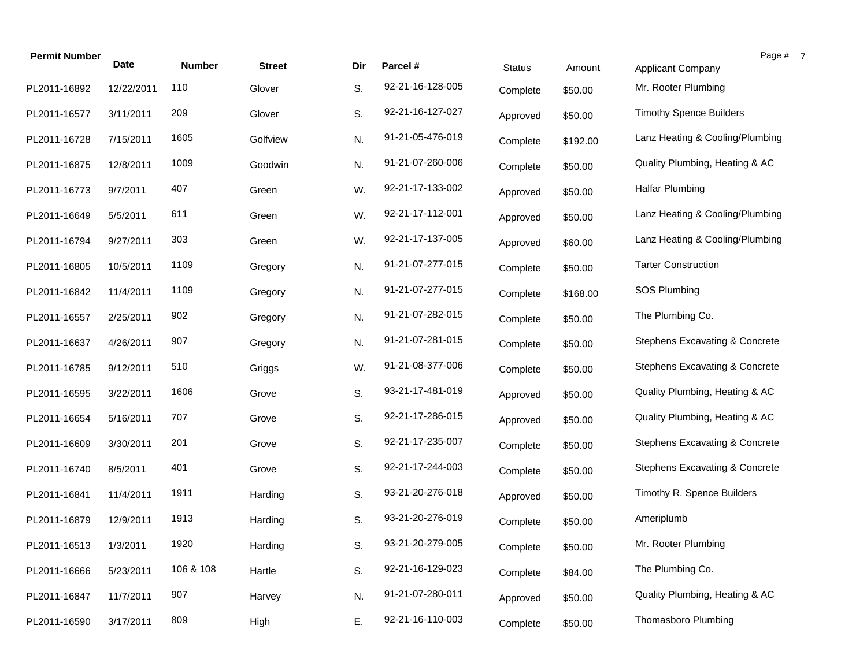| <b>Permit Number</b> | Date       | <b>Number</b> | <b>Street</b> | Dir | Parcel #         | <b>Status</b> | Amount   | Page #<br><b>Applicant Company</b> |
|----------------------|------------|---------------|---------------|-----|------------------|---------------|----------|------------------------------------|
| PL2011-16892         | 12/22/2011 | 110           | Glover        | S.  | 92-21-16-128-005 | Complete      | \$50.00  | Mr. Rooter Plumbing                |
| PL2011-16577         | 3/11/2011  | 209           | Glover        | S.  | 92-21-16-127-027 | Approved      | \$50.00  | <b>Timothy Spence Builders</b>     |
| PL2011-16728         | 7/15/2011  | 1605          | Golfview      | N.  | 91-21-05-476-019 | Complete      | \$192.00 | Lanz Heating & Cooling/Plumbing    |
| PL2011-16875         | 12/8/2011  | 1009          | Goodwin       | N.  | 91-21-07-260-006 | Complete      | \$50.00  | Quality Plumbing, Heating & AC     |
| PL2011-16773         | 9/7/2011   | 407           | Green         | W.  | 92-21-17-133-002 | Approved      | \$50.00  | <b>Halfar Plumbing</b>             |
| PL2011-16649         | 5/5/2011   | 611           | Green         | W.  | 92-21-17-112-001 | Approved      | \$50.00  | Lanz Heating & Cooling/Plumbing    |
| PL2011-16794         | 9/27/2011  | 303           | Green         | W.  | 92-21-17-137-005 | Approved      | \$60.00  | Lanz Heating & Cooling/Plumbing    |
| PL2011-16805         | 10/5/2011  | 1109          | Gregory       | N.  | 91-21-07-277-015 | Complete      | \$50.00  | <b>Tarter Construction</b>         |
| PL2011-16842         | 11/4/2011  | 1109          | Gregory       | N.  | 91-21-07-277-015 | Complete      | \$168.00 | SOS Plumbing                       |
| PL2011-16557         | 2/25/2011  | 902           | Gregory       | N.  | 91-21-07-282-015 | Complete      | \$50.00  | The Plumbing Co.                   |
| PL2011-16637         | 4/26/2011  | 907           | Gregory       | N.  | 91-21-07-281-015 | Complete      | \$50.00  | Stephens Excavating & Concrete     |
| PL2011-16785         | 9/12/2011  | 510           | Griggs        | W.  | 91-21-08-377-006 | Complete      | \$50.00  | Stephens Excavating & Concrete     |
| PL2011-16595         | 3/22/2011  | 1606          | Grove         | S.  | 93-21-17-481-019 | Approved      | \$50.00  | Quality Plumbing, Heating & AC     |
| PL2011-16654         | 5/16/2011  | 707           | Grove         | S.  | 92-21-17-286-015 | Approved      | \$50.00  | Quality Plumbing, Heating & AC     |
| PL2011-16609         | 3/30/2011  | 201           | Grove         | S.  | 92-21-17-235-007 | Complete      | \$50.00  | Stephens Excavating & Concrete     |
| PL2011-16740         | 8/5/2011   | 401           | Grove         | S.  | 92-21-17-244-003 | Complete      | \$50.00  | Stephens Excavating & Concrete     |
| PL2011-16841         | 11/4/2011  | 1911          | Harding       | S.  | 93-21-20-276-018 | Approved      | \$50.00  | Timothy R. Spence Builders         |
| PL2011-16879         | 12/9/2011  | 1913          | Harding       | S.  | 93-21-20-276-019 | Complete      | \$50.00  | Ameriplumb                         |
| PL2011-16513         | 1/3/2011   | 1920          | Harding       | S.  | 93-21-20-279-005 | Complete      | \$50.00  | Mr. Rooter Plumbing                |
| PL2011-16666         | 5/23/2011  | 106 & 108     | Hartle        | S.  | 92-21-16-129-023 | Complete      | \$84.00  | The Plumbing Co.                   |
| PL2011-16847         | 11/7/2011  | 907           | Harvey        | N.  | 91-21-07-280-011 | Approved      | \$50.00  | Quality Plumbing, Heating & AC     |
| PL2011-16590         | 3/17/2011  | 809           | High          | Ε.  | 92-21-16-110-003 | Complete      | \$50.00  | Thomasboro Plumbing                |

 $\overline{7}$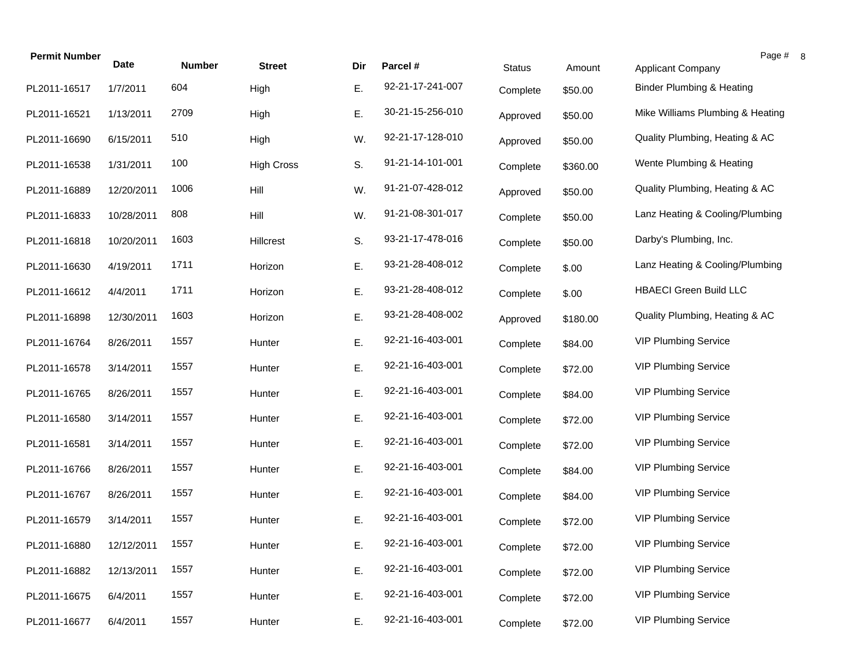| <b>Permit Number</b> | <b>Date</b> | <b>Number</b> | <b>Street</b>     | Dir | Parcel #         | <b>Status</b> | Amount   | Page #<br><b>Applicant Company</b>   |
|----------------------|-------------|---------------|-------------------|-----|------------------|---------------|----------|--------------------------------------|
| PL2011-16517         | 1/7/2011    | 604           | High              | Ε.  | 92-21-17-241-007 | Complete      | \$50.00  | <b>Binder Plumbing &amp; Heating</b> |
| PL2011-16521         | 1/13/2011   | 2709          | High              | Ε.  | 30-21-15-256-010 | Approved      | \$50.00  | Mike Williams Plumbing & Heating     |
| PL2011-16690         | 6/15/2011   | 510           | High              | W.  | 92-21-17-128-010 | Approved      | \$50.00  | Quality Plumbing, Heating & AC       |
| PL2011-16538         | 1/31/2011   | 100           | <b>High Cross</b> | S.  | 91-21-14-101-001 | Complete      | \$360.00 | Wente Plumbing & Heating             |
| PL2011-16889         | 12/20/2011  | 1006          | Hill              | W.  | 91-21-07-428-012 | Approved      | \$50.00  | Quality Plumbing, Heating & AC       |
| PL2011-16833         | 10/28/2011  | 808           | Hill              | W.  | 91-21-08-301-017 | Complete      | \$50.00  | Lanz Heating & Cooling/Plumbing      |
| PL2011-16818         | 10/20/2011  | 1603          | Hillcrest         | S.  | 93-21-17-478-016 | Complete      | \$50.00  | Darby's Plumbing, Inc.               |
| PL2011-16630         | 4/19/2011   | 1711          | Horizon           | Ε.  | 93-21-28-408-012 | Complete      | \$.00    | Lanz Heating & Cooling/Plumbing      |
| PL2011-16612         | 4/4/2011    | 1711          | Horizon           | Ε.  | 93-21-28-408-012 | Complete      | \$.00    | <b>HBAECI</b> Green Build LLC        |
| PL2011-16898         | 12/30/2011  | 1603          | Horizon           | Ε.  | 93-21-28-408-002 | Approved      | \$180.00 | Quality Plumbing, Heating & AC       |
| PL2011-16764         | 8/26/2011   | 1557          | Hunter            | Ε.  | 92-21-16-403-001 | Complete      | \$84.00  | <b>VIP Plumbing Service</b>          |
| PL2011-16578         | 3/14/2011   | 1557          | Hunter            | Ε.  | 92-21-16-403-001 | Complete      | \$72.00  | <b>VIP Plumbing Service</b>          |
| PL2011-16765         | 8/26/2011   | 1557          | Hunter            | Ε.  | 92-21-16-403-001 | Complete      | \$84.00  | <b>VIP Plumbing Service</b>          |
| PL2011-16580         | 3/14/2011   | 1557          | Hunter            | Ε.  | 92-21-16-403-001 | Complete      | \$72.00  | <b>VIP Plumbing Service</b>          |
| PL2011-16581         | 3/14/2011   | 1557          | Hunter            | Ε.  | 92-21-16-403-001 | Complete      | \$72.00  | <b>VIP Plumbing Service</b>          |
| PL2011-16766         | 8/26/2011   | 1557          | Hunter            | Ε.  | 92-21-16-403-001 | Complete      | \$84.00  | <b>VIP Plumbing Service</b>          |
| PL2011-16767         | 8/26/2011   | 1557          | Hunter            | Ε.  | 92-21-16-403-001 | Complete      | \$84.00  | <b>VIP Plumbing Service</b>          |
| PL2011-16579         | 3/14/2011   | 1557          | Hunter            | Ε.  | 92-21-16-403-001 | Complete      | \$72.00  | <b>VIP Plumbing Service</b>          |
| PL2011-16880         | 12/12/2011  | 1557          | Hunter            | Ε.  | 92-21-16-403-001 | Complete      | \$72.00  | <b>VIP Plumbing Service</b>          |
| PL2011-16882         | 12/13/2011  | 1557          | Hunter            | Ε.  | 92-21-16-403-001 | Complete      | \$72.00  | <b>VIP Plumbing Service</b>          |
| PL2011-16675         | 6/4/2011    | 1557          | Hunter            | Ε.  | 92-21-16-403-001 | Complete      | \$72.00  | <b>VIP Plumbing Service</b>          |
| PL2011-16677         | 6/4/2011    | 1557          | Hunter            | Ε.  | 92-21-16-403-001 | Complete      | \$72.00  | <b>VIP Plumbing Service</b>          |

 $\boldsymbol{8}$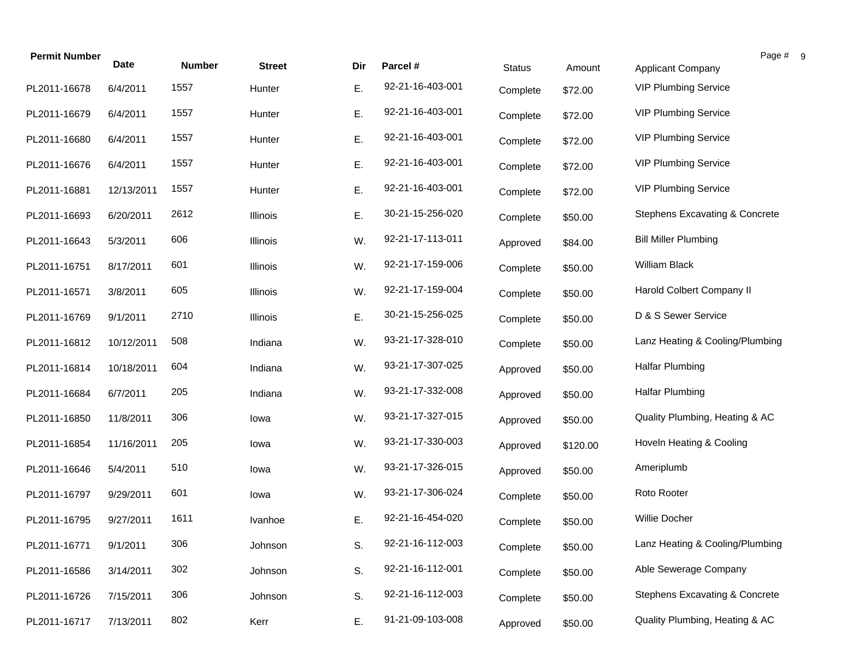| <b>Permit Number</b> | <b>Date</b> | <b>Number</b> | <b>Street</b> | Dir | Parcel #         | <b>Status</b> | Amount   | Page #<br><b>Applicant Company</b> |
|----------------------|-------------|---------------|---------------|-----|------------------|---------------|----------|------------------------------------|
| PL2011-16678         | 6/4/2011    | 1557          | Hunter        | Ε.  | 92-21-16-403-001 | Complete      | \$72.00  | <b>VIP Plumbing Service</b>        |
| PL2011-16679         | 6/4/2011    | 1557          | Hunter        | Ε.  | 92-21-16-403-001 | Complete      | \$72.00  | <b>VIP Plumbing Service</b>        |
| PL2011-16680         | 6/4/2011    | 1557          | Hunter        | Ε.  | 92-21-16-403-001 | Complete      | \$72.00  | <b>VIP Plumbing Service</b>        |
| PL2011-16676         | 6/4/2011    | 1557          | Hunter        | Ε.  | 92-21-16-403-001 | Complete      | \$72.00  | <b>VIP Plumbing Service</b>        |
| PL2011-16881         | 12/13/2011  | 1557          | Hunter        | Ε.  | 92-21-16-403-001 | Complete      | \$72.00  | <b>VIP Plumbing Service</b>        |
| PL2011-16693         | 6/20/2011   | 2612          | Illinois      | Ε.  | 30-21-15-256-020 | Complete      | \$50.00  | Stephens Excavating & Concrete     |
| PL2011-16643         | 5/3/2011    | 606           | Illinois      | W.  | 92-21-17-113-011 | Approved      | \$84.00  | <b>Bill Miller Plumbing</b>        |
| PL2011-16751         | 8/17/2011   | 601           | Illinois      | W.  | 92-21-17-159-006 | Complete      | \$50.00  | William Black                      |
| PL2011-16571         | 3/8/2011    | 605           | Illinois      | W.  | 92-21-17-159-004 | Complete      | \$50.00  | Harold Colbert Company II          |
| PL2011-16769         | 9/1/2011    | 2710          | Illinois      | Ε.  | 30-21-15-256-025 | Complete      | \$50.00  | D & S Sewer Service                |
| PL2011-16812         | 10/12/2011  | 508           | Indiana       | W.  | 93-21-17-328-010 | Complete      | \$50.00  | Lanz Heating & Cooling/Plumbing    |
| PL2011-16814         | 10/18/2011  | 604           | Indiana       | W.  | 93-21-17-307-025 | Approved      | \$50.00  | <b>Halfar Plumbing</b>             |
| PL2011-16684         | 6/7/2011    | 205           | Indiana       | W.  | 93-21-17-332-008 | Approved      | \$50.00  | <b>Halfar Plumbing</b>             |
| PL2011-16850         | 11/8/2011   | 306           | lowa          | W.  | 93-21-17-327-015 | Approved      | \$50.00  | Quality Plumbing, Heating & AC     |
| PL2011-16854         | 11/16/2011  | 205           | lowa          | W.  | 93-21-17-330-003 | Approved      | \$120.00 | Hoveln Heating & Cooling           |
| PL2011-16646         | 5/4/2011    | 510           | lowa          | W.  | 93-21-17-326-015 | Approved      | \$50.00  | Ameriplumb                         |
| PL2011-16797         | 9/29/2011   | 601           | lowa          | W.  | 93-21-17-306-024 | Complete      | \$50.00  | Roto Rooter                        |
| PL2011-16795         | 9/27/2011   | 1611          | Ivanhoe       | Ε.  | 92-21-16-454-020 | Complete      | \$50.00  | Willie Docher                      |
| PL2011-16771         | 9/1/2011    | 306           | Johnson       | S.  | 92-21-16-112-003 | Complete      | \$50.00  | Lanz Heating & Cooling/Plumbing    |
| PL2011-16586         | 3/14/2011   | 302           | Johnson       | S.  | 92-21-16-112-001 | Complete      | \$50.00  | Able Sewerage Company              |
| PL2011-16726         | 7/15/2011   | 306           | Johnson       | S.  | 92-21-16-112-003 | Complete      | \$50.00  | Stephens Excavating & Concrete     |
| PL2011-16717         | 7/13/2011   | 802           | Kerr          | Ε.  | 91-21-09-103-008 | Approved      | \$50.00  | Quality Plumbing, Heating & AC     |

 $9 \,$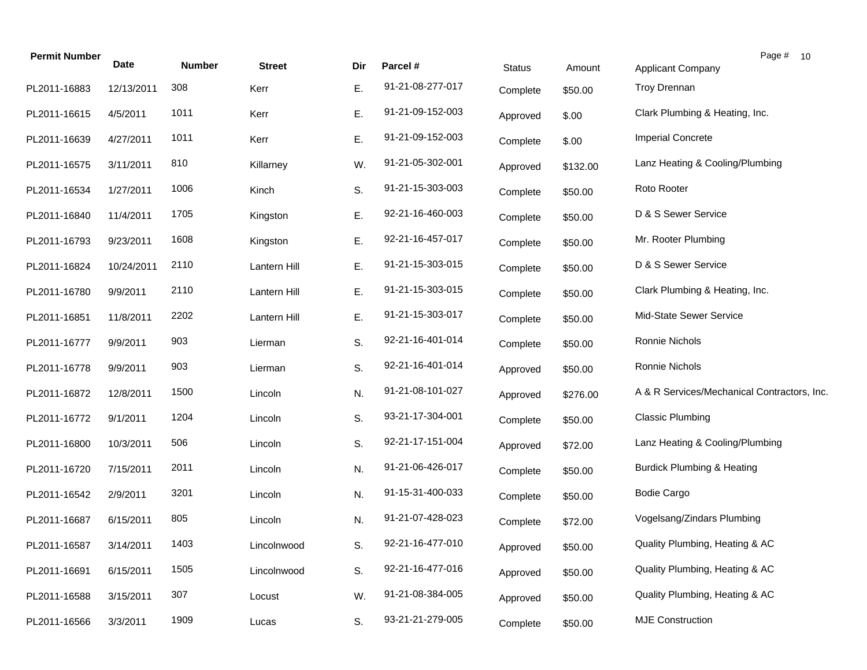| <b>Permit Number</b> | <b>Date</b> | <b>Number</b> | <b>Street</b> | Dir | Parcel #         | <b>Status</b> | Amount   | <b>Applicant Company</b>                    | Page # 10 |
|----------------------|-------------|---------------|---------------|-----|------------------|---------------|----------|---------------------------------------------|-----------|
| PL2011-16883         | 12/13/2011  | 308           | Kerr          | Е.  | 91-21-08-277-017 | Complete      | \$50.00  | Troy Drennan                                |           |
| PL2011-16615         | 4/5/2011    | 1011          | Kerr          | Ε.  | 91-21-09-152-003 | Approved      | \$.00    | Clark Plumbing & Heating, Inc.              |           |
| PL2011-16639         | 4/27/2011   | 1011          | Kerr          | E.  | 91-21-09-152-003 | Complete      | \$.00    | <b>Imperial Concrete</b>                    |           |
| PL2011-16575         | 3/11/2011   | 810           | Killarney     | W.  | 91-21-05-302-001 | Approved      | \$132.00 | Lanz Heating & Cooling/Plumbing             |           |
| PL2011-16534         | 1/27/2011   | 1006          | Kinch         | S.  | 91-21-15-303-003 | Complete      | \$50.00  | Roto Rooter                                 |           |
| PL2011-16840         | 11/4/2011   | 1705          | Kingston      | Ε.  | 92-21-16-460-003 | Complete      | \$50.00  | D & S Sewer Service                         |           |
| PL2011-16793         | 9/23/2011   | 1608          | Kingston      | Е.  | 92-21-16-457-017 | Complete      | \$50.00  | Mr. Rooter Plumbing                         |           |
| PL2011-16824         | 10/24/2011  | 2110          | Lantern Hill  | Ε.  | 91-21-15-303-015 | Complete      | \$50.00  | D & S Sewer Service                         |           |
| PL2011-16780         | 9/9/2011    | 2110          | Lantern Hill  | Ε.  | 91-21-15-303-015 | Complete      | \$50.00  | Clark Plumbing & Heating, Inc.              |           |
| PL2011-16851         | 11/8/2011   | 2202          | Lantern Hill  | Ε.  | 91-21-15-303-017 | Complete      | \$50.00  | Mid-State Sewer Service                     |           |
| PL2011-16777         | 9/9/2011    | 903           | Lierman       | S.  | 92-21-16-401-014 | Complete      | \$50.00  | Ronnie Nichols                              |           |
| PL2011-16778         | 9/9/2011    | 903           | Lierman       | S.  | 92-21-16-401-014 | Approved      | \$50.00  | Ronnie Nichols                              |           |
| PL2011-16872         | 12/8/2011   | 1500          | Lincoln       | N.  | 91-21-08-101-027 | Approved      | \$276.00 | A & R Services/Mechanical Contractors, Inc. |           |
| PL2011-16772         | 9/1/2011    | 1204          | Lincoln       | S.  | 93-21-17-304-001 | Complete      | \$50.00  | <b>Classic Plumbing</b>                     |           |
| PL2011-16800         | 10/3/2011   | 506           | Lincoln       | S.  | 92-21-17-151-004 | Approved      | \$72.00  | Lanz Heating & Cooling/Plumbing             |           |
| PL2011-16720         | 7/15/2011   | 2011          | Lincoln       | N.  | 91-21-06-426-017 | Complete      | \$50.00  | <b>Burdick Plumbing &amp; Heating</b>       |           |
| PL2011-16542         | 2/9/2011    | 3201          | Lincoln       | N.  | 91-15-31-400-033 | Complete      | \$50.00  | <b>Bodie Cargo</b>                          |           |
| PL2011-16687         | 6/15/2011   | 805           | Lincoln       | N.  | 91-21-07-428-023 | Complete      | \$72.00  | Vogelsang/Zindars Plumbing                  |           |
| PL2011-16587         | 3/14/2011   | 1403          | Lincolnwood   | S.  | 92-21-16-477-010 | Approved      | \$50.00  | Quality Plumbing, Heating & AC              |           |
| PL2011-16691         | 6/15/2011   | 1505          | Lincolnwood   | S.  | 92-21-16-477-016 | Approved      | \$50.00  | Quality Plumbing, Heating & AC              |           |
| PL2011-16588         | 3/15/2011   | 307           | Locust        | W.  | 91-21-08-384-005 | Approved      | \$50.00  | Quality Plumbing, Heating & AC              |           |
| PL2011-16566         | 3/3/2011    | 1909          | Lucas         | S.  | 93-21-21-279-005 | Complete      | \$50.00  | <b>MJE Construction</b>                     |           |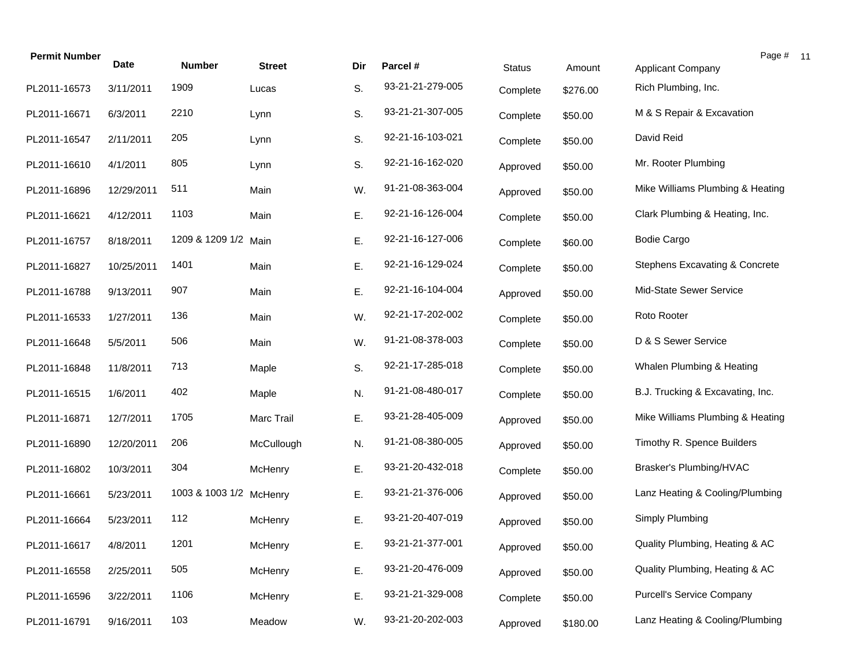| <b>Permit Number</b> | Date       | <b>Number</b>           | <b>Street</b> | Dir | Parcel #         | <b>Status</b> | Amount   | <b>Applicant Company</b>         | Page # 11 |
|----------------------|------------|-------------------------|---------------|-----|------------------|---------------|----------|----------------------------------|-----------|
| PL2011-16573         | 3/11/2011  | 1909                    | Lucas         | S.  | 93-21-21-279-005 |               |          | Rich Plumbing, Inc.              |           |
|                      |            |                         |               |     |                  | Complete      | \$276.00 |                                  |           |
| PL2011-16671         | 6/3/2011   | 2210                    | Lynn          | S.  | 93-21-21-307-005 | Complete      | \$50.00  | M & S Repair & Excavation        |           |
| PL2011-16547         | 2/11/2011  | 205                     | Lynn          | S.  | 92-21-16-103-021 | Complete      | \$50.00  | David Reid                       |           |
| PL2011-16610         | 4/1/2011   | 805                     | Lynn          | S.  | 92-21-16-162-020 | Approved      | \$50.00  | Mr. Rooter Plumbing              |           |
| PL2011-16896         | 12/29/2011 | 511                     | Main          | W.  | 91-21-08-363-004 | Approved      | \$50.00  | Mike Williams Plumbing & Heating |           |
| PL2011-16621         | 4/12/2011  | 1103                    | Main          | Ε.  | 92-21-16-126-004 | Complete      | \$50.00  | Clark Plumbing & Heating, Inc.   |           |
| PL2011-16757         | 8/18/2011  | 1209 & 1209 1/2 Main    |               | Ε.  | 92-21-16-127-006 | Complete      | \$60.00  | <b>Bodie Cargo</b>               |           |
| PL2011-16827         | 10/25/2011 | 1401                    | Main          | Ε.  | 92-21-16-129-024 | Complete      | \$50.00  | Stephens Excavating & Concrete   |           |
| PL2011-16788         | 9/13/2011  | 907                     | Main          | Ε.  | 92-21-16-104-004 | Approved      | \$50.00  | Mid-State Sewer Service          |           |
| PL2011-16533         | 1/27/2011  | 136                     | Main          | W.  | 92-21-17-202-002 | Complete      | \$50.00  | Roto Rooter                      |           |
| PL2011-16648         | 5/5/2011   | 506                     | Main          | W.  | 91-21-08-378-003 | Complete      | \$50.00  | D & S Sewer Service              |           |
| PL2011-16848         | 11/8/2011  | 713                     | Maple         | S.  | 92-21-17-285-018 | Complete      | \$50.00  | Whalen Plumbing & Heating        |           |
| PL2011-16515         | 1/6/2011   | 402                     | Maple         | N.  | 91-21-08-480-017 | Complete      | \$50.00  | B.J. Trucking & Excavating, Inc. |           |
| PL2011-16871         | 12/7/2011  | 1705                    | Marc Trail    | Ε.  | 93-21-28-405-009 | Approved      | \$50.00  | Mike Williams Plumbing & Heating |           |
| PL2011-16890         | 12/20/2011 | 206                     | McCullough    | N.  | 91-21-08-380-005 | Approved      | \$50.00  | Timothy R. Spence Builders       |           |
| PL2011-16802         | 10/3/2011  | 304                     | McHenry       | Ε.  | 93-21-20-432-018 | Complete      | \$50.00  | Brasker's Plumbing/HVAC          |           |
| PL2011-16661         | 5/23/2011  | 1003 & 1003 1/2 McHenry |               | Ε.  | 93-21-21-376-006 | Approved      | \$50.00  | Lanz Heating & Cooling/Plumbing  |           |
| PL2011-16664         | 5/23/2011  | 112                     | McHenry       | Ε.  | 93-21-20-407-019 | Approved      | \$50.00  | Simply Plumbing                  |           |
| PL2011-16617         | 4/8/2011   | 1201                    | McHenry       | E.  | 93-21-21-377-001 | Approved      | \$50.00  | Quality Plumbing, Heating & AC   |           |
| PL2011-16558         | 2/25/2011  | 505                     | McHenry       | Ε.  | 93-21-20-476-009 | Approved      | \$50.00  | Quality Plumbing, Heating & AC   |           |
| PL2011-16596         | 3/22/2011  | 1106                    | McHenry       | Ε.  | 93-21-21-329-008 | Complete      | \$50.00  | <b>Purcell's Service Company</b> |           |
| PL2011-16791         | 9/16/2011  | 103                     | Meadow        | W.  | 93-21-20-202-003 | Approved      | \$180.00 | Lanz Heating & Cooling/Plumbing  |           |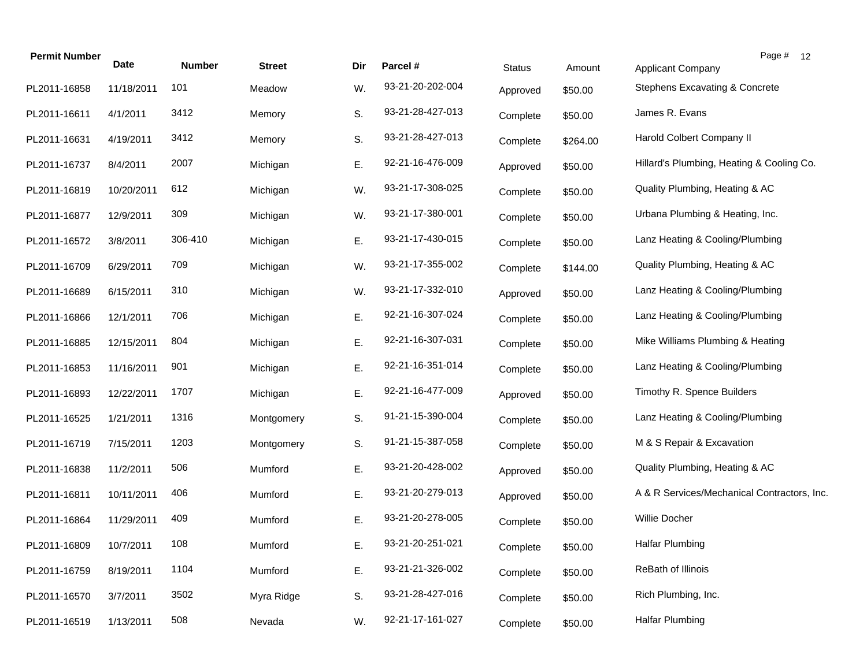| <b>Permit Number</b> | Date       | <b>Number</b> | <b>Street</b> | Dir | Parcel #         | <b>Status</b> | Amount   | Page # 12<br>Applicant Company              |
|----------------------|------------|---------------|---------------|-----|------------------|---------------|----------|---------------------------------------------|
| PL2011-16858         | 11/18/2011 | 101           | Meadow        | W.  | 93-21-20-202-004 | Approved      | \$50.00  | Stephens Excavating & Concrete              |
| PL2011-16611         | 4/1/2011   | 3412          | Memory        | S.  | 93-21-28-427-013 | Complete      | \$50.00  | James R. Evans                              |
| PL2011-16631         | 4/19/2011  | 3412          | Memory        | S.  | 93-21-28-427-013 | Complete      | \$264.00 | Harold Colbert Company II                   |
| PL2011-16737         | 8/4/2011   | 2007          | Michigan      | Ε.  | 92-21-16-476-009 | Approved      | \$50.00  | Hillard's Plumbing, Heating & Cooling Co.   |
| PL2011-16819         | 10/20/2011 | 612           | Michigan      | W.  | 93-21-17-308-025 | Complete      | \$50.00  | Quality Plumbing, Heating & AC              |
| PL2011-16877         | 12/9/2011  | 309           | Michigan      | W.  | 93-21-17-380-001 | Complete      | \$50.00  | Urbana Plumbing & Heating, Inc.             |
| PL2011-16572         | 3/8/2011   | 306-410       | Michigan      | Ε.  | 93-21-17-430-015 | Complete      | \$50.00  | Lanz Heating & Cooling/Plumbing             |
| PL2011-16709         | 6/29/2011  | 709           | Michigan      | W.  | 93-21-17-355-002 | Complete      | \$144.00 | Quality Plumbing, Heating & AC              |
| PL2011-16689         | 6/15/2011  | 310           | Michigan      | W.  | 93-21-17-332-010 | Approved      | \$50.00  | Lanz Heating & Cooling/Plumbing             |
| PL2011-16866         | 12/1/2011  | 706           | Michigan      | Ε.  | 92-21-16-307-024 | Complete      | \$50.00  | Lanz Heating & Cooling/Plumbing             |
| PL2011-16885         | 12/15/2011 | 804           | Michigan      | Ε.  | 92-21-16-307-031 | Complete      | \$50.00  | Mike Williams Plumbing & Heating            |
| PL2011-16853         | 11/16/2011 | 901           | Michigan      | Ε.  | 92-21-16-351-014 | Complete      | \$50.00  | Lanz Heating & Cooling/Plumbing             |
| PL2011-16893         | 12/22/2011 | 1707          | Michigan      | Ε.  | 92-21-16-477-009 | Approved      | \$50.00  | Timothy R. Spence Builders                  |
| PL2011-16525         | 1/21/2011  | 1316          | Montgomery    | S.  | 91-21-15-390-004 | Complete      | \$50.00  | Lanz Heating & Cooling/Plumbing             |
| PL2011-16719         | 7/15/2011  | 1203          | Montgomery    | S.  | 91-21-15-387-058 | Complete      | \$50.00  | M & S Repair & Excavation                   |
| PL2011-16838         | 11/2/2011  | 506           | Mumford       | Ε.  | 93-21-20-428-002 | Approved      | \$50.00  | Quality Plumbing, Heating & AC              |
| PL2011-16811         | 10/11/2011 | 406           | Mumford       | Ε.  | 93-21-20-279-013 | Approved      | \$50.00  | A & R Services/Mechanical Contractors, Inc. |
| PL2011-16864         | 11/29/2011 | 409           | Mumford       | Е.  | 93-21-20-278-005 | Complete      | \$50.00  | Willie Docher                               |
| PL2011-16809         | 10/7/2011  | 108           | Mumford       | Ε.  | 93-21-20-251-021 | Complete      | \$50.00  | <b>Halfar Plumbing</b>                      |
| PL2011-16759         | 8/19/2011  | 1104          | Mumford       | Ε.  | 93-21-21-326-002 | Complete      | \$50.00  | ReBath of Illinois                          |
| PL2011-16570         | 3/7/2011   | 3502          | Myra Ridge    | S.  | 93-21-28-427-016 | Complete      | \$50.00  | Rich Plumbing, Inc.                         |
| PL2011-16519         | 1/13/2011  | 508           | Nevada        | W.  | 92-21-17-161-027 | Complete      | \$50.00  | <b>Halfar Plumbing</b>                      |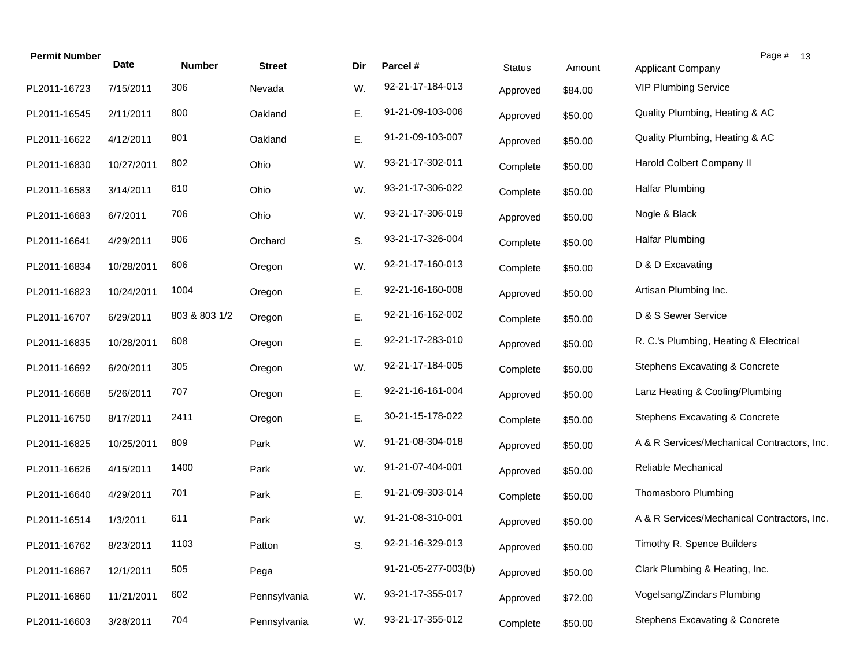| <b>Permit Number</b> | <b>Date</b> | <b>Number</b> | <b>Street</b> | Dir | Parcel #            | <b>Status</b> | Amount  | Applicant Company                           | Page # 13 |  |
|----------------------|-------------|---------------|---------------|-----|---------------------|---------------|---------|---------------------------------------------|-----------|--|
| PL2011-16723         | 7/15/2011   | 306           | Nevada        | W.  | 92-21-17-184-013    | Approved      | \$84.00 | <b>VIP Plumbing Service</b>                 |           |  |
| PL2011-16545         | 2/11/2011   | 800           | Oakland       | Ε.  | 91-21-09-103-006    | Approved      | \$50.00 | Quality Plumbing, Heating & AC              |           |  |
| PL2011-16622         | 4/12/2011   | 801           | Oakland       | Ε.  | 91-21-09-103-007    | Approved      | \$50.00 | Quality Plumbing, Heating & AC              |           |  |
| PL2011-16830         | 10/27/2011  | 802           | Ohio          | W.  | 93-21-17-302-011    | Complete      | \$50.00 | Harold Colbert Company II                   |           |  |
| PL2011-16583         | 3/14/2011   | 610           | Ohio          | W.  | 93-21-17-306-022    | Complete      | \$50.00 | Halfar Plumbing                             |           |  |
| PL2011-16683         | 6/7/2011    | 706           | Ohio          | W.  | 93-21-17-306-019    | Approved      | \$50.00 | Nogle & Black                               |           |  |
| PL2011-16641         | 4/29/2011   | 906           | Orchard       | S.  | 93-21-17-326-004    | Complete      | \$50.00 | <b>Halfar Plumbing</b>                      |           |  |
| PL2011-16834         | 10/28/2011  | 606           | Oregon        | W.  | 92-21-17-160-013    | Complete      | \$50.00 | D & D Excavating                            |           |  |
| PL2011-16823         | 10/24/2011  | 1004          | Oregon        | Ε.  | 92-21-16-160-008    | Approved      | \$50.00 | Artisan Plumbing Inc.                       |           |  |
| PL2011-16707         | 6/29/2011   | 803 & 803 1/2 | Oregon        | Ε.  | 92-21-16-162-002    | Complete      | \$50.00 | D & S Sewer Service                         |           |  |
| PL2011-16835         | 10/28/2011  | 608           | Oregon        | Ε.  | 92-21-17-283-010    | Approved      | \$50.00 | R. C.'s Plumbing, Heating & Electrical      |           |  |
| PL2011-16692         | 6/20/2011   | 305           | Oregon        | W.  | 92-21-17-184-005    | Complete      | \$50.00 | Stephens Excavating & Concrete              |           |  |
| PL2011-16668         | 5/26/2011   | 707           | Oregon        | Ε.  | 92-21-16-161-004    | Approved      | \$50.00 | Lanz Heating & Cooling/Plumbing             |           |  |
| PL2011-16750         | 8/17/2011   | 2411          | Oregon        | Ε.  | 30-21-15-178-022    | Complete      | \$50.00 | Stephens Excavating & Concrete              |           |  |
| PL2011-16825         | 10/25/2011  | 809           | Park          | W.  | 91-21-08-304-018    | Approved      | \$50.00 | A & R Services/Mechanical Contractors, Inc. |           |  |
| PL2011-16626         | 4/15/2011   | 1400          | Park          | W.  | 91-21-07-404-001    | Approved      | \$50.00 | Reliable Mechanical                         |           |  |
| PL2011-16640         | 4/29/2011   | 701           | Park          | Ε.  | 91-21-09-303-014    | Complete      | \$50.00 | Thomasboro Plumbing                         |           |  |
| PL2011-16514         | 1/3/2011    | 611           | Park          | W.  | 91-21-08-310-001    | Approved      | \$50.00 | A & R Services/Mechanical Contractors, Inc. |           |  |
| PL2011-16762         | 8/23/2011   | 1103          | Patton        | S.  | 92-21-16-329-013    | Approved      | \$50.00 | Timothy R. Spence Builders                  |           |  |
| PL2011-16867         | 12/1/2011   | 505           | Pega          |     | 91-21-05-277-003(b) | Approved      | \$50.00 | Clark Plumbing & Heating, Inc.              |           |  |
| PL2011-16860         | 11/21/2011  | 602           | Pennsylvania  | W.  | 93-21-17-355-017    | Approved      | \$72.00 | Vogelsang/Zindars Plumbing                  |           |  |
| PL2011-16603         | 3/28/2011   | 704           | Pennsylvania  | W.  | 93-21-17-355-012    | Complete      | \$50.00 | Stephens Excavating & Concrete              |           |  |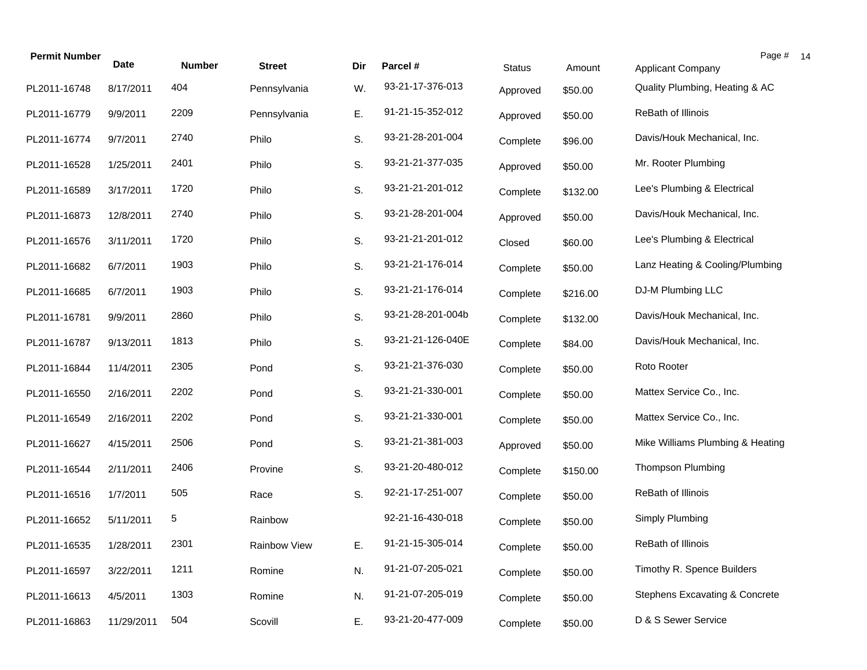| <b>Permit Number</b> | Date       | <b>Number</b> | <b>Street</b> | Dir | Parcel #          | <b>Status</b> | Amount   | Page # 14<br><b>Applicant Company</b>     |  |
|----------------------|------------|---------------|---------------|-----|-------------------|---------------|----------|-------------------------------------------|--|
| PL2011-16748         | 8/17/2011  | 404           | Pennsylvania  | W.  | 93-21-17-376-013  | Approved      | \$50.00  | Quality Plumbing, Heating & AC            |  |
| PL2011-16779         | 9/9/2011   | 2209          | Pennsylvania  | Ε.  | 91-21-15-352-012  | Approved      | \$50.00  | ReBath of Illinois                        |  |
| PL2011-16774         | 9/7/2011   | 2740          | Philo         | S.  | 93-21-28-201-004  | Complete      | \$96.00  | Davis/Houk Mechanical, Inc.               |  |
| PL2011-16528         | 1/25/2011  | 2401          | Philo         | S.  | 93-21-21-377-035  | Approved      | \$50.00  | Mr. Rooter Plumbing                       |  |
| PL2011-16589         | 3/17/2011  | 1720          | Philo         | S.  | 93-21-21-201-012  | Complete      | \$132.00 | Lee's Plumbing & Electrical               |  |
| PL2011-16873         | 12/8/2011  | 2740          | Philo         | S.  | 93-21-28-201-004  | Approved      | \$50.00  | Davis/Houk Mechanical, Inc.               |  |
| PL2011-16576         | 3/11/2011  | 1720          | Philo         | S.  | 93-21-21-201-012  | Closed        | \$60.00  | Lee's Plumbing & Electrical               |  |
| PL2011-16682         | 6/7/2011   | 1903          | Philo         | S.  | 93-21-21-176-014  | Complete      | \$50.00  | Lanz Heating & Cooling/Plumbing           |  |
| PL2011-16685         | 6/7/2011   | 1903          | Philo         | S.  | 93-21-21-176-014  | Complete      | \$216.00 | DJ-M Plumbing LLC                         |  |
| PL2011-16781         | 9/9/2011   | 2860          | Philo         | S.  | 93-21-28-201-004b | Complete      | \$132.00 | Davis/Houk Mechanical, Inc.               |  |
| PL2011-16787         | 9/13/2011  | 1813          | Philo         | S.  | 93-21-21-126-040E | Complete      | \$84.00  | Davis/Houk Mechanical, Inc.               |  |
| PL2011-16844         | 11/4/2011  | 2305          | Pond          | S.  | 93-21-21-376-030  | Complete      | \$50.00  | Roto Rooter                               |  |
| PL2011-16550         | 2/16/2011  | 2202          | Pond          | S.  | 93-21-21-330-001  | Complete      | \$50.00  | Mattex Service Co., Inc.                  |  |
| PL2011-16549         | 2/16/2011  | 2202          | Pond          | S.  | 93-21-21-330-001  | Complete      | \$50.00  | Mattex Service Co., Inc.                  |  |
| PL2011-16627         | 4/15/2011  | 2506          | Pond          | S.  | 93-21-21-381-003  | Approved      | \$50.00  | Mike Williams Plumbing & Heating          |  |
| PL2011-16544         | 2/11/2011  | 2406          | Provine       | S.  | 93-21-20-480-012  | Complete      | \$150.00 | <b>Thompson Plumbing</b>                  |  |
| PL2011-16516         | 1/7/2011   | 505           | Race          | S.  | 92-21-17-251-007  | Complete      | \$50.00  | ReBath of Illinois                        |  |
| PL2011-16652         | 5/11/2011  | 5             | Rainbow       |     | 92-21-16-430-018  | Complete      | \$50.00  | Simply Plumbing                           |  |
| PL2011-16535         | 1/28/2011  | 2301          | Rainbow View  | Ε.  | 91-21-15-305-014  | Complete      | \$50.00  | ReBath of Illinois                        |  |
| PL2011-16597         | 3/22/2011  | 1211          | Romine        | N.  | 91-21-07-205-021  | Complete      | \$50.00  | Timothy R. Spence Builders                |  |
| PL2011-16613         | 4/5/2011   | 1303          | Romine        | N.  | 91-21-07-205-019  | Complete      | \$50.00  | <b>Stephens Excavating &amp; Concrete</b> |  |
| PL2011-16863         | 11/29/2011 | 504           | Scovill       | Ε.  | 93-21-20-477-009  | Complete      | \$50.00  | D & S Sewer Service                       |  |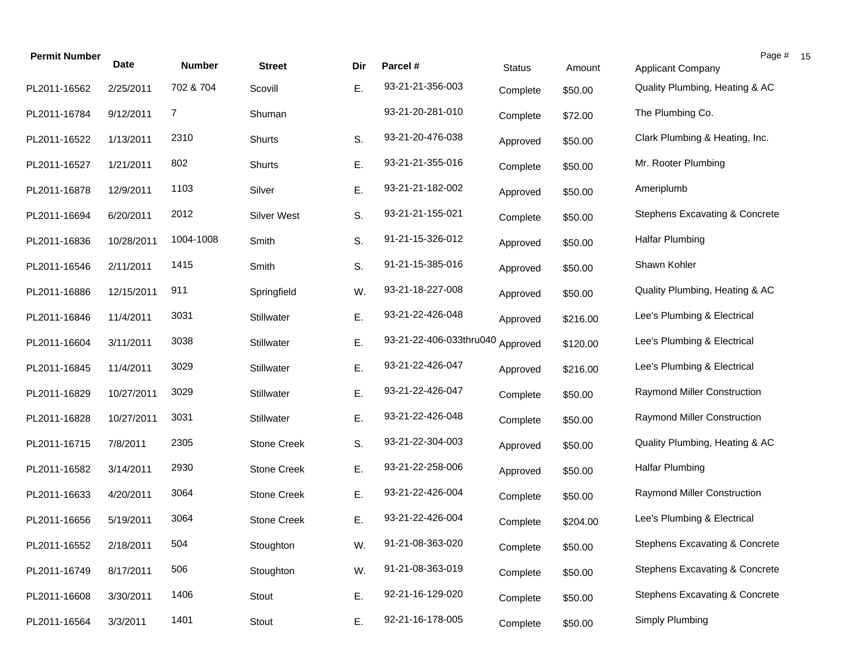| <b>Permit Number</b> | <b>Date</b> | <b>Number</b> | <b>Street</b>      | Dir | Parcel #                | <b>Status</b> | Amount   | <b>Applicant Company</b>                  | Page # |
|----------------------|-------------|---------------|--------------------|-----|-------------------------|---------------|----------|-------------------------------------------|--------|
| PL2011-16562         | 2/25/2011   | 702 & 704     | Scovill            | Ε.  | 93-21-21-356-003        | Complete      | \$50.00  | Quality Plumbing, Heating & AC            |        |
| PL2011-16784         | 9/12/2011   | 7             | Shuman             |     | 93-21-20-281-010        | Complete      | \$72.00  | The Plumbing Co.                          |        |
| PL2011-16522         | 1/13/2011   | 2310          | Shurts             | S.  | 93-21-20-476-038        | Approved      | \$50.00  | Clark Plumbing & Heating, Inc.            |        |
| PL2011-16527         | 1/21/2011   | 802           | Shurts             | Ε.  | 93-21-21-355-016        | Complete      | \$50.00  | Mr. Rooter Plumbing                       |        |
| PL2011-16878         | 12/9/2011   | 1103          | Silver             | Ε.  | 93-21-21-182-002        | Approved      | \$50.00  | Ameriplumb                                |        |
| PL2011-16694         | 6/20/2011   | 2012          | <b>Silver West</b> | S.  | 93-21-21-155-021        | Complete      | \$50.00  | <b>Stephens Excavating &amp; Concrete</b> |        |
| PL2011-16836         | 10/28/2011  | 1004-1008     | Smith              | S.  | 91-21-15-326-012        | Approved      | \$50.00  | <b>Halfar Plumbing</b>                    |        |
| PL2011-16546         | 2/11/2011   | 1415          | Smith              | S.  | 91-21-15-385-016        | Approved      | \$50.00  | Shawn Kohler                              |        |
| PL2011-16886         | 12/15/2011  | 911           | Springfield        | W.  | 93-21-18-227-008        | Approved      | \$50.00  | Quality Plumbing, Heating & AC            |        |
| PL2011-16846         | 11/4/2011   | 3031          | Stillwater         | Ε.  | 93-21-22-426-048        | Approved      | \$216.00 | Lee's Plumbing & Electrical               |        |
| PL2011-16604         | 3/11/2011   | 3038          | Stillwater         | Ε.  | 93-21-22-406-033thru040 | Approved      | \$120.00 | Lee's Plumbing & Electrical               |        |
| PL2011-16845         | 11/4/2011   | 3029          | Stillwater         | Ε.  | 93-21-22-426-047        | Approved      | \$216.00 | Lee's Plumbing & Electrical               |        |
| PL2011-16829         | 10/27/2011  | 3029          | Stillwater         | Ε.  | 93-21-22-426-047        | Complete      | \$50.00  | Raymond Miller Construction               |        |
| PL2011-16828         | 10/27/2011  | 3031          | Stillwater         | Ε.  | 93-21-22-426-048        | Complete      | \$50.00  | Raymond Miller Construction               |        |
| PL2011-16715         | 7/8/2011    | 2305          | <b>Stone Creek</b> | S.  | 93-21-22-304-003        | Approved      | \$50.00  | Quality Plumbing, Heating & AC            |        |
| PL2011-16582         | 3/14/2011   | 2930          | Stone Creek        | Ε.  | 93-21-22-258-006        | Approved      | \$50.00  | <b>Halfar Plumbing</b>                    |        |
| PL2011-16633         | 4/20/2011   | 3064          | <b>Stone Creek</b> | E.  | 93-21-22-426-004        | Complete      | \$50.00  | Raymond Miller Construction               |        |
| PL2011-16656         | 5/19/2011   | 3064          | <b>Stone Creek</b> | Ε.  | 93-21-22-426-004        | Complete      | \$204.00 | Lee's Plumbing & Electrical               |        |
| PL2011-16552         | 2/18/2011   | 504           | Stoughton          | W.  | 91-21-08-363-020        | Complete      | \$50.00  | Stephens Excavating & Concrete            |        |
| PL2011-16749         | 8/17/2011   | 506           | Stoughton          | W.  | 91-21-08-363-019        | Complete      | \$50.00  | <b>Stephens Excavating &amp; Concrete</b> |        |
| PL2011-16608         | 3/30/2011   | 1406          | Stout              | Ε.  | 92-21-16-129-020        | Complete      | \$50.00  | Stephens Excavating & Concrete            |        |
| PL2011-16564         | 3/3/2011    | 1401          | Stout              | Ε.  | 92-21-16-178-005        | Complete      | \$50.00  | Simply Plumbing                           |        |

 $15\,$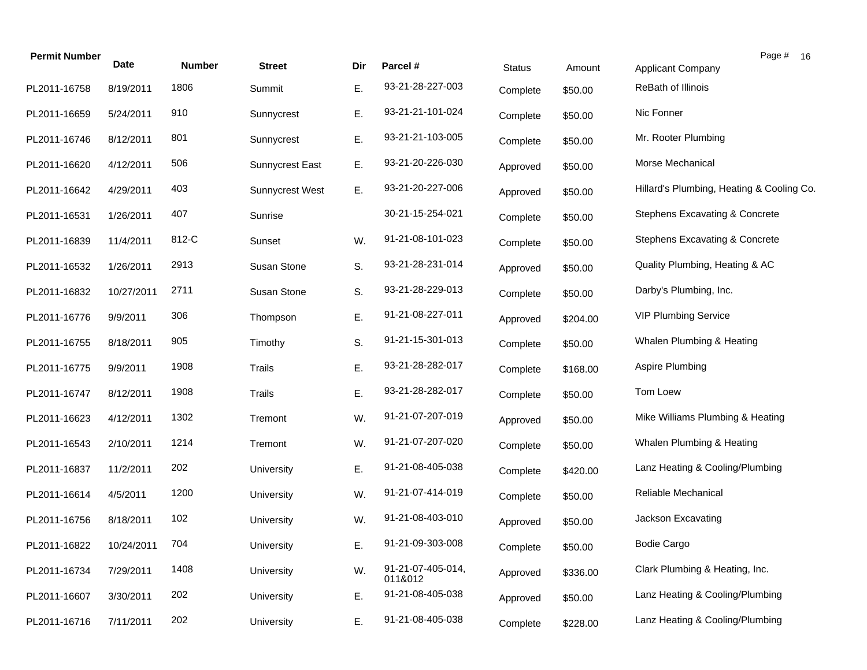| <b>Permit Number</b> | Date       | <b>Number</b> | <b>Street</b>          | Dir | Parcel #                     | <b>Status</b> | Amount   | Page # 16<br><b>Applicant Company</b>     |
|----------------------|------------|---------------|------------------------|-----|------------------------------|---------------|----------|-------------------------------------------|
| PL2011-16758         | 8/19/2011  | 1806          | Summit                 | Ε.  | 93-21-28-227-003             |               |          | ReBath of Illinois                        |
|                      |            |               |                        |     |                              | Complete      | \$50.00  |                                           |
| PL2011-16659         | 5/24/2011  | 910           | Sunnycrest             | Ε.  | 93-21-21-101-024             | Complete      | \$50.00  | Nic Fonner                                |
| PL2011-16746         | 8/12/2011  | 801           | Sunnycrest             | Ε.  | 93-21-21-103-005             | Complete      | \$50.00  | Mr. Rooter Plumbing                       |
| PL2011-16620         | 4/12/2011  | 506           | <b>Sunnycrest East</b> | Ε.  | 93-21-20-226-030             | Approved      | \$50.00  | Morse Mechanical                          |
| PL2011-16642         | 4/29/2011  | 403           | <b>Sunnycrest West</b> | Ε.  | 93-21-20-227-006             | Approved      | \$50.00  | Hillard's Plumbing, Heating & Cooling Co. |
| PL2011-16531         | 1/26/2011  | 407           | Sunrise                |     | 30-21-15-254-021             | Complete      | \$50.00  | Stephens Excavating & Concrete            |
| PL2011-16839         | 11/4/2011  | 812-C         | Sunset                 | W.  | 91-21-08-101-023             | Complete      | \$50.00  | Stephens Excavating & Concrete            |
| PL2011-16532         | 1/26/2011  | 2913          | Susan Stone            | S.  | 93-21-28-231-014             | Approved      | \$50.00  | Quality Plumbing, Heating & AC            |
| PL2011-16832         | 10/27/2011 | 2711          | Susan Stone            | S.  | 93-21-28-229-013             | Complete      | \$50.00  | Darby's Plumbing, Inc.                    |
| PL2011-16776         | 9/9/2011   | 306           | Thompson               | Ε.  | 91-21-08-227-011             | Approved      | \$204.00 | <b>VIP Plumbing Service</b>               |
| PL2011-16755         | 8/18/2011  | 905           | Timothy                | S.  | 91-21-15-301-013             | Complete      | \$50.00  | Whalen Plumbing & Heating                 |
| PL2011-16775         | 9/9/2011   | 1908          | <b>Trails</b>          | Ε.  | 93-21-28-282-017             | Complete      | \$168.00 | Aspire Plumbing                           |
| PL2011-16747         | 8/12/2011  | 1908          | <b>Trails</b>          | Ε.  | 93-21-28-282-017             | Complete      | \$50.00  | Tom Loew                                  |
| PL2011-16623         | 4/12/2011  | 1302          | Tremont                | W.  | 91-21-07-207-019             | Approved      | \$50.00  | Mike Williams Plumbing & Heating          |
| PL2011-16543         | 2/10/2011  | 1214          | Tremont                | W.  | 91-21-07-207-020             | Complete      | \$50.00  | Whalen Plumbing & Heating                 |
| PL2011-16837         | 11/2/2011  | 202           | University             | Ε.  | 91-21-08-405-038             | Complete      | \$420.00 | Lanz Heating & Cooling/Plumbing           |
| PL2011-16614         | 4/5/2011   | 1200          | University             | W.  | 91-21-07-414-019             | Complete      | \$50.00  | Reliable Mechanical                       |
| PL2011-16756         | 8/18/2011  | 102           | University             | W.  | 91-21-08-403-010             | Approved      | \$50.00  | Jackson Excavating                        |
| PL2011-16822         | 10/24/2011 | 704           | University             | Е.  | 91-21-09-303-008             | Complete      | \$50.00  | <b>Bodie Cargo</b>                        |
| PL2011-16734         | 7/29/2011  | 1408          | University             | W.  | 91-21-07-405-014,<br>011&012 | Approved      | \$336.00 | Clark Plumbing & Heating, Inc.            |
| PL2011-16607         | 3/30/2011  | 202           | University             | Ε.  | 91-21-08-405-038             | Approved      | \$50.00  | Lanz Heating & Cooling/Plumbing           |
| PL2011-16716         | 7/11/2011  | 202           | University             | Ε.  | 91-21-08-405-038             | Complete      | \$228.00 | Lanz Heating & Cooling/Plumbing           |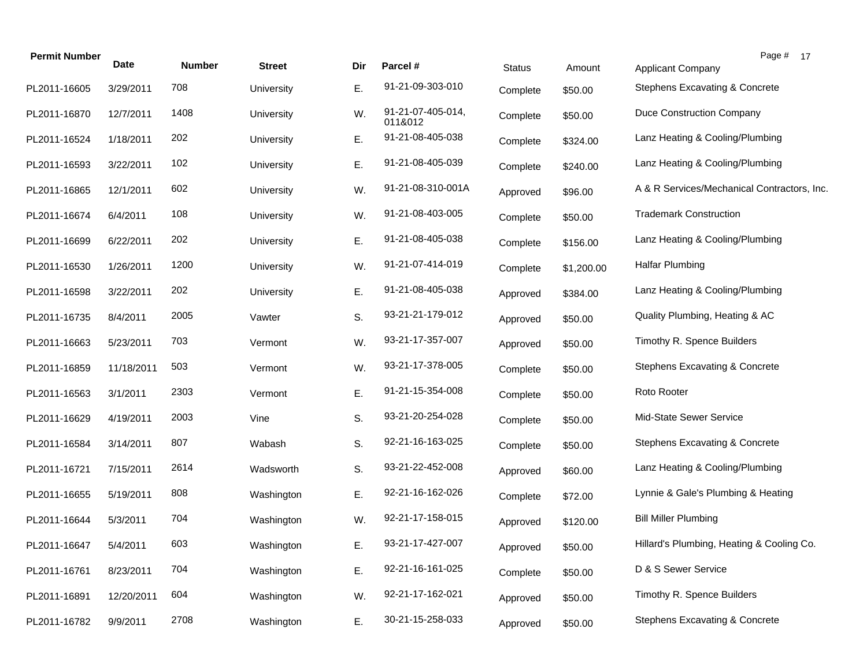| <b>Permit Number</b> | <b>Date</b> | <b>Number</b> | <b>Street</b> | Dir | Parcel #                     | <b>Status</b> | Amount     | Page # 17<br><b>Applicant Company</b>       |
|----------------------|-------------|---------------|---------------|-----|------------------------------|---------------|------------|---------------------------------------------|
| PL2011-16605         | 3/29/2011   | 708           | University    | Ε.  | 91-21-09-303-010             | Complete      | \$50.00    | Stephens Excavating & Concrete              |
| PL2011-16870         | 12/7/2011   | 1408          | University    | W.  | 91-21-07-405-014,<br>011&012 | Complete      | \$50.00    | Duce Construction Company                   |
| PL2011-16524         | 1/18/2011   | 202           | University    | Ε.  | 91-21-08-405-038             | Complete      | \$324.00   | Lanz Heating & Cooling/Plumbing             |
| PL2011-16593         | 3/22/2011   | 102           | University    | Е.  | 91-21-08-405-039             | Complete      | \$240.00   | Lanz Heating & Cooling/Plumbing             |
| PL2011-16865         | 12/1/2011   | 602           | University    | W.  | 91-21-08-310-001A            | Approved      | \$96.00    | A & R Services/Mechanical Contractors, Inc. |
| PL2011-16674         | 6/4/2011    | 108           | University    | W.  | 91-21-08-403-005             | Complete      | \$50.00    | <b>Trademark Construction</b>               |
| PL2011-16699         | 6/22/2011   | 202           | University    | Ε.  | 91-21-08-405-038             | Complete      | \$156.00   | Lanz Heating & Cooling/Plumbing             |
| PL2011-16530         | 1/26/2011   | 1200          | University    | W.  | 91-21-07-414-019             | Complete      | \$1,200.00 | <b>Halfar Plumbing</b>                      |
| PL2011-16598         | 3/22/2011   | 202           | University    | Ε.  | 91-21-08-405-038             | Approved      | \$384.00   | Lanz Heating & Cooling/Plumbing             |
| PL2011-16735         | 8/4/2011    | 2005          | Vawter        | S.  | 93-21-21-179-012             | Approved      | \$50.00    | Quality Plumbing, Heating & AC              |
| PL2011-16663         | 5/23/2011   | 703           | Vermont       | W.  | 93-21-17-357-007             | Approved      | \$50.00    | Timothy R. Spence Builders                  |
| PL2011-16859         | 11/18/2011  | 503           | Vermont       | W.  | 93-21-17-378-005             | Complete      | \$50.00    | Stephens Excavating & Concrete              |
| PL2011-16563         | 3/1/2011    | 2303          | Vermont       | Ε.  | 91-21-15-354-008             | Complete      | \$50.00    | Roto Rooter                                 |
| PL2011-16629         | 4/19/2011   | 2003          | Vine          | S.  | 93-21-20-254-028             | Complete      | \$50.00    | Mid-State Sewer Service                     |
| PL2011-16584         | 3/14/2011   | 807           | Wabash        | S.  | 92-21-16-163-025             | Complete      | \$50.00    | Stephens Excavating & Concrete              |
| PL2011-16721         | 7/15/2011   | 2614          | Wadsworth     | S.  | 93-21-22-452-008             | Approved      | \$60.00    | Lanz Heating & Cooling/Plumbing             |
| PL2011-16655         | 5/19/2011   | 808           | Washington    | E.  | 92-21-16-162-026             | Complete      | \$72.00    | Lynnie & Gale's Plumbing & Heating          |
| PL2011-16644         | 5/3/2011    | 704           | Washington    | W.  | 92-21-17-158-015             | Approved      | \$120.00   | <b>Bill Miller Plumbing</b>                 |
| PL2011-16647         | 5/4/2011    | 603           | Washington    | Е.  | 93-21-17-427-007             | Approved      | \$50.00    | Hillard's Plumbing, Heating & Cooling Co.   |
| PL2011-16761         | 8/23/2011   | 704           | Washington    | Ε.  | 92-21-16-161-025             | Complete      | \$50.00    | D & S Sewer Service                         |
| PL2011-16891         | 12/20/2011  | 604           | Washington    | W.  | 92-21-17-162-021             | Approved      | \$50.00    | Timothy R. Spence Builders                  |
| PL2011-16782         | 9/9/2011    | 2708          | Washington    | Ε.  | 30-21-15-258-033             | Approved      | \$50.00    | <b>Stephens Excavating &amp; Concrete</b>   |